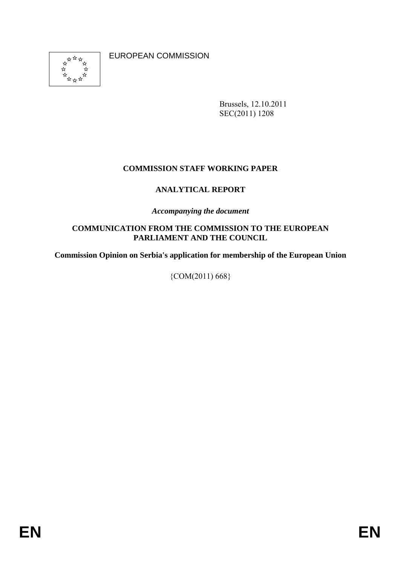

EUROPEAN COMMISSION

Brussels, 12.10.2011 SEC(2011) 1208

# **COMMISSION STAFF WORKING PAPER**

# **ANALYTICAL REPORT**

*Accompanying the document* 

#### **COMMUNICATION FROM THE COMMISSION TO THE EUROPEAN PARLIAMENT AND THE COUNCIL**

**Commission Opinion on Serbia's application for membership of the European Union** 

{COM(2011) 668}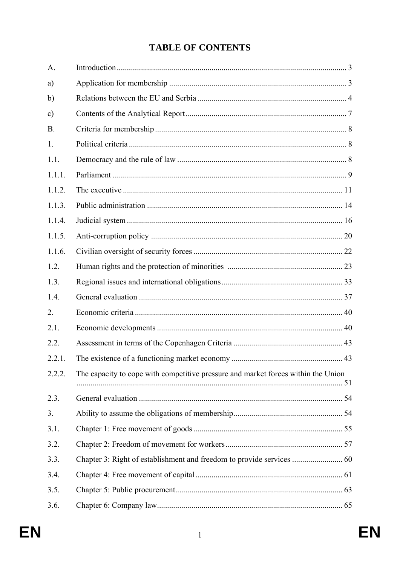# **TABLE OF CONTENTS**

| A.            |                                                                                   |  |
|---------------|-----------------------------------------------------------------------------------|--|
| a)            |                                                                                   |  |
| $\mathbf{b}$  |                                                                                   |  |
| $\mathbf{c})$ |                                                                                   |  |
| <b>B.</b>     |                                                                                   |  |
| 1.            |                                                                                   |  |
| 1.1.          |                                                                                   |  |
| 1.1.1.        |                                                                                   |  |
| 1.1.2.        |                                                                                   |  |
| 1.1.3.        |                                                                                   |  |
| 1.1.4.        |                                                                                   |  |
| 1.1.5.        |                                                                                   |  |
| 1.1.6.        |                                                                                   |  |
| 1.2.          |                                                                                   |  |
| 1.3.          |                                                                                   |  |
| 1.4.          |                                                                                   |  |
| 2.            |                                                                                   |  |
| 2.1.          |                                                                                   |  |
| 2.2.          |                                                                                   |  |
| 2.2.1.        |                                                                                   |  |
| 2.2.2.        | The capacity to cope with competitive pressure and market forces within the Union |  |
| 2.3.          |                                                                                   |  |
| 3.            |                                                                                   |  |
| 3.1.          |                                                                                   |  |
| 3.2.          |                                                                                   |  |
| 3.3.          |                                                                                   |  |
| 3.4.          |                                                                                   |  |
| 3.5.          |                                                                                   |  |
| 3.6.          |                                                                                   |  |
|               |                                                                                   |  |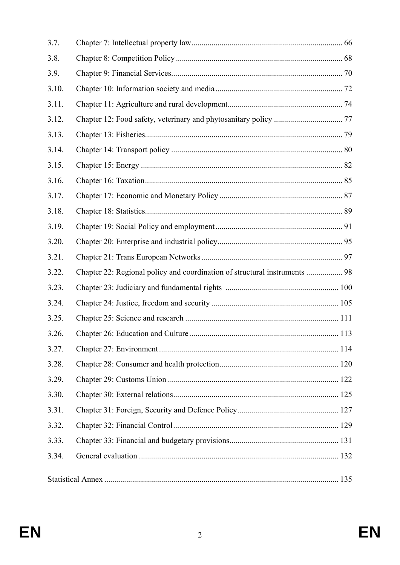| 3.7.  |                                                                            |  |
|-------|----------------------------------------------------------------------------|--|
| 3.8.  |                                                                            |  |
| 3.9.  |                                                                            |  |
| 3.10. |                                                                            |  |
| 3.11. |                                                                            |  |
| 3.12. |                                                                            |  |
| 3.13. |                                                                            |  |
| 3.14. |                                                                            |  |
| 3.15. |                                                                            |  |
| 3.16. |                                                                            |  |
| 3.17. |                                                                            |  |
| 3.18. |                                                                            |  |
| 3.19. |                                                                            |  |
| 3.20. |                                                                            |  |
| 3.21. |                                                                            |  |
| 3.22. | Chapter 22: Regional policy and coordination of structural instruments  98 |  |
| 3.23. |                                                                            |  |
| 3.24. |                                                                            |  |
| 3.25. |                                                                            |  |
| 3.26. |                                                                            |  |
| 3.27. |                                                                            |  |
| 3.28. |                                                                            |  |
| 3.29. |                                                                            |  |
| 3.30. |                                                                            |  |
| 3.31. |                                                                            |  |
| 3.32. |                                                                            |  |
| 3.33. |                                                                            |  |
| 3.34. |                                                                            |  |
|       |                                                                            |  |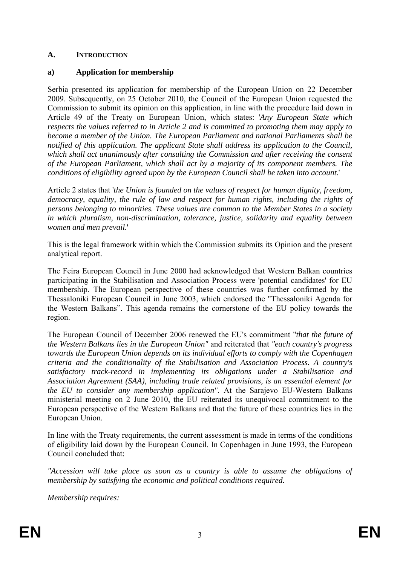### **A. INTRODUCTION**

# **a) Application for membership**

Serbia presented its application for membership of the European Union on 22 December 2009. Subsequently, on 25 October 2010, the Council of the European Union requested the Commission to submit its opinion on this application, in line with the procedure laid down in Article 49 of the Treaty on European Union, which states: '*Any European State which respects the values referred to in Article 2 and is committed to promoting them may apply to become a member of the Union. The European Parliament and national Parliaments shall be notified of this application. The applicant State shall address its application to the Council, which shall act unanimously after consulting the Commission and after receiving the consent of the European Parliament, which shall act by a majority of its component members. The conditions of eligibility agreed upon by the European Council shall be taken into account.*'

Article 2 states that '*the Union is founded on the values of respect for human dignity, freedom, democracy, equality, the rule of law and respect for human rights, including the rights of persons belonging to minorities. These values are common to the Member States in a society in which pluralism, non-discrimination, tolerance, justice, solidarity and equality between women and men prevail.*'

This is the legal framework within which the Commission submits its Opinion and the present analytical report.

The Feira European Council in June 2000 had acknowledged that Western Balkan countries participating in the Stabilisation and Association Process were 'potential candidates' for EU membership. The European perspective of these countries was further confirmed by the Thessaloniki European Council in June 2003, which endorsed the "Thessaloniki Agenda for the Western Balkans". This agenda remains the cornerstone of the EU policy towards the region.

The European Council of December 2006 renewed the EU's commitment "*that the future of the Western Balkans lies in the European Union"* and reiterated that *"each country's progress towards the European Union depends on its individual efforts to comply with the Copenhagen criteria and the conditionality of the Stabilisation and Association Process. A country's satisfactory track-record in implementing its obligations under a Stabilisation and Association Agreement (SAA), including trade related provisions, is an essential element for the EU to consider any membership application".* At the Sarajevo EU-Western Balkans ministerial meeting on 2 June 2010, the EU reiterated its unequivocal commitment to the European perspective of the Western Balkans and that the future of these countries lies in the European Union.

In line with the Treaty requirements, the current assessment is made in terms of the conditions of eligibility laid down by the European Council. In Copenhagen in June 1993, the European Council concluded that:

*"Accession will take place as soon as a country is able to assume the obligations of membership by satisfying the economic and political conditions required.* 

*Membership requires:*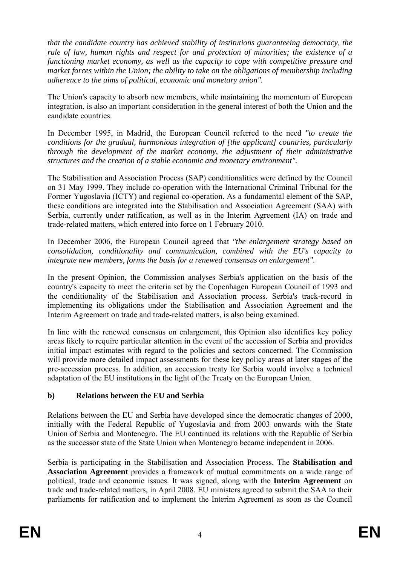*that the candidate country has achieved stability of institutions guaranteeing democracy, the rule of law, human rights and respect for and protection of minorities; the existence of a functioning market economy, as well as the capacity to cope with competitive pressure and market forces within the Union; the ability to take on the obligations of membership including adherence to the aims of political, economic and monetary union".* 

The Union's capacity to absorb new members, while maintaining the momentum of European integration, is also an important consideration in the general interest of both the Union and the candidate countries.

In December 1995, in Madrid, the European Council referred to the need *"to create the conditions for the gradual, harmonious integration of [the applicant] countries, particularly through the development of the market economy, the adjustment of their administrative structures and the creation of a stable economic and monetary environment".* 

The Stabilisation and Association Process (SAP) conditionalities were defined by the Council on 31 May 1999. They include co-operation with the International Criminal Tribunal for the Former Yugoslavia (ICTY) and regional co-operation. As a fundamental element of the SAP, these conditions are integrated into the Stabilisation and Association Agreement (SAA) with Serbia, currently under ratification, as well as in the Interim Agreement (IA) on trade and trade-related matters, which entered into force on 1 February 2010.

In December 2006, the European Council agreed that *"the enlargement strategy based on consolidation, conditionality and communication, combined with the EU's capacity to integrate new members, forms the basis for a renewed consensus on enlargement"*.

In the present Opinion, the Commission analyses Serbia's application on the basis of the country's capacity to meet the criteria set by the Copenhagen European Council of 1993 and the conditionality of the Stabilisation and Association process. Serbia's track-record in implementing its obligations under the Stabilisation and Association Agreement and the Interim Agreement on trade and trade-related matters, is also being examined.

In line with the renewed consensus on enlargement, this Opinion also identifies key policy areas likely to require particular attention in the event of the accession of Serbia and provides initial impact estimates with regard to the policies and sectors concerned. The Commission will provide more detailed impact assessments for these key policy areas at later stages of the pre-accession process. In addition, an accession treaty for Serbia would involve a technical adaptation of the EU institutions in the light of the Treaty on the European Union.

### **b) Relations between the EU and Serbia**

Relations between the EU and Serbia have developed since the democratic changes of 2000, initially with the Federal Republic of Yugoslavia and from 2003 onwards with the State Union of Serbia and Montenegro. The EU continued its relations with the Republic of Serbia as the successor state of the State Union when Montenegro became independent in 2006.

Serbia is participating in the Stabilisation and Association Process. The **Stabilisation and Association Agreement** provides a framework of mutual commitments on a wide range of political, trade and economic issues. It was signed, along with the **Interim Agreement** on trade and trade-related matters, in April 2008. EU ministers agreed to submit the SAA to their parliaments for ratification and to implement the Interim Agreement as soon as the Council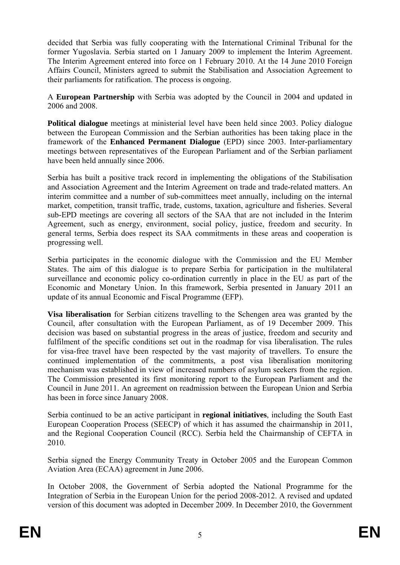decided that Serbia was fully cooperating with the International Criminal Tribunal for the former Yugoslavia. Serbia started on 1 January 2009 to implement the Interim Agreement. The Interim Agreement entered into force on 1 February 2010. At the 14 June 2010 Foreign Affairs Council, Ministers agreed to submit the Stabilisation and Association Agreement to their parliaments for ratification. The process is ongoing.

A **European Partnership** with Serbia was adopted by the Council in 2004 and updated in 2006 and 2008.

**Political dialogue** meetings at ministerial level have been held since 2003. Policy dialogue between the European Commission and the Serbian authorities has been taking place in the framework of the **Enhanced Permanent Dialogue** (EPD) since 2003. Inter-parliamentary meetings between representatives of the European Parliament and of the Serbian parliament have been held annually since 2006.

Serbia has built a positive track record in implementing the obligations of the Stabilisation and Association Agreement and the Interim Agreement on trade and trade-related matters. An interim committee and a number of sub-committees meet annually, including on the internal market, competition, transit traffic, trade, customs, taxation, agriculture and fisheries. Several sub-EPD meetings are covering all sectors of the SAA that are not included in the Interim Agreement, such as energy, environment, social policy, justice, freedom and security. In general terms, Serbia does respect its SAA commitments in these areas and cooperation is progressing well.

Serbia participates in the economic dialogue with the Commission and the EU Member States. The aim of this dialogue is to prepare Serbia for participation in the multilateral surveillance and economic policy co-ordination currently in place in the EU as part of the Economic and Monetary Union. In this framework, Serbia presented in January 2011 an update of its annual Economic and Fiscal Programme (EFP).

**Visa liberalisation** for Serbian citizens travelling to the Schengen area was granted by the Council, after consultation with the European Parliament, as of 19 December 2009. This decision was based on substantial progress in the areas of justice, freedom and security and fulfilment of the specific conditions set out in the roadmap for visa liberalisation. The rules for visa-free travel have been respected by the vast majority of travellers. To ensure the continued implementation of the commitments, a post visa liberalisation monitoring mechanism was established in view of increased numbers of asylum seekers from the region. The Commission presented its first monitoring report to the European Parliament and the Council in June 2011. An agreement on readmission between the European Union and Serbia has been in force since January 2008.

Serbia continued to be an active participant in **regional initiatives**, including the South East European Cooperation Process (SEECP) of which it has assumed the chairmanship in 2011, and the Regional Cooperation Council (RCC). Serbia held the Chairmanship of CEFTA in 2010.

Serbia signed the Energy Community Treaty in October 2005 and the European Common Aviation Area (ECAA) agreement in June 2006.

In October 2008, the Government of Serbia adopted the National Programme for the Integration of Serbia in the European Union for the period 2008-2012. A revised and updated version of this document was adopted in December 2009. In December 2010, the Government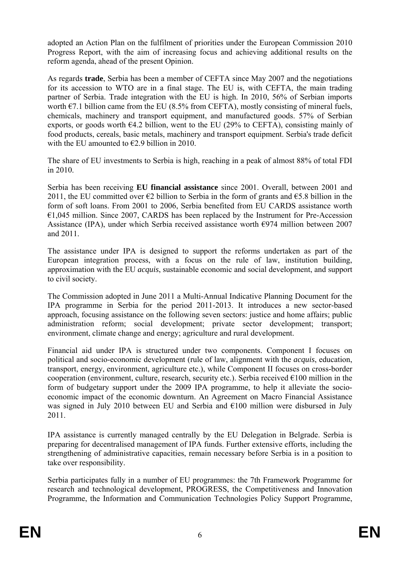adopted an Action Plan on the fulfilment of priorities under the European Commission 2010 Progress Report, with the aim of increasing focus and achieving additional results on the reform agenda, ahead of the present Opinion.

As regards **trade**, Serbia has been a member of CEFTA since May 2007 and the negotiations for its accession to WTO are in a final stage. The EU is, with CEFTA, the main trading partner of Serbia. Trade integration with the EU is high. In 2010, 56% of Serbian imports worth  $\epsilon$ 7.1 billion came from the EU (8.5% from CEFTA), mostly consisting of mineral fuels, chemicals, machinery and transport equipment, and manufactured goods. 57% of Serbian exports, or goods worth  $64.2$  billion, went to the EU (29% to CEFTA), consisting mainly of food products, cereals, basic metals, machinery and transport equipment. Serbia's trade deficit with the EU amounted to  $\epsilon$ 2.9 billion in 2010.

The share of EU investments to Serbia is high, reaching in a peak of almost 88% of total FDI in 2010.

Serbia has been receiving **EU financial assistance** since 2001. Overall, between 2001 and 2011, the EU committed over  $\epsilon$ 2 billion to Serbia in the form of grants and  $\epsilon$ 5.8 billion in the form of soft loans. From 2001 to 2006, Serbia benefited from EU CARDS assistance worth  $€1,045$  million. Since 2007, CARDS has been replaced by the Instrument for Pre-Accession Assistance (IPA), under which Serbia received assistance worth  $\epsilon$ 974 million between 2007 and 2011.

The assistance under IPA is designed to support the reforms undertaken as part of the European integration process, with a focus on the rule of law, institution building, approximation with the EU *acquis*, sustainable economic and social development, and support to civil society.

The Commission adopted in June 2011 a Multi-Annual Indicative Planning Document for the IPA programme in Serbia for the period 2011-2013. It introduces a new sector-based approach, focusing assistance on the following seven sectors: justice and home affairs; public administration reform; social development; private sector development; transport; environment, climate change and energy; agriculture and rural development.

Financial aid under IPA is structured under two components. Component I focuses on political and socio-economic development (rule of law, alignment with the *acquis*, education, transport, energy, environment, agriculture etc.), while Component II focuses on cross-border cooperation (environment, culture, research, security etc.). Serbia received  $\epsilon$ 100 million in the form of budgetary support under the 2009 IPA programme, to help it alleviate the socioeconomic impact of the economic downturn. An Agreement on Macro Financial Assistance was signed in July 2010 between EU and Serbia and €100 million were disbursed in July 2011.

IPA assistance is currently managed centrally by the EU Delegation in Belgrade. Serbia is preparing for decentralised management of IPA funds. Further extensive efforts, including the strengthening of administrative capacities, remain necessary before Serbia is in a position to take over responsibility.

Serbia participates fully in a number of EU programmes: the 7th Framework Programme for research and technological development, PROGRESS, the Competitiveness and Innovation Programme, the Information and Communication Technologies Policy Support Programme,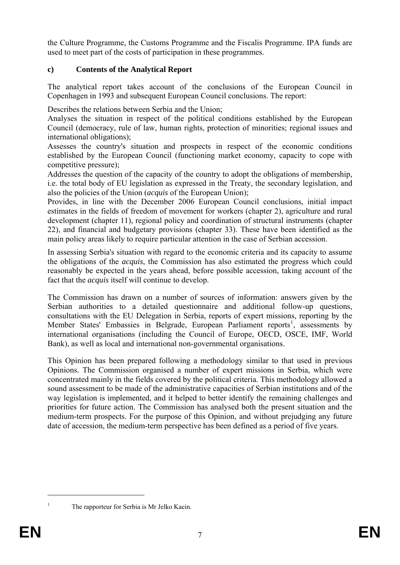the Culture Programme, the Customs Programme and the Fiscalis Programme. IPA funds are used to meet part of the costs of participation in these programmes.

# **c) Contents of the Analytical Report**

The analytical report takes account of the conclusions of the European Council in Copenhagen in 1993 and subsequent European Council conclusions. The report:

Describes the relations between Serbia and the Union;

Analyses the situation in respect of the political conditions established by the European Council (democracy, rule of law, human rights, protection of minorities; regional issues and international obligations);

Assesses the country's situation and prospects in respect of the economic conditions established by the European Council (functioning market economy, capacity to cope with competitive pressure);

Addresses the question of the capacity of the country to adopt the obligations of membership, i.e. the total body of EU legislation as expressed in the Treaty, the secondary legislation, and also the policies of the Union (*acquis* of the European Union);

Provides, in line with the December 2006 European Council conclusions, initial impact estimates in the fields of freedom of movement for workers (chapter 2), agriculture and rural development (chapter 11), regional policy and coordination of structural instruments (chapter 22), and financial and budgetary provisions (chapter 33). These have been identified as the main policy areas likely to require particular attention in the case of Serbian accession.

In assessing Serbia's situation with regard to the economic criteria and its capacity to assume the obligations of the *acquis*, the Commission has also estimated the progress which could reasonably be expected in the years ahead, before possible accession, taking account of the fact that the *acquis* itself will continue to develop.

The Commission has drawn on a number of sources of information: answers given by the Serbian authorities to a detailed questionnaire and additional follow-up questions, consultations with the EU Delegation in Serbia, reports of expert missions, reporting by the Member States' Embassies in Belgrade, European Parliament reports<sup>[1](#page-8-0)</sup>, assessments by international organisations (including the Council of Europe, OECD, OSCE, IMF, World Bank), as well as local and international non-governmental organisations.

This Opinion has been prepared following a methodology similar to that used in previous Opinions. The Commission organised a number of expert missions in Serbia, which were concentrated mainly in the fields covered by the political criteria. This methodology allowed a sound assessment to be made of the administrative capacities of Serbian institutions and of the way legislation is implemented, and it helped to better identify the remaining challenges and priorities for future action. The Commission has analysed both the present situation and the medium-term prospects. For the purpose of this Opinion, and without prejudging any future date of accession, the medium-term perspective has been defined as a period of five years.

1

<span id="page-7-0"></span>1

The rapporteur for Serbia is Mr Jelko Kacin.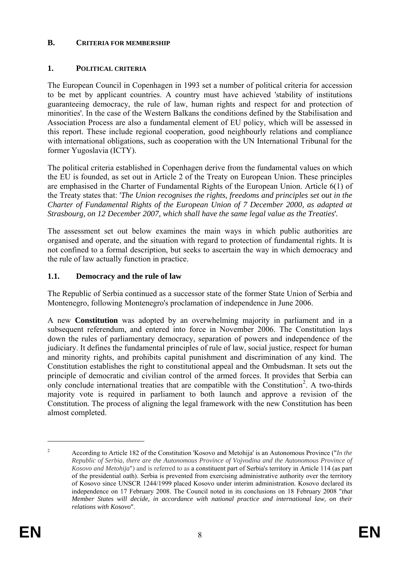#### **B. CRITERIA FOR MEMBERSHIP**

### **1. POLITICAL CRITERIA**

The European Council in Copenhagen in 1993 set a number of political criteria for accession to be met by applicant countries. A country must have achieved 'stability of institutions guaranteeing democracy, the rule of law, human rights and respect for and protection of minorities'. In the case of the Western Balkans the conditions defined by the Stabilisation and Association Process are also a fundamental element of EU policy, which will be assessed in this report. These include regional cooperation, good neighbourly relations and compliance with international obligations, such as cooperation with the UN International Tribunal for the former Yugoslavia (ICTY).

The political criteria established in Copenhagen derive from the fundamental values on which the EU is founded, as set out in Article 2 of the Treaty on European Union. These principles are emphasised in the Charter of Fundamental Rights of the European Union. Article 6(1) of the Treaty states that: '*The Union recognises the rights, freedoms and principles set out in the Charter of Fundamental Rights of the European Union of 7 December 2000, as adapted at Strasbourg, on 12 December 2007, which shall have the same legal value as the Treaties*'*.* 

The assessment set out below examines the main ways in which public authorities are organised and operate, and the situation with regard to protection of fundamental rights. It is not confined to a formal description, but seeks to ascertain the way in which democracy and the rule of law actually function in practice.

# **1.1. Democracy and the rule of law**

The Republic of Serbia continued as a successor state of the former State Union of Serbia and Montenegro, following Montenegro's proclamation of independence in June 2006.

A new **Constitution** was adopted by an overwhelming majority in parliament and in a subsequent referendum, and entered into force in November 2006. The Constitution lays down the rules of parliamentary democracy, separation of powers and independence of the judiciary. It defines the fundamental principles of rule of law, social justice, respect for human and minority rights, and prohibits capital punishment and discrimination of any kind. The Constitution establishes the right to constitutional appeal and the Ombudsman. It sets out the principle of democratic and civilian control of the armed forces. It provides that Serbia can only conclude international treaties that are compatible with the Constitution<sup>[2](#page-7-0)</sup>. A two-thirds majority vote is required in parliament to both launch and approve a revision of the Constitution. The process of aligning the legal framework with the new Constitution has been almost completed.

<u>.</u>

<span id="page-8-0"></span> $\overline{2}$  According to Article 182 of the Constitution 'Kosovo and Metohija' is an Autonomous Province ("*In the Republic of Serbia, there are the Autonomous Province of Vojvodina and the Autonomous Province of Kosovo and Metohija*") and is referred to as a constituent part of Serbia's territory in Article 114 (as part of the presidential oath). Serbia is prevented from exercising administrative authority over the territory of Kosovo since UNSCR 1244/1999 placed Kosovo under interim administration. Kosovo declared its independence on 17 February 2008. The Council noted in its conclusions on 18 February 2008 "*that Member States will decide, in accordance with national practice and international law, on their relations with Kosovo*".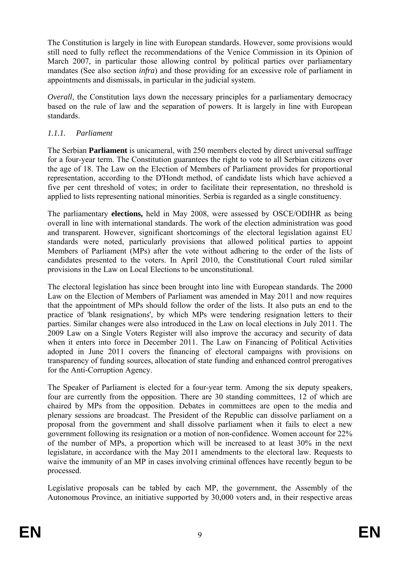The Constitution is largely in line with European standards. However, some provisions would still need to fully reflect the recommendations of the Venice Commission in its Opinion of March 2007, in particular those allowing control by political parties over parliamentary mandates (See also section *infra*) and those providing for an excessive role of parliament in appointments and dismissals, in particular in the judicial system.

*Overall*, the Constitution lays down the necessary principles for a parliamentary democracy based on the rule of law and the separation of powers. It is largely in line with European standards.

### *1.1.1. Parliament*

The Serbian **Parliament** is unicameral, with 250 members elected by direct universal suffrage for a four-year term. The Constitution guarantees the right to vote to all Serbian citizens over the age of 18. The Law on the Election of Members of Parliament provides for proportional representation, according to the D'Hondt method, of candidate lists which have achieved a five per cent threshold of votes; in order to facilitate their representation, no threshold is applied to lists representing national minorities. Serbia is regarded as a single constituency.

The parliamentary **elections,** held in May 2008, were assessed by OSCE/ODIHR as being overall in line with international standards. The work of the election administration was good and transparent. However, significant shortcomings of the electoral legislation against EU standards were noted, particularly provisions that allowed political parties to appoint Members of Parliament (MPs) after the vote without adhering to the order of the lists of candidates presented to the voters. In April 2010, the Constitutional Court ruled similar provisions in the Law on Local Elections to be unconstitutional.

The electoral legislation has since been brought into line with European standards. The 2000 Law on the Election of Members of Parliament was amended in May 2011 and now requires that the appointment of MPs should follow the order of the lists. It also puts an end to the practice of 'blank resignations', by which MPs were tendering resignation letters to their parties. Similar changes were also introduced in the Law on local elections in July 2011. The 2009 Law on a Single Voters Register will also improve the accuracy and security of data when it enters into force in December 2011. The Law on Financing of Political Activities adopted in June 2011 covers the financing of electoral campaigns with provisions on transparency of funding sources, allocation of state funding and enhanced control prerogatives for the Anti-Corruption Agency.

The Speaker of Parliament is elected for a four-year term. Among the six deputy speakers, four are currently from the opposition. There are 30 standing committees, 12 of which are chaired by MPs from the opposition. Debates in committees are open to the media and plenary sessions are broadcast. The President of the Republic can dissolve parliament on a proposal from the government and shall dissolve parliament when it fails to elect a new government following its resignation or a motion of non-confidence. Women account for 22% of the number of MPs, a proportion which will be increased to at least 30% in the next legislature, in accordance with the May 2011 amendments to the electoral law. Requests to waive the immunity of an MP in cases involving criminal offences have recently begun to be processed.

Legislative proposals can be tabled by each MP, the government, the Assembly of the Autonomous Province, an initiative supported by 30,000 voters and, in their respective areas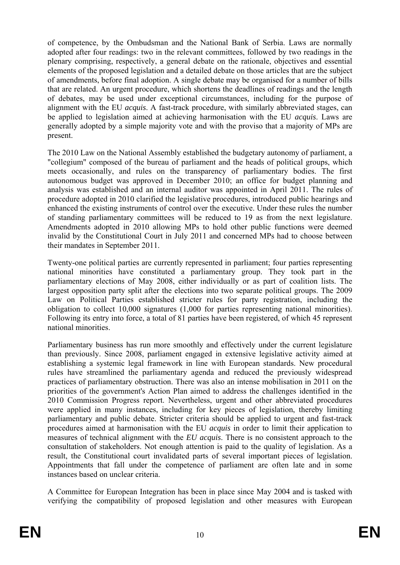of competence, by the Ombudsman and the National Bank of Serbia. Laws are normally adopted after four readings: two in the relevant committees, followed by two readings in the plenary comprising, respectively, a general debate on the rationale, objectives and essential elements of the proposed legislation and a detailed debate on those articles that are the subject of amendments, before final adoption. A single debate may be organised for a number of bills that are related. An urgent procedure, which shortens the deadlines of readings and the length of debates, may be used under exceptional circumstances, including for the purpose of alignment with the EU *acquis*. A fast-track procedure, with similarly abbreviated stages, can be applied to legislation aimed at achieving harmonisation with the EU *acquis*. Laws are generally adopted by a simple majority vote and with the proviso that a majority of MPs are present.

The 2010 Law on the National Assembly established the budgetary autonomy of parliament, a "collegium" composed of the bureau of parliament and the heads of political groups, which meets occasionally, and rules on the transparency of parliamentary bodies. The first autonomous budget was approved in December 2010; an office for budget planning and analysis was established and an internal auditor was appointed in April 2011. The rules of procedure adopted in 2010 clarified the legislative procedures, introduced public hearings and enhanced the existing instruments of control over the executive. Under these rules the number of standing parliamentary committees will be reduced to 19 as from the next legislature. Amendments adopted in 2010 allowing MPs to hold other public functions were deemed invalid by the Constitutional Court in July 2011 and concerned MPs had to choose between their mandates in September 2011.

Twenty-one political parties are currently represented in parliament; four parties representing national minorities have constituted a parliamentary group. They took part in the parliamentary elections of May 2008, either individually or as part of coalition lists. The largest opposition party split after the elections into two separate political groups. The 2009 Law on Political Parties established stricter rules for party registration, including the obligation to collect 10,000 signatures (1,000 for parties representing national minorities). Following its entry into force, a total of 81 parties have been registered, of which 45 represent national minorities.

Parliamentary business has run more smoothly and effectively under the current legislature than previously. Since 2008, parliament engaged in extensive legislative activity aimed at establishing a systemic legal framework in line with European standards. New procedural rules have streamlined the parliamentary agenda and reduced the previously widespread practices of parliamentary obstruction. There was also an intense mobilisation in 2011 on the priorities of the government's Action Plan aimed to address the challenges identified in the 2010 Commission Progress report. Nevertheless, urgent and other abbreviated procedures were applied in many instances, including for key pieces of legislation, thereby limiting parliamentary and public debate. Stricter criteria should be applied to urgent and fast-track procedures aimed at harmonisation with the EU *acquis* in order to limit their application to measures of technical alignment with the *EU acquis*. There is no consistent approach to the consultation of stakeholders. Not enough attention is paid to the quality of legislation. As a result, the Constitutional court invalidated parts of several important pieces of legislation. Appointments that fall under the competence of parliament are often late and in some instances based on unclear criteria.

A Committee for European Integration has been in place since May 2004 and is tasked with verifying the compatibility of proposed legislation and other measures with European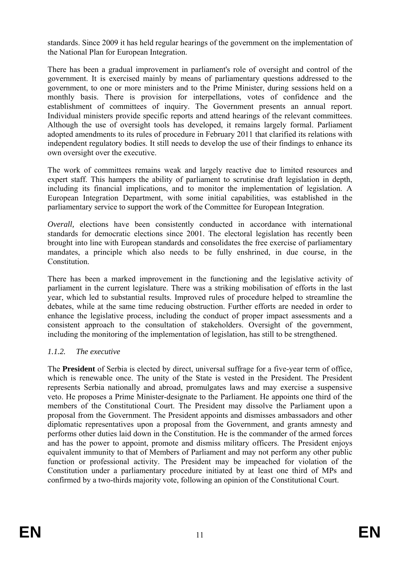standards. Since 2009 it has held regular hearings of the government on the implementation of the National Plan for European Integration.

There has been a gradual improvement in parliament's role of oversight and control of the government. It is exercised mainly by means of parliamentary questions addressed to the government, to one or more ministers and to the Prime Minister, during sessions held on a monthly basis. There is provision for interpellations, votes of confidence and the establishment of committees of inquiry. The Government presents an annual report. Individual ministers provide specific reports and attend hearings of the relevant committees. Although the use of oversight tools has developed, it remains largely formal. Parliament adopted amendments to its rules of procedure in February 2011 that clarified its relations with independent regulatory bodies. It still needs to develop the use of their findings to enhance its own oversight over the executive.

The work of committees remains weak and largely reactive due to limited resources and expert staff. This hampers the ability of parliament to scrutinise draft legislation in depth, including its financial implications, and to monitor the implementation of legislation. A European Integration Department, with some initial capabilities, was established in the parliamentary service to support the work of the Committee for European Integration.

*Overall*, elections have been consistently conducted in accordance with international standards for democratic elections since 2001. The electoral legislation has recently been brought into line with European standards and consolidates the free exercise of parliamentary mandates, a principle which also needs to be fully enshrined, in due course, in the Constitution.

There has been a marked improvement in the functioning and the legislative activity of parliament in the current legislature. There was a striking mobilisation of efforts in the last year, which led to substantial results. Improved rules of procedure helped to streamline the debates, while at the same time reducing obstruction. Further efforts are needed in order to enhance the legislative process, including the conduct of proper impact assessments and a consistent approach to the consultation of stakeholders. Oversight of the government, including the monitoring of the implementation of legislation, has still to be strengthened.

# *1.1.2. The executive*

The **President** of Serbia is elected by direct, universal suffrage for a five-year term of office, which is renewable once. The unity of the State is vested in the President. The President represents Serbia nationally and abroad, promulgates laws and may exercise a suspensive veto. He proposes a Prime Minister-designate to the Parliament. He appoints one third of the members of the Constitutional Court. The President may dissolve the Parliament upon a proposal from the Government. The President appoints and dismisses ambassadors and other diplomatic representatives upon a proposal from the Government, and grants amnesty and performs other duties laid down in the Constitution. He is the commander of the armed forces and has the power to appoint, promote and dismiss military officers. The President enjoys equivalent immunity to that of Members of Parliament and may not perform any other public function or professional activity. The President may be impeached for violation of the Constitution under a parliamentary procedure initiated by at least one third of MPs and confirmed by a two-thirds majority vote, following an opinion of the Constitutional Court.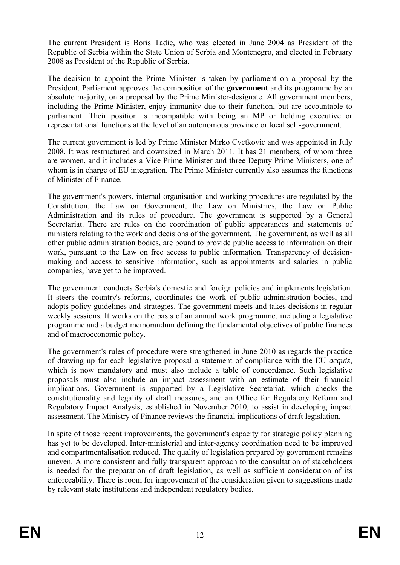The current President is Boris Tadic, who was elected in June 2004 as President of the Republic of Serbia within the State Union of Serbia and Montenegro, and elected in February 2008 as President of the Republic of Serbia.

The decision to appoint the Prime Minister is taken by parliament on a proposal by the President. Parliament approves the composition of the **government** and its programme by an absolute majority, on a proposal by the Prime Minister-designate. All government members, including the Prime Minister, enjoy immunity due to their function, but are accountable to parliament. Their position is incompatible with being an MP or holding executive or representational functions at the level of an autonomous province or local self-government.

The current government is led by Prime Minister Mirko Cvetkovic and was appointed in July 2008. It was restructured and downsized in March 2011. It has 21 members, of whom three are women, and it includes a Vice Prime Minister and three Deputy Prime Ministers, one of whom is in charge of EU integration. The Prime Minister currently also assumes the functions of Minister of Finance.

The government's powers, internal organisation and working procedures are regulated by the Constitution, the Law on Government, the Law on Ministries, the Law on Public Administration and its rules of procedure. The government is supported by a General Secretariat. There are rules on the coordination of public appearances and statements of ministers relating to the work and decisions of the government. The government, as well as all other public administration bodies, are bound to provide public access to information on their work, pursuant to the Law on free access to public information. Transparency of decisionmaking and access to sensitive information, such as appointments and salaries in public companies, have yet to be improved.

The government conducts Serbia's domestic and foreign policies and implements legislation. It steers the country's reforms, coordinates the work of public administration bodies, and adopts policy guidelines and strategies. The government meets and takes decisions in regular weekly sessions. It works on the basis of an annual work programme, including a legislative programme and a budget memorandum defining the fundamental objectives of public finances and of macroeconomic policy.

The government's rules of procedure were strengthened in June 2010 as regards the practice of drawing up for each legislative proposal a statement of compliance with the EU *acquis*, which is now mandatory and must also include a table of concordance. Such legislative proposals must also include an impact assessment with an estimate of their financial implications. Government is supported by a Legislative Secretariat, which checks the constitutionality and legality of draft measures, and an Office for Regulatory Reform and Regulatory Impact Analysis, established in November 2010, to assist in developing impact assessment. The Ministry of Finance reviews the financial implications of draft legislation.

In spite of those recent improvements, the government's capacity for strategic policy planning has yet to be developed. Inter-ministerial and inter-agency coordination need to be improved and compartmentalisation reduced. The quality of legislation prepared by government remains uneven. A more consistent and fully transparent approach to the consultation of stakeholders is needed for the preparation of draft legislation, as well as sufficient consideration of its enforceability. There is room for improvement of the consideration given to suggestions made by relevant state institutions and independent regulatory bodies.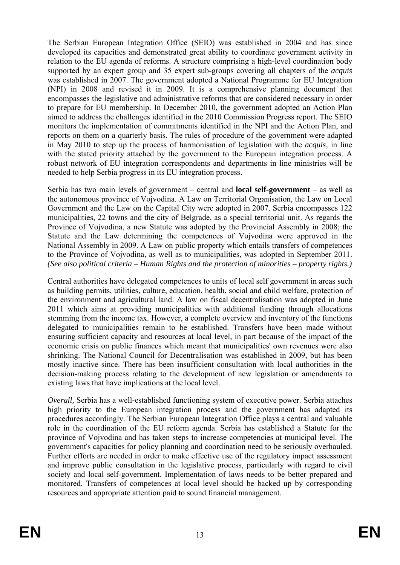The Serbian European Integration Office (SEIO) was established in 2004 and has since developed its capacities and demonstrated great ability to coordinate government activity in relation to the EU agenda of reforms. A structure comprising a high-level coordination body supported by an expert group and 35 expert sub-groups covering all chapters of the *acquis* was established in 2007. The government adopted a National Programme for EU Integration (NPI) in 2008 and revised it in 2009. It is a comprehensive planning document that encompasses the legislative and administrative reforms that are considered necessary in order to prepare for EU membership. In December 2010, the government adopted an Action Plan aimed to address the challenges identified in the 2010 Commission Progress report. The SEIO monitors the implementation of commitments identified in the NPI and the Action Plan, and reports on them on a quarterly basis. The rules of procedure of the government were adapted in May 2010 to step up the process of harmonisation of legislation with the *acquis,* in line with the stated priority attached by the government to the European integration process. A robust network of EU integration correspondents and departments in line ministries will be needed to help Serbia progress in its EU integration process.

Serbia has two main levels of government – central and **local self-government** – as well as the autonomous province of Vojvodina. A Law on Territorial Organisation, the Law on Local Government and the Law on the Capital City were adopted in 2007. Serbia encompasses 122 municipalities, 22 towns and the city of Belgrade, as a special territorial unit. As regards the Province of Vojvodina, a new Statute was adopted by the Provincial Assembly in 2008; the Statute and the Law determining the competences of Vojvodina were approved in the National Assembly in 2009. A Law on public property which entails transfers of competences to the Province of Vojvodina, as well as to municipalities, was adopted in September 2011. *(See also political criteria – Human Rights and the protection of minorities – property rights.)* 

Central authorities have delegated competences to units of local self government in areas such as building permits, utilities, culture, education, health, social and child welfare, protection of the environment and agricultural land. A law on fiscal decentralisation was adopted in June 2011 which aims at providing municipalities with additional funding through allocations stemming from the income tax. However, a complete overview and inventory of the functions delegated to municipalities remain to be established. Transfers have been made without ensuring sufficient capacity and resources at local level, in part because of the impact of the economic crisis on public finances which meant that municipalities' own revenues were also shrinking. The National Council for Decentralisation was established in 2009, but has been mostly inactive since. There has been insufficient consultation with local authorities in the decision-making process relating to the development of new legislation or amendments to existing laws that have implications at the local level.

*Overall*, Serbia has a well-established functioning system of executive power. Serbia attaches high priority to the European integration process and the government has adapted its procedures accordingly. The Serbian European Integration Office plays a central and valuable role in the coordination of the EU reform agenda. Serbia has established a Statute for the province of Vojvodina and has taken steps to increase competencies at municipal level. The government's capacities for policy planning and coordination need to be seriously overhauled. Further efforts are needed in order to make effective use of the regulatory impact assessment and improve public consultation in the legislative process, particularly with regard to civil society and local self-government. Implementation of laws needs to be better prepared and monitored. Transfers of competences at local level should be backed up by corresponding resources and appropriate attention paid to sound financial management.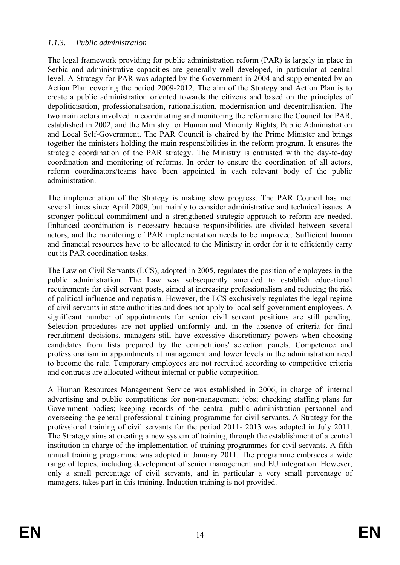# *1.1.3. Public administration*

The legal framework providing for public administration reform (PAR) is largely in place in Serbia and administrative capacities are generally well developed, in particular at central level. A Strategy for PAR was adopted by the Government in 2004 and supplemented by an Action Plan covering the period 2009-2012. The aim of the Strategy and Action Plan is to create a public administration oriented towards the citizens and based on the principles of depoliticisation, professionalisation, rationalisation, modernisation and decentralisation. The two main actors involved in coordinating and monitoring the reform are the Council for PAR, established in 2002, and the Ministry for Human and Minority Rights, Public Administration and Local Self-Government. The PAR Council is chaired by the Prime Minister and brings together the ministers holding the main responsibilities in the reform program. It ensures the strategic coordination of the PAR strategy. The Ministry is entrusted with the day-to-day coordination and monitoring of reforms. In order to ensure the coordination of all actors, reform coordinators/teams have been appointed in each relevant body of the public administration.

The implementation of the Strategy is making slow progress. The PAR Council has met several times since April 2009, but mainly to consider administrative and technical issues. A stronger political commitment and a strengthened strategic approach to reform are needed. Enhanced coordination is necessary because responsibilities are divided between several actors, and the monitoring of PAR implementation needs to be improved. Sufficient human and financial resources have to be allocated to the Ministry in order for it to efficiently carry out its PAR coordination tasks.

The Law on Civil Servants (LCS), adopted in 2005, regulates the position of employees in the public administration. The Law was subsequently amended to establish educational requirements for civil servant posts, aimed at increasing professionalism and reducing the risk of political influence and nepotism. However, the LCS exclusively regulates the legal regime of civil servants in state authorities and does not apply to local self-government employees. A significant number of appointments for senior civil servant positions are still pending. Selection procedures are not applied uniformly and, in the absence of criteria for final recruitment decisions, managers still have excessive discretionary powers when choosing candidates from lists prepared by the competitions' selection panels. Competence and professionalism in appointments at management and lower levels in the administration need to become the rule. Temporary employees are not recruited according to competitive criteria and contracts are allocated without internal or public competition.

A Human Resources Management Service was established in 2006, in charge of: internal advertising and public competitions for non-management jobs; checking staffing plans for Government bodies; keeping records of the central public administration personnel and overseeing the general professional training programme for civil servants. A Strategy for the professional training of civil servants for the period 2011- 2013 was adopted in July 2011. The Strategy aims at creating a new system of training, through the establishment of a central institution in charge of the implementation of training programmes for civil servants. A fifth annual training programme was adopted in January 2011. The programme embraces a wide range of topics, including development of senior management and EU integration. However, only a small percentage of civil servants, and in particular a very small percentage of managers, takes part in this training. Induction training is not provided.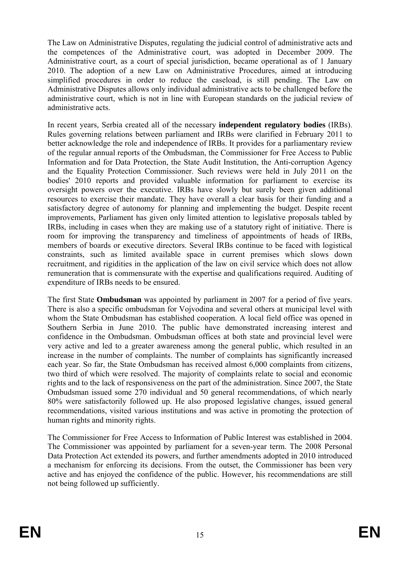The Law on Administrative Disputes, regulating the judicial control of administrative acts and the competences of the Administrative court, was adopted in December 2009. The Administrative court, as a court of special jurisdiction, became operational as of 1 January 2010. The adoption of a new Law on Administrative Procedures, aimed at introducing simplified procedures in order to reduce the caseload, is still pending. The Law on Administrative Disputes allows only individual administrative acts to be challenged before the administrative court, which is not in line with European standards on the judicial review of administrative acts.

In recent years, Serbia created all of the necessary **independent regulatory bodies** (IRBs). Rules governing relations between parliament and IRBs were clarified in February 2011 to better acknowledge the role and independence of IRBs. It provides for a parliamentary review of the regular annual reports of the Ombudsman, the Commissioner for Free Access to Public Information and for Data Protection, the State Audit Institution, the Anti-corruption Agency and the Equality Protection Commissioner. Such reviews were held in July 2011 on the bodies' 2010 reports and provided valuable information for parliament to exercise its oversight powers over the executive. IRBs have slowly but surely been given additional resources to exercise their mandate. They have overall a clear basis for their funding and a satisfactory degree of autonomy for planning and implementing the budget. Despite recent improvements, Parliament has given only limited attention to legislative proposals tabled by IRBs, including in cases when they are making use of a statutory right of initiative. There is room for improving the transparency and timeliness of appointments of heads of IRBs, members of boards or executive directors. Several IRBs continue to be faced with logistical constraints, such as limited available space in current premises which slows down recruitment, and rigidities in the application of the law on civil service which does not allow remuneration that is commensurate with the expertise and qualifications required. Auditing of expenditure of IRBs needs to be ensured.

The first State **Ombudsman** was appointed by parliament in 2007 for a period of five years. There is also a specific ombudsman for Vojvodina and several others at municipal level with whom the State Ombudsman has established cooperation. A local field office was opened in Southern Serbia in June 2010. The public have demonstrated increasing interest and confidence in the Ombudsman. Ombudsman offices at both state and provincial level were very active and led to a greater awareness among the general public, which resulted in an increase in the number of complaints. The number of complaints has significantly increased each year. So far, the State Ombudsman has received almost 6,000 complaints from citizens, two third of which were resolved. The majority of complaints relate to social and economic rights and to the lack of responsiveness on the part of the administration. Since 2007, the State Ombudsman issued some 270 individual and 50 general recommendations, of which nearly 80% were satisfactorily followed up. He also proposed legislative changes, issued general recommendations, visited various institutions and was active in promoting the protection of human rights and minority rights.

The Commissioner for Free Access to Information of Public Interest was established in 2004. The Commissioner was appointed by parliament for a seven-year term. The 2008 Personal Data Protection Act extended its powers, and further amendments adopted in 2010 introduced a mechanism for enforcing its decisions. From the outset, the Commissioner has been very active and has enjoyed the confidence of the public. However, his recommendations are still not being followed up sufficiently.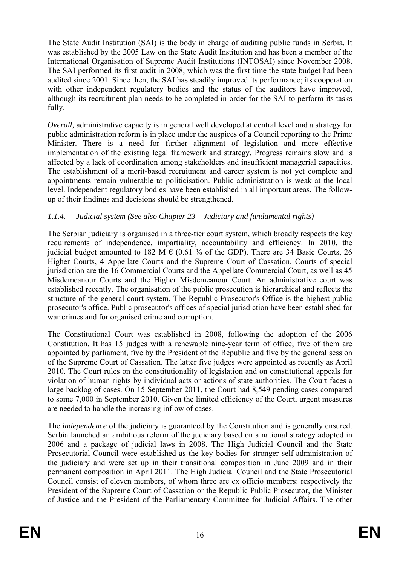The State Audit Institution (SAI) is the body in charge of auditing public funds in Serbia. It was established by the 2005 Law on the State Audit Institution and has been a member of the International Organisation of Supreme Audit Institutions (INTOSAI) since November 2008. The SAI performed its first audit in 2008, which was the first time the state budget had been audited since 2001. Since then, the SAI has steadily improved its performance; its cooperation with other independent regulatory bodies and the status of the auditors have improved, although its recruitment plan needs to be completed in order for the SAI to perform its tasks fully.

*Overall,* administrative capacity is in general well developed at central level and a strategy for public administration reform is in place under the auspices of a Council reporting to the Prime Minister. There is a need for further alignment of legislation and more effective implementation of the existing legal framework and strategy. Progress remains slow and is affected by a lack of coordination among stakeholders and insufficient managerial capacities. The establishment of a merit-based recruitment and career system is not yet complete and appointments remain vulnerable to politicisation. Public administration is weak at the local level. Independent regulatory bodies have been established in all important areas. The followup of their findings and decisions should be strengthened.

# *1.1.4. Judicial system (See also Chapter 23 – Judiciary and fundamental rights)*

The Serbian judiciary is organised in a three-tier court system, which broadly respects the key requirements of independence, impartiality, accountability and efficiency. In 2010, the judicial budget amounted to 182 M  $\epsilon$  (0.61 % of the GDP). There are 34 Basic Courts, 26 Higher Courts, 4 Appellate Courts and the Supreme Court of Cassation. Courts of special jurisdiction are the 16 Commercial Courts and the Appellate Commercial Court, as well as 45 Misdemeanour Courts and the Higher Misdemeanour Court. An administrative court was established recently. The organisation of the public prosecution is hierarchical and reflects the structure of the general court system. The Republic Prosecutor's Office is the highest public prosecutor's office. Public prosecutor's offices of special jurisdiction have been established for war crimes and for organised crime and corruption.

The Constitutional Court was established in 2008, following the adoption of the 2006 Constitution. It has 15 judges with a renewable nine-year term of office; five of them are appointed by parliament, five by the President of the Republic and five by the general session of the Supreme Court of Cassation. The latter five judges were appointed as recently as April 2010. The Court rules on the constitutionality of legislation and on constitutional appeals for violation of human rights by individual acts or actions of state authorities. The Court faces a large backlog of cases. On 15 September 2011, the Court had 8,549 pending cases compared to some 7,000 in September 2010. Given the limited efficiency of the Court, urgent measures are needed to handle the increasing inflow of cases.

The *independence* of the judiciary is guaranteed by the Constitution and is generally ensured. Serbia launched an ambitious reform of the judiciary based on a national strategy adopted in 2006 and a package of judicial laws in 2008. The High Judicial Council and the State Prosecutorial Council were established as the key bodies for stronger self-administration of the judiciary and were set up in their transitional composition in June 2009 and in their permanent composition in April 2011. The High Judicial Council and the State Prosecutorial Council consist of eleven members, of whom three are ex officio members: respectively the President of the Supreme Court of Cassation or the Republic Public Prosecutor, the Minister of Justice and the President of the Parliamentary Committee for Judicial Affairs. The other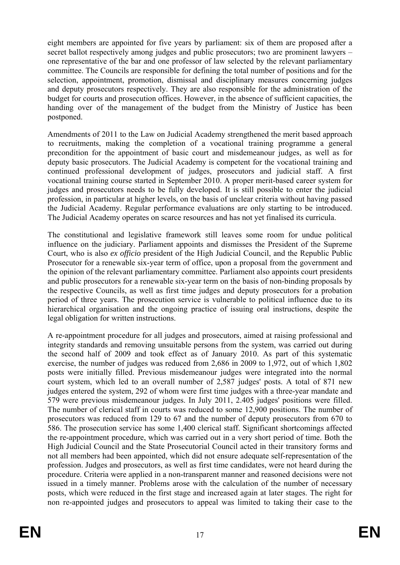eight members are appointed for five years by parliament: six of them are proposed after a secret ballot respectively among judges and public prosecutors; two are prominent lawyers – one representative of the bar and one professor of law selected by the relevant parliamentary committee. The Councils are responsible for defining the total number of positions and for the selection, appointment, promotion, dismissal and disciplinary measures concerning judges and deputy prosecutors respectively. They are also responsible for the administration of the budget for courts and prosecution offices. However, in the absence of sufficient capacities, the handing over of the management of the budget from the Ministry of Justice has been postponed.

Amendments of 2011 to the Law on Judicial Academy strengthened the merit based approach to recruitments, making the completion of a vocational training programme a general precondition for the appointment of basic court and misdemeanour judges, as well as for deputy basic prosecutors. The Judicial Academy is competent for the vocational training and continued professional development of judges, prosecutors and judicial staff. A first vocational training course started in September 2010. A proper merit-based career system for judges and prosecutors needs to be fully developed. It is still possible to enter the judicial profession, in particular at higher levels, on the basis of unclear criteria without having passed the Judicial Academy. Regular performance evaluations are only starting to be introduced. The Judicial Academy operates on scarce resources and has not yet finalised its curricula.

The constitutional and legislative framework still leaves some room for undue political influence on the judiciary. Parliament appoints and dismisses the President of the Supreme Court, who is also *ex officio* president of the High Judicial Council, and the Republic Public Prosecutor for a renewable six-year term of office, upon a proposal from the government and the opinion of the relevant parliamentary committee. Parliament also appoints court presidents and public prosecutors for a renewable six-year term on the basis of non-binding proposals by the respective Councils, as well as first time judges and deputy prosecutors for a probation period of three years. The prosecution service is vulnerable to political influence due to its hierarchical organisation and the ongoing practice of issuing oral instructions, despite the legal obligation for written instructions.

A re-appointment procedure for all judges and prosecutors, aimed at raising professional and integrity standards and removing unsuitable persons from the system, was carried out during the second half of 2009 and took effect as of January 2010. As part of this systematic exercise, the number of judges was reduced from 2,686 in 2009 to 1,972, out of which 1,802 posts were initially filled. Previous misdemeanour judges were integrated into the normal court system, which led to an overall number of 2,587 judges' posts. A total of 871 new judges entered the system, 292 of whom were first time judges with a three-year mandate and 579 were previous misdemeanour judges. In July 2011, 2.405 judges' positions were filled. The number of clerical staff in courts was reduced to some 12,900 positions. The number of prosecutors was reduced from 129 to 67 and the number of deputy prosecutors from 670 to 586. The prosecution service has some 1,400 clerical staff. Significant shortcomings affected the re-appointment procedure, which was carried out in a very short period of time. Both the High Judicial Council and the State Prosecutorial Council acted in their transitory forms and not all members had been appointed, which did not ensure adequate self-representation of the profession. Judges and prosecutors, as well as first time candidates, were not heard during the procedure. Criteria were applied in a non-transparent manner and reasoned decisions were not issued in a timely manner. Problems arose with the calculation of the number of necessary posts, which were reduced in the first stage and increased again at later stages. The right for non re-appointed judges and prosecutors to appeal was limited to taking their case to the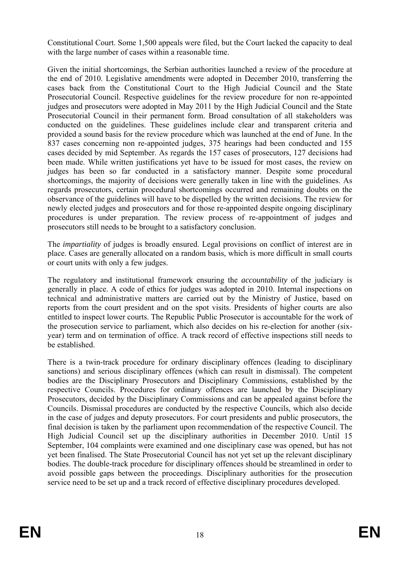Constitutional Court. Some 1,500 appeals were filed, but the Court lacked the capacity to deal with the large number of cases within a reasonable time.

Given the initial shortcomings, the Serbian authorities launched a review of the procedure at the end of 2010. Legislative amendments were adopted in December 2010, transferring the cases back from the Constitutional Court to the High Judicial Council and the State Prosecutorial Council. Respective guidelines for the review procedure for non re-appointed judges and prosecutors were adopted in May 2011 by the High Judicial Council and the State Prosecutorial Council in their permanent form. Broad consultation of all stakeholders was conducted on the guidelines. These guidelines include clear and transparent criteria and provided a sound basis for the review procedure which was launched at the end of June. In the 837 cases concerning non re-appointed judges, 375 hearings had been conducted and 155 cases decided by mid September. As regards the 157 cases of prosecutors, 127 decisions had been made. While written justifications yet have to be issued for most cases, the review on judges has been so far conducted in a satisfactory manner. Despite some procedural shortcomings, the majority of decisions were generally taken in line with the guidelines. As regards prosecutors, certain procedural shortcomings occurred and remaining doubts on the observance of the guidelines will have to be dispelled by the written decisions. The review for newly elected judges and prosecutors and for those re-appointed despite ongoing disciplinary procedures is under preparation. The review process of re-appointment of judges and prosecutors still needs to be brought to a satisfactory conclusion.

The *impartiality* of judges is broadly ensured. Legal provisions on conflict of interest are in place. Cases are generally allocated on a random basis, which is more difficult in small courts or court units with only a few judges.

The regulatory and institutional framework ensuring the *accountability* of the judiciary is generally in place. A code of ethics for judges was adopted in 2010. Internal inspections on technical and administrative matters are carried out by the Ministry of Justice, based on reports from the court president and on the spot visits. Presidents of higher courts are also entitled to inspect lower courts. The Republic Public Prosecutor is accountable for the work of the prosecution service to parliament, which also decides on his re-election for another (sixyear) term and on termination of office. A track record of effective inspections still needs to be established.

There is a twin-track procedure for ordinary disciplinary offences (leading to disciplinary sanctions) and serious disciplinary offences (which can result in dismissal). The competent bodies are the Disciplinary Prosecutors and Disciplinary Commissions, established by the respective Councils. Procedures for ordinary offences are launched by the Disciplinary Prosecutors, decided by the Disciplinary Commissions and can be appealed against before the Councils. Dismissal procedures are conducted by the respective Councils, which also decide in the case of judges and deputy prosecutors. For court presidents and public prosecutors, the final decision is taken by the parliament upon recommendation of the respective Council. The High Judicial Council set up the disciplinary authorities in December 2010. Until 15 September, 104 complaints were examined and one disciplinary case was opened, but has not yet been finalised. The State Prosecutorial Council has not yet set up the relevant disciplinary bodies. The double-track procedure for disciplinary offences should be streamlined in order to avoid possible gaps between the proceedings. Disciplinary authorities for the prosecution service need to be set up and a track record of effective disciplinary procedures developed.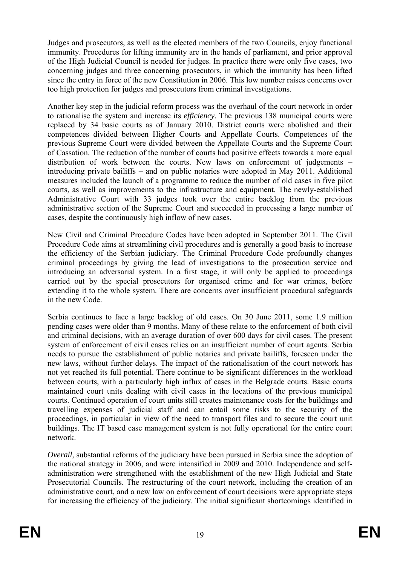Judges and prosecutors, as well as the elected members of the two Councils, enjoy functional immunity. Procedures for lifting immunity are in the hands of parliament, and prior approval of the High Judicial Council is needed for judges. In practice there were only five cases, two concerning judges and three concerning prosecutors, in which the immunity has been lifted since the entry in force of the new Constitution in 2006. This low number raises concerns over too high protection for judges and prosecutors from criminal investigations.

Another key step in the judicial reform process was the overhaul of the court network in order to rationalise the system and increase its *efficiency.* The previous 138 municipal courts were replaced by 34 basic courts as of January 2010. District courts were abolished and their competences divided between Higher Courts and Appellate Courts. Competences of the previous Supreme Court were divided between the Appellate Courts and the Supreme Court of Cassation. The reduction of the number of courts had positive effects towards a more equal distribution of work between the courts. New laws on enforcement of judgements – introducing private bailiffs – and on public notaries were adopted in May 2011. Additional measures included the launch of a programme to reduce the number of old cases in five pilot courts, as well as improvements to the infrastructure and equipment. The newly-established Administrative Court with 33 judges took over the entire backlog from the previous administrative section of the Supreme Court and succeeded in processing a large number of cases, despite the continuously high inflow of new cases.

New Civil and Criminal Procedure Codes have been adopted in September 2011. The Civil Procedure Code aims at streamlining civil procedures and is generally a good basis to increase the efficiency of the Serbian judiciary. The Criminal Procedure Code profoundly changes criminal proceedings by giving the lead of investigations to the prosecution service and introducing an adversarial system. In a first stage, it will only be applied to proceedings carried out by the special prosecutors for organised crime and for war crimes, before extending it to the whole system. There are concerns over insufficient procedural safeguards in the new Code.

Serbia continues to face a large backlog of old cases. On 30 June 2011, some 1.9 million pending cases were older than 9 months. Many of these relate to the enforcement of both civil and criminal decisions, with an average duration of over 600 days for civil cases. The present system of enforcement of civil cases relies on an insufficient number of court agents. Serbia needs to pursue the establishment of public notaries and private bailiffs, foreseen under the new laws, without further delays. The impact of the rationalisation of the court network has not yet reached its full potential. There continue to be significant differences in the workload between courts, with a particularly high influx of cases in the Belgrade courts. Basic courts maintained court units dealing with civil cases in the locations of the previous municipal courts. Continued operation of court units still creates maintenance costs for the buildings and travelling expenses of judicial staff and can entail some risks to the security of the proceedings, in particular in view of the need to transport files and to secure the court unit buildings. The IT based case management system is not fully operational for the entire court network.

*Overall*, substantial reforms of the judiciary have been pursued in Serbia since the adoption of the national strategy in 2006, and were intensified in 2009 and 2010. Independence and selfadministration were strengthened with the establishment of the new High Judicial and State Prosecutorial Councils. The restructuring of the court network, including the creation of an administrative court, and a new law on enforcement of court decisions were appropriate steps for increasing the efficiency of the judiciary. The initial significant shortcomings identified in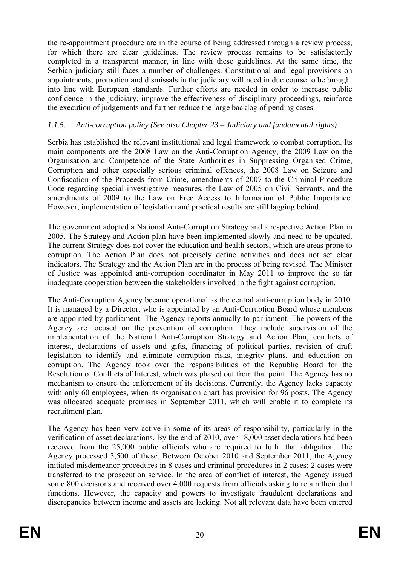the re-appointment procedure are in the course of being addressed through a review process, for which there are clear guidelines. The review process remains to be satisfactorily completed in a transparent manner, in line with these guidelines. At the same time, the Serbian judiciary still faces a number of challenges. Constitutional and legal provisions on appointments, promotion and dismissals in the judiciary will need in due course to be brought into line with European standards. Further efforts are needed in order to increase public confidence in the judiciary, improve the effectiveness of disciplinary proceedings, reinforce the execution of judgements and further reduce the large backlog of pending cases.

# *1.1.5. Anti-corruption policy (See also Chapter 23 – Judiciary and fundamental rights)*

Serbia has established the relevant institutional and legal framework to combat corruption. Its main components are the 2008 Law on the Anti-Corruption Agency, the 2009 Law on the Organisation and Competence of the State Authorities in Suppressing Organised Crime, Corruption and other especially serious criminal offences, the 2008 Law on Seizure and Confiscation of the Proceeds from Crime, amendments of 2007 to the Criminal Procedure Code regarding special investigative measures, the Law of 2005 on Civil Servants, and the amendments of 2009 to the Law on Free Access to Information of Public Importance. However, implementation of legislation and practical results are still lagging behind.

The government adopted a National Anti-Corruption Strategy and a respective Action Plan in 2005. The Strategy and Action plan have been implemented slowly and need to be updated. The current Strategy does not cover the education and health sectors, which are areas prone to corruption. The Action Plan does not precisely define activities and does not set clear indicators. The Strategy and the Action Plan are in the process of being revised. The Minister of Justice was appointed anti-corruption coordinator in May 2011 to improve the so far inadequate cooperation between the stakeholders involved in the fight against corruption.

The Anti-Corruption Agency became operational as the central anti-corruption body in 2010. It is managed by a Director, who is appointed by an Anti-Corruption Board whose members are appointed by parliament. The Agency reports annually to parliament. The powers of the Agency are focused on the prevention of corruption. They include supervision of the implementation of the National Anti-Corruption Strategy and Action Plan, conflicts of interest, declarations of assets and gifts, financing of political parties, revision of draft legislation to identify and eliminate corruption risks, integrity plans, and education on corruption. The Agency took over the responsibilities of the Republic Board for the Resolution of Conflicts of Interest, which was phased out from that point. The Agency has no mechanism to ensure the enforcement of its decisions. Currently, the Agency lacks capacity with only 60 employees, when its organisation chart has provision for 96 posts. The Agency was allocated adequate premises in September 2011, which will enable it to complete its recruitment plan.

The Agency has been very active in some of its areas of responsibility, particularly in the verification of asset declarations. By the end of 2010, over 18,000 asset declarations had been received from the 25,000 public officials who are required to fulfil that obligation. The Agency processed 3,500 of these. Between October 2010 and September 2011, the Agency initiated misdemeanor procedures in 8 cases and criminal procedures in 2 cases; 2 cases were transferred to the prosecution service. In the area of conflict of interest, the Agency issued some 800 decisions and received over 4,000 requests from officials asking to retain their dual functions. However, the capacity and powers to investigate fraudulent declarations and discrepancies between income and assets are lacking. Not all relevant data have been entered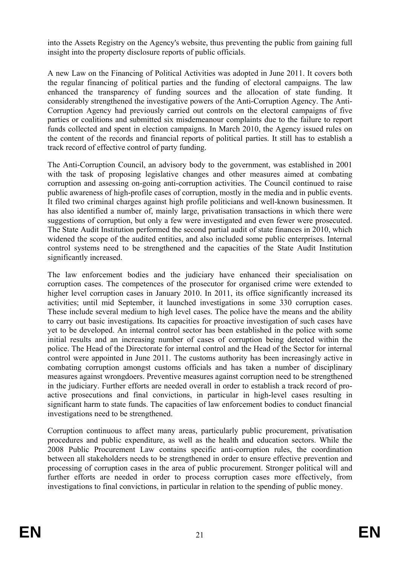into the Assets Registry on the Agency's website, thus preventing the public from gaining full insight into the property disclosure reports of public officials.

A new Law on the Financing of Political Activities was adopted in June 2011. It covers both the regular financing of political parties and the funding of electoral campaigns. The law enhanced the transparency of funding sources and the allocation of state funding. It considerably strengthened the investigative powers of the Anti-Corruption Agency. The Anti-Corruption Agency had previously carried out controls on the electoral campaigns of five parties or coalitions and submitted six misdemeanour complaints due to the failure to report funds collected and spent in election campaigns. In March 2010, the Agency issued rules on the content of the records and financial reports of political parties. It still has to establish a track record of effective control of party funding.

The Anti-Corruption Council, an advisory body to the government, was established in 2001 with the task of proposing legislative changes and other measures aimed at combating corruption and assessing on-going anti-corruption activities. The Council continued to raise public awareness of high-profile cases of corruption, mostly in the media and in public events. It filed two criminal charges against high profile politicians and well-known businessmen. It has also identified a number of, mainly large, privatisation transactions in which there were suggestions of corruption, but only a few were investigated and even fewer were prosecuted. The State Audit Institution performed the second partial audit of state finances in 2010, which widened the scope of the audited entities, and also included some public enterprises. Internal control systems need to be strengthened and the capacities of the State Audit Institution significantly increased.

The law enforcement bodies and the judiciary have enhanced their specialisation on corruption cases. The competences of the prosecutor for organised crime were extended to higher level corruption cases in January 2010. In 2011, its office significantly increased its activities; until mid September, it launched investigations in some 330 corruption cases. These include several medium to high level cases. The police have the means and the ability to carry out basic investigations. Its capacities for proactive investigation of such cases have yet to be developed. An internal control sector has been established in the police with some initial results and an increasing number of cases of corruption being detected within the police. The Head of the Directorate for internal control and the Head of the Sector for internal control were appointed in June 2011. The customs authority has been increasingly active in combating corruption amongst customs officials and has taken a number of disciplinary measures against wrongdoers. Preventive measures against corruption need to be strengthened in the judiciary. Further efforts are needed overall in order to establish a track record of proactive prosecutions and final convictions, in particular in high-level cases resulting in significant harm to state funds. The capacities of law enforcement bodies to conduct financial investigations need to be strengthened.

Corruption continuous to affect many areas, particularly public procurement, privatisation procedures and public expenditure, as well as the health and education sectors. While the 2008 Public Procurement Law contains specific anti-corruption rules, the coordination between all stakeholders needs to be strengthened in order to ensure effective prevention and processing of corruption cases in the area of public procurement. Stronger political will and further efforts are needed in order to process corruption cases more effectively, from investigations to final convictions, in particular in relation to the spending of public money.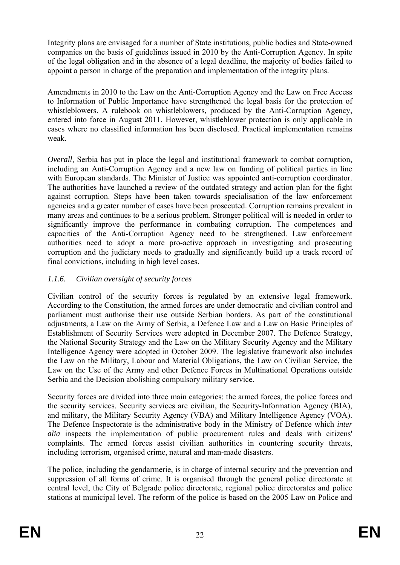Integrity plans are envisaged for a number of State institutions, public bodies and State-owned companies on the basis of guidelines issued in 2010 by the Anti-Corruption Agency. In spite of the legal obligation and in the absence of a legal deadline, the majority of bodies failed to appoint a person in charge of the preparation and implementation of the integrity plans.

Amendments in 2010 to the Law on the Anti-Corruption Agency and the Law on Free Access to Information of Public Importance have strengthened the legal basis for the protection of whistleblowers. A rulebook on whistleblowers, produced by the Anti-Corruption Agency, entered into force in August 2011. However, whistleblower protection is only applicable in cases where no classified information has been disclosed. Practical implementation remains weak.

*Overall*, Serbia has put in place the legal and institutional framework to combat corruption, including an Anti-Corruption Agency and a new law on funding of political parties in line with European standards. The Minister of Justice was appointed anti-corruption coordinator. The authorities have launched a review of the outdated strategy and action plan for the fight against corruption. Steps have been taken towards specialisation of the law enforcement agencies and a greater number of cases have been prosecuted. Corruption remains prevalent in many areas and continues to be a serious problem. Stronger political will is needed in order to significantly improve the performance in combating corruption. The competences and capacities of the Anti-Corruption Agency need to be strengthened. Law enforcement authorities need to adopt a more pro-active approach in investigating and prosecuting corruption and the judiciary needs to gradually and significantly build up a track record of final convictions, including in high level cases.

# *1.1.6. Civilian oversight of security forces*

Civilian control of the security forces is regulated by an extensive legal framework. According to the Constitution, the armed forces are under democratic and civilian control and parliament must authorise their use outside Serbian borders. As part of the constitutional adjustments, a Law on the Army of Serbia, a Defence Law and a Law on Basic Principles of Establishment of Security Services were adopted in December 2007. The Defence Strategy, the National Security Strategy and the Law on the Military Security Agency and the Military Intelligence Agency were adopted in October 2009. The legislative framework also includes the Law on the Military, Labour and Material Obligations, the Law on Civilian Service, the Law on the Use of the Army and other Defence Forces in Multinational Operations outside Serbia and the Decision abolishing compulsory military service.

Security forces are divided into three main categories: the armed forces, the police forces and the security services. Security services are civilian, the Security-Information Agency (BIA), and military, the Military Security Agency (VBA) and Military Intelligence Agency (VOA). The Defence Inspectorate is the administrative body in the Ministry of Defence which *inter alia* inspects the implementation of public procurement rules and deals with citizens' complaints. The armed forces assist civilian authorities in countering security threats, including terrorism, organised crime, natural and man-made disasters.

The police, including the gendarmerie, is in charge of internal security and the prevention and suppression of all forms of crime. It is organised through the general police directorate at central level, the City of Belgrade police directorate, regional police directorates and police stations at municipal level. The reform of the police is based on the 2005 Law on Police and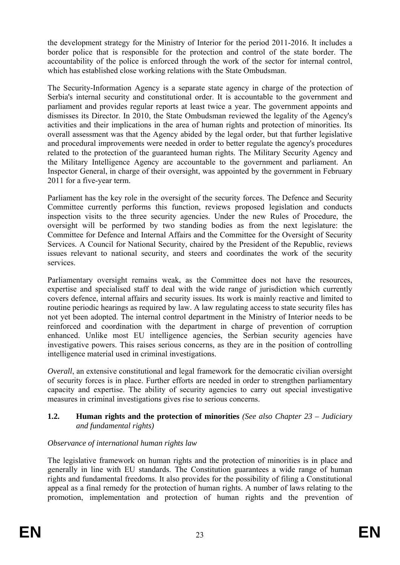the development strategy for the Ministry of Interior for the period 2011-2016. It includes a border police that is responsible for the protection and control of the state border. The accountability of the police is enforced through the work of the sector for internal control, which has established close working relations with the State Ombudsman.

The Security-Information Agency is a separate state agency in charge of the protection of Serbia's internal security and constitutional order. It is accountable to the government and parliament and provides regular reports at least twice a year. The government appoints and dismisses its Director. In 2010, the State Ombudsman reviewed the legality of the Agency's activities and their implications in the area of human rights and protection of minorities. Its overall assessment was that the Agency abided by the legal order, but that further legislative and procedural improvements were needed in order to better regulate the agency's procedures related to the protection of the guaranteed human rights. The Military Security Agency and the Military Intelligence Agency are accountable to the government and parliament. An Inspector General, in charge of their oversight, was appointed by the government in February 2011 for a five-year term.

Parliament has the key role in the oversight of the security forces. The Defence and Security Committee currently performs this function, reviews proposed legislation and conducts inspection visits to the three security agencies. Under the new Rules of Procedure, the oversight will be performed by two standing bodies as from the next legislature: the Committee for Defence and Internal Affairs and the Committee for the Oversight of Security Services. A Council for National Security, chaired by the President of the Republic, reviews issues relevant to national security, and steers and coordinates the work of the security services.

Parliamentary oversight remains weak, as the Committee does not have the resources, expertise and specialised staff to deal with the wide range of jurisdiction which currently covers defence, internal affairs and security issues. Its work is mainly reactive and limited to routine periodic hearings as required by law. A law regulating access to state security files has not yet been adopted. The internal control department in the Ministry of Interior needs to be reinforced and coordination with the department in charge of prevention of corruption enhanced. Unlike most EU intelligence agencies, the Serbian security agencies have investigative powers. This raises serious concerns, as they are in the position of controlling intelligence material used in criminal investigations.

*Overall*, an extensive constitutional and legal framework for the democratic civilian oversight of security forces is in place. Further efforts are needed in order to strengthen parliamentary capacity and expertise. The ability of security agencies to carry out special investigative measures in criminal investigations gives rise to serious concerns.

### **1.2. Human rights and the protection of minorities** *(See also Chapter 23 – Judiciary and fundamental rights)*

# *Observance of international human rights law*

The legislative framework on human rights and the protection of minorities is in place and generally in line with EU standards. The Constitution guarantees a wide range of human rights and fundamental freedoms. It also provides for the possibility of filing a Constitutional appeal as a final remedy for the protection of human rights. A number of laws relating to the promotion, implementation and protection of human rights and the prevention of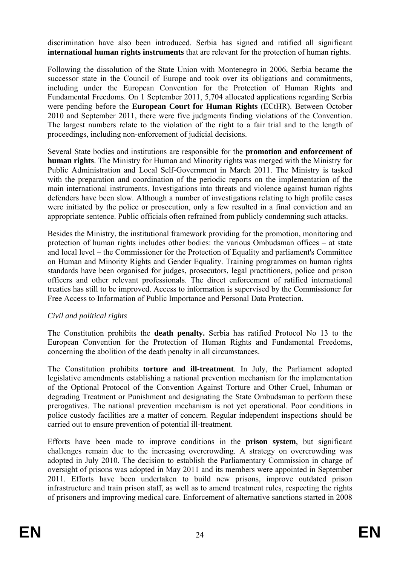discrimination have also been introduced. Serbia has signed and ratified all significant **international human rights instruments** that are relevant for the protection of human rights.

Following the dissolution of the State Union with Montenegro in 2006, Serbia became the successor state in the Council of Europe and took over its obligations and commitments, including under the European Convention for the Protection of Human Rights and Fundamental Freedoms. On 1 September 2011, 5,704 allocated applications regarding Serbia were pending before the **European Court for Human Rights** (ECtHR). Between October 2010 and September 2011, there were five judgments finding violations of the Convention. The largest numbers relate to the violation of the right to a fair trial and to the length of proceedings, including non-enforcement of judicial decisions.

Several State bodies and institutions are responsible for the **promotion and enforcement of human rights**. The Ministry for Human and Minority rights was merged with the Ministry for Public Administration and Local Self-Government in March 2011. The Ministry is tasked with the preparation and coordination of the periodic reports on the implementation of the main international instruments. Investigations into threats and violence against human rights defenders have been slow. Although a number of investigations relating to high profile cases were initiated by the police or prosecution, only a few resulted in a final conviction and an appropriate sentence. Public officials often refrained from publicly condemning such attacks.

Besides the Ministry, the institutional framework providing for the promotion, monitoring and protection of human rights includes other bodies: the various Ombudsman offices – at state and local level – the Commissioner for the Protection of Equality and parliament's Committee on Human and Minority Rights and Gender Equality. Training programmes on human rights standards have been organised for judges, prosecutors, legal practitioners, police and prison officers and other relevant professionals. The direct enforcement of ratified international treaties has still to be improved. Access to information is supervised by the Commissioner for Free Access to Information of Public Importance and Personal Data Protection.

### *Civil and political rights*

The Constitution prohibits the **death penalty.** Serbia has ratified Protocol No 13 to the European Convention for the Protection of Human Rights and Fundamental Freedoms, concerning the abolition of the death penalty in all circumstances.

The Constitution prohibits **torture and ill-treatment**. In July, the Parliament adopted legislative amendments establishing a national prevention mechanism for the implementation of the Optional Protocol of the Convention Against Torture and Other Cruel, Inhuman or degrading Treatment or Punishment and designating the State Ombudsman to perform these prerogatives. The national prevention mechanism is not yet operational. Poor conditions in police custody facilities are a matter of concern. Regular independent inspections should be carried out to ensure prevention of potential ill-treatment.

Efforts have been made to improve conditions in the **prison system**, but significant challenges remain due to the increasing overcrowding. A strategy on overcrowding was adopted in July 2010. The decision to establish the Parliamentary Commission in charge of oversight of prisons was adopted in May 2011 and its members were appointed in September 2011. Efforts have been undertaken to build new prisons, improve outdated prison infrastructure and train prison staff, as well as to amend treatment rules, respecting the rights of prisoners and improving medical care. Enforcement of alternative sanctions started in 2008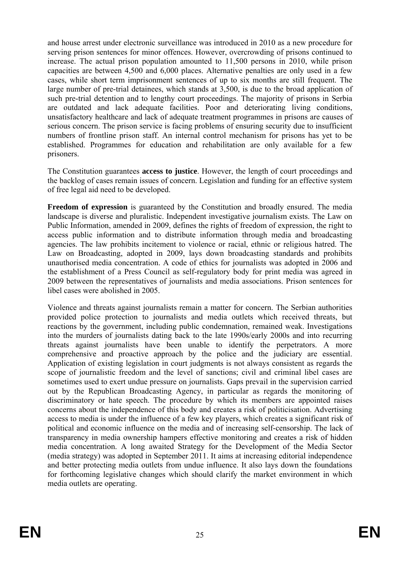and house arrest under electronic surveillance was introduced in 2010 as a new procedure for serving prison sentences for minor offences. However, overcrowding of prisons continued to increase. The actual prison population amounted to 11,500 persons in 2010, while prison capacities are between 4,500 and 6,000 places. Alternative penalties are only used in a few cases, while short term imprisonment sentences of up to six months are still frequent. The large number of pre-trial detainees, which stands at 3,500, is due to the broad application of such pre-trial detention and to lengthy court proceedings. The majority of prisons in Serbia are outdated and lack adequate facilities. Poor and deteriorating living conditions, unsatisfactory healthcare and lack of adequate treatment programmes in prisons are causes of serious concern. The prison service is facing problems of ensuring security due to insufficient numbers of frontline prison staff. An internal control mechanism for prisons has yet to be established. Programmes for education and rehabilitation are only available for a few prisoners.

The Constitution guarantees **access to justice**. However, the length of court proceedings and the backlog of cases remain issues of concern. Legislation and funding for an effective system of free legal aid need to be developed.

**Freedom of expression** is guaranteed by the Constitution and broadly ensured. The media landscape is diverse and pluralistic. Independent investigative journalism exists. The Law on Public Information, amended in 2009, defines the rights of freedom of expression, the right to access public information and to distribute information through media and broadcasting agencies. The law prohibits incitement to violence or racial, ethnic or religious hatred. The Law on Broadcasting, adopted in 2009, lays down broadcasting standards and prohibits unauthorised media concentration. A code of ethics for journalists was adopted in 2006 and the establishment of a Press Council as self-regulatory body for print media was agreed in 2009 between the representatives of journalists and media associations. Prison sentences for libel cases were abolished in 2005.

Violence and threats against journalists remain a matter for concern. The Serbian authorities provided police protection to journalists and media outlets which received threats, but reactions by the government, including public condemnation, remained weak. Investigations into the murders of journalists dating back to the late 1990s/early 2000s and into recurring threats against journalists have been unable to identify the perpetrators. A more comprehensive and proactive approach by the police and the judiciary are essential. Application of existing legislation in court judgments is not always consistent as regards the scope of journalistic freedom and the level of sanctions; civil and criminal libel cases are sometimes used to exert undue pressure on journalists. Gaps prevail in the supervision carried out by the Republican Broadcasting Agency, in particular as regards the monitoring of discriminatory or hate speech. The procedure by which its members are appointed raises concerns about the independence of this body and creates a risk of politicisation. Advertising access to media is under the influence of a few key players, which creates a significant risk of political and economic influence on the media and of increasing self-censorship. The lack of transparency in media ownership hampers effective monitoring and creates a risk of hidden media concentration. A long awaited Strategy for the Development of the Media Sector (media strategy) was adopted in September 2011. It aims at increasing editorial independence and better protecting media outlets from undue influence. It also lays down the foundations for forthcoming legislative changes which should clarify the market environment in which media outlets are operating.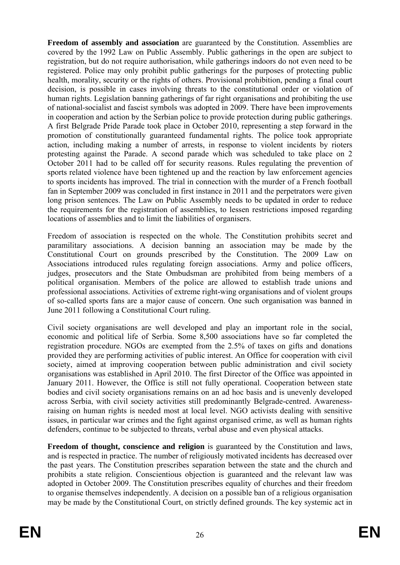**Freedom of assembly and association** are guaranteed by the Constitution. Assemblies are covered by the 1992 Law on Public Assembly. Public gatherings in the open are subject to registration, but do not require authorisation, while gatherings indoors do not even need to be registered. Police may only prohibit public gatherings for the purposes of protecting public health, morality, security or the rights of others. Provisional prohibition, pending a final court decision, is possible in cases involving threats to the constitutional order or violation of human rights. Legislation banning gatherings of far right organisations and prohibiting the use of national-socialist and fascist symbols was adopted in 2009. There have been improvements in cooperation and action by the Serbian police to provide protection during public gatherings. A first Belgrade Pride Parade took place in October 2010, representing a step forward in the promotion of constitutionally guaranteed fundamental rights. The police took appropriate action, including making a number of arrests, in response to violent incidents by rioters protesting against the Parade. A second parade which was scheduled to take place on 2 October 2011 had to be called off for security reasons. Rules regulating the prevention of sports related violence have been tightened up and the reaction by law enforcement agencies to sports incidents has improved. The trial in connection with the murder of a French football fan in September 2009 was concluded in first instance in 2011 and the perpetrators were given long prison sentences. The Law on Public Assembly needs to be updated in order to reduce the requirements for the registration of assemblies, to lessen restrictions imposed regarding locations of assemblies and to limit the liabilities of organisers.

Freedom of association is respected on the whole. The Constitution prohibits secret and paramilitary associations. A decision banning an association may be made by the Constitutional Court on grounds prescribed by the Constitution. The 2009 Law on Associations introduced rules regulating foreign associations. Army and police officers, judges, prosecutors and the State Ombudsman are prohibited from being members of a political organisation. Members of the police are allowed to establish trade unions and professional associations. Activities of extreme right-wing organisations and of violent groups of so-called sports fans are a major cause of concern. One such organisation was banned in June 2011 following a Constitutional Court ruling.

Civil society organisations are well developed and play an important role in the social, economic and political life of Serbia. Some 8,500 associations have so far completed the registration procedure. NGOs are exempted from the 2.5% of taxes on gifts and donations provided they are performing activities of public interest. An Office for cooperation with civil society, aimed at improving cooperation between public administration and civil society organisations was established in April 2010. The first Director of the Office was appointed in January 2011. However, the Office is still not fully operational. Cooperation between state bodies and civil society organisations remains on an ad hoc basis and is unevenly developed across Serbia, with civil society activities still predominantly Belgrade-centred. Awarenessraising on human rights is needed most at local level. NGO activists dealing with sensitive issues, in particular war crimes and the fight against organised crime, as well as human rights defenders, continue to be subjected to threats, verbal abuse and even physical attacks.

**Freedom of thought, conscience and religion** is guaranteed by the Constitution and laws, and is respected in practice. The number of religiously motivated incidents has decreased over the past years. The Constitution prescribes separation between the state and the church and prohibits a state religion. Conscientious objection is guaranteed and the relevant law was adopted in October 2009. The Constitution prescribes equality of churches and their freedom to organise themselves independently. A decision on a possible ban of a religious organisation may be made by the Constitutional Court, on strictly defined grounds. The key systemic act in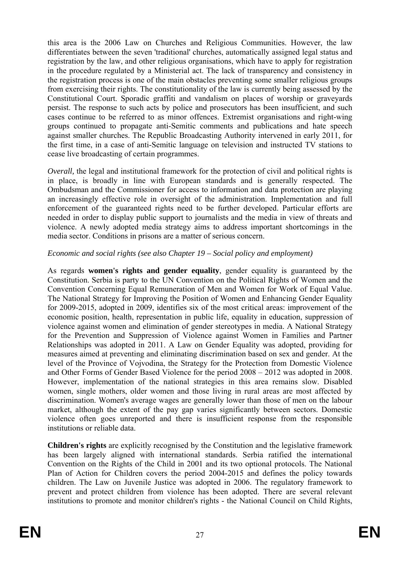this area is the 2006 Law on Churches and Religious Communities. However, the law differentiates between the seven 'traditional' churches, automatically assigned legal status and registration by the law, and other religious organisations, which have to apply for registration in the procedure regulated by a Ministerial act. The lack of transparency and consistency in the registration process is one of the main obstacles preventing some smaller religious groups from exercising their rights. The constitutionality of the law is currently being assessed by the Constitutional Court. Sporadic graffiti and vandalism on places of worship or graveyards persist. The response to such acts by police and prosecutors has been insufficient, and such cases continue to be referred to as minor offences. Extremist organisations and right-wing groups continued to propagate anti-Semitic comments and publications and hate speech against smaller churches. The Republic Broadcasting Authority intervened in early 2011, for the first time, in a case of anti-Semitic language on television and instructed TV stations to cease live broadcasting of certain programmes.

*Overall*, the legal and institutional framework for the protection of civil and political rights is in place, is broadly in line with European standards and is generally respected. The Ombudsman and the Commissioner for access to information and data protection are playing an increasingly effective role in oversight of the administration. Implementation and full enforcement of the guaranteed rights need to be further developed. Particular efforts are needed in order to display public support to journalists and the media in view of threats and violence. A newly adopted media strategy aims to address important shortcomings in the media sector. Conditions in prisons are a matter of serious concern.

### *Economic and social rights (see also Chapter 19 – Social policy and employment)*

As regards **women's rights and gender equality**, gender equality is guaranteed by the Constitution. Serbia is party to the UN Convention on the Political Rights of Women and the Convention Concerning Equal Remuneration of Men and Women for Work of Equal Value. The National Strategy for Improving the Position of Women and Enhancing Gender Equality for 2009-2015, adopted in 2009, identifies six of the most critical areas: improvement of the economic position, health, representation in public life, equality in education, suppression of violence against women and elimination of gender stereotypes in media. A National Strategy for the Prevention and Suppression of Violence against Women in Families and Partner Relationships was adopted in 2011. A Law on Gender Equality was adopted, providing for measures aimed at preventing and eliminating discrimination based on sex and gender. At the level of the Province of Vojvodina, the Strategy for the Protection from Domestic Violence and Other Forms of Gender Based Violence for the period 2008 – 2012 was adopted in 2008. However, implementation of the national strategies in this area remains slow. Disabled women, single mothers, older women and those living in rural areas are most affected by discrimination. Women's average wages are generally lower than those of men on the labour market, although the extent of the pay gap varies significantly between sectors. Domestic violence often goes unreported and there is insufficient response from the responsible institutions or reliable data.

**Children's rights** are explicitly recognised by the Constitution and the legislative framework has been largely aligned with international standards. Serbia ratified the international Convention on the Rights of the Child in 2001 and its two optional protocols. The National Plan of Action for Children covers the period 2004-2015 and defines the policy towards children. The Law on Juvenile Justice was adopted in 2006. The regulatory framework to prevent and protect children from violence has been adopted. There are several relevant institutions to promote and monitor children's rights - the National Council on Child Rights,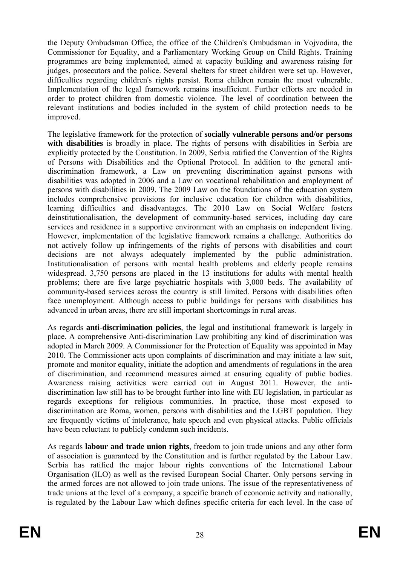the Deputy Ombudsman Office, the office of the Children's Ombudsman in Vojvodina, the Commissioner for Equality, and a Parliamentary Working Group on Child Rights. Training programmes are being implemented, aimed at capacity building and awareness raising for judges, prosecutors and the police. Several shelters for street children were set up. However, difficulties regarding children's rights persist. Roma children remain the most vulnerable. Implementation of the legal framework remains insufficient. Further efforts are needed in order to protect children from domestic violence. The level of coordination between the relevant institutions and bodies included in the system of child protection needs to be improved.

The legislative framework for the protection of **socially vulnerable persons and/or persons**  with disabilities is broadly in place. The rights of persons with disabilities in Serbia are explicitly protected by the Constitution. In 2009, Serbia ratified the Convention of the Rights of Persons with Disabilities and the Optional Protocol. In addition to the general antidiscrimination framework, a Law on preventing discrimination against persons with disabilities was adopted in 2006 and a Law on vocational rehabilitation and employment of persons with disabilities in 2009. The 2009 Law on the foundations of the education system includes comprehensive provisions for inclusive education for children with disabilities, learning difficulties and disadvantages. The 2010 Law on Social Welfare fosters deinstitutionalisation, the development of community-based services, including day care services and residence in a supportive environment with an emphasis on independent living. However, implementation of the legislative framework remains a challenge. Authorities do not actively follow up infringements of the rights of persons with disabilities and court decisions are not always adequately implemented by the public administration. Institutionalisation of persons with mental health problems and elderly people remains widespread. 3,750 persons are placed in the 13 institutions for adults with mental health problems; there are five large psychiatric hospitals with 3,000 beds. The availability of community-based services across the country is still limited. Persons with disabilities often face unemployment. Although access to public buildings for persons with disabilities has advanced in urban areas, there are still important shortcomings in rural areas.

As regards **anti-discrimination policies**, the legal and institutional framework is largely in place. A comprehensive Anti-discrimination Law prohibiting any kind of discrimination was adopted in March 2009. A Commissioner for the Protection of Equality was appointed in May 2010. The Commissioner acts upon complaints of discrimination and may initiate a law suit, promote and monitor equality, initiate the adoption and amendments of regulations in the area of discrimination, and recommend measures aimed at ensuring equality of public bodies. Awareness raising activities were carried out in August 2011. However, the antidiscrimination law still has to be brought further into line with EU legislation, in particular as regards exceptions for religious communities. In practice, those most exposed to discrimination are Roma, women, persons with disabilities and the LGBT population. They are frequently victims of intolerance, hate speech and even physical attacks. Public officials have been reluctant to publicly condemn such incidents.

As regards **labour and trade union rights**, freedom to join trade unions and any other form of association is guaranteed by the Constitution and is further regulated by the Labour Law. Serbia has ratified the major labour rights conventions of the International Labour Organisation (ILO) as well as the revised European Social Charter. Only persons serving in the armed forces are not allowed to join trade unions. The issue of the representativeness of trade unions at the level of a company, a specific branch of economic activity and nationally, is regulated by the Labour Law which defines specific criteria for each level. In the case of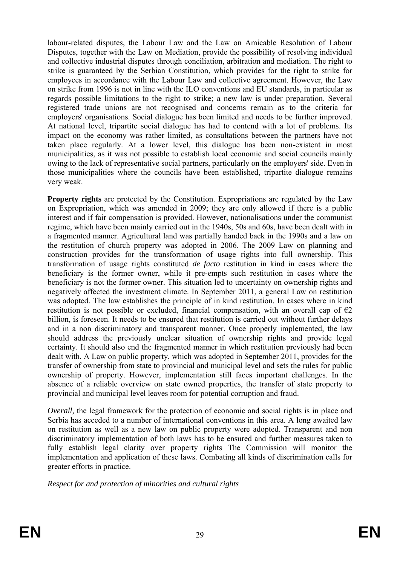labour-related disputes, the Labour Law and the Law on Amicable Resolution of Labour Disputes, together with the Law on Mediation, provide the possibility of resolving individual and collective industrial disputes through conciliation, arbitration and mediation. The right to strike is guaranteed by the Serbian Constitution, which provides for the right to strike for employees in accordance with the Labour Law and collective agreement. However, the Law on strike from 1996 is not in line with the ILO conventions and EU standards, in particular as regards possible limitations to the right to strike; a new law is under preparation. Several registered trade unions are not recognised and concerns remain as to the criteria for employers' organisations. Social dialogue has been limited and needs to be further improved. At national level, tripartite social dialogue has had to contend with a lot of problems. Its impact on the economy was rather limited, as consultations between the partners have not taken place regularly. At a lower level, this dialogue has been non-existent in most municipalities, as it was not possible to establish local economic and social councils mainly owing to the lack of representative social partners, particularly on the employers' side. Even in those municipalities where the councils have been established, tripartite dialogue remains very weak.

**Property rights** are protected by the Constitution. Expropriations are regulated by the Law on Expropriation, which was amended in 2009; they are only allowed if there is a public interest and if fair compensation is provided. However, nationalisations under the communist regime, which have been mainly carried out in the 1940s, 50s and 60s, have been dealt with in a fragmented manner. Agricultural land was partially handed back in the 1990s and a law on the restitution of church property was adopted in 2006. The 2009 Law on planning and construction provides for the transformation of usage rights into full ownership. This transformation of usage rights constituted *de facto* restitution in kind in cases where the beneficiary is the former owner, while it pre-empts such restitution in cases where the beneficiary is not the former owner. This situation led to uncertainty on ownership rights and negatively affected the investment climate. In September 2011, a general Law on restitution was adopted. The law establishes the principle of in kind restitution. In cases where in kind restitution is not possible or excluded, financial compensation, with an overall cap of  $\epsilon_2$ billion, is foreseen. It needs to be ensured that restitution is carried out without further delays and in a non discriminatory and transparent manner. Once properly implemented, the law should address the previously unclear situation of ownership rights and provide legal certainty. It should also end the fragmented manner in which restitution previously had been dealt with. A Law on public property, which was adopted in September 2011, provides for the transfer of ownership from state to provincial and municipal level and sets the rules for public ownership of property. However, implementation still faces important challenges. In the absence of a reliable overview on state owned properties, the transfer of state property to provincial and municipal level leaves room for potential corruption and fraud.

*Overall*, the legal framework for the protection of economic and social rights is in place and Serbia has acceded to a number of international conventions in this area. A long awaited law on restitution as well as a new law on public property were adopted. Transparent and non discriminatory implementation of both laws has to be ensured and further measures taken to fully establish legal clarity over property rights The Commission will monitor the implementation and application of these laws. Combating all kinds of discrimination calls for greater efforts in practice.

*Respect for and protection of minorities and cultural rights*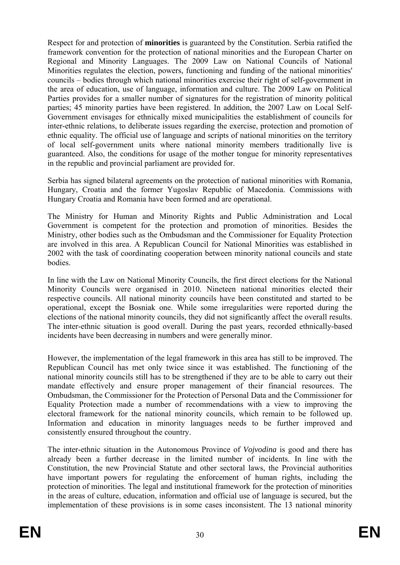Respect for and protection of **minorities** is guaranteed by the Constitution. Serbia ratified the framework convention for the protection of national minorities and the European Charter on Regional and Minority Languages. The 2009 Law on National Councils of National Minorities regulates the election, powers, functioning and funding of the national minorities' councils – bodies through which national minorities exercise their right of self-government in the area of education, use of language, information and culture. The 2009 Law on Political Parties provides for a smaller number of signatures for the registration of minority political parties; 45 minority parties have been registered. In addition, the 2007 Law on Local Self-Government envisages for ethnically mixed municipalities the establishment of councils for inter-ethnic relations, to deliberate issues regarding the exercise, protection and promotion of ethnic equality. The official use of language and scripts of national minorities on the territory of local self-government units where national minority members traditionally live is guaranteed. Also, the conditions for usage of the mother tongue for minority representatives in the republic and provincial parliament are provided for.

Serbia has signed bilateral agreements on the protection of national minorities with Romania, Hungary, Croatia and the former Yugoslav Republic of Macedonia. Commissions with Hungary Croatia and Romania have been formed and are operational.

The Ministry for Human and Minority Rights and Public Administration and Local Government is competent for the protection and promotion of minorities. Besides the Ministry, other bodies such as the Ombudsman and the Commissioner for Equality Protection are involved in this area. A Republican Council for National Minorities was established in 2002 with the task of coordinating cooperation between minority national councils and state bodies.

In line with the Law on National Minority Councils, the first direct elections for the National Minority Councils were organised in 2010. Nineteen national minorities elected their respective councils. All national minority councils have been constituted and started to be operational, except the Bosniak one. While some irregularities were reported during the elections of the national minority councils, they did not significantly affect the overall results. The inter-ethnic situation is good overall. During the past years, recorded ethnically-based incidents have been decreasing in numbers and were generally minor.

However, the implementation of the legal framework in this area has still to be improved. The Republican Council has met only twice since it was established. The functioning of the national minority councils still has to be strengthened if they are to be able to carry out their mandate effectively and ensure proper management of their financial resources. The Ombudsman, the Commissioner for the Protection of Personal Data and the Commissioner for Equality Protection made a number of recommendations with a view to improving the electoral framework for the national minority councils, which remain to be followed up. Information and education in minority languages needs to be further improved and consistently ensured throughout the country.

The inter-ethnic situation in the Autonomous Province of *Vojvodina* is good and there has already been a further decrease in the limited number of incidents. In line with the Constitution, the new Provincial Statute and other sectoral laws, the Provincial authorities have important powers for regulating the enforcement of human rights, including the protection of minorities. The legal and institutional framework for the protection of minorities in the areas of culture, education, information and official use of language is secured, but the implementation of these provisions is in some cases inconsistent. The 13 national minority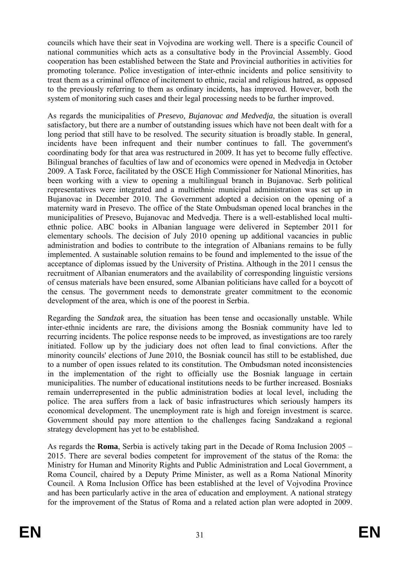councils which have their seat in Vojvodina are working well. There is a specific Council of national communities which acts as a consultative body in the Provincial Assembly. Good cooperation has been established between the State and Provincial authorities in activities for promoting tolerance. Police investigation of inter-ethnic incidents and police sensitivity to treat them as a criminal offence of incitement to ethnic, racial and religious hatred, as opposed to the previously referring to them as ordinary incidents, has improved. However, both the system of monitoring such cases and their legal processing needs to be further improved.

As regards the municipalities of *Presevo, Bujanovac and Medvedja*, the situation is overall satisfactory, but there are a number of outstanding issues which have not been dealt with for a long period that still have to be resolved. The security situation is broadly stable. In general, incidents have been infrequent and their number continues to fall. The government's coordinating body for that area was restructured in 2009. It has yet to become fully effective. Bilingual branches of faculties of law and of economics were opened in Medvedja in October 2009. A Task Force, facilitated by the OSCE High Commissioner for National Minorities, has been working with a view to opening a multilingual branch in Bujanovac. Serb political representatives were integrated and a multiethnic municipal administration was set up in Bujanovac in December 2010. The Government adopted a decision on the opening of a maternity ward in Presevo. The office of the State Ombudsman opened local branches in the municipalities of Presevo, Bujanovac and Medvedja. There is a well-established local multiethnic police. ABC books in Albanian language were delivered in September 2011 for elementary schools. The decision of July 2010 opening up additional vacancies in public administration and bodies to contribute to the integration of Albanians remains to be fully implemented. A sustainable solution remains to be found and implemented to the issue of the acceptance of diplomas issued by the University of Pristina. Although in the 2011 census the recruitment of Albanian enumerators and the availability of corresponding linguistic versions of census materials have been ensured, some Albanian politicians have called for a boycott of the census. The government needs to demonstrate greater commitment to the economic development of the area, which is one of the poorest in Serbia.

Regarding the *Sandzak* area, the situation has been tense and occasionally unstable. While inter-ethnic incidents are rare, the divisions among the Bosniak community have led to recurring incidents. The police response needs to be improved, as investigations are too rarely initiated. Follow up by the judiciary does not often lead to final convictions. After the minority councils' elections of June 2010, the Bosniak council has still to be established, due to a number of open issues related to its constitution. The Ombudsman noted inconsistencies in the implementation of the right to officially use the Bosniak language in certain municipalities. The number of educational institutions needs to be further increased. Bosniaks remain underrepresented in the public administration bodies at local level, including the police. The area suffers from a lack of basic infrastructures which seriously hampers its economical development. The unemployment rate is high and foreign investment is scarce. Government should pay more attention to the challenges facing Sandzakand a regional strategy development has yet to be established.

As regards the **Roma**, Serbia is actively taking part in the Decade of Roma Inclusion 2005 – 2015. There are several bodies competent for improvement of the status of the Roma: the Ministry for Human and Minority Rights and Public Administration and Local Government, a Roma Council, chaired by a Deputy Prime Minister, as well as a Roma National Minority Council. A Roma Inclusion Office has been established at the level of Vojvodina Province and has been particularly active in the area of education and employment. A national strategy for the improvement of the Status of Roma and a related action plan were adopted in 2009.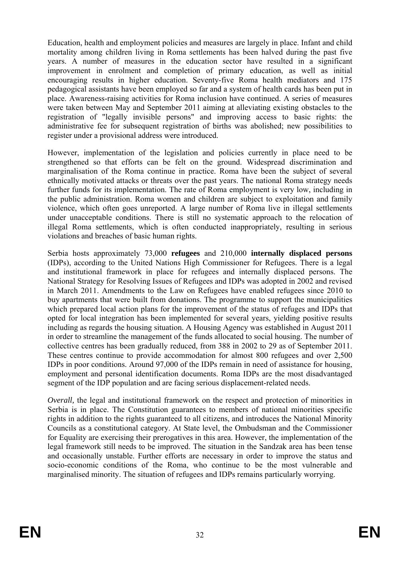Education, health and employment policies and measures are largely in place. Infant and child mortality among children living in Roma settlements has been halved during the past five years. A number of measures in the education sector have resulted in a significant improvement in enrolment and completion of primary education, as well as initial encouraging results in higher education. Seventy-five Roma health mediators and 175 pedagogical assistants have been employed so far and a system of health cards has been put in place. Awareness-raising activities for Roma inclusion have continued. A series of measures were taken between May and September 2011 aiming at alleviating existing obstacles to the registration of "legally invisible persons" and improving access to basic rights: the administrative fee for subsequent registration of births was abolished; new possibilities to register under a provisional address were introduced.

However, implementation of the legislation and policies currently in place need to be strengthened so that efforts can be felt on the ground. Widespread discrimination and marginalisation of the Roma continue in practice. Roma have been the subject of several ethnically motivated attacks or threats over the past years. The national Roma strategy needs further funds for its implementation. The rate of Roma employment is very low, including in the public administration. Roma women and children are subject to exploitation and family violence, which often goes unreported. A large number of Roma live in illegal settlements under unacceptable conditions. There is still no systematic approach to the relocation of illegal Roma settlements, which is often conducted inappropriately, resulting in serious violations and breaches of basic human rights.

Serbia hosts approximately 73,000 **refugees** and 210,000 **internally displaced persons** (IDPs), according to the United Nations High Commissioner for Refugees. There is a legal and institutional framework in place for refugees and internally displaced persons. The National Strategy for Resolving Issues of Refugees and IDPs was adopted in 2002 and revised in March 2011. Amendments to the Law on Refugees have enabled refugees since 2010 to buy apartments that were built from donations. The programme to support the municipalities which prepared local action plans for the improvement of the status of refuges and IDPs that opted for local integration has been implemented for several years, yielding positive results including as regards the housing situation. A Housing Agency was established in August 2011 in order to streamline the management of the funds allocated to social housing. The number of collective centres has been gradually reduced, from 388 in 2002 to 29 as of September 2011. These centres continue to provide accommodation for almost 800 refugees and over 2,500 IDPs in poor conditions. Around 97,000 of the IDPs remain in need of assistance for housing, employment and personal identification documents. Roma IDPs are the most disadvantaged segment of the IDP population and are facing serious displacement-related needs.

*Overall*, the legal and institutional framework on the respect and protection of minorities in Serbia is in place. The Constitution guarantees to members of national minorities specific rights in addition to the rights guaranteed to all citizens, and introduces the National Minority Councils as a constitutional category. At State level, the Ombudsman and the Commissioner for Equality are exercising their prerogatives in this area. However, the implementation of the legal framework still needs to be improved. The situation in the Sandzak area has been tense and occasionally unstable. Further efforts are necessary in order to improve the status and socio-economic conditions of the Roma, who continue to be the most vulnerable and marginalised minority. The situation of refugees and IDPs remains particularly worrying.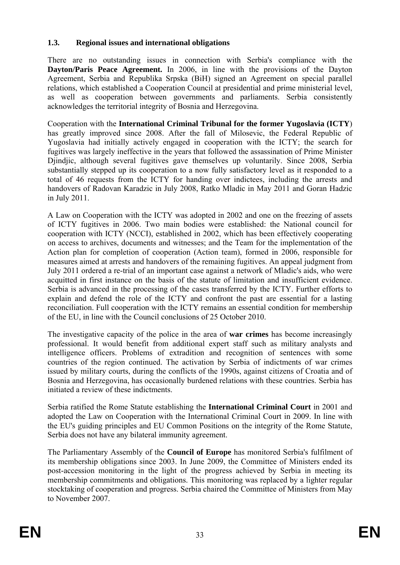#### **1.3. Regional issues and international obligations**

There are no outstanding issues in connection with Serbia's compliance with the **Dayton/Paris Peace Agreement.** In 2006, in line with the provisions of the Dayton Agreement, Serbia and Republika Srpska (BiH) signed an Agreement on special parallel relations, which established a Cooperation Council at presidential and prime ministerial level, as well as cooperation between governments and parliaments. Serbia consistently acknowledges the territorial integrity of Bosnia and Herzegovina.

Cooperation with the **International Criminal Tribunal for the former Yugoslavia (ICTY**) has greatly improved since 2008. After the fall of Milosevic, the Federal Republic of Yugoslavia had initially actively engaged in cooperation with the ICTY; the search for fugitives was largely ineffective in the years that followed the assassination of Prime Minister Djindjic, although several fugitives gave themselves up voluntarily. Since 2008, Serbia substantially stepped up its cooperation to a now fully satisfactory level as it responded to a total of 46 requests from the ICTY for handing over indictees, including the arrests and handovers of Radovan Karadzic in July 2008, Ratko Mladic in May 2011 and Goran Hadzic in July 2011.

A Law on Cooperation with the ICTY was adopted in 2002 and one on the freezing of assets of ICTY fugitives in 2006. Two main bodies were established: the National council for cooperation with ICTY (NCCI), established in 2002, which has been effectively cooperating on access to archives, documents and witnesses; and the Team for the implementation of the Action plan for completion of cooperation (Action team), formed in 2006, responsible for measures aimed at arrests and handovers of the remaining fugitives. An appeal judgment from July 2011 ordered a re-trial of an important case against a network of Mladic's aids, who were acquitted in first instance on the basis of the statute of limitation and insufficient evidence. Serbia is advanced in the processing of the cases transferred by the ICTY. Further efforts to explain and defend the role of the ICTY and confront the past are essential for a lasting reconciliation. Full cooperation with the ICTY remains an essential condition for membership of the EU, in line with the Council conclusions of 25 October 2010.

The investigative capacity of the police in the area of **war crimes** has become increasingly professional. It would benefit from additional expert staff such as military analysts and intelligence officers. Problems of extradition and recognition of sentences with some countries of the region continued. The activation by Serbia of indictments of war crimes issued by military courts, during the conflicts of the 1990s, against citizens of Croatia and of Bosnia and Herzegovina, has occasionally burdened relations with these countries. Serbia has initiated a review of these indictments.

Serbia ratified the Rome Statute establishing the **International Criminal Court** in 2001 and adopted the Law on Cooperation with the International Criminal Court in 2009. In line with the EU's guiding principles and EU Common Positions on the integrity of the Rome Statute, Serbia does not have any bilateral immunity agreement.

The Parliamentary Assembly of the **Council of Europe** has monitored Serbia's fulfilment of its membership obligations since 2003. In June 2009, the Committee of Ministers ended its post-accession monitoring in the light of the progress achieved by Serbia in meeting its membership commitments and obligations. This monitoring was replaced by a lighter regular stocktaking of cooperation and progress. Serbia chaired the Committee of Ministers from May to November 2007.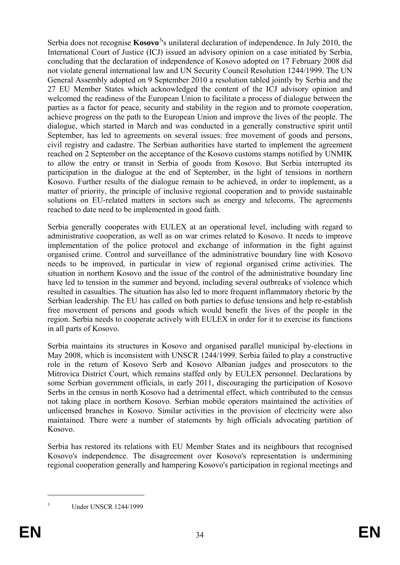Serbia does not recognise **Kosovo**<sup>[3](#page-8-0)</sup>'s unilateral declaration of independence. In July 2010, the International Court of Justice (ICJ) issued an advisory opinion on a case initiated by Serbia, concluding that the declaration of independence of Kosovo adopted on 17 February 2008 did not violate general international law and UN Security Council Resolution 1244/1999. The UN General Assembly adopted on 9 September 2010 a resolution tabled jointly by Serbia and the 27 EU Member States which acknowledged the content of the ICJ advisory opinion and welcomed the readiness of the European Union to facilitate a process of dialogue between the parties as a factor for peace, security and stability in the region and to promote cooperation, achieve progress on the path to the European Union and improve the lives of the people. The dialogue, which started in March and was conducted in a generally constructive spirit until September, has led to agreements on several issues: free movement of goods and persons, civil registry and cadastre. The Serbian authorities have started to implement the agreement reached on 2 September on the acceptance of the Kosovo customs stamps notified by UNMIK to allow the entry or transit in Serbia of goods from Kosovo. But Serbia interrupted its participation in the dialogue at the end of September, in the light of tensions in northern Kosovo. Further results of the dialogue remain to be achieved, in order to implement, as a matter of priority, the principle of inclusive regional cooperation and to provide sustainable solutions on EU-related matters in sectors such as energy and telecoms. The agreements reached to date need to be implemented in good faith.

Serbia generally cooperates with EULEX at an operational level, including with regard to administrative cooperation, as well as on war crimes related to Kosovo. It needs to improve implementation of the police protocol and exchange of information in the fight against organised crime. Control and surveillance of the administrative boundary line with Kosovo needs to be improved, in particular in view of regional organised crime activities. The situation in northern Kosovo and the issue of the control of the administrative boundary line have led to tension in the summer and beyond, including several outbreaks of violence which resulted in casualties. The situation has also led to more frequent inflammatory rhetoric by the Serbian leadership. The EU has called on both parties to defuse tensions and help re-establish free movement of persons and goods which would benefit the lives of the people in the region. Serbia needs to cooperate actively with EULEX in order for it to exercise its functions in all parts of Kosovo.

Serbia maintains its structures in Kosovo and organised parallel municipal by-elections in May 2008, which is inconsistent with UNSCR 1244/1999. Serbia failed to play a constructive role in the return of Kosovo Serb and Kosovo Albanian judges and prosecutors to the Mitrovica District Court, which remains staffed only by EULEX personnel. Declarations by some Serbian government officials, in early 2011, discouraging the participation of Kosovo Serbs in the census in north Kosovo had a detrimental effect, which contributed to the census not taking place in northern Kosovo. Serbian mobile operators maintained the activities of unlicensed branches in Kosovo. Similar activities in the provision of electricity were also maintained. There were a number of statements by high officials advocating partition of Kosovo.

Serbia has restored its relations with EU Member States and its neighbours that recognised Kosovo's independence. The disagreement over Kosovo's representation is undermining regional cooperation generally and hampering Kosovo's participation in regional meetings and

1 3

Under UNSCR 1244/1999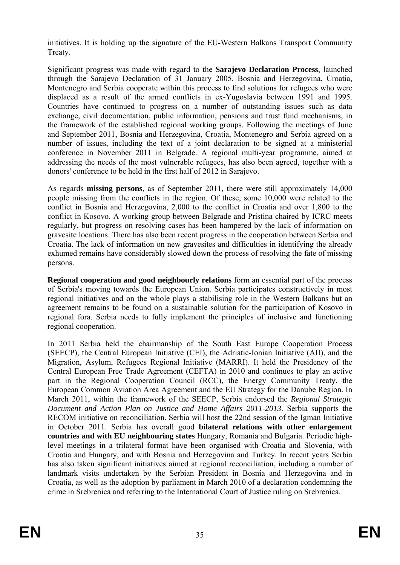initiatives. It is holding up the signature of the EU-Western Balkans Transport Community Treaty.

Significant progress was made with regard to the **Sarajevo Declaration Process**, launched through the Sarajevo Declaration of 31 January 2005. Bosnia and Herzegovina, Croatia, Montenegro and Serbia cooperate within this process to find solutions for refugees who were displaced as a result of the armed conflicts in ex-Yugoslavia between 1991 and 1995. Countries have continued to progress on a number of outstanding issues such as data exchange, civil documentation, public information, pensions and trust fund mechanisms, in the framework of the established regional working groups. Following the meetings of June and September 2011, Bosnia and Herzegovina, Croatia, Montenegro and Serbia agreed on a number of issues, including the text of a joint declaration to be signed at a ministerial conference in November 2011 in Belgrade. A regional multi-year programme, aimed at addressing the needs of the most vulnerable refugees, has also been agreed, together with a donors' conference to be held in the first half of 2012 in Sarajevo.

As regards **missing persons**, as of September 2011, there were still approximately 14,000 people missing from the conflicts in the region. Of these, some 10,000 were related to the conflict in Bosnia and Herzegovina, 2,000 to the conflict in Croatia and over 1,800 to the conflict in Kosovo. A working group between Belgrade and Pristina chaired by ICRC meets regularly, but progress on resolving cases has been hampered by the lack of information on gravesite locations. There has also been recent progress in the cooperation between Serbia and Croatia. The lack of information on new gravesites and difficulties in identifying the already exhumed remains have considerably slowed down the process of resolving the fate of missing persons.

**Regional cooperation and good neighbourly relations** form an essential part of the process of Serbia's moving towards the European Union. Serbia participates constructively in most regional initiatives and on the whole plays a stabilising role in the Western Balkans but an agreement remains to be found on a sustainable solution for the participation of Kosovo in regional fora. Serbia needs to fully implement the principles of inclusive and functioning regional cooperation.

In 2011 Serbia held the chairmanship of the South East Europe Cooperation Process (SEECP), the Central European Initiative (CEI), the Adriatic-Ionian Initiative (AII), and the Migration, Asylum, Refugees Regional Initiative (MARRI). It held the Presidency of the Central European Free Trade Agreement (CEFTA) in 2010 and continues to play an active part in the Regional Cooperation Council (RCC), the Energy Community Treaty, the European Common Aviation Area Agreement and the EU Strategy for the Danube Region. In March 2011, within the framework of the SEECP, Serbia endorsed the *Regional Strategic Document and Action Plan on Justice and Home Affairs 2011-2013*. Serbia supports the RECOM initiative on reconciliation. Serbia will host the 22nd session of the Igman Initiative in October 2011. Serbia has overall good **bilateral relations with other enlargement countries and with EU neighbouring states** Hungary, Romania and Bulgaria. Periodic highlevel meetings in a trilateral format have been organised with Croatia and Slovenia, with Croatia and Hungary, and with Bosnia and Herzegovina and Turkey. In recent years Serbia has also taken significant initiatives aimed at regional reconciliation, including a number of landmark visits undertaken by the Serbian President in Bosnia and Herzegovina and in Croatia, as well as the adoption by parliament in March 2010 of a declaration condemning the crime in Srebrenica and referring to the International Court of Justice ruling on Srebrenica.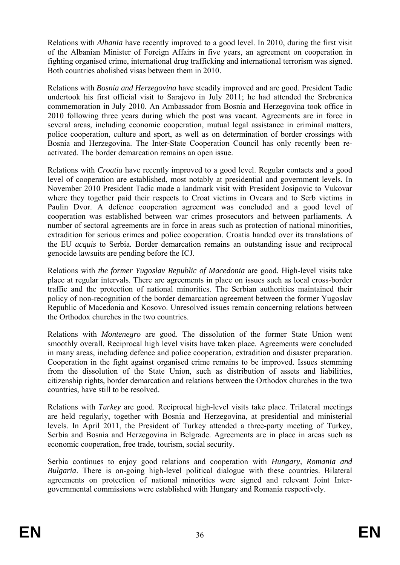Relations with *Albania* have recently improved to a good level. In 2010, during the first visit of the Albanian Minister of Foreign Affairs in five years, an agreement on cooperation in fighting organised crime, international drug trafficking and international terrorism was signed. Both countries abolished visas between them in 2010.

Relations with *Bosnia and Herzegovina* have steadily improved and are good. President Tadic undertook his first official visit to Sarajevo in July 2011; he had attended the Srebrenica commemoration in July 2010. An Ambassador from Bosnia and Herzegovina took office in 2010 following three years during which the post was vacant. Agreements are in force in several areas, including economic cooperation, mutual legal assistance in criminal matters, police cooperation, culture and sport, as well as on determination of border crossings with Bosnia and Herzegovina. The Inter-State Cooperation Council has only recently been reactivated. The border demarcation remains an open issue.

Relations with *Croatia* have recently improved to a good level. Regular contacts and a good level of cooperation are established, most notably at presidential and government levels. In November 2010 President Tadic made a landmark visit with President Josipovic to Vukovar where they together paid their respects to Croat victims in Ovcara and to Serb victims in Paulin Dvor. A defence cooperation agreement was concluded and a good level of cooperation was established between war crimes prosecutors and between parliaments. A number of sectoral agreements are in force in areas such as protection of national minorities, extradition for serious crimes and police cooperation. Croatia handed over its translations of the EU *acquis* to Serbia*.* Border demarcation remains an outstanding issue and reciprocal genocide lawsuits are pending before the ICJ.

Relations with *the former Yugoslav Republic of Macedonia* are good. High-level visits take place at regular intervals. There are agreements in place on issues such as local cross-border traffic and the protection of national minorities. The Serbian authorities maintained their policy of non-recognition of the border demarcation agreement between the former Yugoslav Republic of Macedonia and Kosovo. Unresolved issues remain concerning relations between the Orthodox churches in the two countries.

Relations with *Montenegro* are good. The dissolution of the former State Union went smoothly overall. Reciprocal high level visits have taken place. Agreements were concluded in many areas, including defence and police cooperation, extradition and disaster preparation. Cooperation in the fight against organised crime remains to be improved. Issues stemming from the dissolution of the State Union, such as distribution of assets and liabilities, citizenship rights, border demarcation and relations between the Orthodox churches in the two countries, have still to be resolved.

Relations with *Turkey* are good. Reciprocal high-level visits take place. Trilateral meetings are held regularly, together with Bosnia and Herzegovina, at presidential and ministerial levels. In April 2011, the President of Turkey attended a three-party meeting of Turkey, Serbia and Bosnia and Herzegovina in Belgrade. Agreements are in place in areas such as economic cooperation, free trade, tourism, social security.

Serbia continues to enjoy good relations and cooperation with *Hungary, Romania and Bulgaria*. There is on-going high-level political dialogue with these countries. Bilateral agreements on protection of national minorities were signed and relevant Joint Intergovernmental commissions were established with Hungary and Romania respectively.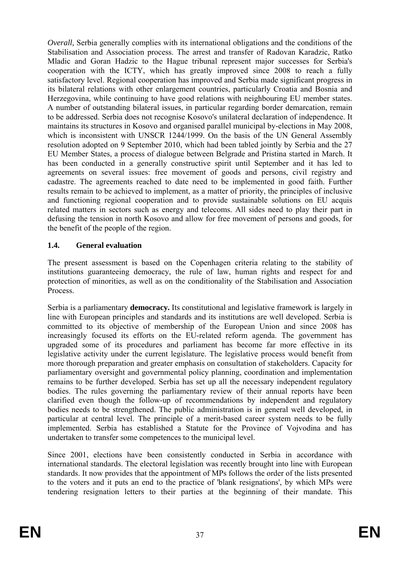*Overall*, Serbia generally complies with its international obligations and the conditions of the Stabilisation and Association process. The arrest and transfer of Radovan Karadzic, Ratko Mladic and Goran Hadzic to the Hague tribunal represent major successes for Serbia's cooperation with the ICTY, which has greatly improved since 2008 to reach a fully satisfactory level. Regional cooperation has improved and Serbia made significant progress in its bilateral relations with other enlargement countries, particularly Croatia and Bosnia and Herzegovina, while continuing to have good relations with neighbouring EU member states. A number of outstanding bilateral issues, in particular regarding border demarcation, remain to be addressed. Serbia does not recognise Kosovo's unilateral declaration of independence. It maintains its structures in Kosovo and organised parallel municipal by-elections in May 2008, which is inconsistent with UNSCR 1244/1999. On the basis of the UN General Assembly resolution adopted on 9 September 2010, which had been tabled jointly by Serbia and the 27 EU Member States, a process of dialogue between Belgrade and Pristina started in March. It has been conducted in a generally constructive spirit until September and it has led to agreements on several issues: free movement of goods and persons, civil registry and cadastre. The agreements reached to date need to be implemented in good faith. Further results remain to be achieved to implement, as a matter of priority, the principles of inclusive and functioning regional cooperation and to provide sustainable solutions on EU acquis related matters in sectors such as energy and telecoms. All sides need to play their part in defusing the tension in north Kosovo and allow for free movement of persons and goods, for the benefit of the people of the region.

## **1.4. General evaluation**

The present assessment is based on the Copenhagen criteria relating to the stability of institutions guaranteeing democracy, the rule of law, human rights and respect for and protection of minorities, as well as on the conditionality of the Stabilisation and Association **Process** 

Serbia is a parliamentary **democracy.** Its constitutional and legislative framework is largely in line with European principles and standards and its institutions are well developed. Serbia is committed to its objective of membership of the European Union and since 2008 has increasingly focused its efforts on the EU-related reform agenda. The government has upgraded some of its procedures and parliament has become far more effective in its legislative activity under the current legislature. The legislative process would benefit from more thorough preparation and greater emphasis on consultation of stakeholders. Capacity for parliamentary oversight and governmental policy planning, coordination and implementation remains to be further developed. Serbia has set up all the necessary independent regulatory bodies. The rules governing the parliamentary review of their annual reports have been clarified even though the follow-up of recommendations by independent and regulatory bodies needs to be strengthened. The public administration is in general well developed, in particular at central level. The principle of a merit-based career system needs to be fully implemented. Serbia has established a Statute for the Province of Vojvodina and has undertaken to transfer some competences to the municipal level.

Since 2001, elections have been consistently conducted in Serbia in accordance with international standards. The electoral legislation was recently brought into line with European standards. It now provides that the appointment of MPs follows the order of the lists presented to the voters and it puts an end to the practice of 'blank resignations', by which MPs were tendering resignation letters to their parties at the beginning of their mandate. This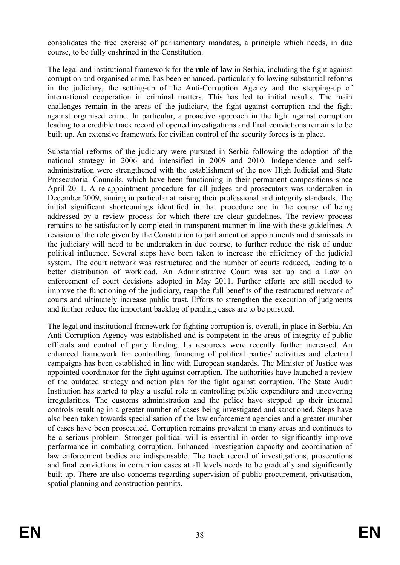consolidates the free exercise of parliamentary mandates, a principle which needs, in due course, to be fully enshrined in the Constitution.

The legal and institutional framework for the **rule of law** in Serbia, including the fight against corruption and organised crime, has been enhanced, particularly following substantial reforms in the judiciary, the setting-up of the Anti-Corruption Agency and the stepping-up of international cooperation in criminal matters. This has led to initial results. The main challenges remain in the areas of the judiciary, the fight against corruption and the fight against organised crime. In particular, a proactive approach in the fight against corruption leading to a credible track record of opened investigations and final convictions remains to be built up. An extensive framework for civilian control of the security forces is in place.

Substantial reforms of the judiciary were pursued in Serbia following the adoption of the national strategy in 2006 and intensified in 2009 and 2010. Independence and selfadministration were strengthened with the establishment of the new High Judicial and State Prosecutorial Councils, which have been functioning in their permanent compositions since April 2011. A re-appointment procedure for all judges and prosecutors was undertaken in December 2009, aiming in particular at raising their professional and integrity standards. The initial significant shortcomings identified in that procedure are in the course of being addressed by a review process for which there are clear guidelines. The review process remains to be satisfactorily completed in transparent manner in line with these guidelines. A revision of the role given by the Constitution to parliament on appointments and dismissals in the judiciary will need to be undertaken in due course, to further reduce the risk of undue political influence. Several steps have been taken to increase the efficiency of the judicial system. The court network was restructured and the number of courts reduced, leading to a better distribution of workload. An Administrative Court was set up and a Law on enforcement of court decisions adopted in May 2011. Further efforts are still needed to improve the functioning of the judiciary, reap the full benefits of the restructured network of courts and ultimately increase public trust. Efforts to strengthen the execution of judgments and further reduce the important backlog of pending cases are to be pursued.

The legal and institutional framework for fighting corruption is, overall, in place in Serbia. An Anti-Corruption Agency was established and is competent in the areas of integrity of public officials and control of party funding. Its resources were recently further increased. An enhanced framework for controlling financing of political parties' activities and electoral campaigns has been established in line with European standards. The Minister of Justice was appointed coordinator for the fight against corruption. The authorities have launched a review of the outdated strategy and action plan for the fight against corruption. The State Audit Institution has started to play a useful role in controlling public expenditure and uncovering irregularities. The customs administration and the police have stepped up their internal controls resulting in a greater number of cases being investigated and sanctioned. Steps have also been taken towards specialisation of the law enforcement agencies and a greater number of cases have been prosecuted. Corruption remains prevalent in many areas and continues to be a serious problem. Stronger political will is essential in order to significantly improve performance in combating corruption. Enhanced investigation capacity and coordination of law enforcement bodies are indispensable. The track record of investigations, prosecutions and final convictions in corruption cases at all levels needs to be gradually and significantly built up. There are also concerns regarding supervision of public procurement, privatisation, spatial planning and construction permits.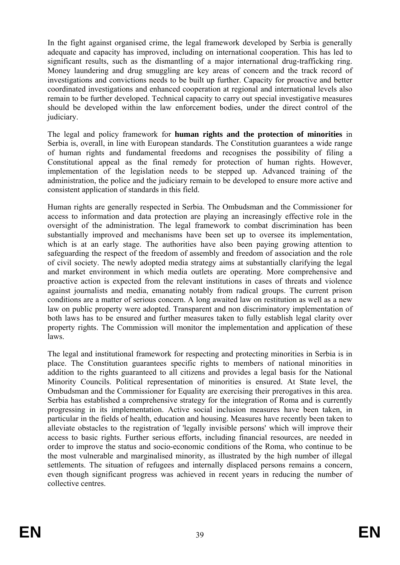In the fight against organised crime, the legal framework developed by Serbia is generally adequate and capacity has improved, including on international cooperation. This has led to significant results, such as the dismantling of a major international drug-trafficking ring. Money laundering and drug smuggling are key areas of concern and the track record of investigations and convictions needs to be built up further. Capacity for proactive and better coordinated investigations and enhanced cooperation at regional and international levels also remain to be further developed. Technical capacity to carry out special investigative measures should be developed within the law enforcement bodies, under the direct control of the judiciary.

The legal and policy framework for **human rights and the protection of minorities** in Serbia is, overall, in line with European standards. The Constitution guarantees a wide range of human rights and fundamental freedoms and recognises the possibility of filing a Constitutional appeal as the final remedy for protection of human rights. However, implementation of the legislation needs to be stepped up. Advanced training of the administration, the police and the judiciary remain to be developed to ensure more active and consistent application of standards in this field.

Human rights are generally respected in Serbia. The Ombudsman and the Commissioner for access to information and data protection are playing an increasingly effective role in the oversight of the administration. The legal framework to combat discrimination has been substantially improved and mechanisms have been set up to oversee its implementation, which is at an early stage. The authorities have also been paying growing attention to safeguarding the respect of the freedom of assembly and freedom of association and the role of civil society. The newly adopted media strategy aims at substantially clarifying the legal and market environment in which media outlets are operating. More comprehensive and proactive action is expected from the relevant institutions in cases of threats and violence against journalists and media, emanating notably from radical groups. The current prison conditions are a matter of serious concern. A long awaited law on restitution as well as a new law on public property were adopted. Transparent and non discriminatory implementation of both laws has to be ensured and further measures taken to fully establish legal clarity over property rights. The Commission will monitor the implementation and application of these laws.

The legal and institutional framework for respecting and protecting minorities in Serbia is in place. The Constitution guarantees specific rights to members of national minorities in addition to the rights guaranteed to all citizens and provides a legal basis for the National Minority Councils. Political representation of minorities is ensured. At State level, the Ombudsman and the Commissioner for Equality are exercising their prerogatives in this area. Serbia has established a comprehensive strategy for the integration of Roma and is currently progressing in its implementation. Active social inclusion measures have been taken, in particular in the fields of health, education and housing. Measures have recently been taken to alleviate obstacles to the registration of 'legally invisible persons' which will improve their access to basic rights. Further serious efforts, including financial resources, are needed in order to improve the status and socio-economic conditions of the Roma, who continue to be the most vulnerable and marginalised minority, as illustrated by the high number of illegal settlements. The situation of refugees and internally displaced persons remains a concern, even though significant progress was achieved in recent years in reducing the number of collective centres.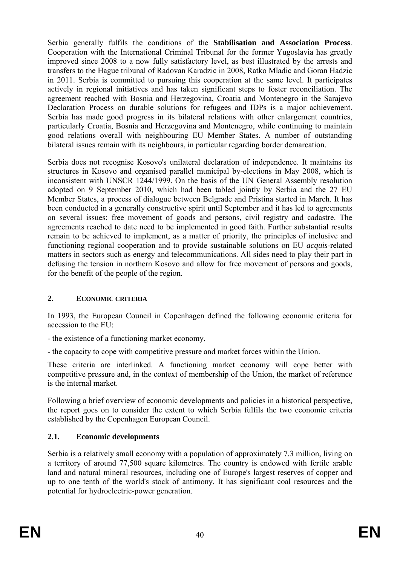Serbia generally fulfils the conditions of the **Stabilisation and Association Process**. Cooperation with the International Criminal Tribunal for the former Yugoslavia has greatly improved since 2008 to a now fully satisfactory level, as best illustrated by the arrests and transfers to the Hague tribunal of Radovan Karadzic in 2008, Ratko Mladic and Goran Hadzic in 2011. Serbia is committed to pursuing this cooperation at the same level. It participates actively in regional initiatives and has taken significant steps to foster reconciliation. The agreement reached with Bosnia and Herzegovina, Croatia and Montenegro in the Sarajevo Declaration Process on durable solutions for refugees and IDPs is a major achievement. Serbia has made good progress in its bilateral relations with other enlargement countries, particularly Croatia, Bosnia and Herzegovina and Montenegro, while continuing to maintain good relations overall with neighbouring EU Member States. A number of outstanding bilateral issues remain with its neighbours, in particular regarding border demarcation.

Serbia does not recognise Kosovo's unilateral declaration of independence. It maintains its structures in Kosovo and organised parallel municipal by-elections in May 2008, which is inconsistent with UNSCR 1244/1999. On the basis of the UN General Assembly resolution adopted on 9 September 2010, which had been tabled jointly by Serbia and the 27 EU Member States, a process of dialogue between Belgrade and Pristina started in March. It has been conducted in a generally constructive spirit until September and it has led to agreements on several issues: free movement of goods and persons, civil registry and cadastre. The agreements reached to date need to be implemented in good faith. Further substantial results remain to be achieved to implement, as a matter of priority, the principles of inclusive and functioning regional cooperation and to provide sustainable solutions on EU *acquis*-related matters in sectors such as energy and telecommunications. All sides need to play their part in defusing the tension in northern Kosovo and allow for free movement of persons and goods, for the benefit of the people of the region.

# **2. ECONOMIC CRITERIA**

In 1993, the European Council in Copenhagen defined the following economic criteria for accession to the EU:

- the existence of a functioning market economy,
- the capacity to cope with competitive pressure and market forces within the Union.

These criteria are interlinked. A functioning market economy will cope better with competitive pressure and, in the context of membership of the Union, the market of reference is the internal market.

Following a brief overview of economic developments and policies in a historical perspective, the report goes on to consider the extent to which Serbia fulfils the two economic criteria established by the Copenhagen European Council.

# **2.1. Economic developments**

Serbia is a relatively small economy with a population of approximately 7.3 million, living on a territory of around 77,500 square kilometres. The country is endowed with fertile arable land and natural mineral resources, including one of Europe's largest reserves of copper and up to one tenth of the world's stock of antimony. It has significant coal resources and the potential for hydroelectric-power generation.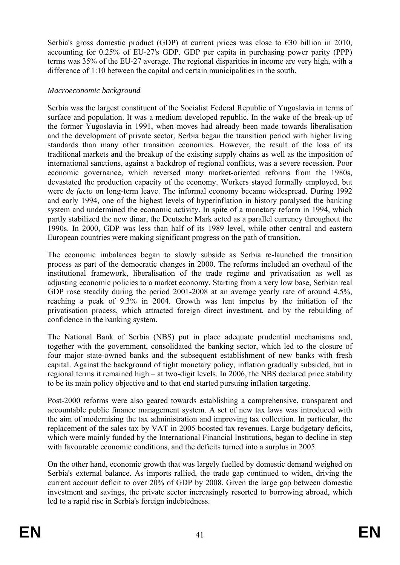Serbia's gross domestic product (GDP) at current prices was close to  $\epsilon$ 30 billion in 2010, accounting for 0.25% of EU-27's GDP. GDP per capita in purchasing power parity (PPP) terms was 35% of the EU-27 average. The regional disparities in income are very high, with a difference of 1:10 between the capital and certain municipalities in the south.

## *Macroeconomic background*

Serbia was the largest constituent of the Socialist Federal Republic of Yugoslavia in terms of surface and population. It was a medium developed republic. In the wake of the break-up of the former Yugoslavia in 1991, when moves had already been made towards liberalisation and the development of private sector, Serbia began the transition period with higher living standards than many other transition economies. However, the result of the loss of its traditional markets and the breakup of the existing supply chains as well as the imposition of international sanctions, against a backdrop of regional conflicts, was a severe recession. Poor economic governance, which reversed many market-oriented reforms from the 1980s, devastated the production capacity of the economy. Workers stayed formally employed, but were *de facto* on long-term leave. The informal economy became widespread. During 1992 and early 1994, one of the highest levels of hyperinflation in history paralysed the banking system and undermined the economic activity. In spite of a monetary reform in 1994, which partly stabilized the new dinar, the Deutsche Mark acted as a parallel currency throughout the 1990s. In 2000, GDP was less than half of its 1989 level, while other central and eastern European countries were making significant progress on the path of transition.

The economic imbalances began to slowly subside as Serbia re-launched the transition process as part of the democratic changes in 2000. The reforms included an overhaul of the institutional framework, liberalisation of the trade regime and privatisation as well as adjusting economic policies to a market economy. Starting from a very low base, Serbian real GDP rose steadily during the period 2001-2008 at an average yearly rate of around 4.5%, reaching a peak of 9.3% in 2004. Growth was lent impetus by the initiation of the privatisation process, which attracted foreign direct investment, and by the rebuilding of confidence in the banking system.

The National Bank of Serbia (NBS) put in place adequate prudential mechanisms and, together with the government, consolidated the banking sector, which led to the closure of four major state-owned banks and the subsequent establishment of new banks with fresh capital. Against the background of tight monetary policy, inflation gradually subsided, but in regional terms it remained high – at two-digit levels. In 2006, the NBS declared price stability to be its main policy objective and to that end started pursuing inflation targeting.

Post-2000 reforms were also geared towards establishing a comprehensive, transparent and accountable public finance management system. A set of new tax laws was introduced with the aim of modernising the tax administration and improving tax collection. In particular, the replacement of the sales tax by VAT in 2005 boosted tax revenues. Large budgetary deficits, which were mainly funded by the International Financial Institutions, began to decline in step with favourable economic conditions, and the deficits turned into a surplus in 2005.

On the other hand, economic growth that was largely fuelled by domestic demand weighed on Serbia's external balance. As imports rallied, the trade gap continued to widen, driving the current account deficit to over 20% of GDP by 2008. Given the large gap between domestic investment and savings, the private sector increasingly resorted to borrowing abroad, which led to a rapid rise in Serbia's foreign indebtedness.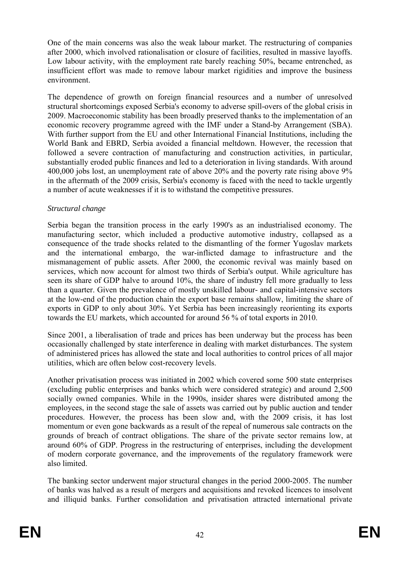One of the main concerns was also the weak labour market. The restructuring of companies after 2000, which involved rationalisation or closure of facilities, resulted in massive layoffs. Low labour activity, with the employment rate barely reaching 50%, became entrenched, as insufficient effort was made to remove labour market rigidities and improve the business environment.

The dependence of growth on foreign financial resources and a number of unresolved structural shortcomings exposed Serbia's economy to adverse spill-overs of the global crisis in 2009. Macroeconomic stability has been broadly preserved thanks to the implementation of an economic recovery programme agreed with the IMF under a Stand-by Arrangement (SBA). With further support from the EU and other International Financial Institutions, including the World Bank and EBRD, Serbia avoided a financial meltdown. However, the recession that followed a severe contraction of manufacturing and construction activities, in particular, substantially eroded public finances and led to a deterioration in living standards. With around 400,000 jobs lost, an unemployment rate of above 20% and the poverty rate rising above 9% in the aftermath of the 2009 crisis, Serbia's economy is faced with the need to tackle urgently a number of acute weaknesses if it is to withstand the competitive pressures.

#### *Structural change*

Serbia began the transition process in the early 1990's as an industrialised economy. The manufacturing sector, which included a productive automotive industry, collapsed as a consequence of the trade shocks related to the dismantling of the former Yugoslav markets and the international embargo, the war-inflicted damage to infrastructure and the mismanagement of public assets. After 2000, the economic revival was mainly based on services, which now account for almost two thirds of Serbia's output. While agriculture has seen its share of GDP halve to around 10%, the share of industry fell more gradually to less than a quarter. Given the prevalence of mostly unskilled labour- and capital-intensive sectors at the low-end of the production chain the export base remains shallow, limiting the share of exports in GDP to only about 30%. Yet Serbia has been increasingly reorienting its exports towards the EU markets, which accounted for around 56 % of total exports in 2010.

Since 2001, a liberalisation of trade and prices has been underway but the process has been occasionally challenged by state interference in dealing with market disturbances. The system of administered prices has allowed the state and local authorities to control prices of all major utilities, which are often below cost-recovery levels.

Another privatisation process was initiated in 2002 which covered some 500 state enterprises (excluding public enterprises and banks which were considered strategic) and around 2,500 socially owned companies. While in the 1990s, insider shares were distributed among the employees, in the second stage the sale of assets was carried out by public auction and tender procedures. However, the process has been slow and, with the 2009 crisis, it has lost momentum or even gone backwards as a result of the repeal of numerous sale contracts on the grounds of breach of contract obligations. The share of the private sector remains low, at around 60% of GDP. Progress in the restructuring of enterprises, including the development of modern corporate governance, and the improvements of the regulatory framework were also limited.

The banking sector underwent major structural changes in the period 2000-2005. The number of banks was halved as a result of mergers and acquisitions and revoked licences to insolvent and illiquid banks. Further consolidation and privatisation attracted international private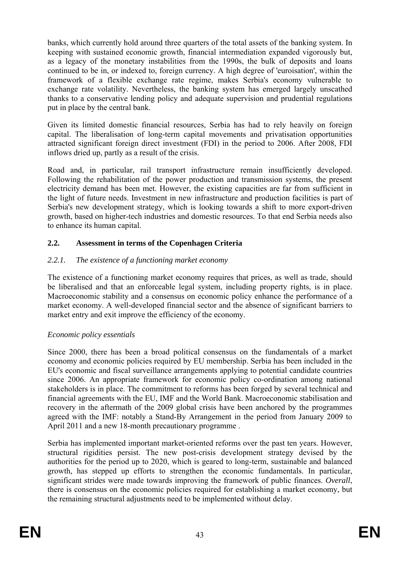banks, which currently hold around three quarters of the total assets of the banking system. In keeping with sustained economic growth, financial intermediation expanded vigorously but, as a legacy of the monetary instabilities from the 1990s, the bulk of deposits and loans continued to be in, or indexed to, foreign currency. A high degree of 'euroisation', within the framework of a flexible exchange rate regime, makes Serbia's economy vulnerable to exchange rate volatility. Nevertheless, the banking system has emerged largely unscathed thanks to a conservative lending policy and adequate supervision and prudential regulations put in place by the central bank.

Given its limited domestic financial resources, Serbia has had to rely heavily on foreign capital. The liberalisation of long-term capital movements and privatisation opportunities attracted significant foreign direct investment (FDI) in the period to 2006. After 2008, FDI inflows dried up, partly as a result of the crisis.

Road and, in particular, rail transport infrastructure remain insufficiently developed. Following the rehabilitation of the power production and transmission systems, the present electricity demand has been met. However, the existing capacities are far from sufficient in the light of future needs. Investment in new infrastructure and production facilities is part of Serbia's new development strategy, which is looking towards a shift to more export-driven growth, based on higher-tech industries and domestic resources. To that end Serbia needs also to enhance its human capital.

# **2.2. Assessment in terms of the Copenhagen Criteria**

## *2.2.1. The existence of a functioning market economy*

The existence of a functioning market economy requires that prices, as well as trade, should be liberalised and that an enforceable legal system, including property rights, is in place. Macroeconomic stability and a consensus on economic policy enhance the performance of a market economy. A well-developed financial sector and the absence of significant barriers to market entry and exit improve the efficiency of the economy.

## *Economic policy essentials*

Since 2000, there has been a broad political consensus on the fundamentals of a market economy and economic policies required by EU membership. Serbia has been included in the EU's economic and fiscal surveillance arrangements applying to potential candidate countries since 2006. An appropriate framework for economic policy co-ordination among national stakeholders is in place. The commitment to reforms has been forged by several technical and financial agreements with the EU, IMF and the World Bank. Macroeconomic stabilisation and recovery in the aftermath of the 2009 global crisis have been anchored by the programmes agreed with the IMF: notably a Stand-By Arrangement in the period from January 2009 to April 2011 and a new 18-month precautionary programme .

Serbia has implemented important market-oriented reforms over the past ten years. However, structural rigidities persist. The new post-crisis development strategy devised by the authorities for the period up to 2020, which is geared to long-term, sustainable and balanced growth, has stepped up efforts to strengthen the economic fundamentals. In particular, significant strides were made towards improving the framework of public finances. *Overall*, there is consensus on the economic policies required for establishing a market economy, but the remaining structural adjustments need to be implemented without delay.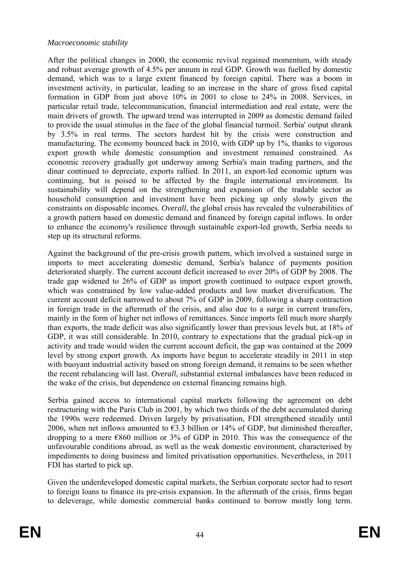#### *Macroeconomic stability*

After the political changes in 2000, the economic revival regained momentum, with steady and robust average growth of 4.5% per annum in real GDP. Growth was fuelled by domestic demand, which was to a large extent financed by foreign capital. There was a boom in investment activity, in particular, leading to an increase in the share of gross fixed capital formation in GDP from just above 10% in 2001 to close to 24% in 2008. Services, in particular retail trade, telecommunication, financial intermediation and real estate, were the main drivers of growth. The upward trend was interrupted in 2009 as domestic demand failed to provide the usual stimulus in the face of the global financial turmoil. Serbia' output shrank by 3.5% in real terms. The sectors hardest hit by the crisis were construction and manufacturing. The economy bounced back in 2010, with GDP up by 1%, thanks to vigorous export growth while domestic consumption and investment remained constrained. As economic recovery gradually got underway among Serbia's main trading partners, and the dinar continued to depreciate, exports rallied. In 2011, an export-led economic upturn was continuing, but is poised to be affected by the fragile international environment. Its sustainability will depend on the strengthening and expansion of the tradable sector as household consumption and investment have been picking up only slowly given the constraints on disposable incomes. *Overall*, the global crisis has revealed the vulnerabilities of a growth pattern based on domestic demand and financed by foreign capital inflows. In order to enhance the economy's resilience through sustainable export-led growth, Serbia needs to step up its structural reforms.

Against the background of the pre-crisis growth pattern, which involved a sustained surge in imports to meet accelerating domestic demand, Serbia's balance of payments position deteriorated sharply. The current account deficit increased to over 20% of GDP by 2008. The trade gap widened to 26% of GDP as import growth continued to outpace export growth, which was constrained by low value-added products and low market diversification. The current account deficit narrowed to about 7% of GDP in 2009, following a sharp contraction in foreign trade in the aftermath of the crisis, and also due to a surge in current transfers, mainly in the form of higher net inflows of remittances. Since imports fell much more sharply than exports, the trade deficit was also significantly lower than previous levels but, at 18% of GDP, it was still considerable. In 2010, contrary to expectations that the gradual pick-up in activity and trade would widen the current account deficit, the gap was contained at the 2009 level by strong export growth. As imports have begun to accelerate steadily in 2011 in step with buoyant industrial activity based on strong foreign demand, it remains to be seen whether the recent rebalancing will last. *Overall*, substantial external imbalances have been reduced in the wake of the crisis, but dependence on external financing remains high.

Serbia gained access to international capital markets following the agreement on debt restructuring with the Paris Club in 2001, by which two thirds of the debt accumulated during the 1990s were redeemed. Driven largely by privatisation, FDI strengthened steadily until 2006, when net inflows amounted to  $63.3$  billion or 14% of GDP, but diminished thereafter, dropping to a mere  $\epsilon$ 860 million or 3% of GDP in 2010. This was the consequence of the unfavourable conditions abroad, as well as the weak domestic environment, characterised by impediments to doing business and limited privatisation opportunities. Nevertheless, in 2011 FDI has started to pick up.

Given the underdeveloped domestic capital markets, the Serbian corporate sector had to resort to foreign loans to finance its pre-crisis expansion. In the aftermath of the crisis, firms began to deleverage, while domestic commercial banks continued to borrow mostly long term.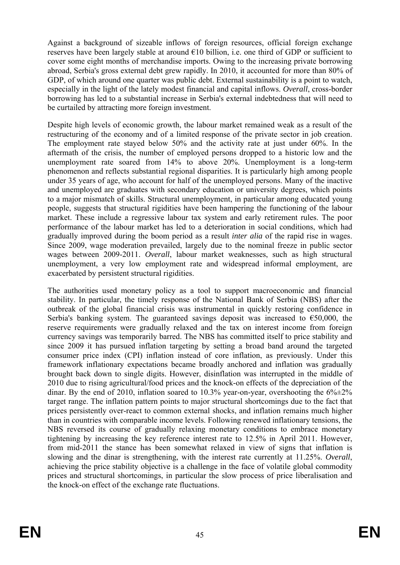Against a background of sizeable inflows of foreign resources, official foreign exchange reserves have been largely stable at around  $\epsilon$ 10 billion, i.e. one third of GDP or sufficient to cover some eight months of merchandise imports. Owing to the increasing private borrowing abroad, Serbia's gross external debt grew rapidly. In 2010, it accounted for more than 80% of GDP, of which around one quarter was public debt. External sustainability is a point to watch, especially in the light of the lately modest financial and capital inflows. *Overall*, cross-border borrowing has led to a substantial increase in Serbia's external indebtedness that will need to be curtailed by attracting more foreign investment.

Despite high levels of economic growth, the labour market remained weak as a result of the restructuring of the economy and of a limited response of the private sector in job creation. The employment rate stayed below 50% and the activity rate at just under 60%. In the aftermath of the crisis, the number of employed persons dropped to a historic low and the unemployment rate soared from 14% to above 20%. Unemployment is a long-term phenomenon and reflects substantial regional disparities. It is particularly high among people under 35 years of age, who account for half of the unemployed persons. Many of the inactive and unemployed are graduates with secondary education or university degrees, which points to a major mismatch of skills. Structural unemployment, in particular among educated young people, suggests that structural rigidities have been hampering the functioning of the labour market. These include a regressive labour tax system and early retirement rules. The poor performance of the labour market has led to a deterioration in social conditions, which had gradually improved during the boom period as a result *inter alia* of the rapid rise in wages. Since 2009, wage moderation prevailed, largely due to the nominal freeze in public sector wages between 2009-2011. *Overall*, labour market weaknesses, such as high structural unemployment, a very low employment rate and widespread informal employment, are exacerbated by persistent structural rigidities.

The authorities used monetary policy as a tool to support macroeconomic and financial stability. In particular, the timely response of the National Bank of Serbia (NBS) after the outbreak of the global financial crisis was instrumental in quickly restoring confidence in Serbia's banking system. The guaranteed savings deposit was increased to  $\epsilon$ 50,000, the reserve requirements were gradually relaxed and the tax on interest income from foreign currency savings was temporarily barred. The NBS has committed itself to price stability and since 2009 it has pursued inflation targeting by setting a broad band around the targeted consumer price index (CPI) inflation instead of core inflation, as previously. Under this framework inflationary expectations became broadly anchored and inflation was gradually brought back down to single digits. However, disinflation was interrupted in the middle of 2010 due to rising agricultural/food prices and the knock-on effects of the depreciation of the dinar. By the end of 2010, inflation soared to 10.3% year-on-year, overshooting the  $6\% \pm 2\%$ target range. The inflation pattern points to major structural shortcomings due to the fact that prices persistently over-react to common external shocks, and inflation remains much higher than in countries with comparable income levels. Following renewed inflationary tensions, the NBS reversed its course of gradually relaxing monetary conditions to embrace monetary tightening by increasing the key reference interest rate to 12.5% in April 2011. However, from mid-2011 the stance has been somewhat relaxed in view of signs that inflation is slowing and the dinar is strengthening, with the interest rate currently at 11.25%. *Overall*, achieving the price stability objective is a challenge in the face of volatile global commodity prices and structural shortcomings, in particular the slow process of price liberalisation and the knock-on effect of the exchange rate fluctuations.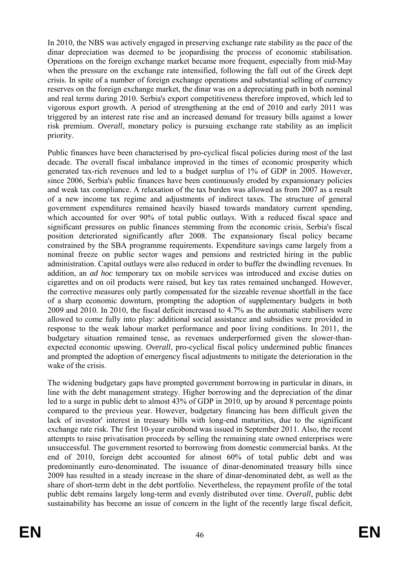In 2010, the NBS was actively engaged in preserving exchange rate stability as the pace of the dinar depreciation was deemed to be jeopardising the process of economic stabilisation. Operations on the foreign exchange market became more frequent, especially from mid-May when the pressure on the exchange rate intensified, following the fall out of the Greek dept crisis. In spite of a number of foreign exchange operations and substantial selling of currency reserves on the foreign exchange market, the dinar was on a depreciating path in both nominal and real terms during 2010. Serbia's export competitiveness therefore improved, which led to vigorous export growth. A period of strengthening at the end of 2010 and early 2011 was triggered by an interest rate rise and an increased demand for treasury bills against a lower risk premium. *Overall*, monetary policy is pursuing exchange rate stability as an implicit priority.

Public finances have been characterised by pro-cyclical fiscal policies during most of the last decade. The overall fiscal imbalance improved in the times of economic prosperity which generated tax-rich revenues and led to a budget surplus of 1% of GDP in 2005. However, since 2006, Serbia's public finances have been continuously eroded by expansionary policies and weak tax compliance. A relaxation of the tax burden was allowed as from 2007 as a result of a new income tax regime and adjustments of indirect taxes. The structure of general government expenditures remained heavily biased towards mandatory current spending, which accounted for over 90% of total public outlays. With a reduced fiscal space and significant pressures on public finances stemming from the economic crisis, Serbia's fiscal position deteriorated significantly after 2008. The expansionary fiscal policy became constrained by the SBA programme requirements. Expenditure savings came largely from a nominal freeze on public sector wages and pensions and restricted hiring in the public administration. Capital outlays were also reduced in order to buffer the dwindling revenues. In addition, an *ad hoc* temporary tax on mobile services was introduced and excise duties on cigarettes and on oil products were raised, but key tax rates remained unchanged. However, the corrective measures only partly compensated for the sizeable revenue shortfall in the face of a sharp economic downturn, prompting the adoption of supplementary budgets in both 2009 and 2010. In 2010, the fiscal deficit increased to 4.7% as the automatic stabilisers were allowed to come fully into play: additional social assistance and subsidies were provided in response to the weak labour market performance and poor living conditions. In 2011, the budgetary situation remained tense, as revenues underperformed given the slower-thanexpected economic upswing. *Overall*, pro-cyclical fiscal policy undermined public finances and prompted the adoption of emergency fiscal adjustments to mitigate the deterioration in the wake of the crisis.

The widening budgetary gaps have prompted government borrowing in particular in dinars, in line with the debt management strategy. Higher borrowing and the depreciation of the dinar led to a surge in public debt to almost 43% of GDP in 2010, up by around 8 percentage points compared to the previous year. However, budgetary financing has been difficult given the lack of investor' interest in treasury bills with long-end maturities, due to the significant exchange rate risk. The first 10-year eurobond was issued in September 2011. Also, the recent attempts to raise privatisation proceeds by selling the remaining state owned enterprises were unsuccessful. The government resorted to borrowing from domestic commercial banks. At the end of 2010, foreign debt accounted for almost 60% of total public debt and was predominantly euro-denominated. The issuance of dinar-denominated treasury bills since 2009 has resulted in a steady increase in the share of dinar-denominated debt, as well as the share of short-term debt in the debt portfolio. Nevertheless, the repayment profile of the total public debt remains largely long-term and evenly distributed over time. *Overall*, public debt sustainability has become an issue of concern in the light of the recently large fiscal deficit,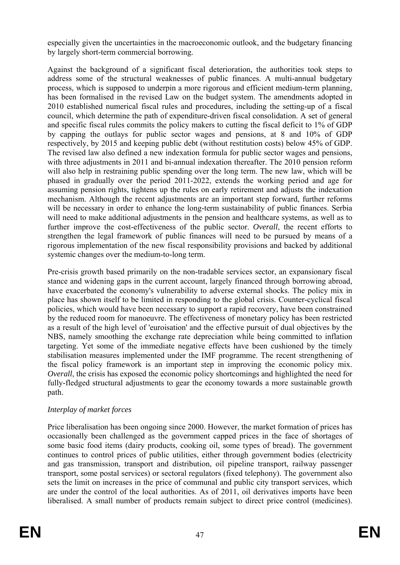especially given the uncertainties in the macroeconomic outlook, and the budgetary financing by largely short-term commercial borrowing.

Against the background of a significant fiscal deterioration, the authorities took steps to address some of the structural weaknesses of public finances. A multi-annual budgetary process, which is supposed to underpin a more rigorous and efficient medium-term planning, has been formalised in the revised Law on the budget system. The amendments adopted in 2010 established numerical fiscal rules and procedures, including the setting-up of a fiscal council, which determine the path of expenditure-driven fiscal consolidation. A set of general and specific fiscal rules commits the policy makers to cutting the fiscal deficit to 1% of GDP by capping the outlays for public sector wages and pensions, at 8 and 10% of GDP respectively, by 2015 and keeping public debt (without restitution costs) below 45% of GDP. The revised law also defined a new indexation formula for public sector wages and pensions, with three adjustments in 2011 and bi-annual indexation thereafter. The 2010 pension reform will also help in restraining public spending over the long term. The new law, which will be phased in gradually over the period 2011-2022, extends the working period and age for assuming pension rights, tightens up the rules on early retirement and adjusts the indexation mechanism. Although the recent adjustments are an important step forward, further reforms will be necessary in order to enhance the long-term sustainability of public finances. Serbia will need to make additional adjustments in the pension and healthcare systems, as well as to further improve the cost-effectiveness of the public sector. *Overall*, the recent efforts to strengthen the legal framework of public finances will need to be pursued by means of a rigorous implementation of the new fiscal responsibility provisions and backed by additional systemic changes over the medium-to-long term.

Pre-crisis growth based primarily on the non-tradable services sector, an expansionary fiscal stance and widening gaps in the current account, largely financed through borrowing abroad, have exacerbated the economy's vulnerability to adverse external shocks. The policy mix in place has shown itself to be limited in responding to the global crisis. Counter-cyclical fiscal policies, which would have been necessary to support a rapid recovery, have been constrained by the reduced room for manoeuvre. The effectiveness of monetary policy has been restricted as a result of the high level of 'euroisation' and the effective pursuit of dual objectives by the NBS, namely smoothing the exchange rate depreciation while being committed to inflation targeting. Yet some of the immediate negative effects have been cushioned by the timely stabilisation measures implemented under the IMF programme. The recent strengthening of the fiscal policy framework is an important step in improving the economic policy mix. *Overall*, the crisis has exposed the economic policy shortcomings and highlighted the need for fully-fledged structural adjustments to gear the economy towards a more sustainable growth path.

## *Interplay of market forces*

Price liberalisation has been ongoing since 2000. However, the market formation of prices has occasionally been challenged as the government capped prices in the face of shortages of some basic food items (dairy products, cooking oil, some types of bread). The government continues to control prices of public utilities, either through government bodies (electricity and gas transmission, transport and distribution, oil pipeline transport, railway passenger transport, some postal services) or sectoral regulators (fixed telephony). The government also sets the limit on increases in the price of communal and public city transport services, which are under the control of the local authorities. As of 2011, oil derivatives imports have been liberalised. A small number of products remain subject to direct price control (medicines).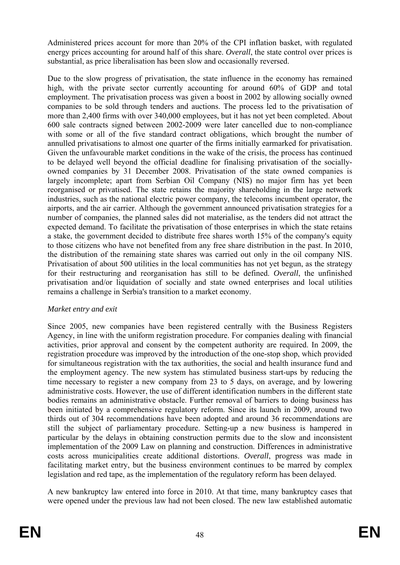Administered prices account for more than 20% of the CPI inflation basket, with regulated energy prices accounting for around half of this share. *Overall*, the state control over prices is substantial, as price liberalisation has been slow and occasionally reversed.

Due to the slow progress of privatisation, the state influence in the economy has remained high, with the private sector currently accounting for around 60% of GDP and total employment. The privatisation process was given a boost in 2002 by allowing socially owned companies to be sold through tenders and auctions. The process led to the privatisation of more than 2,400 firms with over 340,000 employees, but it has not yet been completed. About 600 sale contracts signed between 2002-2009 were later cancelled due to non-compliance with some or all of the five standard contract obligations, which brought the number of annulled privatisations to almost one quarter of the firms initially earmarked for privatisation. Given the unfavourable market conditions in the wake of the crisis, the process has continued to be delayed well beyond the official deadline for finalising privatisation of the sociallyowned companies by 31 December 2008. Privatisation of the state owned companies is largely incomplete; apart from Serbian Oil Company (NIS) no major firm has yet been reorganised or privatised. The state retains the majority shareholding in the large network industries, such as the national electric power company, the telecoms incumbent operator, the airports, and the air carrier. Although the government announced privatisation strategies for a number of companies, the planned sales did not materialise, as the tenders did not attract the expected demand. To facilitate the privatisation of those enterprises in which the state retains a stake, the government decided to distribute free shares worth 15% of the company's equity to those citizens who have not benefited from any free share distribution in the past. In 2010, the distribution of the remaining state shares was carried out only in the oil company NIS. Privatisation of about 500 utilities in the local communities has not yet begun, as the strategy for their restructuring and reorganisation has still to be defined. *Overall*, the unfinished privatisation and/or liquidation of socially and state owned enterprises and local utilities remains a challenge in Serbia's transition to a market economy.

## *Market entry and exit*

Since 2005, new companies have been registered centrally with the Business Registers Agency, in line with the uniform registration procedure. For companies dealing with financial activities, prior approval and consent by the competent authority are required. In 2009, the registration procedure was improved by the introduction of the one-stop shop, which provided for simultaneous registration with the tax authorities, the social and health insurance fund and the employment agency. The new system has stimulated business start-ups by reducing the time necessary to register a new company from 23 to 5 days, on average, and by lowering administrative costs. However, the use of different identification numbers in the different state bodies remains an administrative obstacle. Further removal of barriers to doing business has been initiated by a comprehensive regulatory reform. Since its launch in 2009, around two thirds out of 304 recommendations have been adopted and around 36 recommendations are still the subject of parliamentary procedure. Setting-up a new business is hampered in particular by the delays in obtaining construction permits due to the slow and inconsistent implementation of the 2009 Law on planning and construction. Differences in administrative costs across municipalities create additional distortions. *Overall*, progress was made in facilitating market entry, but the business environment continues to be marred by complex legislation and red tape, as the implementation of the regulatory reform has been delayed.

A new bankruptcy law entered into force in 2010. At that time, many bankruptcy cases that were opened under the previous law had not been closed. The new law established automatic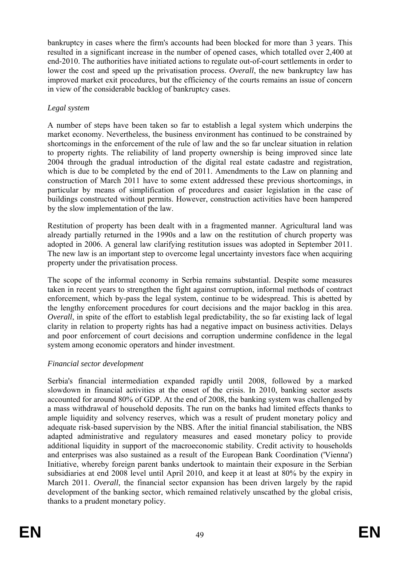bankruptcy in cases where the firm's accounts had been blocked for more than 3 years. This resulted in a significant increase in the number of opened cases, which totalled over 2,400 at end-2010. The authorities have initiated actions to regulate out-of-court settlements in order to lower the cost and speed up the privatisation process. *Overall*, the new bankruptcy law has improved market exit procedures, but the efficiency of the courts remains an issue of concern in view of the considerable backlog of bankruptcy cases.

## *Legal system*

A number of steps have been taken so far to establish a legal system which underpins the market economy. Nevertheless, the business environment has continued to be constrained by shortcomings in the enforcement of the rule of law and the so far unclear situation in relation to property rights. The reliability of land property ownership is being improved since late 2004 through the gradual introduction of the digital real estate cadastre and registration, which is due to be completed by the end of 2011. Amendments to the Law on planning and construction of March 2011 have to some extent addressed these previous shortcomings, in particular by means of simplification of procedures and easier legislation in the case of buildings constructed without permits. However, construction activities have been hampered by the slow implementation of the law.

Restitution of property has been dealt with in a fragmented manner. Agricultural land was already partially returned in the 1990s and a law on the restitution of church property was adopted in 2006. A general law clarifying restitution issues was adopted in September 2011. The new law is an important step to overcome legal uncertainty investors face when acquiring property under the privatisation process.

The scope of the informal economy in Serbia remains substantial. Despite some measures taken in recent years to strengthen the fight against corruption, informal methods of contract enforcement, which by-pass the legal system, continue to be widespread. This is abetted by the lengthy enforcement procedures for court decisions and the major backlog in this area. *Overall*, in spite of the effort to establish legal predictability, the so far existing lack of legal clarity in relation to property rights has had a negative impact on business activities. Delays and poor enforcement of court decisions and corruption undermine confidence in the legal system among economic operators and hinder investment.

# *Financial sector development*

Serbia's financial intermediation expanded rapidly until 2008, followed by a marked slowdown in financial activities at the onset of the crisis. In 2010, banking sector assets accounted for around 80% of GDP. At the end of 2008, the banking system was challenged by a mass withdrawal of household deposits. The run on the banks had limited effects thanks to ample liquidity and solvency reserves, which was a result of prudent monetary policy and adequate risk-based supervision by the NBS. After the initial financial stabilisation, the NBS adapted administrative and regulatory measures and eased monetary policy to provide additional liquidity in support of the macroeconomic stability. Credit activity to households and enterprises was also sustained as a result of the European Bank Coordination ('Vienna') Initiative, whereby foreign parent banks undertook to maintain their exposure in the Serbian subsidiaries at end 2008 level until April 2010, and keep it at least at 80% by the expiry in March 2011. *Overall*, the financial sector expansion has been driven largely by the rapid development of the banking sector, which remained relatively unscathed by the global crisis, thanks to a prudent monetary policy.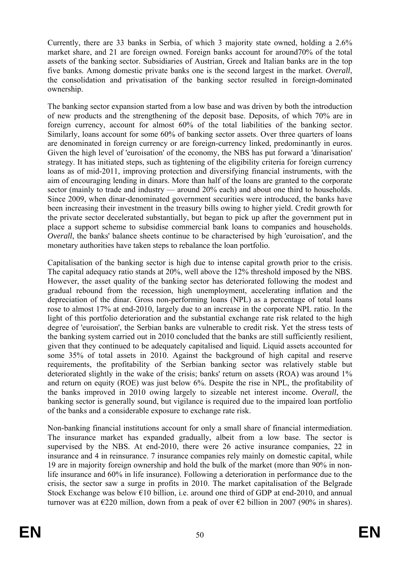Currently, there are 33 banks in Serbia, of which 3 majority state owned, holding a 2.6% market share, and 21 are foreign owned. Foreign banks account for around70% of the total assets of the banking sector. Subsidiaries of Austrian, Greek and Italian banks are in the top five banks. Among domestic private banks one is the second largest in the market. *Overall*, the consolidation and privatisation of the banking sector resulted in foreign-dominated ownership.

The banking sector expansion started from a low base and was driven by both the introduction of new products and the strengthening of the deposit base. Deposits, of which 70% are in foreign currency, account for almost 60% of the total liabilities of the banking sector. Similarly, loans account for some 60% of banking sector assets. Over three quarters of loans are denominated in foreign currency or are foreign-currency linked, predominantly in euros. Given the high level of 'euroisation' of the economy, the NBS has put forward a 'dinarisation' strategy. It has initiated steps, such as tightening of the eligibility criteria for foreign currency loans as of mid-2011, improving protection and diversifying financial instruments, with the aim of encouraging lending in dinars. More than half of the loans are granted to the corporate sector (mainly to trade and industry — around 20% each) and about one third to households. Since 2009, when dinar-denominated government securities were introduced, the banks have been increasing their investment in the treasury bills owing to higher yield. Credit growth for the private sector decelerated substantially, but began to pick up after the government put in place a support scheme to subsidise commercial bank loans to companies and households. *Overall*, the banks' balance sheets continue to be characterised by high 'euroisation', and the monetary authorities have taken steps to rebalance the loan portfolio.

Capitalisation of the banking sector is high due to intense capital growth prior to the crisis. The capital adequacy ratio stands at 20%, well above the 12% threshold imposed by the NBS. However, the asset quality of the banking sector has deteriorated following the modest and gradual rebound from the recession, high unemployment, accelerating inflation and the depreciation of the dinar. Gross non-performing loans (NPL) as a percentage of total loans rose to almost 17% at end-2010, largely due to an increase in the corporate NPL ratio. In the light of this portfolio deterioration and the substantial exchange rate risk related to the high degree of 'euroisation', the Serbian banks are vulnerable to credit risk. Yet the stress tests of the banking system carried out in 2010 concluded that the banks are still sufficiently resilient, given that they continued to be adequately capitalised and liquid. Liquid assets accounted for some 35% of total assets in 2010. Against the background of high capital and reserve requirements, the profitability of the Serbian banking sector was relatively stable but deteriorated slightly in the wake of the crisis; banks' return on assets (ROA) was around 1% and return on equity (ROE) was just below 6%. Despite the rise in NPL, the profitability of the banks improved in 2010 owing largely to sizeable net interest income. *Overall*, the banking sector is generally sound, but vigilance is required due to the impaired loan portfolio of the banks and a considerable exposure to exchange rate risk.

Non-banking financial institutions account for only a small share of financial intermediation. The insurance market has expanded gradually, albeit from a low base. The sector is supervised by the NBS. At end-2010, there were 26 active insurance companies, 22 in insurance and 4 in reinsurance. 7 insurance companies rely mainly on domestic capital, while 19 are in majority foreign ownership and hold the bulk of the market (more than 90% in nonlife insurance and 60% in life insurance). Following a deterioration in performance due to the crisis, the sector saw a surge in profits in 2010. The market capitalisation of the Belgrade Stock Exchange was below  $\epsilon$ 10 billion, i.e. around one third of GDP at end-2010, and annual turnover was at  $\epsilon$ 220 million, down from a peak of over  $\epsilon$ 2 billion in 2007 (90% in shares).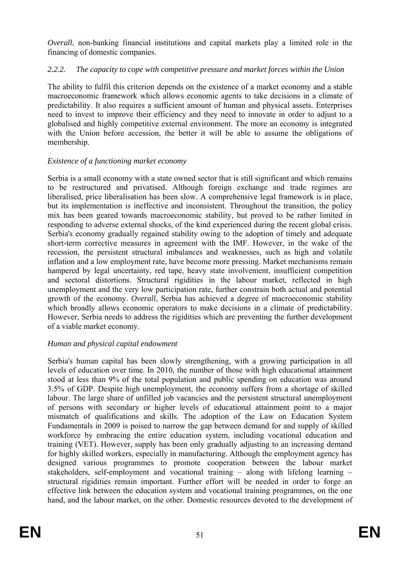*Overall*, non-banking financial institutions and capital markets play a limited role in the financing of domestic companies.

## *2.2.2. The capacity to cope with competitive pressure and market forces within the Union*

The ability to fulfil this criterion depends on the existence of a market economy and a stable macroeconomic framework which allows economic agents to take decisions in a climate of predictability. It also requires a sufficient amount of human and physical assets. Enterprises need to invest to improve their efficiency and they need to innovate in order to adjust to a globalised and highly competitive external environment. The more an economy is integrated with the Union before accession, the better it will be able to assume the obligations of membership.

## *Existence of a functioning market economy*

Serbia is a small economy with a state owned sector that is still significant and which remains to be restructured and privatised. Although foreign exchange and trade regimes are liberalised, price liberalisation has been slow. A comprehensive legal framework is in place, but its implementation is ineffective and inconsistent. Throughout the transition, the policy mix has been geared towards macroeconomic stability, but proved to be rather limited in responding to adverse external shocks, of the kind experienced during the recent global crisis. Serbia's economy gradually regained stability owing to the adoption of timely and adequate short-term corrective measures in agreement with the IMF. However, in the wake of the recession, the persistent structural imbalances and weaknesses, such as high and volatile inflation and a low employment rate, have become more pressing. Market mechanisms remain hampered by legal uncertainty, red tape, heavy state involvement, insufficient competition and sectoral distortions. Structural rigidities in the labour market, reflected in high unemployment and the very low participation rate, further constrain both actual and potential growth of the economy. *Overall*, Serbia has achieved a degree of macroeconomic stability which broadly allows economic operators to make decisions in a climate of predictability. However, Serbia needs to address the rigidities which are preventing the further development of a viable market economy.

## *Human and physical capital endowment*

Serbia's human capital has been slowly strengthening, with a growing participation in all levels of education over time. In 2010, the number of those with high educational attainment stood at less than 9% of the total population and public spending on education was around 3.5% of GDP. Despite high unemployment, the economy suffers from a shortage of skilled labour. The large share of unfilled job vacancies and the persistent structural unemployment of persons with secondary or higher levels of educational attainment point to a major mismatch of qualifications and skills. The adoption of the Law on Education System Fundamentals in 2009 is poised to narrow the gap between demand for and supply of skilled workforce by embracing the entire education system, including vocational education and training (VET). However, supply has been only gradually adjusting to an increasing demand for highly skilled workers, especially in manufacturing. Although the employment agency has designed various programmes to promote cooperation between the labour market stakeholders, self-employment and vocational training – along with lifelong learning – structural rigidities remain important. Further effort will be needed in order to forge an effective link between the education system and vocational training programmes, on the one hand, and the labour market, on the other. Domestic resources devoted to the development of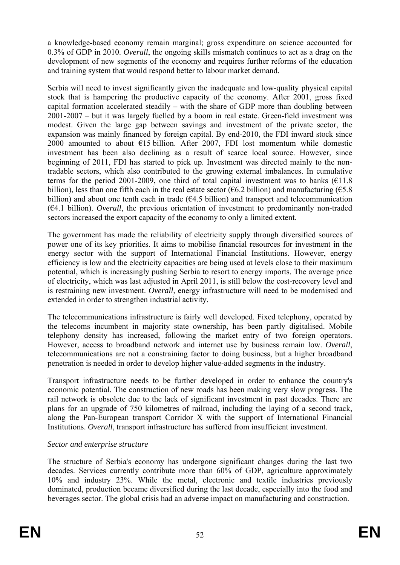a knowledge-based economy remain marginal; gross expenditure on science accounted for 0.3% of GDP in 2010. *Overall*, the ongoing skills mismatch continues to act as a drag on the development of new segments of the economy and requires further reforms of the education and training system that would respond better to labour market demand.

Serbia will need to invest significantly given the inadequate and low-quality physical capital stock that is hampering the productive capacity of the economy. After 2001, gross fixed capital formation accelerated steadily – with the share of GDP more than doubling between 2001-2007 – but it was largely fuelled by a boom in real estate. Green-field investment was modest. Given the large gap between savings and investment of the private sector, the expansion was mainly financed by foreign capital. By end-2010, the FDI inward stock since 2000 amounted to about  $E15$  billion. After 2007, FDI lost momentum while domestic investment has been also declining as a result of scarce local source. However, since beginning of 2011, FDI has started to pick up. Investment was directed mainly to the nontradable sectors, which also contributed to the growing external imbalances. In cumulative terms for the period 2001-2009, one third of total capital investment was to banks  $(E11.8)$ billion), less than one fifth each in the real estate sector ( $6.2$  billion) and manufacturing ( $6.8$ billion) and about one tenth each in trade  $(64.5 \text{ billion})$  and transport and telecommunication (€4.1 billion). *Overall*, the previous orientation of investment to predominantly non-traded sectors increased the export capacity of the economy to only a limited extent.

The government has made the reliability of electricity supply through diversified sources of power one of its key priorities. It aims to mobilise financial resources for investment in the energy sector with the support of International Financial Institutions. However, energy efficiency is low and the electricity capacities are being used at levels close to their maximum potential, which is increasingly pushing Serbia to resort to energy imports. The average price of electricity, which was last adjusted in April 2011, is still below the cost-recovery level and is restraining new investment. *Overall*, energy infrastructure will need to be modernised and extended in order to strengthen industrial activity.

The telecommunications infrastructure is fairly well developed. Fixed telephony, operated by the telecoms incumbent in majority state ownership, has been partly digitalised. Mobile telephony density has increased, following the market entry of two foreign operators. However, access to broadband network and internet use by business remain low. *Overall*, telecommunications are not a constraining factor to doing business, but a higher broadband penetration is needed in order to develop higher value-added segments in the industry.

Transport infrastructure needs to be further developed in order to enhance the country's economic potential. The construction of new roads has been making very slow progress. The rail network is obsolete due to the lack of significant investment in past decades. There are plans for an upgrade of 750 kilometres of railroad, including the laying of a second track, along the Pan-European transport Corridor X with the support of International Financial Institutions. *Overall*, transport infrastructure has suffered from insufficient investment.

## *Sector and enterprise structure*

The structure of Serbia's economy has undergone significant changes during the last two decades. Services currently contribute more than 60% of GDP, agriculture approximately 10% and industry 23%. While the metal, electronic and textile industries previously dominated, production became diversified during the last decade, especially into the food and beverages sector. The global crisis had an adverse impact on manufacturing and construction.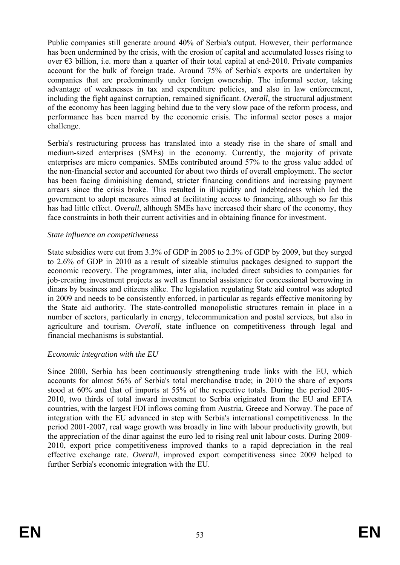Public companies still generate around 40% of Serbia's output. However, their performance has been undermined by the crisis, with the erosion of capital and accumulated losses rising to over  $\epsilon$ 3 billion, i.e. more than a quarter of their total capital at end-2010. Private companies account for the bulk of foreign trade. Around 75% of Serbia's exports are undertaken by companies that are predominantly under foreign ownership. The informal sector, taking advantage of weaknesses in tax and expenditure policies, and also in law enforcement, including the fight against corruption, remained significant. *Overall*, the structural adjustment of the economy has been lagging behind due to the very slow pace of the reform process, and performance has been marred by the economic crisis. The informal sector poses a major challenge.

Serbia's restructuring process has translated into a steady rise in the share of small and medium-sized enterprises (SMEs) in the economy. Currently, the majority of private enterprises are micro companies. SMEs contributed around 57% to the gross value added of the non-financial sector and accounted for about two thirds of overall employment. The sector has been facing diminishing demand, stricter financing conditions and increasing payment arrears since the crisis broke. This resulted in illiquidity and indebtedness which led the government to adopt measures aimed at facilitating access to financing, although so far this has had little effect. *Overall*, although SMEs have increased their share of the economy, they face constraints in both their current activities and in obtaining finance for investment.

#### *State influence on competitiveness*

State subsidies were cut from 3.3% of GDP in 2005 to 2.3% of GDP by 2009, but they surged to 2.6% of GDP in 2010 as a result of sizeable stimulus packages designed to support the economic recovery. The programmes, inter alia, included direct subsidies to companies for job-creating investment projects as well as financial assistance for concessional borrowing in dinars by business and citizens alike. The legislation regulating State aid control was adopted in 2009 and needs to be consistently enforced, in particular as regards effective monitoring by the State aid authority. The state-controlled monopolistic structures remain in place in a number of sectors, particularly in energy, telecommunication and postal services, but also in agriculture and tourism. *Overall*, state influence on competitiveness through legal and financial mechanisms is substantial.

## *Economic integration with the EU*

Since 2000, Serbia has been continuously strengthening trade links with the EU, which accounts for almost 56% of Serbia's total merchandise trade; in 2010 the share of exports stood at 60% and that of imports at 55% of the respective totals. During the period 2005- 2010, two thirds of total inward investment to Serbia originated from the EU and EFTA countries, with the largest FDI inflows coming from Austria, Greece and Norway. The pace of integration with the EU advanced in step with Serbia's international competitiveness. In the period 2001-2007, real wage growth was broadly in line with labour productivity growth, but the appreciation of the dinar against the euro led to rising real unit labour costs. During 2009- 2010, export price competitiveness improved thanks to a rapid depreciation in the real effective exchange rate. *Overall*, improved export competitiveness since 2009 helped to further Serbia's economic integration with the EU.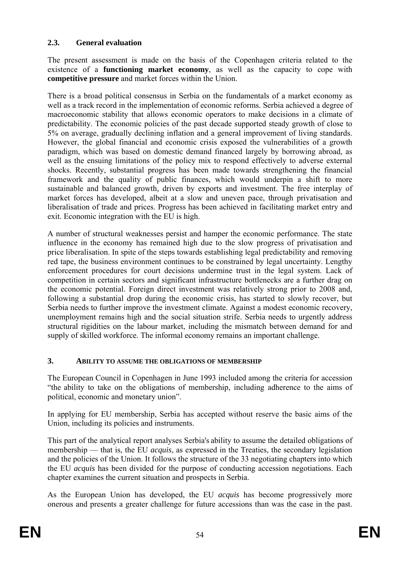## **2.3. General evaluation**

The present assessment is made on the basis of the Copenhagen criteria related to the existence of a **functioning market economy**, as well as the capacity to cope with **competitive pressure** and market forces within the Union.

There is a broad political consensus in Serbia on the fundamentals of a market economy as well as a track record in the implementation of economic reforms. Serbia achieved a degree of macroeconomic stability that allows economic operators to make decisions in a climate of predictability. The economic policies of the past decade supported steady growth of close to 5% on average, gradually declining inflation and a general improvement of living standards. However, the global financial and economic crisis exposed the vulnerabilities of a growth paradigm, which was based on domestic demand financed largely by borrowing abroad, as well as the ensuing limitations of the policy mix to respond effectively to adverse external shocks. Recently, substantial progress has been made towards strengthening the financial framework and the quality of public finances, which would underpin a shift to more sustainable and balanced growth, driven by exports and investment. The free interplay of market forces has developed, albeit at a slow and uneven pace, through privatisation and liberalisation of trade and prices. Progress has been achieved in facilitating market entry and exit. Economic integration with the EU is high.

A number of structural weaknesses persist and hamper the economic performance. The state influence in the economy has remained high due to the slow progress of privatisation and price liberalisation. In spite of the steps towards establishing legal predictability and removing red tape, the business environment continues to be constrained by legal uncertainty. Lengthy enforcement procedures for court decisions undermine trust in the legal system. Lack of competition in certain sectors and significant infrastructure bottlenecks are a further drag on the economic potential. Foreign direct investment was relatively strong prior to 2008 and, following a substantial drop during the economic crisis, has started to slowly recover, but Serbia needs to further improve the investment climate. Against a modest economic recovery, unemployment remains high and the social situation strife. Serbia needs to urgently address structural rigidities on the labour market, including the mismatch between demand for and supply of skilled workforce. The informal economy remains an important challenge.

## **3. ABILITY TO ASSUME THE OBLIGATIONS OF MEMBERSHIP**

The European Council in Copenhagen in June 1993 included among the criteria for accession "the ability to take on the obligations of membership, including adherence to the aims of political, economic and monetary union".

In applying for EU membership, Serbia has accepted without reserve the basic aims of the Union, including its policies and instruments.

This part of the analytical report analyses Serbia's ability to assume the detailed obligations of membership — that is, the EU *acquis*, as expressed in the Treaties, the secondary legislation and the policies of the Union. It follows the structure of the 33 negotiating chapters into which the EU *acquis* has been divided for the purpose of conducting accession negotiations. Each chapter examines the current situation and prospects in Serbia.

As the European Union has developed, the EU *acquis* has become progressively more onerous and presents a greater challenge for future accessions than was the case in the past.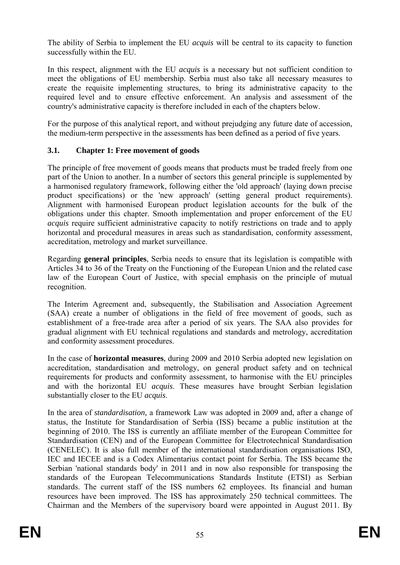The ability of Serbia to implement the EU *acquis* will be central to its capacity to function successfully within the EU.

In this respect, alignment with the EU *acquis* is a necessary but not sufficient condition to meet the obligations of EU membership. Serbia must also take all necessary measures to create the requisite implementing structures, to bring its administrative capacity to the required level and to ensure effective enforcement. An analysis and assessment of the country's administrative capacity is therefore included in each of the chapters below.

For the purpose of this analytical report, and without prejudging any future date of accession, the medium-term perspective in the assessments has been defined as a period of five years.

## **3.1. Chapter 1: Free movement of goods**

The principle of free movement of goods means that products must be traded freely from one part of the Union to another. In a number of sectors this general principle is supplemented by a harmonised regulatory framework, following either the 'old approach' (laying down precise product specifications) or the 'new approach' (setting general product requirements). Alignment with harmonised European product legislation accounts for the bulk of the obligations under this chapter. Smooth implementation and proper enforcement of the EU *acquis* require sufficient administrative capacity to notify restrictions on trade and to apply horizontal and procedural measures in areas such as standardisation, conformity assessment, accreditation, metrology and market surveillance.

Regarding **general principles**, Serbia needs to ensure that its legislation is compatible with Articles 34 to 36 of the Treaty on the Functioning of the European Union and the related case law of the European Court of Justice, with special emphasis on the principle of mutual recognition.

The Interim Agreement and, subsequently, the Stabilisation and Association Agreement (SAA) create a number of obligations in the field of free movement of goods, such as establishment of a free-trade area after a period of six years. The SAA also provides for gradual alignment with EU technical regulations and standards and metrology, accreditation and conformity assessment procedures.

In the case of **horizontal measures**, during 2009 and 2010 Serbia adopted new legislation on accreditation, standardisation and metrology, on general product safety and on technical requirements for products and conformity assessment, to harmonise with the EU principles and with the horizontal EU *acquis*. These measures have brought Serbian legislation substantially closer to the EU *acquis*.

In the area of *standardisation,* a framework Law was adopted in 2009 and, after a change of status, the Institute for Standardisation of Serbia (ISS) became a public institution at the beginning of 2010. The ISS is currently an affiliate member of the European Committee for Standardisation (CEN) and of the European Committee for Electrotechnical Standardisation (CENELEC). It is also full member of the international standardisation organisations ISO, IEC and IECEE and is a Codex Alimentarius contact point for Serbia. The ISS became the Serbian 'national standards body' in 2011 and in now also responsible for transposing the standards of the European Telecommunications Standards Institute (ETSI) as Serbian standards. The current staff of the ISS numbers 62 employees. Its financial and human resources have been improved. The ISS has approximately 250 technical committees. The Chairman and the Members of the supervisory board were appointed in August 2011. By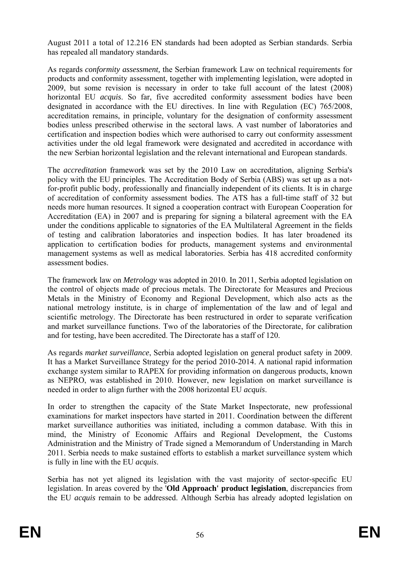August 2011 a total of 12.216 EN standards had been adopted as Serbian standards. Serbia has repealed all mandatory standards.

As regards *conformity assessment,* the Serbian framework Law on technical requirements for products and conformity assessment, together with implementing legislation, were adopted in 2009, but some revision is necessary in order to take full account of the latest (2008) horizontal EU *acquis*. So far, five accredited conformity assessment bodies have been designated in accordance with the EU directives. In line with Regulation (EC) 765/2008, accreditation remains, in principle, voluntary for the designation of conformity assessment bodies unless prescribed otherwise in the sectoral laws. A vast number of laboratories and certification and inspection bodies which were authorised to carry out conformity assessment activities under the old legal framework were designated and accredited in accordance with the new Serbian horizontal legislation and the relevant international and European standards.

The *accreditation* framework was set by the 2010 Law on accreditation, aligning Serbia's policy with the EU principles. The Accreditation Body of Serbia (ABS) was set up as a notfor-profit public body, professionally and financially independent of its clients. It is in charge of accreditation of conformity assessment bodies. The ATS has a full-time staff of 32 but needs more human resources. It signed a cooperation contract with European Cooperation for Accreditation (EA) in 2007 and is preparing for signing a bilateral agreement with the EA under the conditions applicable to signatories of the EA Multilateral Agreement in the fields of testing and calibration laboratories and inspection bodies. It has later broadened its application to certification bodies for products, management systems and environmental management systems as well as medical laboratories. Serbia has 418 accredited conformity assessment bodies.

The framework law on *Metrology* was adopted in 2010. In 2011, Serbia adopted legislation on the control of objects made of precious metals. The Directorate for Measures and Precious Metals in the Ministry of Economy and Regional Development, which also acts as the national metrology institute, is in charge of implementation of the law and of legal and scientific metrology. The Directorate has been restructured in order to separate verification and market surveillance functions. Two of the laboratories of the Directorate, for calibration and for testing, have been accredited. The Directorate has a staff of 120.

As regards *market surveillance*, Serbia adopted legislation on general product safety in 2009. It has a Market Surveillance Strategy for the period 2010-2014. A national rapid information exchange system similar to RAPEX for providing information on dangerous products, known as NEPRO, was established in 2010. However, new legislation on market surveillance is needed in order to align further with the 2008 horizontal EU *acquis*.

In order to strengthen the capacity of the State Market Inspectorate, new professional examinations for market inspectors have started in 2011. Coordination between the different market surveillance authorities was initiated, including a common database. With this in mind, the Ministry of Economic Affairs and Regional Development, the Customs Administration and the Ministry of Trade signed a Memorandum of Understanding in March 2011. Serbia needs to make sustained efforts to establish a market surveillance system which is fully in line with the EU *acquis*.

Serbia has not yet aligned its legislation with the vast majority of sector-specific EU legislation. In areas covered by the '**Old Approach' product legislation**, discrepancies from the EU *acquis* remain to be addressed. Although Serbia has already adopted legislation on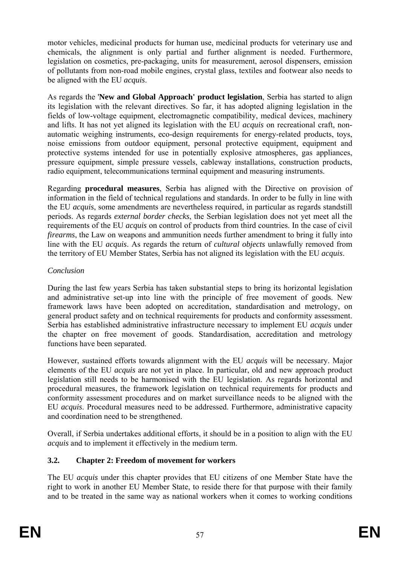motor vehicles, medicinal products for human use, medicinal products for veterinary use and chemicals, the alignment is only partial and further alignment is needed. Furthermore, legislation on cosmetics, pre-packaging, units for measurement, aerosol dispensers, emission of pollutants from non-road mobile engines, crystal glass, textiles and footwear also needs to be aligned with the EU *acquis*.

As regards the '**New and Global Approach' product legislation**, Serbia has started to align its legislation with the relevant directives. So far, it has adopted aligning legislation in the fields of low-voltage equipment, electromagnetic compatibility, medical devices, machinery and lifts. It has not yet aligned its legislation with the EU *acquis* on recreational craft, nonautomatic weighing instruments, eco-design requirements for energy-related products, toys, noise emissions from outdoor equipment, personal protective equipment, equipment and protective systems intended for use in potentially explosive atmospheres, gas appliances, pressure equipment, simple pressure vessels, cableway installations, construction products, radio equipment, telecommunications terminal equipment and measuring instruments.

Regarding **procedural measures**, Serbia has aligned with the Directive on provision of information in the field of technical regulations and standards. In order to be fully in line with the EU *acquis*, some amendments are nevertheless required, in particular as regards standstill periods. As regards *external border checks*, the Serbian legislation does not yet meet all the requirements of the EU *acquis* on control of products from third countries. In the case of civil *firearms*, the Law on weapons and ammunition needs further amendment to bring it fully into line with the EU *acquis*. As regards the return of *cultural objects* unlawfully removed from the territory of EU Member States, Serbia has not aligned its legislation with the EU *acquis*.

## *Conclusion*

During the last few years Serbia has taken substantial steps to bring its horizontal legislation and administrative set-up into line with the principle of free movement of goods. New framework laws have been adopted on accreditation, standardisation and metrology, on general product safety and on technical requirements for products and conformity assessment. Serbia has established administrative infrastructure necessary to implement EU *acquis* under the chapter on free movement of goods. Standardisation, accreditation and metrology functions have been separated.

However, sustained efforts towards alignment with the EU *acquis* will be necessary. Major elements of the EU *acquis* are not yet in place. In particular, old and new approach product legislation still needs to be harmonised with the EU legislation. As regards horizontal and procedural measures, the framework legislation on technical requirements for products and conformity assessment procedures and on market surveillance needs to be aligned with the EU *acquis*. Procedural measures need to be addressed. Furthermore, administrative capacity and coordination need to be strengthened.

Overall, if Serbia undertakes additional efforts, it should be in a position to align with the EU *acquis* and to implement it effectively in the medium term.

# **3.2. Chapter 2: Freedom of movement for workers**

The EU *acquis* under this chapter provides that EU citizens of one Member State have the right to work in another EU Member State, to reside there for that purpose with their family and to be treated in the same way as national workers when it comes to working conditions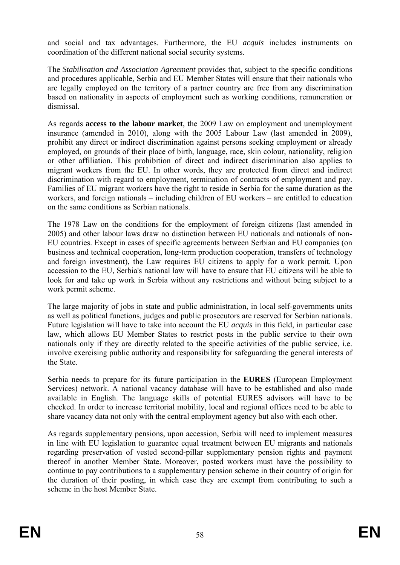and social and tax advantages. Furthermore, the EU *acquis* includes instruments on coordination of the different national social security systems.

The *Stabilisation and Association Agreement* provides that, subject to the specific conditions and procedures applicable, Serbia and EU Member States will ensure that their nationals who are legally employed on the territory of a partner country are free from any discrimination based on nationality in aspects of employment such as working conditions, remuneration or dismissal.

As regards **access to the labour market**, the 2009 Law on employment and unemployment insurance (amended in 2010), along with the 2005 Labour Law (last amended in 2009), prohibit any direct or indirect discrimination against persons seeking employment or already employed, on grounds of their place of birth, language, race, skin colour, nationality, religion or other affiliation. This prohibition of direct and indirect discrimination also applies to migrant workers from the EU. In other words, they are protected from direct and indirect discrimination with regard to employment, termination of contracts of employment and pay. Families of EU migrant workers have the right to reside in Serbia for the same duration as the workers, and foreign nationals – including children of EU workers – are entitled to education on the same conditions as Serbian nationals.

The 1978 Law on the conditions for the employment of foreign citizens (last amended in 2005) and other labour laws draw no distinction between EU nationals and nationals of non-EU countries. Except in cases of specific agreements between Serbian and EU companies (on business and technical cooperation, long-term production cooperation, transfers of technology and foreign investment), the Law requires EU citizens to apply for a work permit. Upon accession to the EU, Serbia's national law will have to ensure that EU citizens will be able to look for and take up work in Serbia without any restrictions and without being subject to a work permit scheme.

The large majority of jobs in state and public administration, in local self-governments units as well as political functions, judges and public prosecutors are reserved for Serbian nationals. Future legislation will have to take into account the EU *acquis* in this field, in particular case law, which allows EU Member States to restrict posts in the public service to their own nationals only if they are directly related to the specific activities of the public service, i.e. involve exercising public authority and responsibility for safeguarding the general interests of the State.

Serbia needs to prepare for its future participation in the **EURES** (European Employment Services) network. A national vacancy database will have to be established and also made available in English. The language skills of potential EURES advisors will have to be checked. In order to increase territorial mobility, local and regional offices need to be able to share vacancy data not only with the central employment agency but also with each other.

As regards supplementary pensions, upon accession, Serbia will need to implement measures in line with EU legislation to guarantee equal treatment between EU migrants and nationals regarding preservation of vested second-pillar supplementary pension rights and payment thereof in another Member State. Moreover, posted workers must have the possibility to continue to pay contributions to a supplementary pension scheme in their country of origin for the duration of their posting, in which case they are exempt from contributing to such a scheme in the host Member State.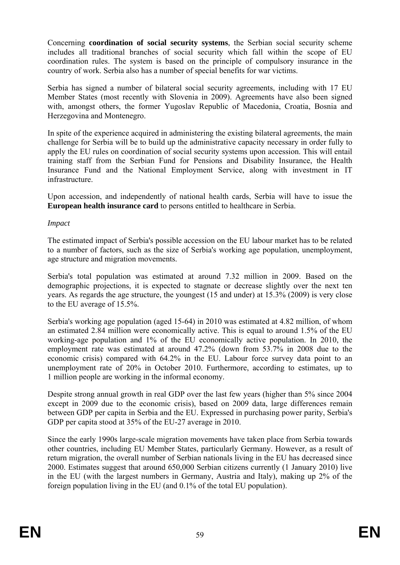Concerning **coordination of social security systems**, the Serbian social security scheme includes all traditional branches of social security which fall within the scope of EU coordination rules. The system is based on the principle of compulsory insurance in the country of work. Serbia also has a number of special benefits for war victims.

Serbia has signed a number of bilateral social security agreements, including with 17 EU Member States (most recently with Slovenia in 2009). Agreements have also been signed with, amongst others, the former Yugoslav Republic of Macedonia, Croatia, Bosnia and Herzegovina and Montenegro.

In spite of the experience acquired in administering the existing bilateral agreements, the main challenge for Serbia will be to build up the administrative capacity necessary in order fully to apply the EU rules on coordination of social security systems upon accession. This will entail training staff from the Serbian Fund for Pensions and Disability Insurance, the Health Insurance Fund and the National Employment Service, along with investment in IT infrastructure.

Upon accession, and independently of national health cards, Serbia will have to issue the **European health insurance card** to persons entitled to healthcare in Serbia.

#### *Impact*

The estimated impact of Serbia's possible accession on the EU labour market has to be related to a number of factors, such as the size of Serbia's working age population, unemployment, age structure and migration movements.

Serbia's total population was estimated at around 7.32 million in 2009. Based on the demographic projections, it is expected to stagnate or decrease slightly over the next ten years. As regards the age structure, the youngest (15 and under) at 15.3% (2009) is very close to the EU average of 15.5%.

Serbia's working age population (aged 15-64) in 2010 was estimated at 4.82 million, of whom an estimated 2.84 million were economically active. This is equal to around 1.5% of the EU working-age population and 1% of the EU economically active population. In 2010, the employment rate was estimated at around 47.2% (down from 53.7% in 2008 due to the economic crisis) compared with 64.2% in the EU. Labour force survey data point to an unemployment rate of 20% in October 2010. Furthermore, according to estimates, up to 1 million people are working in the informal economy.

Despite strong annual growth in real GDP over the last few years (higher than 5% since 2004 except in 2009 due to the economic crisis), based on 2009 data, large differences remain between GDP per capita in Serbia and the EU. Expressed in purchasing power parity, Serbia's GDP per capita stood at 35% of the EU-27 average in 2010.

Since the early 1990s large-scale migration movements have taken place from Serbia towards other countries, including EU Member States, particularly Germany. However, as a result of return migration, the overall number of Serbian nationals living in the EU has decreased since 2000. Estimates suggest that around 650,000 Serbian citizens currently (1 January 2010) live in the EU (with the largest numbers in Germany, Austria and Italy), making up 2% of the foreign population living in the EU (and 0.1% of the total EU population).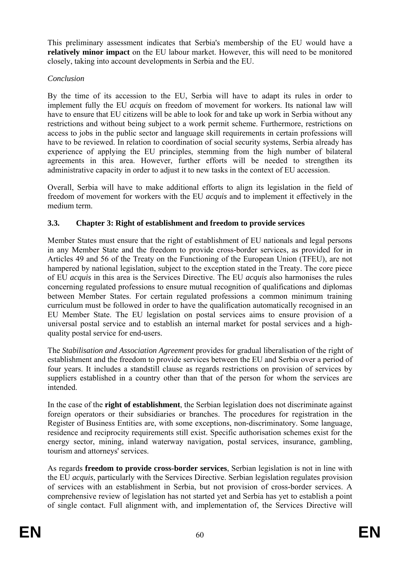This preliminary assessment indicates that Serbia's membership of the EU would have a **relatively minor impact** on the EU labour market. However, this will need to be monitored closely, taking into account developments in Serbia and the EU.

## *Conclusion*

By the time of its accession to the EU, Serbia will have to adapt its rules in order to implement fully the EU *acquis* on freedom of movement for workers. Its national law will have to ensure that EU citizens will be able to look for and take up work in Serbia without any restrictions and without being subject to a work permit scheme. Furthermore, restrictions on access to jobs in the public sector and language skill requirements in certain professions will have to be reviewed. In relation to coordination of social security systems, Serbia already has experience of applying the EU principles, stemming from the high number of bilateral agreements in this area. However, further efforts will be needed to strengthen its administrative capacity in order to adjust it to new tasks in the context of EU accession.

Overall, Serbia will have to make additional efforts to align its legislation in the field of freedom of movement for workers with the EU *acquis* and to implement it effectively in the medium term.

# **3.3. Chapter 3: Right of establishment and freedom to provide services**

Member States must ensure that the right of establishment of EU nationals and legal persons in any Member State and the freedom to provide cross-border services, as provided for in Articles 49 and 56 of the Treaty on the Functioning of the European Union (TFEU), are not hampered by national legislation, subject to the exception stated in the Treaty. The core piece of EU *acquis* in this area is the Services Directive. The EU *acquis* also harmonises the rules concerning regulated professions to ensure mutual recognition of qualifications and diplomas between Member States. For certain regulated professions a common minimum training curriculum must be followed in order to have the qualification automatically recognised in an EU Member State. The EU legislation on postal services aims to ensure provision of a universal postal service and to establish an internal market for postal services and a highquality postal service for end-users.

The *Stabilisation and Association Agreement* provides for gradual liberalisation of the right of establishment and the freedom to provide services between the EU and Serbia over a period of four years. It includes a standstill clause as regards restrictions on provision of services by suppliers established in a country other than that of the person for whom the services are intended.

In the case of the **right of establishment**, the Serbian legislation does not discriminate against foreign operators or their subsidiaries or branches. The procedures for registration in the Register of Business Entities are, with some exceptions, non-discriminatory. Some language, residence and reciprocity requirements still exist. Specific authorisation schemes exist for the energy sector, mining, inland waterway navigation, postal services, insurance, gambling, tourism and attorneys' services.

As regards **freedom to provide cross-border services**, Serbian legislation is not in line with the EU *acquis*, particularly with the Services Directive. Serbian legislation regulates provision of services with an establishment in Serbia, but not provision of cross-border services. A comprehensive review of legislation has not started yet and Serbia has yet to establish a point of single contact. Full alignment with, and implementation of, the Services Directive will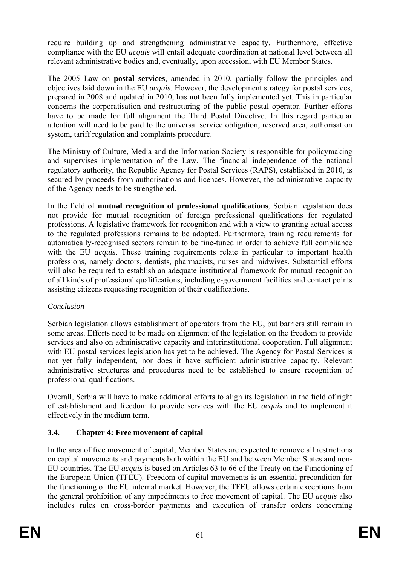require building up and strengthening administrative capacity. Furthermore, effective compliance with the EU *acquis* will entail adequate coordination at national level between all relevant administrative bodies and, eventually, upon accession, with EU Member States.

The 2005 Law on **postal services**, amended in 2010, partially follow the principles and objectives laid down in the EU *acquis*. However, the development strategy for postal services, prepared in 2008 and updated in 2010, has not been fully implemented yet. This in particular concerns the corporatisation and restructuring of the public postal operator. Further efforts have to be made for full alignment the Third Postal Directive. In this regard particular attention will need to be paid to the universal service obligation, reserved area, authorisation system, tariff regulation and complaints procedure.

The Ministry of Culture, Media and the Information Society is responsible for policymaking and supervises implementation of the Law. The financial independence of the national regulatory authority, the Republic Agency for Postal Services (RAPS), established in 2010, is secured by proceeds from authorisations and licences. However, the administrative capacity of the Agency needs to be strengthened.

In the field of **mutual recognition of professional qualifications**, Serbian legislation does not provide for mutual recognition of foreign professional qualifications for regulated professions. A legislative framework for recognition and with a view to granting actual access to the regulated professions remains to be adopted. Furthermore, training requirements for automatically-recognised sectors remain to be fine-tuned in order to achieve full compliance with the EU *acquis*. These training requirements relate in particular to important health professions, namely doctors, dentists, pharmacists, nurses and midwives. Substantial efforts will also be required to establish an adequate institutional framework for mutual recognition of all kinds of professional qualifications, including e-government facilities and contact points assisting citizens requesting recognition of their qualifications.

# *Conclusion*

Serbian legislation allows establishment of operators from the EU, but barriers still remain in some areas. Efforts need to be made on alignment of the legislation on the freedom to provide services and also on administrative capacity and interinstitutional cooperation. Full alignment with EU postal services legislation has yet to be achieved. The Agency for Postal Services is not yet fully independent, nor does it have sufficient administrative capacity. Relevant administrative structures and procedures need to be established to ensure recognition of professional qualifications.

Overall, Serbia will have to make additional efforts to align its legislation in the field of right of establishment and freedom to provide services with the EU *acquis* and to implement it effectively in the medium term.

# **3.4. Chapter 4: Free movement of capital**

In the area of free movement of capital, Member States are expected to remove all restrictions on capital movements and payments both within the EU and between Member States and non-EU countries. The EU *acquis* is based on Articles 63 to 66 of the Treaty on the Functioning of the European Union (TFEU). Freedom of capital movements is an essential precondition for the functioning of the EU internal market. However, the TFEU allows certain exceptions from the general prohibition of any impediments to free movement of capital. The EU *acquis* also includes rules on cross-border payments and execution of transfer orders concerning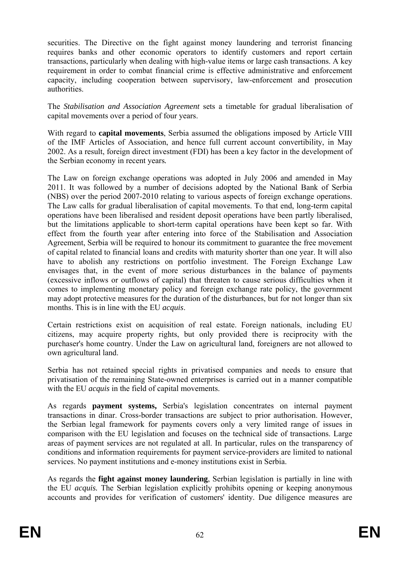securities. The Directive on the fight against money laundering and terrorist financing requires banks and other economic operators to identify customers and report certain transactions, particularly when dealing with high-value items or large cash transactions. A key requirement in order to combat financial crime is effective administrative and enforcement capacity, including cooperation between supervisory, law-enforcement and prosecution authorities.

The *Stabilisation and Association Agreement* sets a timetable for gradual liberalisation of capital movements over a period of four years.

With regard to **capital movements**, Serbia assumed the obligations imposed by Article VIII of the IMF Articles of Association, and hence full current account convertibility, in May 2002. As a result, foreign direct investment (FDI) has been a key factor in the development of the Serbian economy in recent years*.*

The Law on foreign exchange operations was adopted in July 2006 and amended in May 2011. It was followed by a number of decisions adopted by the National Bank of Serbia (NBS) over the period 2007-2010 relating to various aspects of foreign exchange operations. The Law calls for gradual liberalisation of capital movements. To that end, long-term capital operations have been liberalised and resident deposit operations have been partly liberalised, but the limitations applicable to short-term capital operations have been kept so far. With effect from the fourth year after entering into force of the Stabilisation and Association Agreement, Serbia will be required to honour its commitment to guarantee the free movement of capital related to financial loans and credits with maturity shorter than one year. It will also have to abolish any restrictions on portfolio investment. The Foreign Exchange Law envisages that, in the event of more serious disturbances in the balance of payments (excessive inflows or outflows of capital) that threaten to cause serious difficulties when it comes to implementing monetary policy and foreign exchange rate policy, the government may adopt protective measures for the duration of the disturbances, but for not longer than six months. This is in line with the EU *acquis*.

Certain restrictions exist on acquisition of real estate. Foreign nationals, including EU citizens, may acquire property rights, but only provided there is reciprocity with the purchaser's home country. Under the Law on agricultural land, foreigners are not allowed to own agricultural land.

Serbia has not retained special rights in privatised companies and needs to ensure that privatisation of the remaining State-owned enterprises is carried out in a manner compatible with the EU *acquis* in the field of capital movements.

As regards **payment systems,** Serbia's legislation concentrates on internal payment transactions in dinar. Cross-border transactions are subject to prior authorisation. However, the Serbian legal framework for payments covers only a very limited range of issues in comparison with the EU legislation and focuses on the technical side of transactions. Large areas of payment services are not regulated at all. In particular, rules on the transparency of conditions and information requirements for payment service-providers are limited to national services. No payment institutions and e-money institutions exist in Serbia.

As regards the **fight against money laundering**, Serbian legislation is partially in line with the EU *acquis.* The Serbian legislation explicitly prohibits opening or keeping anonymous accounts and provides for verification of customers' identity. Due diligence measures are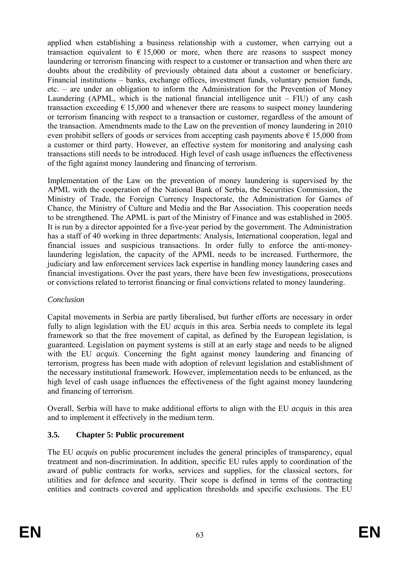applied when establishing a business relationship with a customer, when carrying out a transaction equivalent to  $\epsilon$  15,000 or more, when there are reasons to suspect money laundering or terrorism financing with respect to a customer or transaction and when there are doubts about the credibility of previously obtained data about a customer or beneficiary. Financial institutions – banks, exchange offices, investment funds, voluntary pension funds, etc. – are under an obligation to inform the Administration for the Prevention of Money Laundering (APML, which is the national financial intelligence unit  $-$  FIU) of any cash transaction exceeding  $\epsilon$  15,000 and whenever there are reasons to suspect money laundering or terrorism financing with respect to a transaction or customer, regardless of the amount of the transaction. Amendments made to the Law on the prevention of money laundering in 2010 even prohibit sellers of goods or services from accepting cash payments above  $\epsilon$  15,000 from a customer or third party. However, an effective system for monitoring and analysing cash transactions still needs to be introduced. High level of cash usage influences the effectiveness of the fight against money laundering and financing of terrorism.

Implementation of the Law on the prevention of money laundering is supervised by the APML with the cooperation of the National Bank of Serbia, the Securities Commission, the Ministry of Trade, the Foreign Currency Inspectorate, the Administration for Games of Chance, the Ministry of Culture and Media and the Bar Association. This cooperation needs to be strengthened. The APML is part of the Ministry of Finance and was established in 2005. It is run by a director appointed for a five-year period by the government. The Administration has a staff of 40 working in three departments: Analysis, International cooperation, legal and financial issues and suspicious transactions. In order fully to enforce the anti-moneylaundering legislation, the capacity of the APML needs to be increased. Furthermore, the judiciary and law enforcement services lack expertise in handling money laundering cases and financial investigations. Over the past years, there have been few investigations, prosecutions or convictions related to terrorist financing or final convictions related to money laundering.

## *Conclusion*

Capital movements in Serbia are partly liberalised, but further efforts are necessary in order fully to align legislation with the EU *acquis* in this area. Serbia needs to complete its legal framework so that the free movement of capital, as defined by the European legislation, is guaranteed. Legislation on payment systems is still at an early stage and needs to be aligned with the EU *acquis*. Concerning the fight against money laundering and financing of terrorism, progress has been made with adoption of relevant legislation and establishment of the necessary institutional framework. However, implementation needs to be enhanced, as the high level of cash usage influences the effectiveness of the fight against money laundering and financing of terrorism.

Overall, Serbia will have to make additional efforts to align with the EU *acquis* in this area and to implement it effectively in the medium term.

# **3.5. Chapter 5: Public procurement**

The EU *acquis* on public procurement includes the general principles of transparency, equal treatment and non-discrimination. In addition, specific EU rules apply to coordination of the award of public contracts for works, services and supplies, for the classical sectors, for utilities and for defence and security. Their scope is defined in terms of the contracting entities and contracts covered and application thresholds and specific exclusions. The EU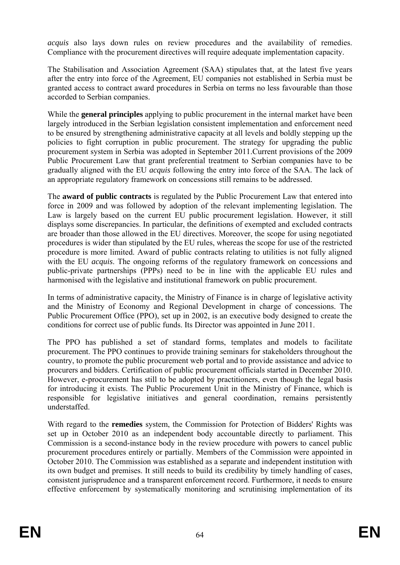*acquis* also lays down rules on review procedures and the availability of remedies. Compliance with the procurement directives will require adequate implementation capacity.

The Stabilisation and Association Agreement (SAA) stipulates that, at the latest five years after the entry into force of the Agreement, EU companies not established in Serbia must be granted access to contract award procedures in Serbia on terms no less favourable than those accorded to Serbian companies.

While the **general principles** applying to public procurement in the internal market have been largely introduced in the Serbian legislation consistent implementation and enforcement need to be ensured by strengthening administrative capacity at all levels and boldly stepping up the policies to fight corruption in public procurement. The strategy for upgrading the public procurement system in Serbia was adopted in September 2011.Current provisions of the 2009 Public Procurement Law that grant preferential treatment to Serbian companies have to be gradually aligned with the EU *acquis* following the entry into force of the SAA. The lack of an appropriate regulatory framework on concessions still remains to be addressed.

The **award of public contracts** is regulated by the Public Procurement Law that entered into force in 2009 and was followed by adoption of the relevant implementing legislation. The Law is largely based on the current EU public procurement legislation. However, it still displays some discrepancies. In particular, the definitions of exempted and excluded contracts are broader than those allowed in the EU directives. Moreover, the scope for using negotiated procedures is wider than stipulated by the EU rules, whereas the scope for use of the restricted procedure is more limited. Award of public contracts relating to utilities is not fully aligned with the EU *acquis*. The ongoing reforms of the regulatory framework on concessions and public-private partnerships (PPPs) need to be in line with the applicable EU rules and harmonised with the legislative and institutional framework on public procurement.

In terms of administrative capacity, the Ministry of Finance is in charge of legislative activity and the Ministry of Economy and Regional Development in charge of concessions. The Public Procurement Office (PPO), set up in 2002, is an executive body designed to create the conditions for correct use of public funds. Its Director was appointed in June 2011.

The PPO has published a set of standard forms, templates and models to facilitate procurement. The PPO continues to provide training seminars for stakeholders throughout the country, to promote the public procurement web portal and to provide assistance and advice to procurers and bidders. Certification of public procurement officials started in December 2010. However, e-procurement has still to be adopted by practitioners, even though the legal basis for introducing it exists. The Public Procurement Unit in the Ministry of Finance, which is responsible for legislative initiatives and general coordination, remains persistently understaffed.

With regard to the **remedies** system, the Commission for Protection of Bidders' Rights was set up in October 2010 as an independent body accountable directly to parliament. This Commission is a second-instance body in the review procedure with powers to cancel public procurement procedures entirely or partially. Members of the Commission were appointed in October 2010. The Commission was established as a separate and independent institution with its own budget and premises. It still needs to build its credibility by timely handling of cases, consistent jurisprudence and a transparent enforcement record. Furthermore, it needs to ensure effective enforcement by systematically monitoring and scrutinising implementation of its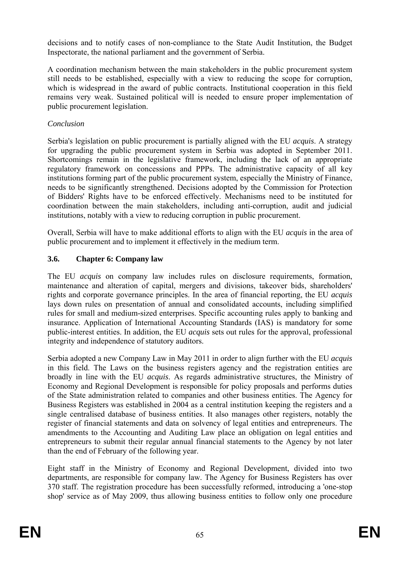decisions and to notify cases of non-compliance to the State Audit Institution, the Budget Inspectorate, the national parliament and the government of Serbia.

A coordination mechanism between the main stakeholders in the public procurement system still needs to be established, especially with a view to reducing the scope for corruption, which is widespread in the award of public contracts. Institutional cooperation in this field remains very weak. Sustained political will is needed to ensure proper implementation of public procurement legislation.

## *Conclusion*

Serbia's legislation on public procurement is partially aligned with the EU *acquis*. A strategy for upgrading the public procurement system in Serbia was adopted in September 2011. Shortcomings remain in the legislative framework, including the lack of an appropriate regulatory framework on concessions and PPPs. The administrative capacity of all key institutions forming part of the public procurement system, especially the Ministry of Finance, needs to be significantly strengthened. Decisions adopted by the Commission for Protection of Bidders' Rights have to be enforced effectively. Mechanisms need to be instituted for coordination between the main stakeholders, including anti-corruption, audit and judicial institutions, notably with a view to reducing corruption in public procurement.

Overall, Serbia will have to make additional efforts to align with the EU *acquis* in the area of public procurement and to implement it effectively in the medium term.

# **3.6. Chapter 6: Company law**

The EU *acquis* on company law includes rules on disclosure requirements, formation, maintenance and alteration of capital, mergers and divisions, takeover bids, shareholders' rights and corporate governance principles. In the area of financial reporting, the EU *acquis* lays down rules on presentation of annual and consolidated accounts, including simplified rules for small and medium-sized enterprises. Specific accounting rules apply to banking and insurance. Application of International Accounting Standards (IAS) is mandatory for some public-interest entities. In addition, the EU *acquis* sets out rules for the approval, professional integrity and independence of statutory auditors.

Serbia adopted a new Company Law in May 2011 in order to align further with the EU *acquis* in this field. The Laws on the business registers agency and the registration entities are broadly in line with the EU *acquis*. As regards administrative structures, the Ministry of Economy and Regional Development is responsible for policy proposals and performs duties of the State administration related to companies and other business entities. The Agency for Business Registers was established in 2004 as a central institution keeping the registers and a single centralised database of business entities. It also manages other registers, notably the register of financial statements and data on solvency of legal entities and entrepreneurs. The amendments to the Accounting and Auditing Law place an obligation on legal entities and entrepreneurs to submit their regular annual financial statements to the Agency by not later than the end of February of the following year.

Eight staff in the Ministry of Economy and Regional Development, divided into two departments, are responsible for company law. The Agency for Business Registers has over 370 staff. The registration procedure has been successfully reformed, introducing a 'one-stop shop' service as of May 2009, thus allowing business entities to follow only one procedure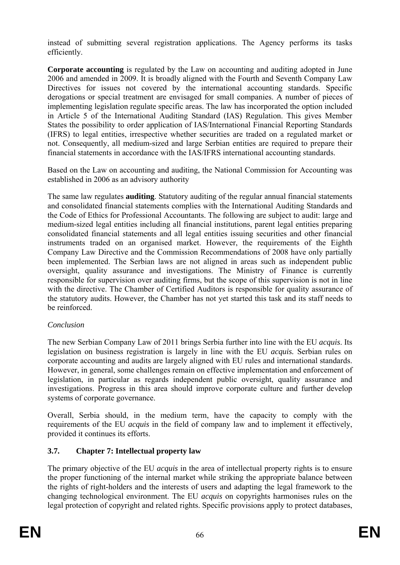instead of submitting several registration applications. The Agency performs its tasks efficiently.

**Corporate accounting** is regulated by the Law on accounting and auditing adopted in June 2006 and amended in 2009. It is broadly aligned with the Fourth and Seventh Company Law Directives for issues not covered by the international accounting standards. Specific derogations or special treatment are envisaged for small companies. A number of pieces of implementing legislation regulate specific areas. The law has incorporated the option included in Article 5 of the International Auditing Standard (IAS) Regulation. This gives Member States the possibility to order application of IAS/International Financial Reporting Standards (IFRS) to legal entities, irrespective whether securities are traded on a regulated market or not. Consequently, all medium-sized and large Serbian entities are required to prepare their financial statements in accordance with the IAS/IFRS international accounting standards.

Based on the Law on accounting and auditing, the National Commission for Accounting was established in 2006 as an advisory authority

The same law regulates **auditing**. Statutory auditing of the regular annual financial statements and consolidated financial statements complies with the International Auditing Standards and the Code of Ethics for Professional Accountants. The following are subject to audit: large and medium-sized legal entities including all financial institutions, parent legal entities preparing consolidated financial statements and all legal entities issuing securities and other financial instruments traded on an organised market. However, the requirements of the Eighth Company Law Directive and the Commission Recommendations of 2008 have only partially been implemented. The Serbian laws are not aligned in areas such as independent public oversight, quality assurance and investigations. The Ministry of Finance is currently responsible for supervision over auditing firms, but the scope of this supervision is not in line with the directive. The Chamber of Certified Auditors is responsible for quality assurance of the statutory audits. However, the Chamber has not yet started this task and its staff needs to be reinforced.

## *Conclusion*

The new Serbian Company Law of 2011 brings Serbia further into line with the EU *acquis*. Its legislation on business registration is largely in line with the EU *acquis.* Serbian rules on corporate accounting and audits are largely aligned with EU rules and international standards. However, in general, some challenges remain on effective implementation and enforcement of legislation, in particular as regards independent public oversight, quality assurance and investigations. Progress in this area should improve corporate culture and further develop systems of corporate governance.

Overall, Serbia should, in the medium term, have the capacity to comply with the requirements of the EU *acquis* in the field of company law and to implement it effectively, provided it continues its efforts.

# **3.7. Chapter 7: Intellectual property law**

The primary objective of the EU *acquis* in the area of intellectual property rights is to ensure the proper functioning of the internal market while striking the appropriate balance between the rights of right-holders and the interests of users and adapting the legal framework to the changing technological environment. The EU *acquis* on copyrights harmonises rules on the legal protection of copyright and related rights. Specific provisions apply to protect databases,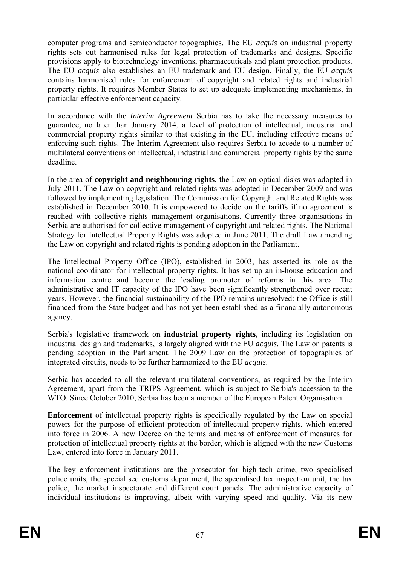computer programs and semiconductor topographies. The EU *acquis* on industrial property rights sets out harmonised rules for legal protection of trademarks and designs. Specific provisions apply to biotechnology inventions, pharmaceuticals and plant protection products. The EU *acquis* also establishes an EU trademark and EU design. Finally, the EU *acquis*  contains harmonised rules for enforcement of copyright and related rights and industrial property rights. It requires Member States to set up adequate implementing mechanisms, in particular effective enforcement capacity.

In accordance with the *Interim Agreement* Serbia has to take the necessary measures to guarantee, no later than January 2014, a level of protection of intellectual, industrial and commercial property rights similar to that existing in the EU, including effective means of enforcing such rights. The Interim Agreement also requires Serbia to accede to a number of multilateral conventions on intellectual, industrial and commercial property rights by the same deadline.

In the area of **copyright and neighbouring rights**, the Law on optical disks was adopted in July 2011. The Law on copyright and related rights was adopted in December 2009 and was followed by implementing legislation. The Commission for Copyright and Related Rights was established in December 2010. It is empowered to decide on the tariffs if no agreement is reached with collective rights management organisations. Currently three organisations in Serbia are authorised for collective management of copyright and related rights. The National Strategy for Intellectual Property Rights was adopted in June 2011. The draft Law amending the Law on copyright and related rights is pending adoption in the Parliament.

The Intellectual Property Office (IPO), established in 2003, has asserted its role as the national coordinator for intellectual property rights. It has set up an in-house education and information centre and become the leading promoter of reforms in this area. The administrative and IT capacity of the IPO have been significantly strengthened over recent years. However, the financial sustainability of the IPO remains unresolved: the Office is still financed from the State budget and has not yet been established as a financially autonomous agency.

Serbia's legislative framework on **industrial property rights,** including its legislation on industrial design and trademarks, is largely aligned with the EU *acquis.* The Law on patents is pending adoption in the Parliament. The 2009 Law on the protection of topographies of integrated circuits, needs to be further harmonized to the EU *acquis*.

Serbia has acceded to all the relevant multilateral conventions, as required by the Interim Agreement, apart from the TRIPS Agreement, which is subject to Serbia's accession to the WTO. Since October 2010, Serbia has been a member of the European Patent Organisation.

**Enforcement** of intellectual property rights is specifically regulated by the Law on special powers for the purpose of efficient protection of intellectual property rights, which entered into force in 2006. A new Decree on the terms and means of enforcement of measures for protection of intellectual property rights at the border, which is aligned with the new Customs Law, entered into force in January 2011.

The key enforcement institutions are the prosecutor for high-tech crime, two specialised police units, the specialised customs department, the specialised tax inspection unit, the tax police, the market inspectorate and different court panels. The administrative capacity of individual institutions is improving, albeit with varying speed and quality. Via its new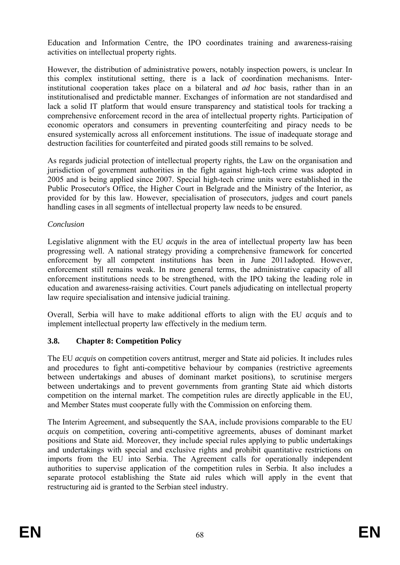Education and Information Centre, the IPO coordinates training and awareness-raising activities on intellectual property rights.

However, the distribution of administrative powers, notably inspection powers, is unclear. In this complex institutional setting, there is a lack of coordination mechanisms. Interinstitutional cooperation takes place on a bilateral and *ad hoc* basis, rather than in an institutionalised and predictable manner. Exchanges of information are not standardised and lack a solid IT platform that would ensure transparency and statistical tools for tracking a comprehensive enforcement record in the area of intellectual property rights. Participation of economic operators and consumers in preventing counterfeiting and piracy needs to be ensured systemically across all enforcement institutions. The issue of inadequate storage and destruction facilities for counterfeited and pirated goods still remains to be solved.

As regards judicial protection of intellectual property rights, the Law on the organisation and jurisdiction of government authorities in the fight against high-tech crime was adopted in 2005 and is being applied since 2007. Special high-tech crime units were established in the Public Prosecutor's Office, the Higher Court in Belgrade and the Ministry of the Interior, as provided for by this law. However, specialisation of prosecutors, judges and court panels handling cases in all segments of intellectual property law needs to be ensured.

## *Conclusion*

Legislative alignment with the EU *acquis* in the area of intellectual property law has been progressing well. A national strategy providing a comprehensive framework for concerted enforcement by all competent institutions has been in June 2011adopted. However, enforcement still remains weak. In more general terms, the administrative capacity of all enforcement institutions needs to be strengthened, with the IPO taking the leading role in education and awareness-raising activities. Court panels adjudicating on intellectual property law require specialisation and intensive judicial training.

Overall, Serbia will have to make additional efforts to align with the EU *acquis* and to implement intellectual property law effectively in the medium term.

# **3.8. Chapter 8: Competition Policy**

The EU *acquis* on competition covers antitrust, merger and State aid policies. It includes rules and procedures to fight anti-competitive behaviour by companies (restrictive agreements between undertakings and abuses of dominant market positions), to scrutinise mergers between undertakings and to prevent governments from granting State aid which distorts competition on the internal market. The competition rules are directly applicable in the EU, and Member States must cooperate fully with the Commission on enforcing them.

The Interim Agreement, and subsequently the SAA, include provisions comparable to the EU *acquis* on competition, covering anti-competitive agreements, abuses of dominant market positions and State aid. Moreover, they include special rules applying to public undertakings and undertakings with special and exclusive rights and prohibit quantitative restrictions on imports from the EU into Serbia. The Agreement calls for operationally independent authorities to supervise application of the competition rules in Serbia. It also includes a separate protocol establishing the State aid rules which will apply in the event that restructuring aid is granted to the Serbian steel industry.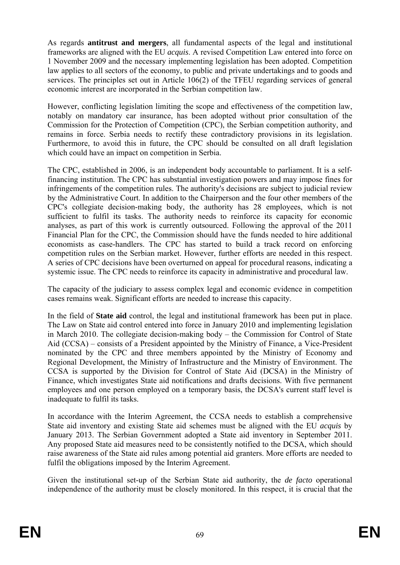As regards **antitrust and mergers**, all fundamental aspects of the legal and institutional frameworks are aligned with the EU *acquis*. A revised Competition Law entered into force on 1 November 2009 and the necessary implementing legislation has been adopted. Competition law applies to all sectors of the economy, to public and private undertakings and to goods and services. The principles set out in Article 106(2) of the TFEU regarding services of general economic interest are incorporated in the Serbian competition law.

However, conflicting legislation limiting the scope and effectiveness of the competition law, notably on mandatory car insurance, has been adopted without prior consultation of the Commission for the Protection of Competition (CPC), the Serbian competition authority, and remains in force. Serbia needs to rectify these contradictory provisions in its legislation. Furthermore, to avoid this in future, the CPC should be consulted on all draft legislation which could have an impact on competition in Serbia.

The CPC, established in 2006, is an independent body accountable to parliament. It is a selffinancing institution. The CPC has substantial investigation powers and may impose fines for infringements of the competition rules. The authority's decisions are subject to judicial review by the Administrative Court. In addition to the Chairperson and the four other members of the CPC's collegiate decision-making body, the authority has 28 employees, which is not sufficient to fulfil its tasks. The authority needs to reinforce its capacity for economic analyses, as part of this work is currently outsourced. Following the approval of the 2011 Financial Plan for the CPC, the Commission should have the funds needed to hire additional economists as case-handlers. The CPC has started to build a track record on enforcing competition rules on the Serbian market. However, further efforts are needed in this respect. A series of CPC decisions have been overturned on appeal for procedural reasons, indicating a systemic issue. The CPC needs to reinforce its capacity in administrative and procedural law.

The capacity of the judiciary to assess complex legal and economic evidence in competition cases remains weak. Significant efforts are needed to increase this capacity.

In the field of **State aid** control, the legal and institutional framework has been put in place. The Law on State aid control entered into force in January 2010 and implementing legislation in March 2010. The collegiate decision-making body – the Commission for Control of State Aid (CCSA) – consists of a President appointed by the Ministry of Finance, a Vice-President nominated by the CPC and three members appointed by the Ministry of Economy and Regional Development, the Ministry of Infrastructure and the Ministry of Environment. The CCSA is supported by the Division for Control of State Aid (DCSA) in the Ministry of Finance, which investigates State aid notifications and drafts decisions. With five permanent employees and one person employed on a temporary basis, the DCSA's current staff level is inadequate to fulfil its tasks.

In accordance with the Interim Agreement, the CCSA needs to establish a comprehensive State aid inventory and existing State aid schemes must be aligned with the EU *acquis* by January 2013. The Serbian Government adopted a State aid inventory in September 2011. Any proposed State aid measures need to be consistently notified to the DCSA, which should raise awareness of the State aid rules among potential aid granters. More efforts are needed to fulfil the obligations imposed by the Interim Agreement.

Given the institutional set-up of the Serbian State aid authority, the *de facto* operational independence of the authority must be closely monitored. In this respect, it is crucial that the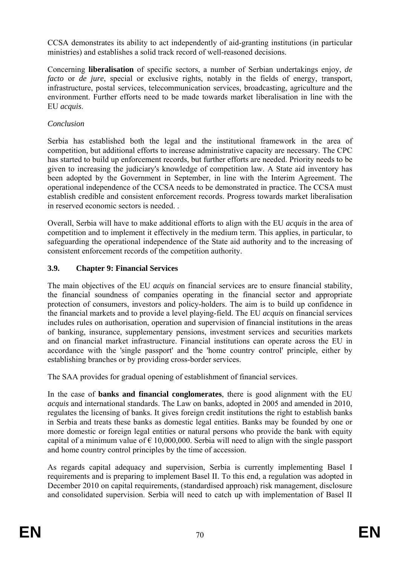CCSA demonstrates its ability to act independently of aid-granting institutions (in particular ministries) and establishes a solid track record of well-reasoned decisions.

Concerning **liberalisation** of specific sectors, a number of Serbian undertakings enjoy, *de facto* or *de jure*, special or exclusive rights, notably in the fields of energy, transport, infrastructure, postal services, telecommunication services, broadcasting, agriculture and the environment. Further efforts need to be made towards market liberalisation in line with the EU *acquis*.

## *Conclusion*

Serbia has established both the legal and the institutional framework in the area of competition, but additional efforts to increase administrative capacity are necessary. The CPC has started to build up enforcement records, but further efforts are needed. Priority needs to be given to increasing the judiciary's knowledge of competition law. A State aid inventory has been adopted by the Government in September, in line with the Interim Agreement. The operational independence of the CCSA needs to be demonstrated in practice. The CCSA must establish credible and consistent enforcement records. Progress towards market liberalisation in reserved economic sectors is needed.

Overall, Serbia will have to make additional efforts to align with the EU *acquis* in the area of competition and to implement it effectively in the medium term. This applies, in particular, to safeguarding the operational independence of the State aid authority and to the increasing of consistent enforcement records of the competition authority.

# **3.9. Chapter 9: Financial Services**

The main objectives of the EU *acquis* on financial services are to ensure financial stability, the financial soundness of companies operating in the financial sector and appropriate protection of consumers, investors and policy-holders. The aim is to build up confidence in the financial markets and to provide a level playing-field. The EU *acquis* on financial services includes rules on authorisation, operation and supervision of financial institutions in the areas of banking, insurance, supplementary pensions, investment services and securities markets and on financial market infrastructure. Financial institutions can operate across the EU in accordance with the 'single passport' and the 'home country control' principle, either by establishing branches or by providing cross-border services.

The SAA provides for gradual opening of establishment of financial services.

In the case of **banks and financial conglomerates**, there is good alignment with the EU *acquis* and international standards. The Law on banks, adopted in 2005 and amended in 2010, regulates the licensing of banks. It gives foreign credit institutions the right to establish banks in Serbia and treats these banks as domestic legal entities. Banks may be founded by one or more domestic or foreign legal entities or natural persons who provide the bank with equity capital of a minimum value of  $\epsilon$  10,000,000. Serbia will need to align with the single passport and home country control principles by the time of accession.

As regards capital adequacy and supervision, Serbia is currently implementing Basel I requirements and is preparing to implement Basel II. To this end, a regulation was adopted in December 2010 on capital requirements, (standardised approach) risk management, disclosure and consolidated supervision. Serbia will need to catch up with implementation of Basel II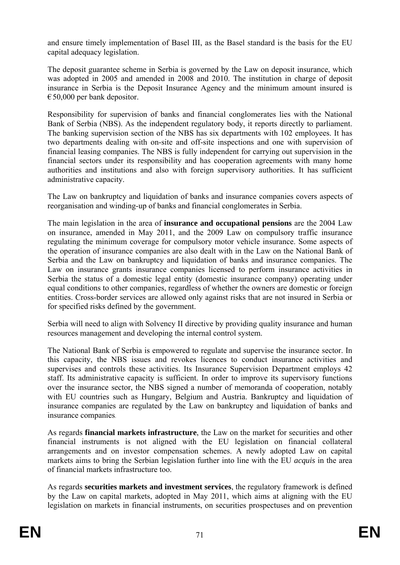and ensure timely implementation of Basel III, as the Basel standard is the basis for the EU capital adequacy legislation.

The deposit guarantee scheme in Serbia is governed by the Law on deposit insurance, which was adopted in 2005 and amended in 2008 and 2010. The institution in charge of deposit insurance in Serbia is the Deposit Insurance Agency and the minimum amount insured is  $\epsilon$ 50,000 per bank depositor.

Responsibility for supervision of banks and financial conglomerates lies with the National Bank of Serbia (NBS). As the independent regulatory body, it reports directly to parliament. The banking supervision section of the NBS has six departments with 102 employees. It has two departments dealing with on-site and off-site inspections and one with supervision of financial leasing companies. The NBS is fully independent for carrying out supervision in the financial sectors under its responsibility and has cooperation agreements with many home authorities and institutions and also with foreign supervisory authorities. It has sufficient administrative capacity.

The Law on bankruptcy and liquidation of banks and insurance companies covers aspects of reorganisation and winding-up of banks and financial conglomerates in Serbia.

The main legislation in the area of **insurance and occupational pensions** are the 2004 Law on insurance, amended in May 2011, and the 2009 Law on compulsory traffic insurance regulating the minimum coverage for compulsory motor vehicle insurance. Some aspects of the operation of insurance companies are also dealt with in the Law on the National Bank of Serbia and the Law on bankruptcy and liquidation of banks and insurance companies. The Law on insurance grants insurance companies licensed to perform insurance activities in Serbia the status of a domestic legal entity (domestic insurance company) operating under equal conditions to other companies, regardless of whether the owners are domestic or foreign entities. Cross-border services are allowed only against risks that are not insured in Serbia or for specified risks defined by the government.

Serbia will need to align with Solvency II directive by providing quality insurance and human resources management and developing the internal control system.

The National Bank of Serbia is empowered to regulate and supervise the insurance sector. In this capacity, the NBS issues and revokes licences to conduct insurance activities and supervises and controls these activities. Its Insurance Supervision Department employs 42 staff. Its administrative capacity is sufficient. In order to improve its supervisory functions over the insurance sector, the NBS signed a number of memoranda of cooperation, notably with EU countries such as Hungary, Belgium and Austria. Bankruptcy and liquidation of insurance companies are regulated by the Law on bankruptcy and liquidation of banks and insurance companies.

As regards **financial markets infrastructure**, the Law on the market for securities and other financial instruments is not aligned with the EU legislation on financial collateral arrangements and on investor compensation schemes. A newly adopted Law on capital markets aims to bring the Serbian legislation further into line with the EU *acquis* in the area of financial markets infrastructure too.

As regards **securities markets and investment services**, the regulatory framework is defined by the Law on capital markets, adopted in May 2011, which aims at aligning with the EU legislation on markets in financial instruments, on securities prospectuses and on prevention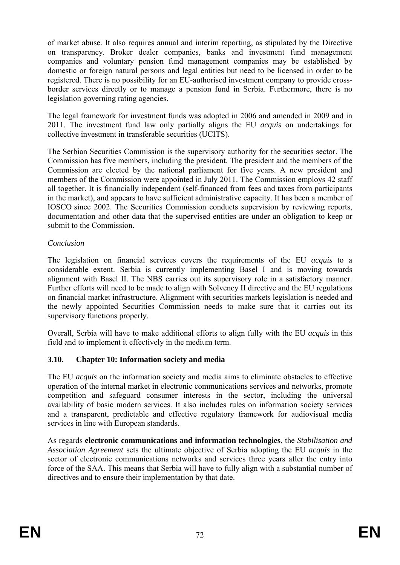of market abuse. It also requires annual and interim reporting, as stipulated by the Directive on transparency. Broker dealer companies, banks and investment fund management companies and voluntary pension fund management companies may be established by domestic or foreign natural persons and legal entities but need to be licensed in order to be registered. There is no possibility for an EU-authorised investment company to provide crossborder services directly or to manage a pension fund in Serbia. Furthermore, there is no legislation governing rating agencies.

The legal framework for investment funds was adopted in 2006 and amended in 2009 and in 2011. The investment fund law only partially aligns the EU *acquis* on undertakings for collective investment in transferable securities (UCITS).

The Serbian Securities Commission is the supervisory authority for the securities sector. The Commission has five members, including the president. The president and the members of the Commission are elected by the national parliament for five years. A new president and members of the Commission were appointed in July 2011. The Commission employs 42 staff all together. It is financially independent (self-financed from fees and taxes from participants in the market), and appears to have sufficient administrative capacity. It has been a member of IOSCO since 2002. The Securities Commission conducts supervision by reviewing reports, documentation and other data that the supervised entities are under an obligation to keep or submit to the Commission.

#### *Conclusion*

The legislation on financial services covers the requirements of the EU *acquis* to a considerable extent. Serbia is currently implementing Basel I and is moving towards alignment with Basel II. The NBS carries out its supervisory role in a satisfactory manner. Further efforts will need to be made to align with Solvency II directive and the EU regulations on financial market infrastructure. Alignment with securities markets legislation is needed and the newly appointed Securities Commission needs to make sure that it carries out its supervisory functions properly.

Overall, Serbia will have to make additional efforts to align fully with the EU *acquis* in this field and to implement it effectively in the medium term.

# **3.10. Chapter 10: Information society and media**

The EU *acquis* on the information society and media aims to eliminate obstacles to effective operation of the internal market in electronic communications services and networks, promote competition and safeguard consumer interests in the sector, including the universal availability of basic modern services. It also includes rules on information society services and a transparent, predictable and effective regulatory framework for audiovisual media services in line with European standards.

As regards **electronic communications and information technologies**, the *Stabilisation and Association Agreement* sets the ultimate objective of Serbia adopting the EU *acquis* in the sector of electronic communications networks and services three years after the entry into force of the SAA. This means that Serbia will have to fully align with a substantial number of directives and to ensure their implementation by that date.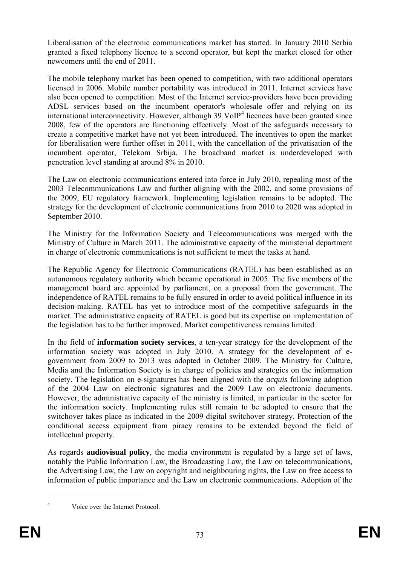Liberalisation of the electronic communications market has started. In January 2010 Serbia granted a fixed telephony licence to a second operator, but kept the market closed for other newcomers until the end of 2011.

The mobile telephony market has been opened to competition, with two additional operators licensed in 2006. Mobile number portability was introduced in 2011. Internet services have also been opened to competition. Most of the Internet service-providers have been providing ADSL services based on the incumbent operator's wholesale offer and relying on its international interconnectivity. However, although 39 VoIP<sup>[4](#page-34-0)</sup> licences have been granted since 2008, few of the operators are functioning effectively. Most of the safeguards necessary to create a competitive market have not yet been introduced. The incentives to open the market for liberalisation were further offset in 2011, with the cancellation of the privatisation of the incumbent operator, Telekom Srbija. The broadband market is underdeveloped with penetration level standing at around 8% in 2010.

The Law on electronic communications entered into force in July 2010, repealing most of the 2003 Telecommunications Law and further aligning with the 2002, and some provisions of the 2009, EU regulatory framework. Implementing legislation remains to be adopted. The strategy for the development of electronic communications from 2010 to 2020 was adopted in September 2010.

The Ministry for the Information Society and Telecommunications was merged with the Ministry of Culture in March 2011. The administrative capacity of the ministerial department in charge of electronic communications is not sufficient to meet the tasks at hand.

The Republic Agency for Electronic Communications (RATEL) has been established as an autonomous regulatory authority which became operational in 2005. The five members of the management board are appointed by parliament, on a proposal from the government. The independence of RATEL remains to be fully ensured in order to avoid political influence in its decision-making. RATEL has yet to introduce most of the competitive safeguards in the market. The administrative capacity of RATEL is good but its expertise on implementation of the legislation has to be further improved. Market competitiveness remains limited.

In the field of **information society services**, a ten-year strategy for the development of the information society was adopted in July 2010. A strategy for the development of egovernment from 2009 to 2013 was adopted in October 2009. The Ministry for Culture, Media and the Information Society is in charge of policies and strategies on the information society. The legislation on e-signatures has been aligned with the *acquis* following adoption of the 2004 Law on electronic signatures and the 2009 Law on electronic documents. However, the administrative capacity of the ministry is limited, in particular in the sector for the information society. Implementing rules still remain to be adopted to ensure that the switchover takes place as indicated in the 2009 digital switchover strategy. Protection of the conditional access equipment from piracy remains to be extended beyond the field of intellectual property.

As regards **audiovisual policy**, the media environment is regulated by a large set of laws, notably the Public Information Law, the Broadcasting Law, the Law on telecommunications, the Advertising Law, the Law on copyright and neighbouring rights, the Law on free access to information of public importance and the Law on electronic communications. Adoption of the

4

1

Voice over the Internet Protocol.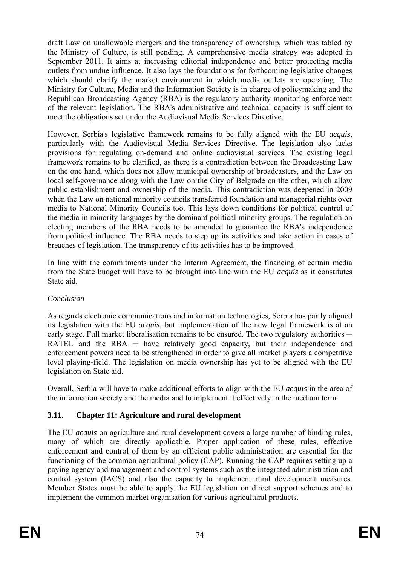draft Law on unallowable mergers and the transparency of ownership, which was tabled by the Ministry of Culture, is still pending. A comprehensive media strategy was adopted in September 2011. It aims at increasing editorial independence and better protecting media outlets from undue influence. It also lays the foundations for forthcoming legislative changes which should clarify the market environment in which media outlets are operating. The Ministry for Culture, Media and the Information Society is in charge of policymaking and the Republican Broadcasting Agency (RBA) is the regulatory authority monitoring enforcement of the relevant legislation. The RBA's administrative and technical capacity is sufficient to meet the obligations set under the Audiovisual Media Services Directive.

However, Serbia's legislative framework remains to be fully aligned with the EU *acquis*, particularly with the Audiovisual Media Services Directive. The legislation also lacks provisions for regulating on-demand and online audiovisual services. The existing legal framework remains to be clarified, as there is a contradiction between the Broadcasting Law on the one hand, which does not allow municipal ownership of broadcasters, and the Law on local self-governance along with the Law on the City of Belgrade on the other, which allow public establishment and ownership of the media. This contradiction was deepened in 2009 when the Law on national minority councils transferred foundation and managerial rights over media to National Minority Councils too. This lays down conditions for political control of the media in minority languages by the dominant political minority groups. The regulation on electing members of the RBA needs to be amended to guarantee the RBA's independence from political influence. The RBA needs to step up its activities and take action in cases of breaches of legislation. The transparency of its activities has to be improved.

In line with the commitments under the Interim Agreement, the financing of certain media from the State budget will have to be brought into line with the EU *acquis* as it constitutes State aid.

# *Conclusion*

As regards electronic communications and information technologies, Serbia has partly aligned its legislation with the EU *acquis*, but implementation of the new legal framework is at an early stage. Full market liberalisation remains to be ensured. The two regulatory authorities  $-$ RATEL and the  $RBA$  — have relatively good capacity, but their independence and enforcement powers need to be strengthened in order to give all market players a competitive level playing-field. The legislation on media ownership has yet to be aligned with the EU legislation on State aid.

Overall, Serbia will have to make additional efforts to align with the EU *acquis* in the area of the information society and the media and to implement it effectively in the medium term.

# **3.11. Chapter 11: Agriculture and rural development**

The EU *acquis* on agriculture and rural development covers a large number of binding rules, many of which are directly applicable. Proper application of these rules, effective enforcement and control of them by an efficient public administration are essential for the functioning of the common agricultural policy (CAP). Running the CAP requires setting up a paying agency and management and control systems such as the integrated administration and control system (IACS) and also the capacity to implement rural development measures. Member States must be able to apply the EU legislation on direct support schemes and to implement the common market organisation for various agricultural products.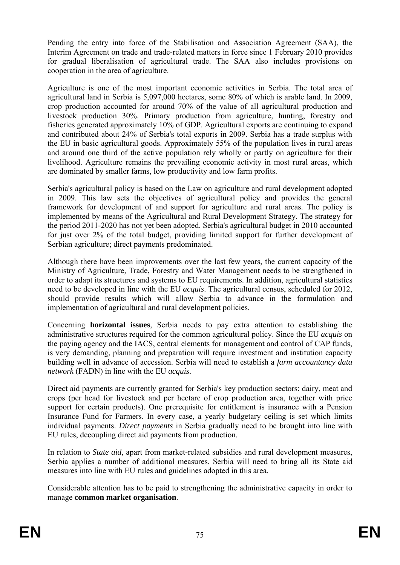Pending the entry into force of the Stabilisation and Association Agreement (SAA), the Interim Agreement on trade and trade-related matters in force since 1 February 2010 provides for gradual liberalisation of agricultural trade. The SAA also includes provisions on cooperation in the area of agriculture.

Agriculture is one of the most important economic activities in Serbia. The total area of agricultural land in Serbia is 5,097,000 hectares, some 80% of which is arable land. In 2009, crop production accounted for around 70% of the value of all agricultural production and livestock production 30%. Primary production from agriculture, hunting, forestry and fisheries generated approximately 10% of GDP. Agricultural exports are continuing to expand and contributed about 24% of Serbia's total exports in 2009. Serbia has a trade surplus with the EU in basic agricultural goods. Approximately 55% of the population lives in rural areas and around one third of the active population rely wholly or partly on agriculture for their livelihood. Agriculture remains the prevailing economic activity in most rural areas, which are dominated by smaller farms, low productivity and low farm profits.

Serbia's agricultural policy is based on the Law on agriculture and rural development adopted in 2009. This law sets the objectives of agricultural policy and provides the general framework for development of and support for agriculture and rural areas. The policy is implemented by means of the Agricultural and Rural Development Strategy. The strategy for the period 2011-2020 has not yet been adopted. Serbia's agricultural budget in 2010 accounted for just over 2% of the total budget, providing limited support for further development of Serbian agriculture; direct payments predominated.

Although there have been improvements over the last few years, the current capacity of the Ministry of Agriculture, Trade, Forestry and Water Management needs to be strengthened in order to adapt its structures and systems to EU requirements. In addition, agricultural statistics need to be developed in line with the EU *acquis*. The agricultural census, scheduled for 2012, should provide results which will allow Serbia to advance in the formulation and implementation of agricultural and rural development policies.

Concerning **horizontal issues**, Serbia needs to pay extra attention to establishing the administrative structures required for the common agricultural policy. Since the EU *acquis* on the paying agency and the IACS, central elements for management and control of CAP funds, is very demanding, planning and preparation will require investment and institution capacity building well in advance of accession. Serbia will need to establish a *farm accountancy data network* (FADN) in line with the EU *acquis*.

Direct aid payments are currently granted for Serbia's key production sectors: dairy, meat and crops (per head for livestock and per hectare of crop production area, together with price support for certain products). One prerequisite for entitlement is insurance with a Pension Insurance Fund for Farmers. In every case, a yearly budgetary ceiling is set which limits individual payments. *Direct payments* in Serbia gradually need to be brought into line with EU rules, decoupling direct aid payments from production.

In relation to *State aid,* apart from market-related subsidies and rural development measures, Serbia applies a number of additional measures. Serbia will need to bring all its State aid measures into line with EU rules and guidelines adopted in this area.

Considerable attention has to be paid to strengthening the administrative capacity in order to manage **common market organisation**.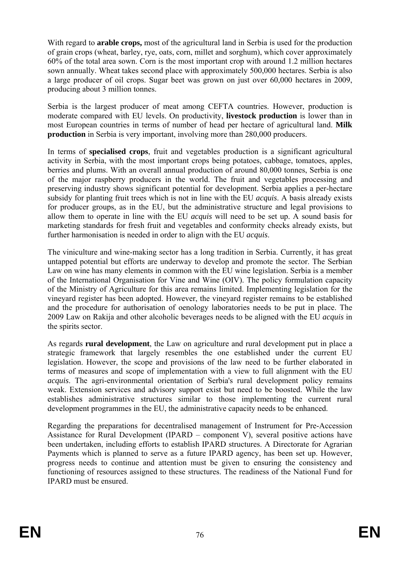With regard to **arable crops,** most of the agricultural land in Serbia is used for the production of grain crops (wheat, barley, rye, oats, corn, millet and sorghum), which cover approximately 60% of the total area sown. Corn is the most important crop with around 1.2 million hectares sown annually. Wheat takes second place with approximately 500,000 hectares. Serbia is also a large producer of oil crops. Sugar beet was grown on just over 60,000 hectares in 2009, producing about 3 million tonnes.

Serbia is the largest producer of meat among CEFTA countries. However, production is moderate compared with EU levels. On productivity, **livestock production** is lower than in most European countries in terms of number of head per hectare of agricultural land. **Milk production** in Serbia is very important, involving more than 280,000 producers.

In terms of **specialised crops**, fruit and vegetables production is a significant agricultural activity in Serbia, with the most important crops being potatoes, cabbage, tomatoes, apples, berries and plums. With an overall annual production of around 80,000 tonnes, Serbia is one of the major raspberry producers in the world. The fruit and vegetables processing and preserving industry shows significant potential for development. Serbia applies a per-hectare subsidy for planting fruit trees which is not in line with the EU *acquis*. A basis already exists for producer groups, as in the EU, but the administrative structure and legal provisions to allow them to operate in line with the EU *acquis* will need to be set up. A sound basis for marketing standards for fresh fruit and vegetables and conformity checks already exists, but further harmonisation is needed in order to align with the EU *acquis*.

The viniculture and wine-making sector has a long tradition in Serbia. Currently, it has great untapped potential but efforts are underway to develop and promote the sector. The Serbian Law on wine has many elements in common with the EU wine legislation. Serbia is a member of the International Organisation for Vine and Wine (OIV). The policy formulation capacity of the Ministry of Agriculture for this area remains limited. Implementing legislation for the vineyard register has been adopted. However, the vineyard register remains to be established and the procedure for authorisation of oenology laboratories needs to be put in place. The 2009 Law on Rakija and other alcoholic beverages needs to be aligned with the EU *acquis* in the spirits sector.

As regards **rural development**, the Law on agriculture and rural development put in place a strategic framework that largely resembles the one established under the current EU legislation. However, the scope and provisions of the law need to be further elaborated in terms of measures and scope of implementation with a view to full alignment with the EU *acquis*. The agri-environmental orientation of Serbia's rural development policy remains weak. Extension services and advisory support exist but need to be boosted. While the law establishes administrative structures similar to those implementing the current rural development programmes in the EU, the administrative capacity needs to be enhanced.

Regarding the preparations for decentralised management of Instrument for Pre-Accession Assistance for Rural Development (IPARD – component V), several positive actions have been undertaken, including efforts to establish IPARD structures. A Directorate for Agrarian Payments which is planned to serve as a future IPARD agency, has been set up. However, progress needs to continue and attention must be given to ensuring the consistency and functioning of resources assigned to these structures. The readiness of the National Fund for IPARD must be ensured.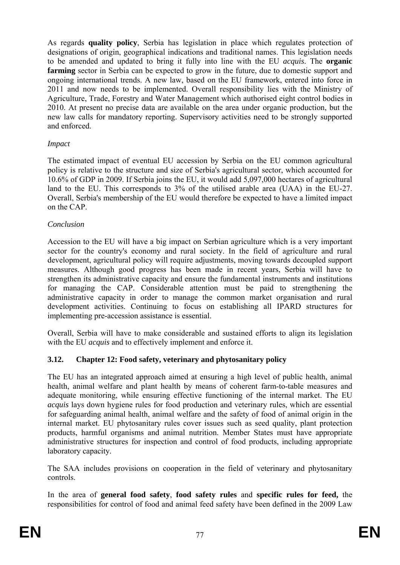As regards **quality policy**, Serbia has legislation in place which regulates protection of designations of origin, geographical indications and traditional names. This legislation needs to be amended and updated to bring it fully into line with the EU *acquis*. The **organic farming** sector in Serbia can be expected to grow in the future, due to domestic support and ongoing international trends. A new law, based on the EU framework, entered into force in 2011 and now needs to be implemented. Overall responsibility lies with the Ministry of Agriculture, Trade, Forestry and Water Management which authorised eight control bodies in 2010. At present no precise data are available on the area under organic production, but the new law calls for mandatory reporting. Supervisory activities need to be strongly supported and enforced.

#### *Impact*

The estimated impact of eventual EU accession by Serbia on the EU common agricultural policy is relative to the structure and size of Serbia's agricultural sector, which accounted for 10.6% of GDP in 2009. If Serbia joins the EU, it would add 5,097,000 hectares of agricultural land to the EU. This corresponds to 3% of the utilised arable area (UAA) in the EU-27. Overall, Serbia's membership of the EU would therefore be expected to have a limited impact on the CAP.

#### *Conclusion*

Accession to the EU will have a big impact on Serbian agriculture which is a very important sector for the country's economy and rural society. In the field of agriculture and rural development, agricultural policy will require adjustments, moving towards decoupled support measures. Although good progress has been made in recent years, Serbia will have to strengthen its administrative capacity and ensure the fundamental instruments and institutions for managing the CAP. Considerable attention must be paid to strengthening the administrative capacity in order to manage the common market organisation and rural development activities. Continuing to focus on establishing all IPARD structures for implementing pre-accession assistance is essential.

Overall, Serbia will have to make considerable and sustained efforts to align its legislation with the EU *acquis* and to effectively implement and enforce it.

#### **3.12. Chapter 12: Food safety, veterinary and phytosanitary policy**

The EU has an integrated approach aimed at ensuring a high level of public health, animal health, animal welfare and plant health by means of coherent farm-to-table measures and adequate monitoring, while ensuring effective functioning of the internal market. The EU *acquis* lays down hygiene rules for food production and veterinary rules, which are essential for safeguarding animal health, animal welfare and the safety of food of animal origin in the internal market. EU phytosanitary rules cover issues such as seed quality, plant protection products, harmful organisms and animal nutrition. Member States must have appropriate administrative structures for inspection and control of food products, including appropriate laboratory capacity.

The SAA includes provisions on cooperation in the field of veterinary and phytosanitary controls.

In the area of **general food safety**, **food safety rules** and **specific rules for feed,** the responsibilities for control of food and animal feed safety have been defined in the 2009 Law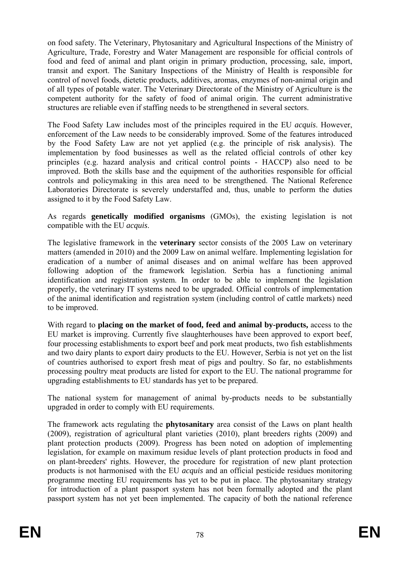on food safety. The Veterinary, Phytosanitary and Agricultural Inspections of the Ministry of Agriculture, Trade, Forestry and Water Management are responsible for official controls of food and feed of animal and plant origin in primary production, processing, sale, import, transit and export. The Sanitary Inspections of the Ministry of Health is responsible for control of novel foods, dietetic products, additives, aromas, enzymes of non-animal origin and of all types of potable water. The Veterinary Directorate of the Ministry of Agriculture is the competent authority for the safety of food of animal origin. The current administrative structures are reliable even if staffing needs to be strengthened in several sectors.

The Food Safety Law includes most of the principles required in the EU *acquis*. However, enforcement of the Law needs to be considerably improved. Some of the features introduced by the Food Safety Law are not yet applied (e.g. the principle of risk analysis). The implementation by food businesses as well as the related official controls of other key principles (e.g. hazard analysis and critical control points - HACCP) also need to be improved. Both the skills base and the equipment of the authorities responsible for official controls and policymaking in this area need to be strengthened. The National Reference Laboratories Directorate is severely understaffed and, thus, unable to perform the duties assigned to it by the Food Safety Law.

As regards **genetically modified organisms** (GMOs), the existing legislation is not compatible with the EU *acquis*.

The legislative framework in the **veterinary** sector consists of the 2005 Law on veterinary matters (amended in 2010) and the 2009 Law on animal welfare. Implementing legislation for eradication of a number of animal diseases and on animal welfare has been approved following adoption of the framework legislation. Serbia has a functioning animal identification and registration system. In order to be able to implement the legislation properly, the veterinary IT systems need to be upgraded. Official controls of implementation of the animal identification and registration system (including control of cattle markets) need to be improved.

With regard to **placing on the market of food, feed and animal by-products,** access to the EU market is improving. Currently five slaughterhouses have been approved to export beef, four processing establishments to export beef and pork meat products, two fish establishments and two dairy plants to export dairy products to the EU. However, Serbia is not yet on the list of countries authorised to export fresh meat of pigs and poultry. So far, no establishments processing poultry meat products are listed for export to the EU. The national programme for upgrading establishments to EU standards has yet to be prepared.

The national system for management of animal by-products needs to be substantially upgraded in order to comply with EU requirements.

The framework acts regulating the **phytosanitary** area consist of the Laws on plant health (2009), registration of agricultural plant varieties (2010), plant breeders rights (2009) and plant protection products (2009). Progress has been noted on adoption of implementing legislation, for example on maximum residue levels of plant protection products in food and on plant-breeders' rights. However, the procedure for registration of new plant protection products is not harmonised with the EU *acquis* and an official pesticide residues monitoring programme meeting EU requirements has yet to be put in place. The phytosanitary strategy for introduction of a plant passport system has not been formally adopted and the plant passport system has not yet been implemented. The capacity of both the national reference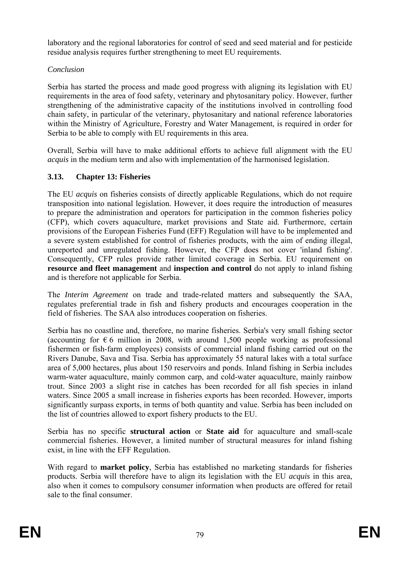laboratory and the regional laboratories for control of seed and seed material and for pesticide residue analysis requires further strengthening to meet EU requirements.

# *Conclusion*

Serbia has started the process and made good progress with aligning its legislation with EU requirements in the area of food safety, veterinary and phytosanitary policy. However, further strengthening of the administrative capacity of the institutions involved in controlling food chain safety, in particular of the veterinary, phytosanitary and national reference laboratories within the Ministry of Agriculture, Forestry and Water Management, is required in order for Serbia to be able to comply with EU requirements in this area.

Overall, Serbia will have to make additional efforts to achieve full alignment with the EU *acquis* in the medium term and also with implementation of the harmonised legislation.

# **3.13. Chapter 13: Fisheries**

The EU *acquis* on fisheries consists of directly applicable Regulations, which do not require transposition into national legislation. However, it does require the introduction of measures to prepare the administration and operators for participation in the common fisheries policy (CFP), which covers aquaculture, market provisions and State aid. Furthermore, certain provisions of the European Fisheries Fund (EFF) Regulation will have to be implemented and a severe system established for control of fisheries products, with the aim of ending illegal, unreported and unregulated fishing. However, the CFP does not cover 'inland fishing'. Consequently, CFP rules provide rather limited coverage in Serbia. EU requirement on **resource and fleet management** and **inspection and control** do not apply to inland fishing and is therefore not applicable for Serbia.

The *Interim Agreement* on trade and trade-related matters and subsequently the SAA, regulates preferential trade in fish and fishery products and encourages cooperation in the field of fisheries. The SAA also introduces cooperation on fisheries.

Serbia has no coastline and, therefore, no marine fisheries. Serbia's very small fishing sector (accounting for  $\epsilon$  6 million in 2008, with around 1,500 people working as professional fishermen or fish-farm employees) consists of commercial inland fishing carried out on the Rivers Danube, Sava and Tisa. Serbia has approximately 55 natural lakes with a total surface area of 5,000 hectares, plus about 150 reservoirs and ponds. Inland fishing in Serbia includes warm-water aquaculture, mainly common carp, and cold-water aquaculture, mainly rainbow trout. Since 2003 a slight rise in catches has been recorded for all fish species in inland waters. Since 2005 a small increase in fisheries exports has been recorded. However, imports significantly surpass exports, in terms of both quantity and value. Serbia has been included on the list of countries allowed to export fishery products to the EU.

Serbia has no specific **structural action** or **State aid** for aquaculture and small-scale commercial fisheries. However, a limited number of structural measures for inland fishing exist, in line with the EFF Regulation.

With regard to **market policy**, Serbia has established no marketing standards for fisheries products. Serbia will therefore have to align its legislation with the EU *acquis* in this area, also when it comes to compulsory consumer information when products are offered for retail sale to the final consumer.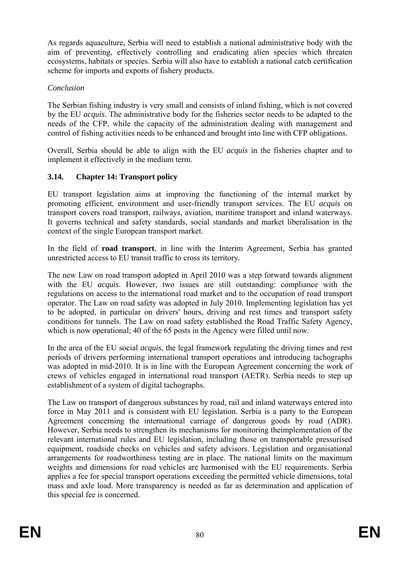As regards aquaculture, Serbia will need to establish a national administrative body with the aim of preventing, effectively controlling and eradicating alien species which threaten ecosystems, habitats or species. Serbia will also have to establish a national catch certification scheme for imports and exports of fishery products.

# *Conclusion*

The Serbian fishing industry is very small and consists of inland fishing, which is not covered by the EU *acquis*. The administrative body for the fisheries sector needs to be adapted to the needs of the CFP, while the capacity of the administration dealing with management and control of fishing activities needs to be enhanced and brought into line with CFP obligations.

Overall, Serbia should be able to align with the EU *acquis* in the fisheries chapter and to implement it effectively in the medium term.

# **3.14. Chapter 14: Transport policy**

EU transport legislation aims at improving the functioning of the internal market by promoting efficient, environment and user-friendly transport services. The EU *acquis* on transport covers road transport, railways, aviation, maritime transport and inland waterways. It governs technical and safety standards, social standards and market liberalisation in the context of the single European transport market.

In the field of **road transport**, in line with the Interim Agreement, Serbia has granted unrestricted access to EU transit traffic to cross its territory.

The new Law on road transport adopted in April 2010 was a step forward towards alignment with the EU *acquis*. However, two issues are still outstanding: compliance with the regulations on access to the international road market and to the occupation of road transport operator. The Law on road safety was adopted in July 2010. Implementing legislation has yet to be adopted, in particular on drivers' hours, driving and rest times and transport safety conditions for tunnels. The Law on road safety established the Road Traffic Safety Agency, which is now operational; 40 of the 65 posts in the Agency were filled until now.

In the area of the EU social *acquis*, the legal framework regulating the driving times and rest periods of drivers performing international transport operations and introducing tachographs was adopted in mid-2010. It is in line with the European Agreement concerning the work of crews of vehicles engaged in international road transport (AETR). Serbia needs to step up establishment of a system of digital tachographs.

The Law on transport of dangerous substances by road, rail and inland waterways entered into force in May 2011 and is consistent with EU legislation. Serbia is a party to the European Agreement concerning the international carriage of dangerous goods by road (ADR). However, Serbia needs to strengthen its mechanisms for monitoring theimplementation of the relevant international rules and EU legislation, including those on transportable pressurised equipment, roadside checks on vehicles and safety advisors. Legislation and organisational arrangements for roadworthiness testing are in place. The national limits on the maximum weights and dimensions for road vehicles are harmonised with the EU requirements. Serbia applies a fee for special transport operations exceeding the permitted vehicle dimensions, total mass and axle load. More transparency is needed as far as determination and application of this special fee is concerned.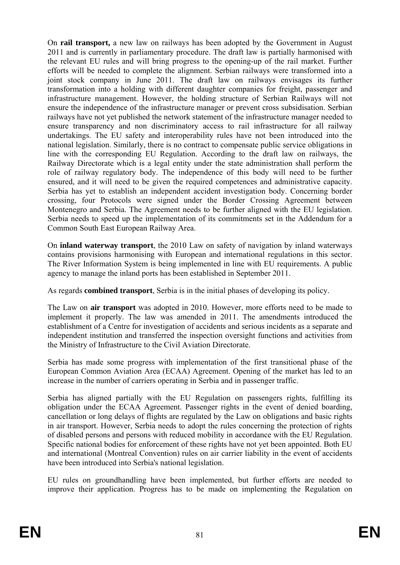On **rail transport,** a new law on railways has been adopted by the Government in August 2011 and is currently in parliamentary procedure. The draft law is partially harmonised with the relevant EU rules and will bring progress to the opening-up of the rail market. Further efforts will be needed to complete the alignment. Serbian railways were transformed into a joint stock company in June 2011. The draft law on railways envisages its further transformation into a holding with different daughter companies for freight, passenger and infrastructure management. However, the holding structure of Serbian Railways will not ensure the independence of the infrastructure manager or prevent cross subsidisation. Serbian railways have not yet published the network statement of the infrastructure manager needed to ensure transparency and non discriminatory access to rail infrastructure for all railway undertakings. The EU safety and interoperability rules have not been introduced into the national legislation. Similarly, there is no contract to compensate public service obligations in line with the corresponding EU Regulation. According to the draft law on railways, the Railway Directorate which is a legal entity under the state administration shall perform the role of railway regulatory body. The independence of this body will need to be further ensured, and it will need to be given the required competences and administrative capacity. Serbia has yet to establish an independent accident investigation body. Concerning border crossing, four Protocols were signed under the Border Crossing Agreement between Montenegro and Serbia. The Agreement needs to be further aligned with the EU legislation. Serbia needs to speed up the implementation of its commitments set in the Addendum for a Common South East European Railway Area.

On **inland waterway transport**, the 2010 Law on safety of navigation by inland waterways contains provisions harmonising with European and international regulations in this sector. The River Information System is being implemented in line with EU requirements. A public agency to manage the inland ports has been established in September 2011.

As regards **combined transport**, Serbia is in the initial phases of developing its policy.

The Law on **air transport** was adopted in 2010. However, more efforts need to be made to implement it properly. The law was amended in 2011. The amendments introduced the establishment of a Centre for investigation of accidents and serious incidents as a separate and independent institution and transferred the inspection oversight functions and activities from the Ministry of Infrastructure to the Civil Aviation Directorate.

Serbia has made some progress with implementation of the first transitional phase of the European Common Aviation Area (ECAA) Agreement. Opening of the market has led to an increase in the number of carriers operating in Serbia and in passenger traffic.

Serbia has aligned partially with the EU Regulation on passengers rights, fulfilling its obligation under the ECAA Agreement. Passenger rights in the event of denied boarding, cancellation or long delays of flights are regulated by the Law on obligations and basic rights in air transport. However, Serbia needs to adopt the rules concerning the protection of rights of disabled persons and persons with reduced mobility in accordance with the EU Regulation. Specific national bodies for enforcement of these rights have not yet been appointed. Both EU and international (Montreal Convention) rules on air carrier liability in the event of accidents have been introduced into Serbia's national legislation.

EU rules on groundhandling have been implemented, but further efforts are needed to improve their application. Progress has to be made on implementing the Regulation on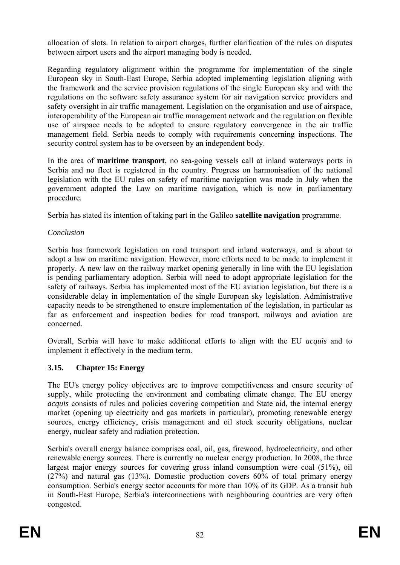allocation of slots. In relation to airport charges, further clarification of the rules on disputes between airport users and the airport managing body is needed.

Regarding regulatory alignment within the programme for implementation of the single European sky in South-East Europe, Serbia adopted implementing legislation aligning with the framework and the service provision regulations of the single European sky and with the regulations on the software safety assurance system for air navigation service providers and safety oversight in air traffic management. Legislation on the organisation and use of airspace, interoperability of the European air traffic management network and the regulation on flexible use of airspace needs to be adopted to ensure regulatory convergence in the air traffic management field. Serbia needs to comply with requirements concerning inspections. The security control system has to be overseen by an independent body.

In the area of **maritime transport**, no sea-going vessels call at inland waterways ports in Serbia and no fleet is registered in the country. Progress on harmonisation of the national legislation with the EU rules on safety of maritime navigation was made in July when the government adopted the Law on maritime navigation, which is now in parliamentary procedure.

Serbia has stated its intention of taking part in the Galileo **satellite navigation** programme.

#### *Conclusion*

Serbia has framework legislation on road transport and inland waterways, and is about to adopt a law on maritime navigation. However, more efforts need to be made to implement it properly. A new law on the railway market opening generally in line with the EU legislation is pending parliamentary adoption. Serbia will need to adopt appropriate legislation for the safety of railways. Serbia has implemented most of the EU aviation legislation, but there is a considerable delay in implementation of the single European sky legislation. Administrative capacity needs to be strengthened to ensure implementation of the legislation, in particular as far as enforcement and inspection bodies for road transport, railways and aviation are concerned.

Overall, Serbia will have to make additional efforts to align with the EU *acquis* and to implement it effectively in the medium term.

#### **3.15. Chapter 15: Energy**

The EU's energy policy objectives are to improve competitiveness and ensure security of supply, while protecting the environment and combating climate change. The EU energy *acquis* consists of rules and policies covering competition and State aid, the internal energy market (opening up electricity and gas markets in particular), promoting renewable energy sources, energy efficiency, crisis management and oil stock security obligations, nuclear energy, nuclear safety and radiation protection.

Serbia's overall energy balance comprises coal, oil, gas, firewood, hydroelectricity, and other renewable energy sources. There is currently no nuclear energy production. In 2008, the three largest major energy sources for covering gross inland consumption were coal (51%), oil (27%) and natural gas (13%). Domestic production covers 60% of total primary energy consumption. Serbia's energy sector accounts for more than 10% of its GDP. As a transit hub in South-East Europe, Serbia's interconnections with neighbouring countries are very often congested.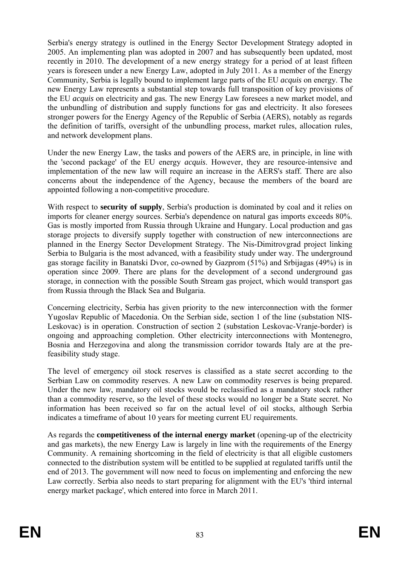Serbia's energy strategy is outlined in the Energy Sector Development Strategy adopted in 2005. An implementing plan was adopted in 2007 and has subsequently been updated, most recently in 2010. The development of a new energy strategy for a period of at least fifteen years is foreseen under a new Energy Law, adopted in July 2011. As a member of the Energy Community, Serbia is legally bound to implement large parts of the EU *acquis* on energy. The new Energy Law represents a substantial step towards full transposition of key provisions of the EU *acquis* on electricity and gas*.* The new Energy Law foresees a new market model, and the unbundling of distribution and supply functions for gas and electricity. It also foresees stronger powers for the Energy Agency of the Republic of Serbia (AERS), notably as regards the definition of tariffs, oversight of the unbundling process, market rules, allocation rules, and network development plans.

Under the new Energy Law, the tasks and powers of the AERS are, in principle, in line with the 'second package' of the EU energy *acquis*. However, they are resource-intensive and implementation of the new law will require an increase in the AERS's staff. There are also concerns about the independence of the Agency, because the members of the board are appointed following a non-competitive procedure.

With respect to **security of supply**, Serbia's production is dominated by coal and it relies on imports for cleaner energy sources. Serbia's dependence on natural gas imports exceeds 80%. Gas is mostly imported from Russia through Ukraine and Hungary. Local production and gas storage projects to diversify supply together with construction of new interconnections are planned in the Energy Sector Development Strategy. The Nis-Dimitrovgrad project linking Serbia to Bulgaria is the most advanced, with a feasibility study under way. The underground gas storage facility in Banatski Dvor, co-owned by Gazprom (51%) and Srbijagas (49%) is in operation since 2009. There are plans for the development of a second underground gas storage, in connection with the possible South Stream gas project, which would transport gas from Russia through the Black Sea and Bulgaria.

Concerning electricity, Serbia has given priority to the new interconnection with the former Yugoslav Republic of Macedonia. On the Serbian side, section 1 of the line (substation NIS-Leskovac) is in operation. Construction of section 2 (substation Leskovac-Vranje-border) is ongoing and approaching completion. Other electricity interconnections with Montenegro, Bosnia and Herzegovina and along the transmission corridor towards Italy are at the prefeasibility study stage.

The level of emergency oil stock reserves is classified as a state secret according to the Serbian Law on commodity reserves. A new Law on commodity reserves is being prepared. Under the new law, mandatory oil stocks would be reclassified as a mandatory stock rather than a commodity reserve, so the level of these stocks would no longer be a State secret. No information has been received so far on the actual level of oil stocks, although Serbia indicates a timeframe of about 10 years for meeting current EU requirements.

As regards the **competitiveness of the internal energy market** (opening-up of the electricity and gas markets), the new Energy Law is largely in line with the requirements of the Energy Community. A remaining shortcoming in the field of electricity is that all eligible customers connected to the distribution system will be entitled to be supplied at regulated tariffs until the end of 2013. The government will now need to focus on implementing and enforcing the new Law correctly. Serbia also needs to start preparing for alignment with the EU's 'third internal energy market package', which entered into force in March 2011.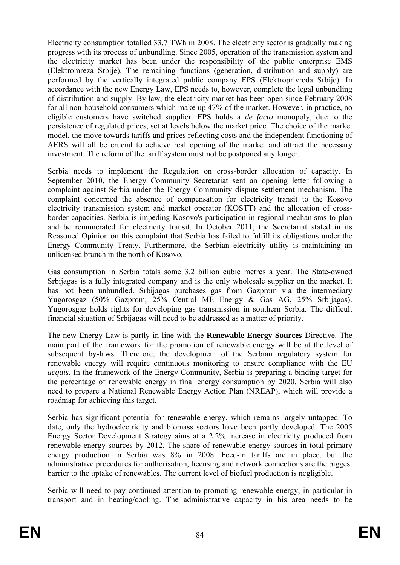Electricity consumption totalled 33.7 TWh in 2008. The electricity sector is gradually making progress with its process of unbundling. Since 2005, operation of the transmission system and the electricity market has been under the responsibility of the public enterprise EMS (Elektromreza Srbije). The remaining functions (generation, distribution and supply) are performed by the vertically integrated public company EPS (Elektroprivreda Srbije). In accordance with the new Energy Law, EPS needs to, however, complete the legal unbundling of distribution and supply. By law, the electricity market has been open since February 2008 for all non-household consumers which make up 47% of the market. However, in practice, no eligible customers have switched supplier. EPS holds a *de facto* monopoly, due to the persistence of regulated prices, set at levels below the market price. The choice of the market model, the move towards tariffs and prices reflecting costs and the independent functioning of AERS will all be crucial to achieve real opening of the market and attract the necessary investment. The reform of the tariff system must not be postponed any longer.

Serbia needs to implement the Regulation on cross-border allocation of capacity. In September 2010, the Energy Community Secretariat sent an opening letter following a complaint against Serbia under the Energy Community dispute settlement mechanism. The complaint concerned the absence of compensation for electricity transit to the Kosovo electricity transmission system and market operator (KOSTT) and the allocation of crossborder capacities. Serbia is impeding Kosovo's participation in regional mechanisms to plan and be remunerated for electricity transit. In October 2011, the Secretariat stated in its Reasoned Opinion on this complaint that Serbia has failed to fulfill its obligations under the Energy Community Treaty. Furthermore, the Serbian electricity utility is maintaining an unlicensed branch in the north of Kosovo.

Gas consumption in Serbia totals some 3.2 billion cubic metres a year. The State-owned Srbijagas is a fully integrated company and is the only wholesale supplier on the market. It has not been unbundled. Srbijagas purchases gas from Gazprom via the intermediary Yugorosgaz (50% Gazprom, 25% Central ME Energy & Gas AG, 25% Srbijagas). Yugorosgaz holds rights for developing gas transmission in southern Serbia. The difficult financial situation of Srbijagas will need to be addressed as a matter of priority.

The new Energy Law is partly in line with the **Renewable Energy Sources** Directive. The main part of the framework for the promotion of renewable energy will be at the level of subsequent by-laws. Therefore, the development of the Serbian regulatory system for renewable energy will require continuous monitoring to ensure compliance with the EU *acquis*. In the framework of the Energy Community, Serbia is preparing a binding target for the percentage of renewable energy in final energy consumption by 2020. Serbia will also need to prepare a National Renewable Energy Action Plan (NREAP), which will provide a roadmap for achieving this target.

Serbia has significant potential for renewable energy, which remains largely untapped. To date, only the hydroelectricity and biomass sectors have been partly developed. The 2005 Energy Sector Development Strategy aims at a 2.2% increase in electricity produced from renewable energy sources by 2012. The share of renewable energy sources in total primary energy production in Serbia was 8% in 2008. Feed-in tariffs are in place, but the administrative procedures for authorisation, licensing and network connections are the biggest barrier to the uptake of renewables. The current level of biofuel production is negligible.

Serbia will need to pay continued attention to promoting renewable energy, in particular in transport and in heating/cooling. The administrative capacity in his area needs to be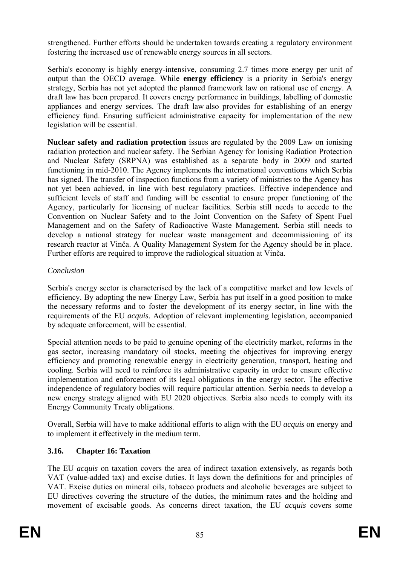strengthened. Further efforts should be undertaken towards creating a regulatory environment fostering the increased use of renewable energy sources in all sectors.

Serbia's economy is highly energy-intensive, consuming 2.7 times more energy per unit of output than the OECD average. While **energy efficiency** is a priority in Serbia's energy strategy, Serbia has not yet adopted the planned framework law on rational use of energy. A draft law has been prepared. It covers energy performance in buildings, labelling of domestic appliances and energy services. The draft law also provides for establishing of an energy efficiency fund. Ensuring sufficient administrative capacity for implementation of the new legislation will be essential.

**Nuclear safety and radiation protection** issues are regulated by the 2009 Law on ionising radiation protection and nuclear safety. The Serbian Agency for Ionising Radiation Protection and Nuclear Safety (SRPNA) was established as a separate body in 2009 and started functioning in mid-2010. The Agency implements the international conventions which Serbia has signed. The transfer of inspection functions from a variety of ministries to the Agency has not yet been achieved, in line with best regulatory practices. Effective independence and sufficient levels of staff and funding will be essential to ensure proper functioning of the Agency, particularly for licensing of nuclear facilities. Serbia still needs to accede to the Convention on Nuclear Safety and to the Joint Convention on the Safety of Spent Fuel Management and on the Safety of Radioactive Waste Management. Serbia still needs to develop a national strategy for nuclear waste management and decommissioning of its research reactor at Vinča. A Quality Management System for the Agency should be in place. Further efforts are required to improve the radiological situation at Vinča.

# *Conclusion*

Serbia's energy sector is characterised by the lack of a competitive market and low levels of efficiency. By adopting the new Energy Law, Serbia has put itself in a good position to make the necessary reforms and to foster the development of its energy sector, in line with the requirements of the EU *acquis*. Adoption of relevant implementing legislation, accompanied by adequate enforcement, will be essential.

Special attention needs to be paid to genuine opening of the electricity market, reforms in the gas sector, increasing mandatory oil stocks, meeting the objectives for improving energy efficiency and promoting renewable energy in electricity generation, transport, heating and cooling. Serbia will need to reinforce its administrative capacity in order to ensure effective implementation and enforcement of its legal obligations in the energy sector. The effective independence of regulatory bodies will require particular attention. Serbia needs to develop a new energy strategy aligned with EU 2020 objectives. Serbia also needs to comply with its Energy Community Treaty obligations.

Overall, Serbia will have to make additional efforts to align with the EU *acquis* on energy and to implement it effectively in the medium term.

# **3.16. Chapter 16: Taxation**

The EU *acquis* on taxation covers the area of indirect taxation extensively, as regards both VAT (value-added tax) and excise duties. It lays down the definitions for and principles of VAT. Excise duties on mineral oils, tobacco products and alcoholic beverages are subject to EU directives covering the structure of the duties, the minimum rates and the holding and movement of excisable goods. As concerns direct taxation, the EU *acquis* covers some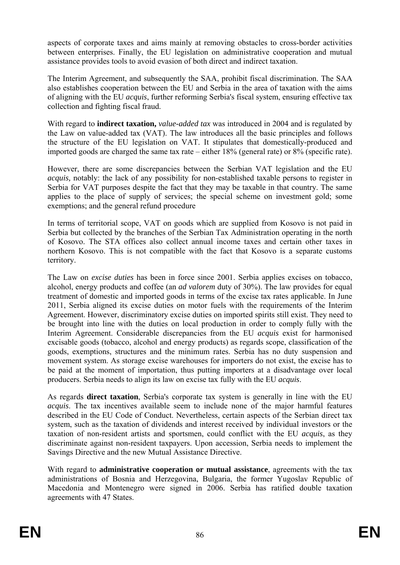aspects of corporate taxes and aims mainly at removing obstacles to cross-border activities between enterprises. Finally, the EU legislation on administrative cooperation and mutual assistance provides tools to avoid evasion of both direct and indirect taxation.

The Interim Agreement, and subsequently the SAA, prohibit fiscal discrimination. The SAA also establishes cooperation between the EU and Serbia in the area of taxation with the aims of aligning with the EU *acquis*, further reforming Serbia's fiscal system, ensuring effective tax collection and fighting fiscal fraud.

With regard to **indirect taxation,** *value-added tax* was introduced in 2004 and is regulated by the Law on value-added tax (VAT). The law introduces all the basic principles and follows the structure of the EU legislation on VAT. It stipulates that domestically-produced and imported goods are charged the same tax rate – either 18% (general rate) or 8% (specific rate).

However, there are some discrepancies between the Serbian VAT legislation and the EU *acquis,* notably: the lack of any possibility for non-established taxable persons to register in Serbia for VAT purposes despite the fact that they may be taxable in that country. The same applies to the place of supply of services; the special scheme on investment gold; some exemptions; and the general refund procedure

In terms of territorial scope, VAT on goods which are supplied from Kosovo is not paid in Serbia but collected by the branches of the Serbian Tax Administration operating in the north of Kosovo. The STA offices also collect annual income taxes and certain other taxes in northern Kosovo. This is not compatible with the fact that Kosovo is a separate customs territory.

The Law on *excise duties* has been in force since 2001. Serbia applies excises on tobacco, alcohol, energy products and coffee (an *ad valorem* duty of 30%). The law provides for equal treatment of domestic and imported goods in terms of the excise tax rates applicable. In June 2011, Serbia aligned its excise duties on motor fuels with the requirements of the Interim Agreement. However, discriminatory excise duties on imported spirits still exist. They need to be brought into line with the duties on local production in order to comply fully with the Interim Agreement. Considerable discrepancies from the EU *acquis* exist for harmonised excisable goods (tobacco, alcohol and energy products) as regards scope, classification of the goods, exemptions, structures and the minimum rates. Serbia has no duty suspension and movement system. As storage excise warehouses for importers do not exist, the excise has to be paid at the moment of importation, thus putting importers at a disadvantage over local producers. Serbia needs to align its law on excise tax fully with the EU *acquis*.

As regards **direct taxation**, Serbia's corporate tax system is generally in line with the EU *acquis*. The tax incentives available seem to include none of the major harmful features described in the EU Code of Conduct. Nevertheless, certain aspects of the Serbian direct tax system, such as the taxation of dividends and interest received by individual investors or the taxation of non-resident artists and sportsmen, could conflict with the EU *acquis*, as they discriminate against non-resident taxpayers. Upon accession, Serbia needs to implement the Savings Directive and the new Mutual Assistance Directive.

With regard to **administrative cooperation or mutual assistance**, agreements with the tax administrations of Bosnia and Herzegovina, Bulgaria, the former Yugoslav Republic of Macedonia and Montenegro were signed in 2006. Serbia has ratified double taxation agreements with 47 States.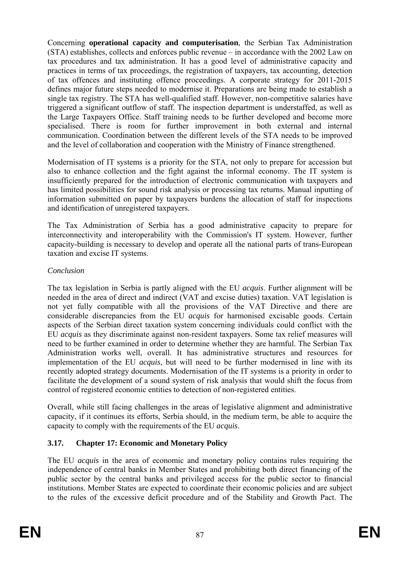Concerning **operational capacity and computerisation**, the Serbian Tax Administration (STA) establishes, collects and enforces public revenue – in accordance with the 2002 Law on tax procedures and tax administration. It has a good level of administrative capacity and practices in terms of tax proceedings, the registration of taxpayers, tax accounting, detection of tax offences and instituting offence proceedings. A corporate strategy for 2011-2015 defines major future steps needed to modernise it. Preparations are being made to establish a single tax registry. The STA has well-qualified staff. However, non-competitive salaries have triggered a significant outflow of staff. The inspection department is understaffed, as well as the Large Taxpayers Office. Staff training needs to be further developed and become more specialised. There is room for further improvement in both external and internal communication. Coordination between the different levels of the STA needs to be improved and the level of collaboration and cooperation with the Ministry of Finance strengthened.

Modernisation of IT systems is a priority for the STA, not only to prepare for accession but also to enhance collection and the fight against the informal economy. The IT system is insufficiently prepared for the introduction of electronic communication with taxpayers and has limited possibilities for sound risk analysis or processing tax returns. Manual inputting of information submitted on paper by taxpayers burdens the allocation of staff for inspections and identification of unregistered taxpayers.

The Tax Administration of Serbia has a good administrative capacity to prepare for interconnectivity and interoperability with the Commission's IT system. However, further capacity-building is necessary to develop and operate all the national parts of trans-European taxation and excise IT systems.

# *Conclusion*

The tax legislation in Serbia is partly aligned with the EU *acquis*. Further alignment will be needed in the area of direct and indirect (VAT and excise duties) taxation. VAT legislation is not yet fully compatible with all the provisions of the VAT Directive and there are considerable discrepancies from the EU *acquis* for harmonised excisable goods. Certain aspects of the Serbian direct taxation system concerning individuals could conflict with the EU *acquis* as they discriminate against non-resident taxpayers. Some tax relief measures will need to be further examined in order to determine whether they are harmful. The Serbian Tax Administration works well, overall. It has administrative structures and resources for implementation of the EU *acquis*, but will need to be further modernised in line with its recently adopted strategy documents. Modernisation of the IT systems is a priority in order to facilitate the development of a sound system of risk analysis that would shift the focus from control of registered economic entities to detection of non-registered entities.

Overall, while still facing challenges in the areas of legislative alignment and administrative capacity, if it continues its efforts, Serbia should, in the medium term, be able to acquire the capacity to comply with the requirements of the EU *acquis*.

# **3.17. Chapter 17: Economic and Monetary Policy**

The EU *acquis* in the area of economic and monetary policy contains rules requiring the independence of central banks in Member States and prohibiting both direct financing of the public sector by the central banks and privileged access for the public sector to financial institutions. Member States are expected to coordinate their economic policies and are subject to the rules of the excessive deficit procedure and of the Stability and Growth Pact. The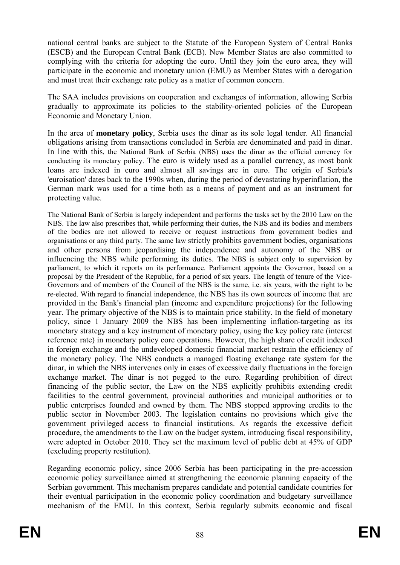national central banks are subject to the Statute of the European System of Central Banks (ESCB) and the European Central Bank (ECB). New Member States are also committed to complying with the criteria for adopting the euro. Until they join the euro area, they will participate in the economic and monetary union (EMU) as Member States with a derogation and must treat their exchange rate policy as a matter of common concern.

The SAA includes provisions on cooperation and exchanges of information, allowing Serbia gradually to approximate its policies to the stability-oriented policies of the European Economic and Monetary Union.

In the area of **monetary policy**, Serbia uses the dinar as its sole legal tender. All financial obligations arising from transactions concluded in Serbia are denominated and paid in dinar. In line with this, the National Bank of Serbia (NBS) uses the dinar as the official currency for conducting its monetary policy. The euro is widely used as a parallel currency, as most bank loans are indexed in euro and almost all savings are in euro. The origin of Serbia's 'euroisation' dates back to the 1990s when, during the period of devastating hyperinflation, the German mark was used for a time both as a means of payment and as an instrument for protecting value.

The National Bank of Serbia is largely independent and performs the tasks set by the 2010 Law on the NBS. The law also prescribes that, while performing their duties, the NBS and its bodies and members of the bodies are not allowed to receive or request instructions from government bodies and organisations or any third party. The same law strictly prohibits government bodies, organisations and other persons from jeopardising the independence and autonomy of the NBS or influencing the NBS while performing its duties. The NBS is subject only to supervision by parliament, to which it reports on its performance. Parliament appoints the Governor, based on a proposal by the President of the Republic, for a period of six years. The length of tenure of the Vice-Governors and of members of the Council of the NBS is the same, i.e. six years, with the right to be re-elected. With regard to financial independence, the NBS has its own sources of income that are provided in the Bank's financial plan (income and expenditure projections) for the following year. The primary objective of the NBS is to maintain price stability. In the field of monetary policy, since 1 January 2009 the NBS has been implementing inflation-targeting as its monetary strategy and a key instrument of monetary policy, using the key policy rate (interest reference rate) in monetary policy core operations. However, the high share of credit indexed in foreign exchange and the undeveloped domestic financial market restrain the efficiency of the monetary policy. The NBS conducts a managed floating exchange rate system for the dinar, in which the NBS intervenes only in cases of excessive daily fluctuations in the foreign exchange market. The dinar is not pegged to the euro. Regarding prohibition of direct financing of the public sector, the Law on the NBS explicitly prohibits extending credit facilities to the central government, provincial authorities and municipal authorities or to public enterprises founded and owned by them. The NBS stopped approving credits to the public sector in November 2003. The legislation contains no provisions which give the government privileged access to financial institutions. As regards the excessive deficit procedure, the amendments to the Law on the budget system, introducing fiscal responsibility, were adopted in October 2010. They set the maximum level of public debt at 45% of GDP (excluding property restitution).

Regarding economic policy, since 2006 Serbia has been participating in the pre-accession economic policy surveillance aimed at strengthening the economic planning capacity of the Serbian government. This mechanism prepares candidate and potential candidate countries for their eventual participation in the economic policy coordination and budgetary surveillance mechanism of the EMU. In this context, Serbia regularly submits economic and fiscal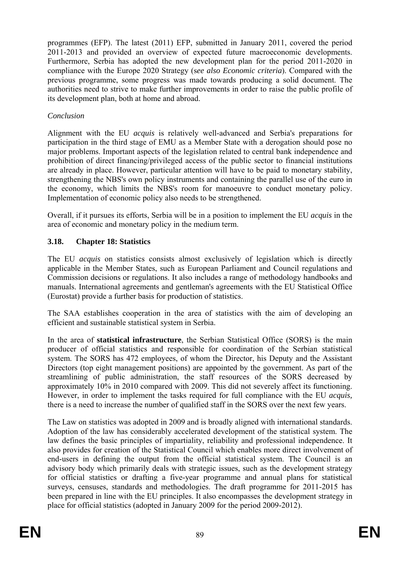programmes (EFP). The latest (2011) EFP, submitted in January 2011, covered the period 2011-2013 and provided an overview of expected future macroeconomic developments. Furthermore, Serbia has adopted the new development plan for the period 2011-2020 in compliance with the Europe 2020 Strategy (s*ee also Economic criteria*). Compared with the previous programme, some progress was made towards producing a solid document. The authorities need to strive to make further improvements in order to raise the public profile of its development plan, both at home and abroad.

# *Conclusion*

Alignment with the EU *acquis* is relatively well-advanced and Serbia's preparations for participation in the third stage of EMU as a Member State with a derogation should pose no major problems. Important aspects of the legislation related to central bank independence and prohibition of direct financing/privileged access of the public sector to financial institutions are already in place. However, particular attention will have to be paid to monetary stability, strengthening the NBS's own policy instruments and containing the parallel use of the euro in the economy, which limits the NBS's room for manoeuvre to conduct monetary policy. Implementation of economic policy also needs to be strengthened.

Overall, if it pursues its efforts, Serbia will be in a position to implement the EU *acquis* in the area of economic and monetary policy in the medium term.

# **3.18. Chapter 18: Statistics**

The EU *acquis* on statistics consists almost exclusively of legislation which is directly applicable in the Member States, such as European Parliament and Council regulations and Commission decisions or regulations. It also includes a range of methodology handbooks and manuals. International agreements and gentleman's agreements with the EU Statistical Office (Eurostat) provide a further basis for production of statistics.

The SAA establishes cooperation in the area of statistics with the aim of developing an efficient and sustainable statistical system in Serbia.

In the area of **statistical infrastructure**, the Serbian Statistical Office (SORS) is the main producer of official statistics and responsible for coordination of the Serbian statistical system. The SORS has 472 employees, of whom the Director, his Deputy and the Assistant Directors (top eight management positions) are appointed by the government. As part of the streamlining of public administration, the staff resources of the SORS decreased by approximately 10% in 2010 compared with 2009. This did not severely affect its functioning. However, in order to implement the tasks required for full compliance with the EU *acquis,*  there is a need to increase the number of qualified staff in the SORS over the next few years.

The Law on statistics was adopted in 2009 and is broadly aligned with international standards. Adoption of the law has considerably accelerated development of the statistical system. The law defines the basic principles of impartiality, reliability and professional independence. It also provides for creation of the Statistical Council which enables more direct involvement of end-users in defining the output from the official statistical system. The Council is an advisory body which primarily deals with strategic issues, such as the development strategy for official statistics or drafting a five-year programme and annual plans for statistical surveys, censuses, standards and methodologies. The draft programme for 2011-2015 has been prepared in line with the EU principles. It also encompasses the development strategy in place for official statistics (adopted in January 2009 for the period 2009-2012).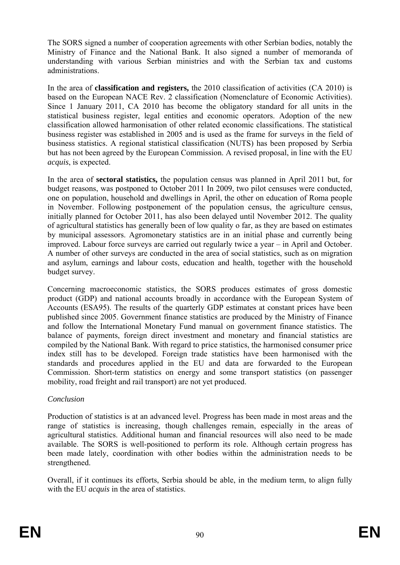The SORS signed a number of cooperation agreements with other Serbian bodies, notably the Ministry of Finance and the National Bank. It also signed a number of memoranda of understanding with various Serbian ministries and with the Serbian tax and customs administrations.

In the area of **classification and registers,** the 2010 classification of activities (CA 2010) is based on the European NACE Rev. 2 classification (Nomenclature of Economic Activities). Since 1 January 2011, CA 2010 has become the obligatory standard for all units in the statistical business register, legal entities and economic operators. Adoption of the new classification allowed harmonisation of other related economic classifications. The statistical business register was established in 2005 and is used as the frame for surveys in the field of business statistics. A regional statistical classification (NUTS) has been proposed by Serbia but has not been agreed by the European Commission. A revised proposal, in line with the EU *acquis*, is expected.

In the area of **sectoral statistics,** the population census was planned in April 2011 but, for budget reasons, was postponed to October 2011 In 2009, two pilot censuses were conducted, one on population, household and dwellings in April, the other on education of Roma people in November. Following postponement of the population census, the agriculture census, initially planned for October 2011, has also been delayed until November 2012. The quality of agricultural statistics has generally been of low quality o far, as they are based on estimates by municipal assessors. Agromonetary statistics are in an initial phase and currently being improved. Labour force surveys are carried out regularly twice a year – in April and October. A number of other surveys are conducted in the area of social statistics, such as on migration and asylum, earnings and labour costs, education and health, together with the household budget survey.

Concerning macroeconomic statistics, the SORS produces estimates of gross domestic product (GDP) and national accounts broadly in accordance with the European System of Accounts (ESA95). The results of the quarterly GDP estimates at constant prices have been published since 2005. Government finance statistics are produced by the Ministry of Finance and follow the International Monetary Fund manual on government finance statistics. The balance of payments, foreign direct investment and monetary and financial statistics are compiled by the National Bank. With regard to price statistics, the harmonised consumer price index still has to be developed. Foreign trade statistics have been harmonised with the standards and procedures applied in the EU and data are forwarded to the European Commission. Short-term statistics on energy and some transport statistics (on passenger mobility, road freight and rail transport) are not yet produced.

#### *Conclusion*

Production of statistics is at an advanced level. Progress has been made in most areas and the range of statistics is increasing, though challenges remain, especially in the areas of agricultural statistics. Additional human and financial resources will also need to be made available. The SORS is well-positioned to perform its role. Although certain progress has been made lately, coordination with other bodies within the administration needs to be strengthened.

Overall, if it continues its efforts, Serbia should be able, in the medium term, to align fully with the EU *acquis* in the area of statistics.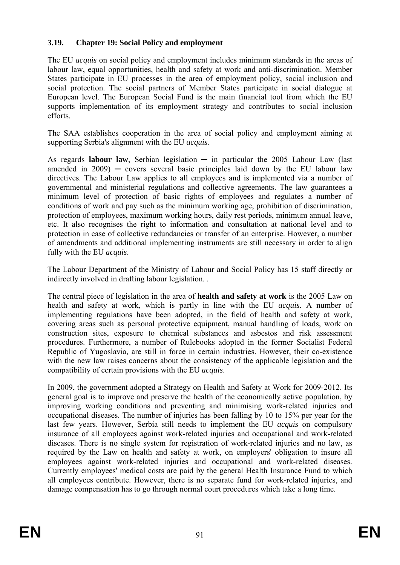# **3.19. Chapter 19: Social Policy and employment**

The EU *acquis* on social policy and employment includes minimum standards in the areas of labour law, equal opportunities, health and safety at work and anti-discrimination. Member States participate in EU processes in the area of employment policy, social inclusion and social protection. The social partners of Member States participate in social dialogue at European level. The European Social Fund is the main financial tool from which the EU supports implementation of its employment strategy and contributes to social inclusion efforts.

The SAA establishes cooperation in the area of social policy and employment aiming at supporting Serbia's alignment with the EU *acquis.*

As regards **labour law**, Serbian legislation  $-$  in particular the 2005 Labour Law (last amended in  $2009$  — covers several basic principles laid down by the EU labour law directives. The Labour Law applies to all employees and is implemented via a number of governmental and ministerial regulations and collective agreements. The law guarantees a minimum level of protection of basic rights of employees and regulates a number of conditions of work and pay such as the minimum working age, prohibition of discrimination, protection of employees, maximum working hours, daily rest periods, minimum annual leave, etc. It also recognises the right to information and consultation at national level and to protection in case of collective redundancies or transfer of an enterprise. However, a number of amendments and additional implementing instruments are still necessary in order to align fully with the EU *acquis*.

The Labour Department of the Ministry of Labour and Social Policy has 15 staff directly or indirectly involved in drafting labour legislation. .

The central piece of legislation in the area of **health and safety at work** is the 2005 Law on health and safety at work, which is partly in line with the EU *acquis*. A number of implementing regulations have been adopted, in the field of health and safety at work, covering areas such as personal protective equipment, manual handling of loads, work on construction sites, exposure to chemical substances and asbestos and risk assessment procedures. Furthermore, a number of Rulebooks adopted in the former Socialist Federal Republic of Yugoslavia, are still in force in certain industries. However, their co-existence with the new law raises concerns about the consistency of the applicable legislation and the compatibility of certain provisions with the EU *acquis*.

In 2009, the government adopted a Strategy on Health and Safety at Work for 2009-2012. Its general goal is to improve and preserve the health of the economically active population, by improving working conditions and preventing and minimising work-related injuries and occupational diseases. The number of injuries has been falling by 10 to 15% per year for the last few years. However, Serbia still needs to implement the EU *acquis* on compulsory insurance of all employees against work-related injuries and occupational and work-related diseases. There is no single system for registration of work-related injuries and no law, as required by the Law on health and safety at work, on employers' obligation to insure all employees against work-related injuries and occupational and work-related diseases. Currently employees' medical costs are paid by the general Health Insurance Fund to which all employees contribute. However, there is no separate fund for work-related injuries, and damage compensation has to go through normal court procedures which take a long time.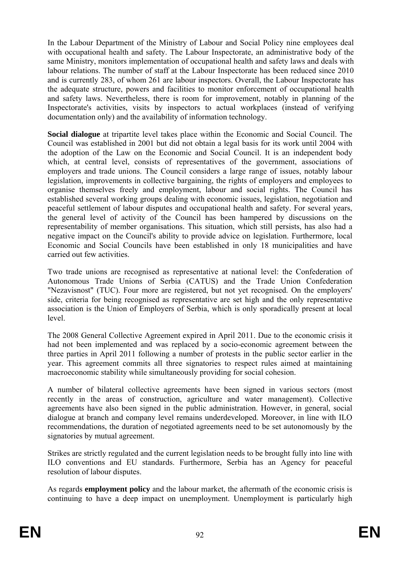In the Labour Department of the Ministry of Labour and Social Policy nine employees deal with occupational health and safety. The Labour Inspectorate, an administrative body of the same Ministry, monitors implementation of occupational health and safety laws and deals with labour relations. The number of staff at the Labour Inspectorate has been reduced since 2010 and is currently 283, of whom 261 are labour inspectors. Overall, the Labour Inspectorate has the adequate structure, powers and facilities to monitor enforcement of occupational health and safety laws. Nevertheless, there is room for improvement, notably in planning of the Inspectorate's activities, visits by inspectors to actual workplaces (instead of verifying documentation only) and the availability of information technology.

**Social dialogue** at tripartite level takes place within the Economic and Social Council. The Council was established in 2001 but did not obtain a legal basis for its work until 2004 with the adoption of the Law on the Economic and Social Council. It is an independent body which, at central level, consists of representatives of the government, associations of employers and trade unions. The Council considers a large range of issues, notably labour legislation, improvements in collective bargaining, the rights of employers and employees to organise themselves freely and employment, labour and social rights. The Council has established several working groups dealing with economic issues, legislation, negotiation and peaceful settlement of labour disputes and occupational health and safety. For several years, the general level of activity of the Council has been hampered by discussions on the representability of member organisations. This situation, which still persists, has also had a negative impact on the Council's ability to provide advice on legislation. Furthermore, local Economic and Social Councils have been established in only 18 municipalities and have carried out few activities.

Two trade unions are recognised as representative at national level: the Confederation of Autonomous Trade Unions of Serbia (CATUS) and the Trade Union Confederation "Nezavisnost" (TUC). Four more are registered, but not yet recognised. On the employers' side, criteria for being recognised as representative are set high and the only representative association is the Union of Employers of Serbia, which is only sporadically present at local level.

The 2008 General Collective Agreement expired in April 2011. Due to the economic crisis it had not been implemented and was replaced by a socio-economic agreement between the three parties in April 2011 following a number of protests in the public sector earlier in the year. This agreement commits all three signatories to respect rules aimed at maintaining macroeconomic stability while simultaneously providing for social cohesion.

A number of bilateral collective agreements have been signed in various sectors (most recently in the areas of construction, agriculture and water management). Collective agreements have also been signed in the public administration. However, in general, social dialogue at branch and company level remains underdeveloped. Moreover, in line with ILO recommendations, the duration of negotiated agreements need to be set autonomously by the signatories by mutual agreement.

Strikes are strictly regulated and the current legislation needs to be brought fully into line with ILO conventions and EU standards. Furthermore, Serbia has an Agency for peaceful resolution of labour disputes.

As regards **employment policy** and the labour market, the aftermath of the economic crisis is continuing to have a deep impact on unemployment. Unemployment is particularly high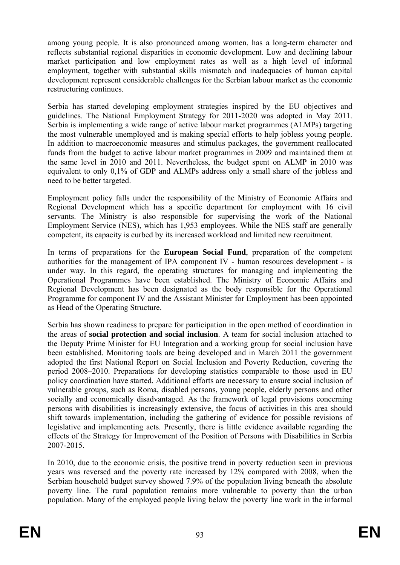among young people. It is also pronounced among women, has a long-term character and reflects substantial regional disparities in economic development. Low and declining labour market participation and low employment rates as well as a high level of informal employment, together with substantial skills mismatch and inadequacies of human capital development represent considerable challenges for the Serbian labour market as the economic restructuring continues.

Serbia has started developing employment strategies inspired by the EU objectives and guidelines. The National Employment Strategy for 2011-2020 was adopted in May 2011. Serbia is implementing a wide range of active labour market programmes (ALMPs) targeting the most vulnerable unemployed and is making special efforts to help jobless young people. In addition to macroeconomic measures and stimulus packages, the government reallocated funds from the budget to active labour market programmes in 2009 and maintained them at the same level in 2010 and 2011. Nevertheless, the budget spent on ALMP in 2010 was equivalent to only 0,1% of GDP and ALMPs address only a small share of the jobless and need to be better targeted.

Employment policy falls under the responsibility of the Ministry of Economic Affairs and Regional Development which has a specific department for employment with 16 civil servants. The Ministry is also responsible for supervising the work of the National Employment Service (NES), which has 1,953 employees. While the NES staff are generally competent, its capacity is curbed by its increased workload and limited new recruitment.

In terms of preparations for the **European Social Fund**, preparation of the competent authorities for the management of IPA component IV - human resources development - is under way. In this regard, the operating structures for managing and implementing the Operational Programmes have been established. The Ministry of Economic Affairs and Regional Development has been designated as the body responsible for the Operational Programme for component IV and the Assistant Minister for Employment has been appointed as Head of the Operating Structure.

Serbia has shown readiness to prepare for participation in the open method of coordination in the areas of **social protection and social inclusion**. A team for social inclusion attached to the Deputy Prime Minister for EU Integration and a working group for social inclusion have been established. Monitoring tools are being developed and in March 2011 the government adopted the first National Report on Social Inclusion and Poverty Reduction, covering the period 2008–2010. Preparations for developing statistics comparable to those used in EU policy coordination have started. Additional efforts are necessary to ensure social inclusion of vulnerable groups, such as Roma, disabled persons, young people, elderly persons and other socially and economically disadvantaged. As the framework of legal provisions concerning persons with disabilities is increasingly extensive, the focus of activities in this area should shift towards implementation, including the gathering of evidence for possible revisions of legislative and implementing acts. Presently, there is little evidence available regarding the effects of the Strategy for Improvement of the Position of Persons with Disabilities in Serbia 2007-2015.

In 2010, due to the economic crisis, the positive trend in poverty reduction seen in previous years was reversed and the poverty rate increased by 12% compared with 2008, when the Serbian household budget survey showed 7.9% of the population living beneath the absolute poverty line. The rural population remains more vulnerable to poverty than the urban population. Many of the employed people living below the poverty line work in the informal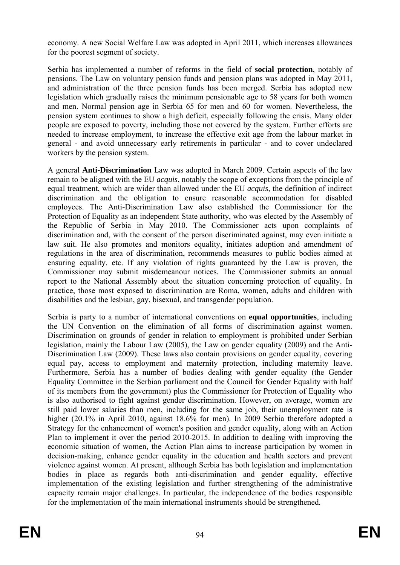economy. A new Social Welfare Law was adopted in April 2011, which increases allowances for the poorest segment of society.

Serbia has implemented a number of reforms in the field of **social protection**, notably of pensions. The Law on voluntary pension funds and pension plans was adopted in May 2011, and administration of the three pension funds has been merged. Serbia has adopted new legislation which gradually raises the minimum pensionable age to 58 years for both women and men. Normal pension age in Serbia 65 for men and 60 for women. Nevertheless, the pension system continues to show a high deficit, especially following the crisis. Many older people are exposed to poverty, including those not covered by the system. Further efforts are needed to increase employment, to increase the effective exit age from the labour market in general - and avoid unnecessary early retirements in particular - and to cover undeclared workers by the pension system.

A general **Anti-Discrimination** Law was adopted in March 2009. Certain aspects of the law remain to be aligned with the EU *acquis*, notably the scope of exceptions from the principle of equal treatment, which are wider than allowed under the EU *acquis*, the definition of indirect discrimination and the obligation to ensure reasonable accommodation for disabled employees. The Anti-Discrimination Law also established the Commissioner for the Protection of Equality as an independent State authority, who was elected by the Assembly of the Republic of Serbia in May 2010. The Commissioner acts upon complaints of discrimination and, with the consent of the person discriminated against, may even initiate a law suit. He also promotes and monitors equality, initiates adoption and amendment of regulations in the area of discrimination, recommends measures to public bodies aimed at ensuring equality, etc. If any violation of rights guaranteed by the Law is proven, the Commissioner may submit misdemeanour notices. The Commissioner submits an annual report to the National Assembly about the situation concerning protection of equality. In practice, those most exposed to discrimination are Roma, women, adults and children with disabilities and the lesbian, gay, bisexual, and transgender population.

Serbia is party to a number of international conventions on **equal opportunities**, including the UN Convention on the elimination of all forms of discrimination against women. Discrimination on grounds of gender in relation to employment is prohibited under Serbian legislation, mainly the Labour Law (2005), the Law on gender equality (2009) and the Anti-Discrimination Law (2009). These laws also contain provisions on gender equality, covering equal pay, access to employment and maternity protection, including maternity leave. Furthermore, Serbia has a number of bodies dealing with gender equality (the Gender Equality Committee in the Serbian parliament and the Council for Gender Equality with half of its members from the government) plus the Commissioner for Protection of Equality who is also authorised to fight against gender discrimination. However, on average, women are still paid lower salaries than men, including for the same job, their unemployment rate is higher (20.1% in April 2010, against 18.6% for men). In 2009 Serbia therefore adopted a Strategy for the enhancement of women's position and gender equality, along with an Action Plan to implement it over the period 2010-2015. In addition to dealing with improving the economic situation of women, the Action Plan aims to increase participation by women in decision-making, enhance gender equality in the education and health sectors and prevent violence against women. At present, although Serbia has both legislation and implementation bodies in place as regards both anti-discrimination and gender equality, effective implementation of the existing legislation and further strengthening of the administrative capacity remain major challenges. In particular, the independence of the bodies responsible for the implementation of the main international instruments should be strengthened*.*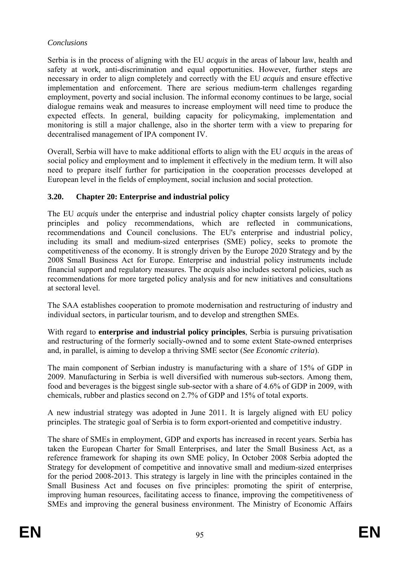## *Conclusions*

Serbia is in the process of aligning with the EU *acquis* in the areas of labour law, health and safety at work, anti-discrimination and equal opportunities. However, further steps are necessary in order to align completely and correctly with the EU *acquis* and ensure effective implementation and enforcement. There are serious medium-term challenges regarding employment, poverty and social inclusion. The informal economy continues to be large, social dialogue remains weak and measures to increase employment will need time to produce the expected effects. In general, building capacity for policymaking, implementation and monitoring is still a major challenge, also in the shorter term with a view to preparing for decentralised management of IPA component IV.

Overall, Serbia will have to make additional efforts to align with the EU *acquis* in the areas of social policy and employment and to implement it effectively in the medium term. It will also need to prepare itself further for participation in the cooperation processes developed at European level in the fields of employment, social inclusion and social protection.

# **3.20. Chapter 20: Enterprise and industrial policy**

The EU *acquis* under the enterprise and industrial policy chapter consists largely of policy principles and policy recommendations, which are reflected in communications, recommendations and Council conclusions. The EU's enterprise and industrial policy, including its small and medium-sized enterprises (SME) policy, seeks to promote the competitiveness of the economy. It is strongly driven by the Europe 2020 Strategy and by the 2008 Small Business Act for Europe. Enterprise and industrial policy instruments include financial support and regulatory measures. The *acquis* also includes sectoral policies, such as recommendations for more targeted policy analysis and for new initiatives and consultations at sectoral level.

The SAA establishes cooperation to promote modernisation and restructuring of industry and individual sectors, in particular tourism, and to develop and strengthen SMEs.

With regard to **enterprise and industrial policy principles**, Serbia is pursuing privatisation and restructuring of the formerly socially-owned and to some extent State-owned enterprises and, in parallel, is aiming to develop a thriving SME sector (*See Economic criteria*).

The main component of Serbian industry is manufacturing with a share of 15% of GDP in 2009. Manufacturing in Serbia is well diversified with numerous sub-sectors. Among them, food and beverages is the biggest single sub-sector with a share of 4.6% of GDP in 2009, with chemicals, rubber and plastics second on 2.7% of GDP and 15% of total exports.

A new industrial strategy was adopted in June 2011. It is largely aligned with EU policy principles. The strategic goal of Serbia is to form export-oriented and competitive industry.

The share of SMEs in employment, GDP and exports has increased in recent years. Serbia has taken the European Charter for Small Enterprises, and later the Small Business Act, as a reference framework for shaping its own SME policy, In October 2008 Serbia adopted the Strategy for development of competitive and innovative small and medium-sized enterprises for the period 2008-2013. This strategy is largely in line with the principles contained in the Small Business Act and focuses on five principles: promoting the spirit of enterprise, improving human resources, facilitating access to finance, improving the competitiveness of SMEs and improving the general business environment. The Ministry of Economic Affairs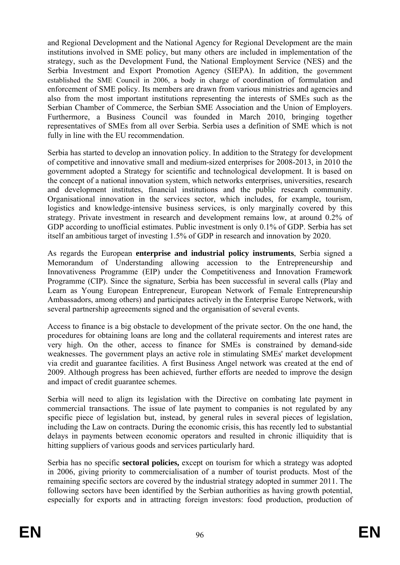and Regional Development and the National Agency for Regional Development are the main institutions involved in SME policy, but many others are included in implementation of the strategy, such as the Development Fund, the National Employment Service (NES) and the Serbia Investment and Export Promotion Agency (SIEPA). In addition, the government established the SME Council in 2006, a body in charge of coordination of formulation and enforcement of SME policy. Its members are drawn from various ministries and agencies and also from the most important institutions representing the interests of SMEs such as the Serbian Chamber of Commerce, the Serbian SME Association and the Union of Employers. Furthermore, a Business Council was founded in March 2010, bringing together representatives of SMEs from all over Serbia. Serbia uses a definition of SME which is not fully in line with the EU recommendation.

Serbia has started to develop an innovation policy. In addition to the Strategy for development of competitive and innovative small and medium-sized enterprises for 2008-2013, in 2010 the government adopted a Strategy for scientific and technological development. It is based on the concept of a national innovation system, which networks enterprises, universities, research and development institutes, financial institutions and the public research community. Organisational innovation in the services sector, which includes, for example, tourism, logistics and knowledge-intensive business services, is only marginally covered by this strategy. Private investment in research and development remains low, at around 0.2% of GDP according to unofficial estimates. Public investment is only 0.1% of GDP. Serbia has set itself an ambitious target of investing 1.5% of GDP in research and innovation by 2020.

As regards the European **enterprise and industrial policy instruments**, Serbia signed a Memorandum of Understanding allowing accession to the Entrepreneurship and Innovativeness Programme (EIP) under the Competitiveness and Innovation Framework Programme (CIP). Since the signature, Serbia has been successful in several calls (Play and Learn as Young European Entrepreneur, European Network of Female Entrepreneurship Ambassadors, among others) and participates actively in the Enterprise Europe Network, with several partnership agreeements signed and the organisation of several events.

Access to finance is a big obstacle to development of the private sector. On the one hand, the procedures for obtaining loans are long and the collateral requirements and interest rates are very high. On the other, access to finance for SMEs is constrained by demand-side weaknesses. The government plays an active role in stimulating SMEs' market development via credit and guarantee facilities. A first Business Angel network was created at the end of 2009. Although progress has been achieved, further efforts are needed to improve the design and impact of credit guarantee schemes.

Serbia will need to align its legislation with the Directive on combating late payment in commercial transactions. The issue of late payment to companies is not regulated by any specific piece of legislation but, instead, by general rules in several pieces of legislation, including the Law on contracts. During the economic crisis, this has recently led to substantial delays in payments between economic operators and resulted in chronic illiquidity that is hitting suppliers of various goods and services particularly hard.

Serbia has no specific **sectoral policies,** except on tourism for which a strategy was adopted in 2006, giving priority to commercialisation of a number of tourist products. Most of the remaining specific sectors are covered by the industrial strategy adopted in summer 2011. The following sectors have been identified by the Serbian authorities as having growth potential, especially for exports and in attracting foreign investors: food production, production of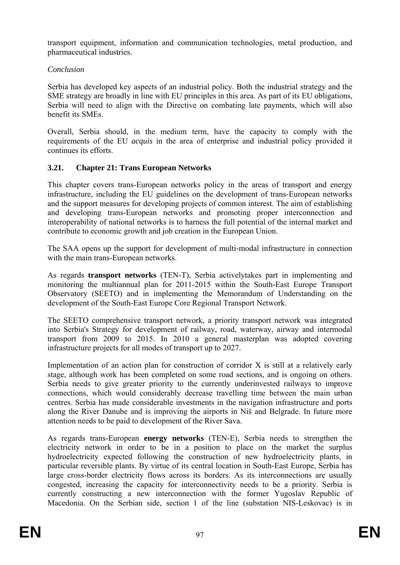transport equipment, information and communication technologies, metal production, and pharmaceutical industries.

# *Conclusion*

Serbia has developed key aspects of an industrial policy. Both the industrial strategy and the SME strategy are broadly in line with EU principles in this area. As part of its EU obligations, Serbia will need to align with the Directive on combating late payments, which will also benefit its SMEs.

Overall, Serbia should, in the medium term, have the capacity to comply with the requirements of the EU *acquis* in the area of enterprise and industrial policy provided it continues its efforts.

# **3.21. Chapter 21: Trans European Networks**

This chapter covers trans-European networks policy in the areas of transport and energy infrastructure, including the EU guidelines on the development of trans-European networks and the support measures for developing projects of common interest. The aim of establishing and developing trans-European networks and promoting proper interconnection and interoperability of national networks is to harness the full potential of the internal market and contribute to economic growth and job creation in the European Union.

The SAA opens up the support for development of multi-modal infrastructure in connection with the main trans-European networks.

As regards **transport networks** (TEN-T), Serbia activelytakes part in implementing and monitoring the multiannual plan for 2011-2015 within the South-East Europe Transport Observatory (SEETO) and in implementing the Memorandum of Understanding on the development of the South-East Europe Core Regional Transport Network.

The SEETO comprehensive transport network, a priority transport network was integrated into Serbia's Strategy for development of railway, road, waterway, airway and intermodal transport from 2009 to 2015. In 2010 a general masterplan was adopted covering infrastructure projects for all modes of transport up to 2027.

Implementation of an action plan for construction of corridor X is still at a relatively early stage, although work has been completed on some road sections, and is ongoing on others. Serbia needs to give greater priority to the currently underinvested railways to improve connections, which would considerably decrease travelling time between the main urban centres. Serbia has made considerable investments in the navigation infrastructure and ports along the River Danube and is improving the airports in Niš and Belgrade. In future more attention needs to be paid to development of the River Sava.

As regards trans-European **energy networks** (TEN-E), Serbia needs to strengthen the electricity network in order to be in a position to place on the market the surplus hydroelectricity expected following the construction of new hydroelectricity plants, in particular reversible plants. By virtue of its central location in South-East Europe, Serbia has large cross-border electricity flows across its borders. As its interconnections are usually congested, increasing the capacity for interconnectivity needs to be a priority. Serbia is currently constructing a new interconnection with the former Yugoslav Republic of Macedonia. On the Serbian side, section 1 of the line (substation NIS-Leskovac) is in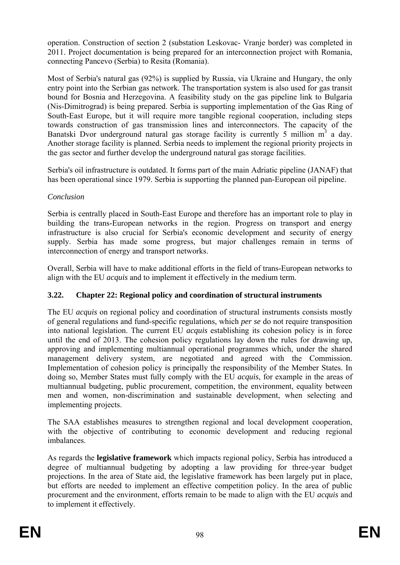operation. Construction of section 2 (substation Leskovac- Vranje border) was completed in 2011. Project documentation is being prepared for an interconnection project with Romania, connecting Pancevo (Serbia) to Resita (Romania).

Most of Serbia's natural gas (92%) is supplied by Russia, via Ukraine and Hungary, the only entry point into the Serbian gas network. The transportation system is also used for gas transit bound for Bosnia and Herzegovina. A feasibility study on the gas pipeline link to Bulgaria (Nis-Dimitrograd) is being prepared. Serbia is supporting implementation of the Gas Ring of South-East Europe, but it will require more tangible regional cooperation, including steps towards construction of gas transmission lines and interconnectors. The capacity of the Banatski Dvor underground natural gas storage facility is currently 5 million  $m<sup>3</sup>$  a day. Another storage facility is planned. Serbia needs to implement the regional priority projects in the gas sector and further develop the underground natural gas storage facilities.

Serbia's oil infrastructure is outdated. It forms part of the main Adriatic pipeline (JANAF) that has been operational since 1979. Serbia is supporting the planned pan-European oil pipeline.

# *Conclusion*

Serbia is centrally placed in South-East Europe and therefore has an important role to play in building the trans-European networks in the region. Progress on transport and energy infrastructure is also crucial for Serbia's economic development and security of energy supply. Serbia has made some progress, but major challenges remain in terms of interconnection of energy and transport networks.

Overall, Serbia will have to make additional efforts in the field of trans-European networks to align with the EU *acquis* and to implement it effectively in the medium term.

# **3.22. Chapter 22: Regional policy and coordination of structural instruments**

The EU *acquis* on regional policy and coordination of structural instruments consists mostly of general regulations and fund-specific regulations, which *per se* do not require transposition into national legislation. The current EU *acquis* establishing its cohesion policy is in force until the end of 2013. The cohesion policy regulations lay down the rules for drawing up, approving and implementing multiannual operational programmes which, under the shared management delivery system, are negotiated and agreed with the Commission. Implementation of cohesion policy is principally the responsibility of the Member States. In doing so, Member States must fully comply with the EU *acquis*, for example in the areas of multiannual budgeting, public procurement, competition, the environment, equality between men and women, non-discrimination and sustainable development, when selecting and implementing projects.

The SAA establishes measures to strengthen regional and local development cooperation, with the objective of contributing to economic development and reducing regional imbalances.

As regards the **legislative framework** which impacts regional policy, Serbia has introduced a degree of multiannual budgeting by adopting a law providing for three-year budget projections. In the area of State aid, the legislative framework has been largely put in place, but efforts are needed to implement an effective competition policy. In the area of public procurement and the environment, efforts remain to be made to align with the EU *acquis* and to implement it effectively.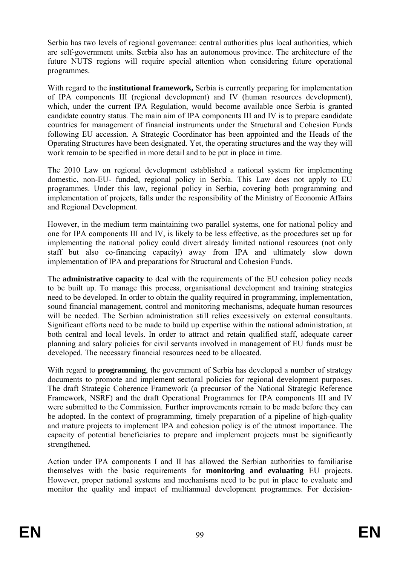Serbia has two levels of regional governance: central authorities plus local authorities, which are self-government units. Serbia also has an autonomous province. The architecture of the future NUTS regions will require special attention when considering future operational programmes.

With regard to the **institutional framework**, Serbia is currently preparing for implementation of IPA components III (regional development) and IV (human resources development), which, under the current IPA Regulation, would become available once Serbia is granted candidate country status. The main aim of IPA components III and IV is to prepare candidate countries for management of financial instruments under the Structural and Cohesion Funds following EU accession. A Strategic Coordinator has been appointed and the Heads of the Operating Structures have been designated. Yet, the operating structures and the way they will work remain to be specified in more detail and to be put in place in time.

The 2010 Law on regional development established a national system for implementing domestic, non-EU- funded, regional policy in Serbia. This Law does not apply to EU programmes. Under this law, regional policy in Serbia, covering both programming and implementation of projects, falls under the responsibility of the Ministry of Economic Affairs and Regional Development.

However, in the medium term maintaining two parallel systems, one for national policy and one for IPA components III and IV, is likely to be less effective, as the procedures set up for implementing the national policy could divert already limited national resources (not only staff but also co-financing capacity) away from IPA and ultimately slow down implementation of IPA and preparations for Structural and Cohesion Funds.

The **administrative capacity** to deal with the requirements of the EU cohesion policy needs to be built up. To manage this process, organisational development and training strategies need to be developed. In order to obtain the quality required in programming, implementation, sound financial management, control and monitoring mechanisms, adequate human resources will be needed. The Serbian administration still relies excessively on external consultants. Significant efforts need to be made to build up expertise within the national administration, at both central and local levels. In order to attract and retain qualified staff, adequate career planning and salary policies for civil servants involved in management of EU funds must be developed. The necessary financial resources need to be allocated.

With regard to **programming**, the government of Serbia has developed a number of strategy documents to promote and implement sectoral policies for regional development purposes. The draft Strategic Coherence Framework (a precursor of the National Strategic Reference Framework, NSRF) and the draft Operational Programmes for IPA components III and IV were submitted to the Commission. Further improvements remain to be made before they can be adopted. In the context of programming, timely preparation of a pipeline of high-quality and mature projects to implement IPA and cohesion policy is of the utmost importance. The capacity of potential beneficiaries to prepare and implement projects must be significantly strengthened.

Action under IPA components I and II has allowed the Serbian authorities to familiarise themselves with the basic requirements for **monitoring and evaluating** EU projects. However, proper national systems and mechanisms need to be put in place to evaluate and monitor the quality and impact of multiannual development programmes. For decision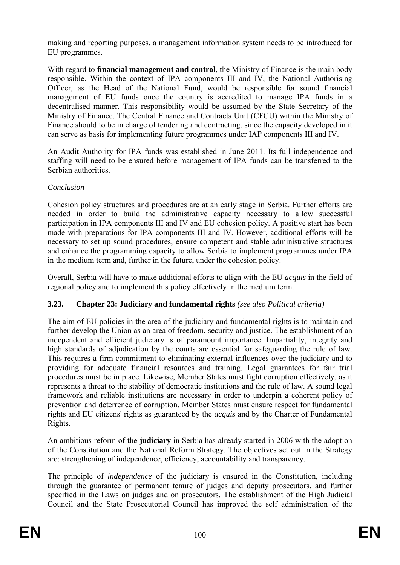making and reporting purposes, a management information system needs to be introduced for EU programmes.

With regard to **financial management and control**, the Ministry of Finance is the main body responsible. Within the context of IPA components III and IV, the National Authorising Officer, as the Head of the National Fund, would be responsible for sound financial management of EU funds once the country is accredited to manage IPA funds in a decentralised manner. This responsibility would be assumed by the State Secretary of the Ministry of Finance. The Central Finance and Contracts Unit (CFCU) within the Ministry of Finance should to be in charge of tendering and contracting, since the capacity developed in it can serve as basis for implementing future programmes under IAP components III and IV.

An Audit Authority for IPA funds was established in June 2011. Its full independence and staffing will need to be ensured before management of IPA funds can be transferred to the Serbian authorities.

#### *Conclusion*

Cohesion policy structures and procedures are at an early stage in Serbia. Further efforts are needed in order to build the administrative capacity necessary to allow successful participation in IPA components III and IV and EU cohesion policy. A positive start has been made with preparations for IPA components III and IV. However, additional efforts will be necessary to set up sound procedures, ensure competent and stable administrative structures and enhance the programming capacity to allow Serbia to implement programmes under IPA in the medium term and, further in the future, under the cohesion policy.

Overall, Serbia will have to make additional efforts to align with the EU *acquis* in the field of regional policy and to implement this policy effectively in the medium term.

#### **3.23. Chapter 23: Judiciary and fundamental rights** *(see also Political criteria)*

The aim of EU policies in the area of the judiciary and fundamental rights is to maintain and further develop the Union as an area of freedom, security and justice. The establishment of an independent and efficient judiciary is of paramount importance. Impartiality, integrity and high standards of adjudication by the courts are essential for safeguarding the rule of law. This requires a firm commitment to eliminating external influences over the judiciary and to providing for adequate financial resources and training. Legal guarantees for fair trial procedures must be in place. Likewise, Member States must fight corruption effectively, as it represents a threat to the stability of democratic institutions and the rule of law. A sound legal framework and reliable institutions are necessary in order to underpin a coherent policy of prevention and deterrence of corruption. Member States must ensure respect for fundamental rights and EU citizens' rights as guaranteed by the *acquis* and by the Charter of Fundamental Rights.

An ambitious reform of the **judiciary** in Serbia has already started in 2006 with the adoption of the Constitution and the National Reform Strategy. The objectives set out in the Strategy are: strengthening of independence, efficiency, accountability and transparency.

The principle of *independence* of the judiciary is ensured in the Constitution, including through the guarantee of permanent tenure of judges and deputy prosecutors, and further specified in the Laws on judges and on prosecutors. The establishment of the High Judicial Council and the State Prosecutorial Council has improved the self administration of the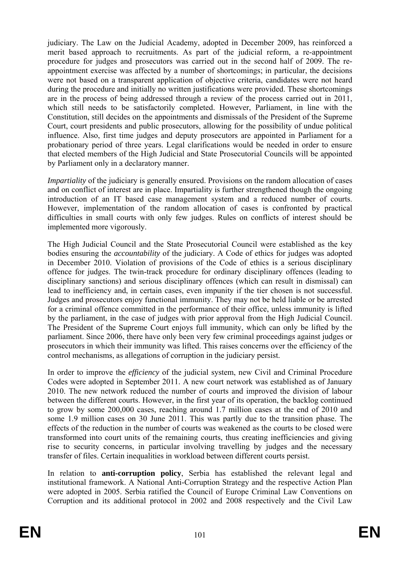judiciary. The Law on the Judicial Academy, adopted in December 2009, has reinforced a merit based approach to recruitments. As part of the judicial reform, a re-appointment procedure for judges and prosecutors was carried out in the second half of 2009. The reappointment exercise was affected by a number of shortcomings; in particular, the decisions were not based on a transparent application of objective criteria, candidates were not heard during the procedure and initially no written justifications were provided. These shortcomings are in the process of being addressed through a review of the process carried out in 2011, which still needs to be satisfactorily completed. However, Parliament, in line with the Constitution, still decides on the appointments and dismissals of the President of the Supreme Court, court presidents and public prosecutors, allowing for the possibility of undue political influence. Also, first time judges and deputy prosecutors are appointed in Parliament for a probationary period of three years. Legal clarifications would be needed in order to ensure that elected members of the High Judicial and State Prosecutorial Councils will be appointed by Parliament only in a declaratory manner.

*Impartiality* of the judiciary is generally ensured. Provisions on the random allocation of cases and on conflict of interest are in place. Impartiality is further strengthened though the ongoing introduction of an IT based case management system and a reduced number of courts. However, implementation of the random allocation of cases is confronted by practical difficulties in small courts with only few judges. Rules on conflicts of interest should be implemented more vigorously.

The High Judicial Council and the State Prosecutorial Council were established as the key bodies ensuring the *accountability* of the judiciary. A Code of ethics for judges was adopted in December 2010. Violation of provisions of the Code of ethics is a serious disciplinary offence for judges. The twin-track procedure for ordinary disciplinary offences (leading to disciplinary sanctions) and serious disciplinary offences (which can result in dismissal) can lead to inefficiency and, in certain cases, even impunity if the tier chosen is not successful. Judges and prosecutors enjoy functional immunity. They may not be held liable or be arrested for a criminal offence committed in the performance of their office, unless immunity is lifted by the parliament, in the case of judges with prior approval from the High Judicial Council. The President of the Supreme Court enjoys full immunity, which can only be lifted by the parliament. Since 2006, there have only been very few criminal proceedings against judges or prosecutors in which their immunity was lifted. This raises concerns over the efficiency of the control mechanisms, as allegations of corruption in the judiciary persist.

In order to improve the *efficiency* of the judicial system, new Civil and Criminal Procedure Codes were adopted in September 2011. A new court network was established as of January 2010. The new network reduced the number of courts and improved the division of labour between the different courts. However, in the first year of its operation, the backlog continued to grow by some 200,000 cases, reaching around 1.7 million cases at the end of 2010 and some 1.9 million cases on 30 June 2011. This was partly due to the transition phase. The effects of the reduction in the number of courts was weakened as the courts to be closed were transformed into court units of the remaining courts, thus creating inefficiencies and giving rise to security concerns, in particular involving travelling by judges and the necessary transfer of files. Certain inequalities in workload between different courts persist.

In relation to **anti-corruption policy**, Serbia has established the relevant legal and institutional framework. A National Anti-Corruption Strategy and the respective Action Plan were adopted in 2005. Serbia ratified the Council of Europe Criminal Law Conventions on Corruption and its additional protocol in 2002 and 2008 respectively and the Civil Law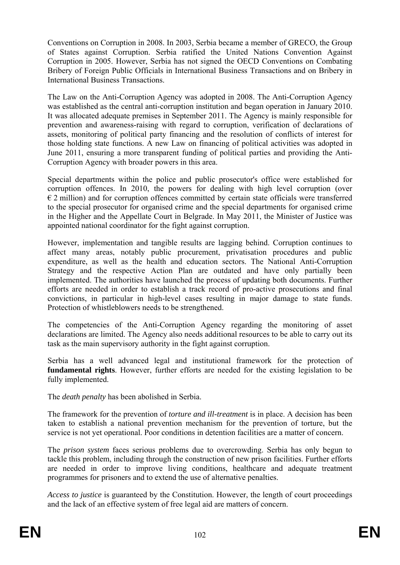Conventions on Corruption in 2008. In 2003, Serbia became a member of GRECO, the Group of States against Corruption. Serbia ratified the United Nations Convention Against Corruption in 2005. However, Serbia has not signed the OECD Conventions on Combating Bribery of Foreign Public Officials in International Business Transactions and on Bribery in International Business Transactions.

The Law on the Anti-Corruption Agency was adopted in 2008. The Anti-Corruption Agency was established as the central anti-corruption institution and began operation in January 2010. It was allocated adequate premises in September 2011. The Agency is mainly responsible for prevention and awareness-raising with regard to corruption, verification of declarations of assets, monitoring of political party financing and the resolution of conflicts of interest for those holding state functions. A new Law on financing of political activities was adopted in June 2011, ensuring a more transparent funding of political parties and providing the Anti-Corruption Agency with broader powers in this area.

Special departments within the police and public prosecutor's office were established for corruption offences. In 2010, the powers for dealing with high level corruption (over  $\epsilon$  2 million) and for corruption offences committed by certain state officials were transferred to the special prosecutor for organised crime and the special departments for organised crime in the Higher and the Appellate Court in Belgrade. In May 2011, the Minister of Justice was appointed national coordinator for the fight against corruption.

However, implementation and tangible results are lagging behind. Corruption continues to affect many areas, notably public procurement, privatisation procedures and public expenditure, as well as the health and education sectors. The National Anti-Corruption Strategy and the respective Action Plan are outdated and have only partially been implemented. The authorities have launched the process of updating both documents. Further efforts are needed in order to establish a track record of pro-active prosecutions and final convictions, in particular in high-level cases resulting in major damage to state funds. Protection of whistleblowers needs to be strengthened.

The competencies of the Anti-Corruption Agency regarding the monitoring of asset declarations are limited. The Agency also needs additional resources to be able to carry out its task as the main supervisory authority in the fight against corruption.

Serbia has a well advanced legal and institutional framework for the protection of **fundamental rights**. However, further efforts are needed for the existing legislation to be fully implemented.

The *death penalty* has been abolished in Serbia.

The framework for the prevention of *torture and ill-treatment* is in place. A decision has been taken to establish a national prevention mechanism for the prevention of torture, but the service is not yet operational. Poor conditions in detention facilities are a matter of concern.

The *prison system* faces serious problems due to overcrowding. Serbia has only begun to tackle this problem, including through the construction of new prison facilities. Further efforts are needed in order to improve living conditions, healthcare and adequate treatment programmes for prisoners and to extend the use of alternative penalties.

*Access to justice* is guaranteed by the Constitution. However, the length of court proceedings and the lack of an effective system of free legal aid are matters of concern.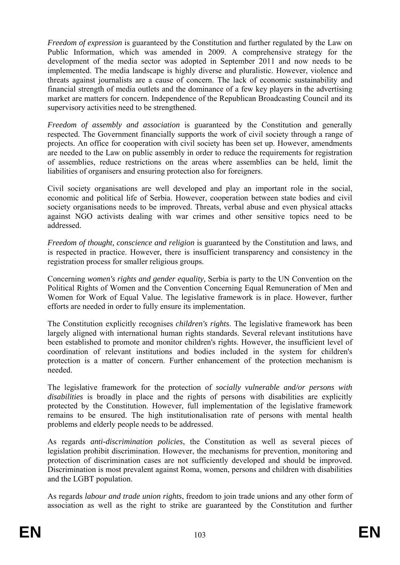*Freedom of expression* is guaranteed by the Constitution and further regulated by the Law on Public Information, which was amended in 2009. A comprehensive strategy for the development of the media sector was adopted in September 2011 and now needs to be implemented. The media landscape is highly diverse and pluralistic. However, violence and threats against journalists are a cause of concern. The lack of economic sustainability and financial strength of media outlets and the dominance of a few key players in the advertising market are matters for concern. Independence of the Republican Broadcasting Council and its supervisory activities need to be strengthened.

*Freedom of assembly and association* is guaranteed by the Constitution and generally respected. The Government financially supports the work of civil society through a range of projects. An office for cooperation with civil society has been set up. However, amendments are needed to the Law on public assembly in order to reduce the requirements for registration of assemblies, reduce restrictions on the areas where assemblies can be held, limit the liabilities of organisers and ensuring protection also for foreigners.

Civil society organisations are well developed and play an important role in the social, economic and political life of Serbia. However, cooperation between state bodies and civil society organisations needs to be improved. Threats, verbal abuse and even physical attacks against NGO activists dealing with war crimes and other sensitive topics need to be addressed.

*Freedom of thought, conscience and religion* is guaranteed by the Constitution and laws, and is respected in practice. However, there is insufficient transparency and consistency in the registration process for smaller religious groups.

Concerning *women's rights and gender equality,* Serbia is party to the UN Convention on the Political Rights of Women and the Convention Concerning Equal Remuneration of Men and Women for Work of Equal Value. The legislative framework is in place. However, further efforts are needed in order to fully ensure its implementation.

The Constitution explicitly recognises *children's rights*. The legislative framework has been largely aligned with international human rights standards. Several relevant institutions have been established to promote and monitor children's rights. However, the insufficient level of coordination of relevant institutions and bodies included in the system for children's protection is a matter of concern. Further enhancement of the protection mechanism is needed.

The legislative framework for the protection of *socially vulnerable and/or persons with disabilities* is broadly in place and the rights of persons with disabilities are explicitly protected by the Constitution. However, full implementation of the legislative framework remains to be ensured. The high institutionalisation rate of persons with mental health problems and elderly people needs to be addressed.

As regards *anti-discrimination policies*, the Constitution as well as several pieces of legislation prohibit discrimination. However, the mechanisms for prevention, monitoring and protection of discrimination cases are not sufficiently developed and should be improved. Discrimination is most prevalent against Roma, women, persons and children with disabilities and the LGBT population.

As regards *labour and trade union rights*, freedom to join trade unions and any other form of association as well as the right to strike are guaranteed by the Constitution and further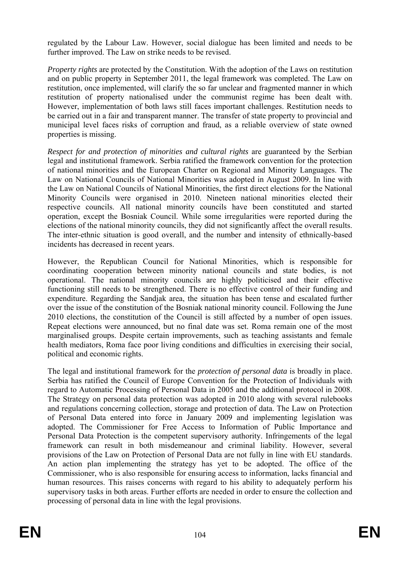regulated by the Labour Law. However, social dialogue has been limited and needs to be further improved. The Law on strike needs to be revised.

*Property rights* are protected by the Constitution. With the adoption of the Laws on restitution and on public property in September 2011, the legal framework was completed. The Law on restitution, once implemented, will clarify the so far unclear and fragmented manner in which restitution of property nationalised under the communist regime has been dealt with. However, implementation of both laws still faces important challenges. Restitution needs to be carried out in a fair and transparent manner. The transfer of state property to provincial and municipal level faces risks of corruption and fraud, as a reliable overview of state owned properties is missing.

*Respect for and protection of minorities and cultural rights* are guaranteed by the Serbian legal and institutional framework. Serbia ratified the framework convention for the protection of national minorities and the European Charter on Regional and Minority Languages. The Law on National Councils of National Minorities was adopted in August 2009. In line with the Law on National Councils of National Minorities, the first direct elections for the National Minority Councils were organised in 2010. Nineteen national minorities elected their respective councils. All national minority councils have been constituted and started operation, except the Bosniak Council. While some irregularities were reported during the elections of the national minority councils, they did not significantly affect the overall results. The inter-ethnic situation is good overall, and the number and intensity of ethnically-based incidents has decreased in recent years.

However, the Republican Council for National Minorities, which is responsible for coordinating cooperation between minority national councils and state bodies, is not operational. The national minority councils are highly politicised and their effective functioning still needs to be strengthened. There is no effective control of their funding and expenditure. Regarding the Sandjak area, the situation has been tense and escalated further over the issue of the constitution of the Bosniak national minority council. Following the June 2010 elections, the constitution of the Council is still affected by a number of open issues. Repeat elections were announced, but no final date was set. Roma remain one of the most marginalised groups. Despite certain improvements, such as teaching assistants and female health mediators, Roma face poor living conditions and difficulties in exercising their social, political and economic rights.

The legal and institutional framework for the *protection of personal data* is broadly in place. Serbia has ratified the Council of Europe Convention for the Protection of Individuals with regard to Automatic Processing of Personal Data in 2005 and the additional protocol in 2008. The Strategy on personal data protection was adopted in 2010 along with several rulebooks and regulations concerning collection, storage and protection of data. The Law on Protection of Personal Data entered into force in January 2009 and implementing legislation was adopted. The Commissioner for Free Access to Information of Public Importance and Personal Data Protection is the competent supervisory authority. Infringements of the legal framework can result in both misdemeanour and criminal liability. However, several provisions of the Law on Protection of Personal Data are not fully in line with EU standards. An action plan implementing the strategy has yet to be adopted. The office of the Commissioner, who is also responsible for ensuring access to information, lacks financial and human resources. This raises concerns with regard to his ability to adequately perform his supervisory tasks in both areas. Further efforts are needed in order to ensure the collection and processing of personal data in line with the legal provisions.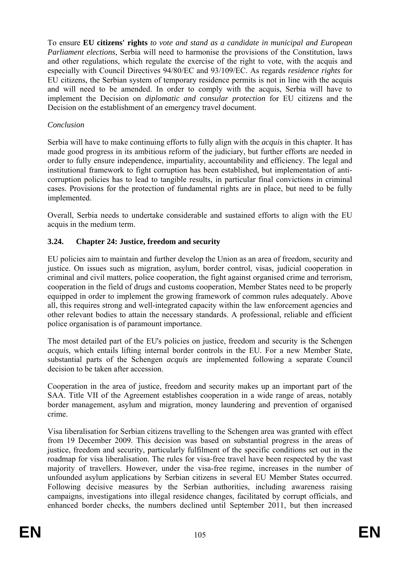To ensure **EU citizens' rights** *to vote and stand as a candidate in municipal and European Parliament elections*, Serbia will need to harmonise the provisions of the Constitution, laws and other regulations, which regulate the exercise of the right to vote, with the acquis and especially with Council Directives 94/80/EC and 93/109/EC. As regards *residence rights* for EU citizens, the Serbian system of temporary residence permits is not in line with the acquis and will need to be amended. In order to comply with the acquis, Serbia will have to implement the Decision on *diplomatic and consular protection* for EU citizens and the Decision on the establishment of an emergency travel document.

#### *Conclusion*

Serbia will have to make continuing efforts to fully align with the *acquis* in this chapter. It has made good progress in its ambitious reform of the judiciary, but further efforts are needed in order to fully ensure independence, impartiality, accountability and efficiency. The legal and institutional framework to fight corruption has been established, but implementation of anticorruption policies has to lead to tangible results, in particular final convictions in criminal cases. Provisions for the protection of fundamental rights are in place, but need to be fully implemented.

Overall, Serbia needs to undertake considerable and sustained efforts to align with the EU acquis in the medium term.

#### **3.24. Chapter 24: Justice, freedom and security**

EU policies aim to maintain and further develop the Union as an area of freedom, security and justice. On issues such as migration, asylum, border control, visas, judicial cooperation in criminal and civil matters, police cooperation, the fight against organised crime and terrorism, cooperation in the field of drugs and customs cooperation, Member States need to be properly equipped in order to implement the growing framework of common rules adequately. Above all, this requires strong and well-integrated capacity within the law enforcement agencies and other relevant bodies to attain the necessary standards. A professional, reliable and efficient police organisation is of paramount importance.

The most detailed part of the EU's policies on justice, freedom and security is the Schengen *acquis*, which entails lifting internal border controls in the EU. For a new Member State, substantial parts of the Schengen *acquis* are implemented following a separate Council decision to be taken after accession.

Cooperation in the area of justice, freedom and security makes up an important part of the SAA. Title VII of the Agreement establishes cooperation in a wide range of areas, notably border management, asylum and migration, money laundering and prevention of organised crime.

Visa liberalisation for Serbian citizens travelling to the Schengen area was granted with effect from 19 December 2009. This decision was based on substantial progress in the areas of justice, freedom and security, particularly fulfilment of the specific conditions set out in the roadmap for visa liberalisation. The rules for visa-free travel have been respected by the vast majority of travellers. However, under the visa-free regime, increases in the number of unfounded asylum applications by Serbian citizens in several EU Member States occurred. Following decisive measures by the Serbian authorities, including awareness raising campaigns, investigations into illegal residence changes, facilitated by corrupt officials, and enhanced border checks, the numbers declined until September 2011, but then increased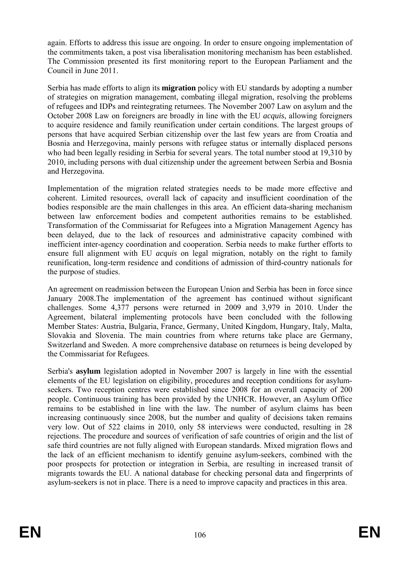again. Efforts to address this issue are ongoing. In order to ensure ongoing implementation of the commitments taken, a post visa liberalisation monitoring mechanism has been established. The Commission presented its first monitoring report to the European Parliament and the Council in June 2011.

Serbia has made efforts to align its **migration** policy with EU standards by adopting a number of strategies on migration management, combating illegal migration, resolving the problems of refugees and IDPs and reintegrating returnees. The November 2007 Law on asylum and the October 2008 Law on foreigners are broadly in line with the EU *acquis*, allowing foreigners to acquire residence and family reunification under certain conditions. The largest groups of persons that have acquired Serbian citizenship over the last few years are from Croatia and Bosnia and Herzegovina, mainly persons with refugee status or internally displaced persons who had been legally residing in Serbia for several years. The total number stood at 19,310 by 2010, including persons with dual citizenship under the agreement between Serbia and Bosnia and Herzegovina.

Implementation of the migration related strategies needs to be made more effective and coherent. Limited resources, overall lack of capacity and insufficient coordination of the bodies responsible are the main challenges in this area. An efficient data-sharing mechanism between law enforcement bodies and competent authorities remains to be established. Transformation of the Commissariat for Refugees into a Migration Management Agency has been delayed, due to the lack of resources and administrative capacity combined with inefficient inter-agency coordination and cooperation. Serbia needs to make further efforts to ensure full alignment with EU *acquis* on legal migration, notably on the right to family reunification, long-term residence and conditions of admission of third-country nationals for the purpose of studies.

An agreement on readmission between the European Union and Serbia has been in force since January 2008.The implementation of the agreement has continued without significant challenges. Some 4,377 persons were returned in 2009 and 3,979 in 2010. Under the Agreement, bilateral implementing protocols have been concluded with the following Member States: Austria, Bulgaria, France, Germany, United Kingdom, Hungary, Italy, Malta, Slovakia and Slovenia. The main countries from where returns take place are Germany, Switzerland and Sweden. A more comprehensive database on returnees is being developed by the Commissariat for Refugees.

Serbia's **asylum** legislation adopted in November 2007 is largely in line with the essential elements of the EU legislation on eligibility, procedures and reception conditions for asylumseekers. Two reception centres were established since 2008 for an overall capacity of 200 people. Continuous training has been provided by the UNHCR. However, an Asylum Office remains to be established in line with the law. The number of asylum claims has been increasing continuously since 2008, but the number and quality of decisions taken remains very low. Out of 522 claims in 2010, only 58 interviews were conducted, resulting in 28 rejections. The procedure and sources of verification of safe countries of origin and the list of safe third countries are not fully aligned with European standards. Mixed migration flows and the lack of an efficient mechanism to identify genuine asylum-seekers, combined with the poor prospects for protection or integration in Serbia, are resulting in increased transit of migrants towards the EU. A national database for checking personal data and fingerprints of asylum-seekers is not in place. There is a need to improve capacity and practices in this area.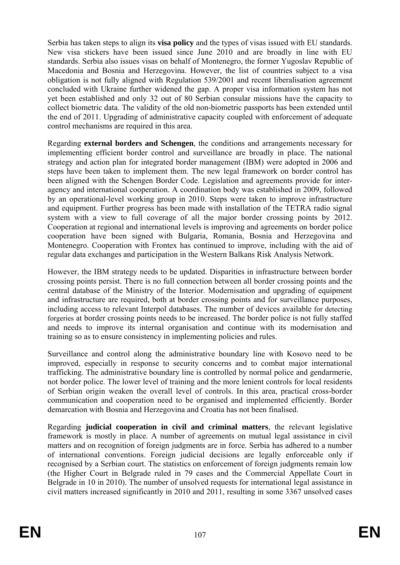Serbia has taken steps to align its **visa policy** and the types of visas issued with EU standards. New visa stickers have been issued since June 2010 and are broadly in line with EU standards. Serbia also issues visas on behalf of Montenegro, the former Yugoslav Republic of Macedonia and Bosnia and Herzegovina. However, the list of countries subject to a visa obligation is not fully aligned with Regulation 539/2001 and recent liberalisation agreement concluded with Ukraine further widened the gap. A proper visa information system has not yet been established and only 32 out of 80 Serbian consular missions have the capacity to collect biometric data. The validity of the old non-biometric passports has been extended until the end of 2011. Upgrading of administrative capacity coupled with enforcement of adequate control mechanisms are required in this area.

Regarding **external borders and Schengen**, the conditions and arrangements necessary for implementing efficient border control and surveillance are broadly in place. The national strategy and action plan for integrated border management (IBM) were adopted in 2006 and steps have been taken to implement them. The new legal framework on border control has been aligned with the Schengen Border Code. Legislation and agreements provide for interagency and international cooperation. A coordination body was established in 2009, followed by an operational-level working group in 2010. Steps were taken to improve infrastructure and equipment. Further progress has been made with installation of the TETRA radio signal system with a view to full coverage of all the major border crossing points by 2012. Cooperation at regional and international levels is improving and agreements on border police cooperation have been signed with Bulgaria, Romania, Bosnia and Herzegovina and Montenegro. Cooperation with Frontex has continued to improve, including with the aid of regular data exchanges and participation in the Western Balkans Risk Analysis Network.

However, the IBM strategy needs to be updated. Disparities in infrastructure between border crossing points persist. There is no full connection between all border crossing points and the central database of the Ministry of the Interior. Modernisation and upgrading of equipment and infrastructure are required, both at border crossing points and for surveillance purposes, including access to relevant Interpol databases. The number of devices available for detecting forgeries at border crossing points needs to be increased. The border police is not fully staffed and needs to improve its internal organisation and continue with its modernisation and training so as to ensure consistency in implementing policies and rules.

Surveillance and control along the administrative boundary line with Kosovo need to be improved, especially in response to security concerns and to combat major international trafficking. The administrative boundary line is controlled by normal police and gendarmerie, not border police. The lower level of training and the more lenient controls for local residents of Serbian origin weaken the overall level of controls. In this area, practical cross-border communication and cooperation need to be organised and implemented efficiently. Border demarcation with Bosnia and Herzegovina and Croatia has not been finalised.

Regarding **judicial cooperation in civil and criminal matters**, the relevant legislative framework is mostly in place. A number of agreements on mutual legal assistance in civil matters and on recognition of foreign judgments are in force. Serbia has adhered to a number of international conventions. Foreign judicial decisions are legally enforceable only if recognised by a Serbian court. The statistics on enforcement of foreign judgments remain low (the Higher Court in Belgrade ruled in 79 cases and the Commercial Appellate Court in Belgrade in 10 in 2010). The number of unsolved requests for international legal assistance in civil matters increased significantly in 2010 and 2011, resulting in some 3367 unsolved cases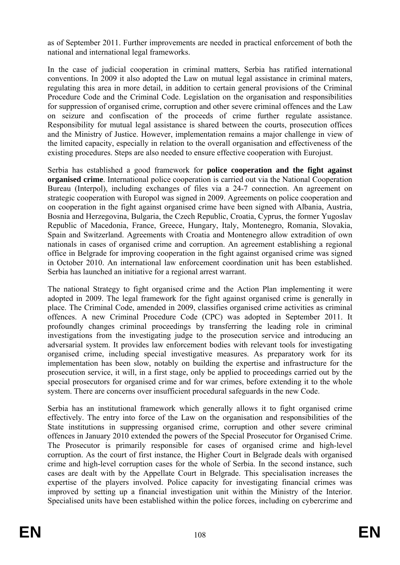as of September 2011. Further improvements are needed in practical enforcement of both the national and international legal frameworks.

In the case of judicial cooperation in criminal matters, Serbia has ratified international conventions. In 2009 it also adopted the Law on mutual legal assistance in criminal maters, regulating this area in more detail, in addition to certain general provisions of the Criminal Procedure Code and the Criminal Code. Legislation on the organisation and responsibilities for suppression of organised crime, corruption and other severe criminal offences and the Law on seizure and confiscation of the proceeds of crime further regulate assistance. Responsibility for mutual legal assistance is shared between the courts, prosecution offices and the Ministry of Justice. However, implementation remains a major challenge in view of the limited capacity, especially in relation to the overall organisation and effectiveness of the existing procedures. Steps are also needed to ensure effective cooperation with Eurojust.

Serbia has established a good framework for **police cooperation and the fight against organised crime**. International police cooperation is carried out via the National Cooperation Bureau (Interpol), including exchanges of files via a 24-7 connection. An agreement on strategic cooperation with Europol was signed in 2009. Agreements on police cooperation and on cooperation in the fight against organised crime have been signed with Albania, Austria, Bosnia and Herzegovina, Bulgaria, the Czech Republic, Croatia, Cyprus, the former Yugoslav Republic of Macedonia, France, Greece, Hungary, Italy, Montenegro, Romania, Slovakia, Spain and Switzerland. Agreements with Croatia and Montenegro allow extradition of own nationals in cases of organised crime and corruption. An agreement establishing a regional office in Belgrade for improving cooperation in the fight against organised crime was signed in October 2010. An international law enforcement coordination unit has been established. Serbia has launched an initiative for a regional arrest warrant.

The national Strategy to fight organised crime and the Action Plan implementing it were adopted in 2009. The legal framework for the fight against organised crime is generally in place. The Criminal Code, amended in 2009, classifies organised crime activities as criminal offences. A new Criminal Procedure Code (CPC) was adopted in September 2011. It profoundly changes criminal proceedings by transferring the leading role in criminal investigations from the investigating judge to the prosecution service and introducing an adversarial system. It provides law enforcement bodies with relevant tools for investigating organised crime, including special investigative measures. As preparatory work for its implementation has been slow, notably on building the expertise and infrastructure for the prosecution service, it will, in a first stage, only be applied to proceedings carried out by the special prosecutors for organised crime and for war crimes, before extending it to the whole system. There are concerns over insufficient procedural safeguards in the new Code.

Serbia has an institutional framework which generally allows it to fight organised crime effectively. The entry into force of the Law on the organisation and responsibilities of the State institutions in suppressing organised crime, corruption and other severe criminal offences in January 2010 extended the powers of the Special Prosecutor for Organised Crime. The Prosecutor is primarily responsible for cases of organised crime and high-level corruption. As the court of first instance, the Higher Court in Belgrade deals with organised crime and high-level corruption cases for the whole of Serbia. In the second instance, such cases are dealt with by the Appellate Court in Belgrade. This specialisation increases the expertise of the players involved. Police capacity for investigating financial crimes was improved by setting up a financial investigation unit within the Ministry of the Interior. Specialised units have been established within the police forces, including on cybercrime and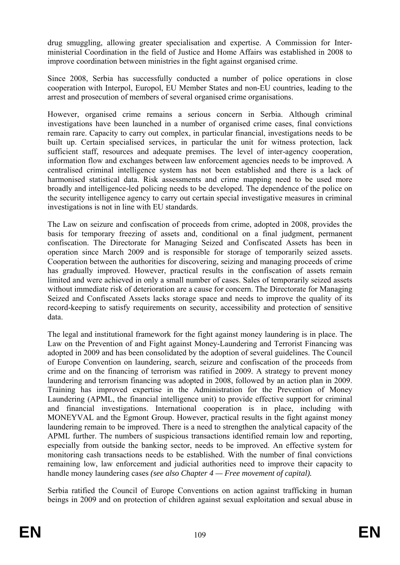drug smuggling, allowing greater specialisation and expertise. A Commission for Interministerial Coordination in the field of Justice and Home Affairs was established in 2008 to improve coordination between ministries in the fight against organised crime.

Since 2008, Serbia has successfully conducted a number of police operations in close cooperation with Interpol, Europol, EU Member States and non-EU countries, leading to the arrest and prosecution of members of several organised crime organisations.

However, organised crime remains a serious concern in Serbia. Although criminal investigations have been launched in a number of organised crime cases, final convictions remain rare. Capacity to carry out complex, in particular financial, investigations needs to be built up. Certain specialised services, in particular the unit for witness protection, lack sufficient staff, resources and adequate premises. The level of inter-agency cooperation, information flow and exchanges between law enforcement agencies needs to be improved. A centralised criminal intelligence system has not been established and there is a lack of harmonised statistical data. Risk assessments and crime mapping need to be used more broadly and intelligence-led policing needs to be developed. The dependence of the police on the security intelligence agency to carry out certain special investigative measures in criminal investigations is not in line with EU standards.

The Law on seizure and confiscation of proceeds from crime, adopted in 2008, provides the basis for temporary freezing of assets and, conditional on a final judgment, permanent confiscation. The Directorate for Managing Seized and Confiscated Assets has been in operation since March 2009 and is responsible for storage of temporarily seized assets. Cooperation between the authorities for discovering, seizing and managing proceeds of crime has gradually improved. However, practical results in the confiscation of assets remain limited and were achieved in only a small number of cases. Sales of temporarily seized assets without immediate risk of deterioration are a cause for concern. The Directorate for Managing Seized and Confiscated Assets lacks storage space and needs to improve the quality of its record-keeping to satisfy requirements on security, accessibility and protection of sensitive data.

The legal and institutional framework for the fight against money laundering is in place. The Law on the Prevention of and Fight against Money-Laundering and Terrorist Financing was adopted in 2009 and has been consolidated by the adoption of several guidelines. The Council of Europe Convention on laundering, search, seizure and confiscation of the proceeds from crime and on the financing of terrorism was ratified in 2009. A strategy to prevent money laundering and terrorism financing was adopted in 2008, followed by an action plan in 2009. Training has improved expertise in the Administration for the Prevention of Money Laundering (APML, the financial intelligence unit) to provide effective support for criminal and financial investigations. International cooperation is in place, including with MONEYVAL and the Egmont Group. However, practical results in the fight against money laundering remain to be improved. There is a need to strengthen the analytical capacity of the APML further. The numbers of suspicious transactions identified remain low and reporting, especially from outside the banking sector, needs to be improved. An effective system for monitoring cash transactions needs to be established. With the number of final convictions remaining low, law enforcement and judicial authorities need to improve their capacity to handle money laundering cases *(see also Chapter 4 — Free movement of capital).*

Serbia ratified the Council of Europe Conventions on action against trafficking in human beings in 2009 and on protection of children against sexual exploitation and sexual abuse in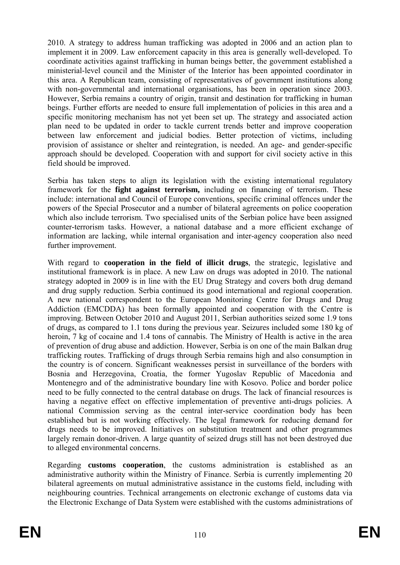2010. A strategy to address human trafficking was adopted in 2006 and an action plan to implement it in 2009. Law enforcement capacity in this area is generally well-developed. To coordinate activities against trafficking in human beings better, the government established a ministerial-level council and the Minister of the Interior has been appointed coordinator in this area. A Republican team, consisting of representatives of government institutions along with non-governmental and international organisations, has been in operation since 2003. However, Serbia remains a country of origin, transit and destination for trafficking in human beings. Further efforts are needed to ensure full implementation of policies in this area and a specific monitoring mechanism has not yet been set up. The strategy and associated action plan need to be updated in order to tackle current trends better and improve cooperation between law enforcement and judicial bodies. Better protection of victims, including provision of assistance or shelter and reintegration, is needed. An age- and gender-specific approach should be developed. Cooperation with and support for civil society active in this field should be improved.

Serbia has taken steps to align its legislation with the existing international regulatory framework for the **fight against terrorism,** including on financing of terrorism. These include: international and Council of Europe conventions, specific criminal offences under the powers of the Special Prosecutor and a number of bilateral agreements on police cooperation which also include terrorism. Two specialised units of the Serbian police have been assigned counter-terrorism tasks. However, a national database and a more efficient exchange of information are lacking, while internal organisation and inter-agency cooperation also need further improvement.

With regard to **cooperation in the field of illicit drugs**, the strategic, legislative and institutional framework is in place. A new Law on drugs was adopted in 2010. The national strategy adopted in 2009 is in line with the EU Drug Strategy and covers both drug demand and drug supply reduction. Serbia continued its good international and regional cooperation. A new national correspondent to the European Monitoring Centre for Drugs and Drug Addiction (EMCDDA) has been formally appointed and cooperation with the Centre is improving. Between October 2010 and August 2011, Serbian authorities seized some 1.9 tons of drugs, as compared to 1.1 tons during the previous year. Seizures included some 180 kg of heroin, 7 kg of cocaine and 1.4 tons of cannabis. The Ministry of Health is active in the area of prevention of drug abuse and addiction. However, Serbia is on one of the main Balkan drug trafficking routes. Trafficking of drugs through Serbia remains high and also consumption in the country is of concern. Significant weaknesses persist in surveillance of the borders with Bosnia and Herzegovina, Croatia, the former Yugoslav Republic of Macedonia and Montenegro and of the administrative boundary line with Kosovo. Police and border police need to be fully connected to the central database on drugs. The lack of financial resources is having a negative effect on effective implementation of preventive anti-drugs policies. A national Commission serving as the central inter-service coordination body has been established but is not working effectively. The legal framework for reducing demand for drugs needs to be improved. Initiatives on substitution treatment and other programmes largely remain donor-driven. A large quantity of seized drugs still has not been destroyed due to alleged environmental concerns.

Regarding **customs cooperation**, the customs administration is established as an administrative authority within the Ministry of Finance. Serbia is currently implementing 20 bilateral agreements on mutual administrative assistance in the customs field, including with neighbouring countries. Technical arrangements on electronic exchange of customs data via the Electronic Exchange of Data System were established with the customs administrations of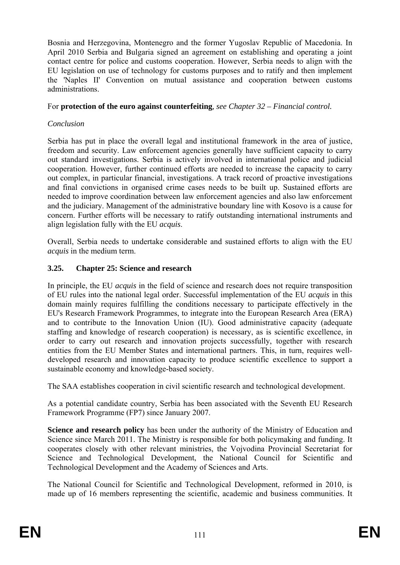Bosnia and Herzegovina, Montenegro and the former Yugoslav Republic of Macedonia. In April 2010 Serbia and Bulgaria signed an agreement on establishing and operating a joint contact centre for police and customs cooperation. However, Serbia needs to align with the EU legislation on use of technology for customs purposes and to ratify and then implement the 'Naples II' Convention on mutual assistance and cooperation between customs administrations.

#### For **protection of the euro against counterfeiting***, see Chapter 32 – Financial control.*

## *Conclusion*

Serbia has put in place the overall legal and institutional framework in the area of justice, freedom and security. Law enforcement agencies generally have sufficient capacity to carry out standard investigations. Serbia is actively involved in international police and judicial cooperation. However, further continued efforts are needed to increase the capacity to carry out complex, in particular financial, investigations. A track record of proactive investigations and final convictions in organised crime cases needs to be built up. Sustained efforts are needed to improve coordination between law enforcement agencies and also law enforcement and the judiciary. Management of the administrative boundary line with Kosovo is a cause for concern. Further efforts will be necessary to ratify outstanding international instruments and align legislation fully with the EU *acquis*.

Overall, Serbia needs to undertake considerable and sustained efforts to align with the EU *acquis* in the medium term.

### **3.25. Chapter 25: Science and research**

In principle, the EU *acquis* in the field of science and research does not require transposition of EU rules into the national legal order. Successful implementation of the EU *acquis* in this domain mainly requires fulfilling the conditions necessary to participate effectively in the EU's Research Framework Programmes, to integrate into the European Research Area (ERA) and to contribute to the Innovation Union (IU). Good administrative capacity (adequate staffing and knowledge of research cooperation) is necessary, as is scientific excellence, in order to carry out research and innovation projects successfully, together with research entities from the EU Member States and international partners. This, in turn, requires welldeveloped research and innovation capacity to produce scientific excellence to support a sustainable economy and knowledge-based society.

The SAA establishes cooperation in civil scientific research and technological development.

As a potential candidate country, Serbia has been associated with the Seventh EU Research Framework Programme (FP7) since January 2007.

**Science and research policy** has been under the authority of the Ministry of Education and Science since March 2011. The Ministry is responsible for both policymaking and funding. It cooperates closely with other relevant ministries, the Vojvodina Provincial Secretariat for Science and Technological Development, the National Council for Scientific and Technological Development and the Academy of Sciences and Arts.

The National Council for Scientific and Technological Development, reformed in 2010, is made up of 16 members representing the scientific, academic and business communities. It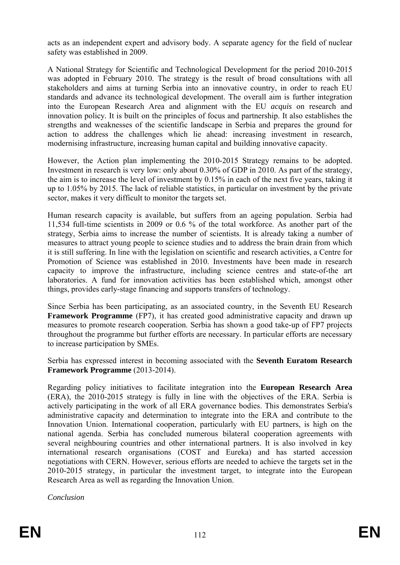acts as an independent expert and advisory body. A separate agency for the field of nuclear safety was established in 2009.

A National Strategy for Scientific and Technological Development for the period 2010-2015 was adopted in February 2010. The strategy is the result of broad consultations with all stakeholders and aims at turning Serbia into an innovative country, in order to reach EU standards and advance its technological development. The overall aim is further integration into the European Research Area and alignment with the EU *acquis* on research and innovation policy*.* It is built on the principles of focus and partnership. It also establishes the strengths and weaknesses of the scientific landscape in Serbia and prepares the ground for action to address the challenges which lie ahead: increasing investment in research, modernising infrastructure, increasing human capital and building innovative capacity.

However, the Action plan implementing the 2010-2015 Strategy remains to be adopted. Investment in research is very low: only about 0.30% of GDP in 2010. As part of the strategy, the aim is to increase the level of investment by 0.15% in each of the next five years, taking it up to 1.05% by 2015. The lack of reliable statistics, in particular on investment by the private sector, makes it very difficult to monitor the targets set.

Human research capacity is available, but suffers from an ageing population. Serbia had 11,534 full-time scientists in 2009 or 0.6 % of the total workforce. As another part of the strategy, Serbia aims to increase the number of scientists. It is already taking a number of measures to attract young people to science studies and to address the brain drain from which it is still suffering. In line with the legislation on scientific and research activities, a Centre for Promotion of Science was established in 2010. Investments have been made in research capacity to improve the infrastructure, including science centres and state-of-the art laboratories. A fund for innovation activities has been established which, amongst other things, provides early-stage financing and supports transfers of technology.

Since Serbia has been participating, as an associated country, in the Seventh EU Research **Framework Programme** (FP7), it has created good administrative capacity and drawn up measures to promote research cooperation. Serbia has shown a good take-up of FP7 projects throughout the programme but further efforts are necessary. In particular efforts are necessary to increase participation by SMEs.

Serbia has expressed interest in becoming associated with the **Seventh Euratom Research Framework Programme** (2013-2014).

Regarding policy initiatives to facilitate integration into the **European Research Area**  (ERA), the 2010-2015 strategy is fully in line with the objectives of the ERA. Serbia is actively participating in the work of all ERA governance bodies. This demonstrates Serbia's administrative capacity and determination to integrate into the ERA and contribute to the Innovation Union. International cooperation, particularly with EU partners, is high on the national agenda. Serbia has concluded numerous bilateral cooperation agreements with several neighbouring countries and other international partners. It is also involved in key international research organisations (COST and Eureka) and has started accession negotiations with CERN. However, serious efforts are needed to achieve the targets set in the 2010-2015 strategy, in particular the investment target, to integrate into the European Research Area as well as regarding the Innovation Union.

*Conclusion*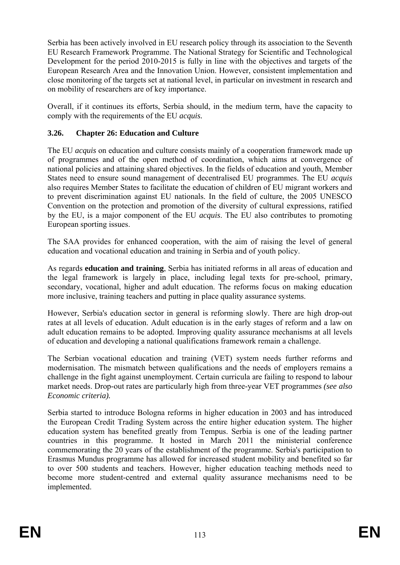Serbia has been actively involved in EU research policy through its association to the Seventh EU Research Framework Programme. The National Strategy for Scientific and Technological Development for the period 2010-2015 is fully in line with the objectives and targets of the European Research Area and the Innovation Union. However, consistent implementation and close monitoring of the targets set at national level, in particular on investment in research and on mobility of researchers are of key importance.

Overall, if it continues its efforts, Serbia should, in the medium term, have the capacity to comply with the requirements of the EU *acquis.*

## **3.26. Chapter 26: Education and Culture**

The EU *acquis* on education and culture consists mainly of a cooperation framework made up of programmes and of the open method of coordination, which aims at convergence of national policies and attaining shared objectives. In the fields of education and youth, Member States need to ensure sound management of decentralised EU programmes. The EU *acquis* also requires Member States to facilitate the education of children of EU migrant workers and to prevent discrimination against EU nationals. In the field of culture, the 2005 UNESCO Convention on the protection and promotion of the diversity of cultural expressions, ratified by the EU, is a major component of the EU *acquis*. The EU also contributes to promoting European sporting issues.

The SAA provides for enhanced cooperation, with the aim of raising the level of general education and vocational education and training in Serbia and of youth policy.

As regards **education and training**, Serbia has initiated reforms in all areas of education and the legal framework is largely in place, including legal texts for pre-school, primary, secondary, vocational, higher and adult education. The reforms focus on making education more inclusive, training teachers and putting in place quality assurance systems.

However, Serbia's education sector in general is reforming slowly. There are high drop-out rates at all levels of education. Adult education is in the early stages of reform and a law on adult education remains to be adopted. Improving quality assurance mechanisms at all levels of education and developing a national qualifications framework remain a challenge.

The Serbian vocational education and training (VET) system needs further reforms and modernisation. The mismatch between qualifications and the needs of employers remains a challenge in the fight against unemployment. Certain curricula are failing to respond to labour market needs. Drop-out rates are particularly high from three-year VET programmes *(see also Economic criteria).* 

Serbia started to introduce Bologna reforms in higher education in 2003 and has introduced the European Credit Trading System across the entire higher education system. The higher education system has benefited greatly from Tempus. Serbia is one of the leading partner countries in this programme. It hosted in March 2011 the ministerial conference commemorating the 20 years of the establishment of the programme. Serbia's participation to Erasmus Mundus programme has allowed for increased student mobility and benefited so far to over 500 students and teachers. However, higher education teaching methods need to become more student-centred and external quality assurance mechanisms need to be implemented.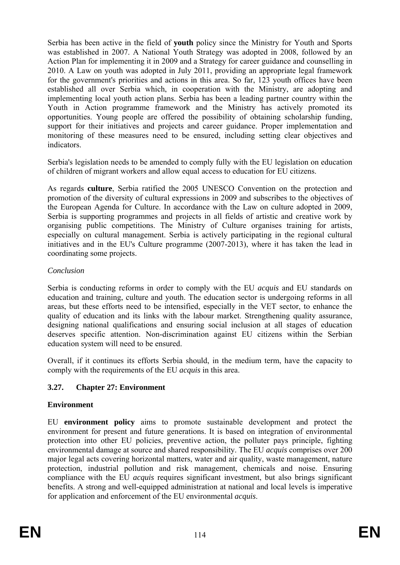Serbia has been active in the field of **youth** policy since the Ministry for Youth and Sports was established in 2007. A National Youth Strategy was adopted in 2008, followed by an Action Plan for implementing it in 2009 and a Strategy for career guidance and counselling in 2010. A Law on youth was adopted in July 2011, providing an appropriate legal framework for the government's priorities and actions in this area. So far, 123 youth offices have been established all over Serbia which, in cooperation with the Ministry, are adopting and implementing local youth action plans. Serbia has been a leading partner country within the Youth in Action programme framework and the Ministry has actively promoted its opportunities. Young people are offered the possibility of obtaining scholarship funding, support for their initiatives and projects and career guidance. Proper implementation and monitoring of these measures need to be ensured, including setting clear objectives and indicators.

Serbia's legislation needs to be amended to comply fully with the EU legislation on education of children of migrant workers and allow equal access to education for EU citizens.

As regards **culture**, Serbia ratified the 2005 UNESCO Convention on the protection and promotion of the diversity of cultural expressions in 2009 and subscribes to the objectives of the European Agenda for Culture. In accordance with the Law on culture adopted in 2009, Serbia is supporting programmes and projects in all fields of artistic and creative work by organising public competitions. The Ministry of Culture organises training for artists, especially on cultural management. Serbia is actively participating in the regional cultural initiatives and in the EU's Culture programme (2007-2013), where it has taken the lead in coordinating some projects.

### *Conclusion*

Serbia is conducting reforms in order to comply with the EU *acquis* and EU standards on education and training, culture and youth. The education sector is undergoing reforms in all areas, but these efforts need to be intensified, especially in the VET sector, to enhance the quality of education and its links with the labour market. Strengthening quality assurance, designing national qualifications and ensuring social inclusion at all stages of education deserves specific attention. Non-discrimination against EU citizens within the Serbian education system will need to be ensured.

Overall, if it continues its efforts Serbia should, in the medium term, have the capacity to comply with the requirements of the EU *acquis* in this area.

## **3.27. Chapter 27: Environment**

## **Environment**

EU **environment policy** aims to promote sustainable development and protect the environment for present and future generations. It is based on integration of environmental protection into other EU policies, preventive action, the polluter pays principle, fighting environmental damage at source and shared responsibility. The EU *acquis* comprises over 200 major legal acts covering horizontal matters, water and air quality, waste management, nature protection, industrial pollution and risk management, chemicals and noise. Ensuring compliance with the EU *acquis* requires significant investment, but also brings significant benefits. A strong and well-equipped administration at national and local levels is imperative for application and enforcement of the EU environmental *acquis*.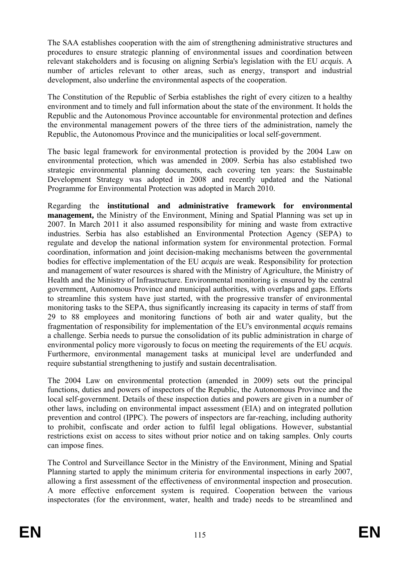The SAA establishes cooperation with the aim of strengthening administrative structures and procedures to ensure strategic planning of environmental issues and coordination between relevant stakeholders and is focusing on aligning Serbia's legislation with the EU *acquis*. A number of articles relevant to other areas, such as energy, transport and industrial development, also underline the environmental aspects of the cooperation.

The Constitution of the Republic of Serbia establishes the right of every citizen to a healthy environment and to timely and full information about the state of the environment. It holds the Republic and the Autonomous Province accountable for environmental protection and defines the environmental management powers of the three tiers of the administration, namely the Republic, the Autonomous Province and the municipalities or local self-government.

The basic legal framework for environmental protection is provided by the 2004 Law on environmental protection, which was amended in 2009. Serbia has also established two strategic environmental planning documents, each covering ten years: the Sustainable Development Strategy was adopted in 2008 and recently updated and the National Programme for Environmental Protection was adopted in March 2010.

Regarding the **institutional and administrative framework for environmental management,** the Ministry of the Environment, Mining and Spatial Planning was set up in 2007. In March 2011 it also assumed responsibility for mining and waste from extractive industries. Serbia has also established an Environmental Protection Agency (SEPA) to regulate and develop the national information system for environmental protection. Formal coordination, information and joint decision-making mechanisms between the governmental bodies for effective implementation of the EU *acquis* are weak. Responsibility for protection and management of water resources is shared with the Ministry of Agriculture, the Ministry of Health and the Ministry of Infrastructure. Environmental monitoring is ensured by the central government, Autonomous Province and municipal authorities, with overlaps and gaps. Efforts to streamline this system have just started, with the progressive transfer of environmental monitoring tasks to the SEPA, thus significantly increasing its capacity in terms of staff from 29 to 88 employees and monitoring functions of both air and water quality, but the fragmentation of responsibility for implementation of the EU's environmental *acquis* remains a challenge. Serbia needs to pursue the consolidation of its public administration in charge of environmental policy more vigorously to focus on meeting the requirements of the EU *acquis*. Furthermore, environmental management tasks at municipal level are underfunded and require substantial strengthening to justify and sustain decentralisation.

The 2004 Law on environmental protection (amended in 2009) sets out the principal functions, duties and powers of inspectors of the Republic, the Autonomous Province and the local self-government. Details of these inspection duties and powers are given in a number of other laws, including on environmental impact assessment (EIA) and on integrated pollution prevention and control (IPPC). The powers of inspectors are far-reaching, including authority to prohibit, confiscate and order action to fulfil legal obligations. However, substantial restrictions exist on access to sites without prior notice and on taking samples. Only courts can impose fines.

The Control and Surveillance Sector in the Ministry of the Environment, Mining and Spatial Planning started to apply the minimum criteria for environmental inspections in early 2007, allowing a first assessment of the effectiveness of environmental inspection and prosecution. A more effective enforcement system is required. Cooperation between the various inspectorates (for the environment, water, health and trade) needs to be streamlined and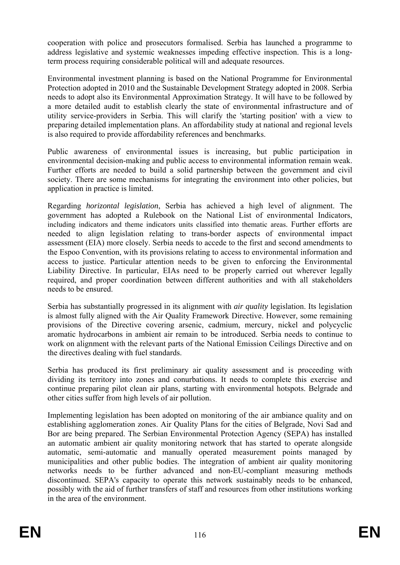cooperation with police and prosecutors formalised. Serbia has launched a programme to address legislative and systemic weaknesses impeding effective inspection. This is a longterm process requiring considerable political will and adequate resources.

Environmental investment planning is based on the National Programme for Environmental Protection adopted in 2010 and the Sustainable Development Strategy adopted in 2008. Serbia needs to adopt also its Environmental Approximation Strategy. It will have to be followed by a more detailed audit to establish clearly the state of environmental infrastructure and of utility service-providers in Serbia. This will clarify the 'starting position' with a view to preparing detailed implementation plans. An affordability study at national and regional levels is also required to provide affordability references and benchmarks.

Public awareness of environmental issues is increasing, but public participation in environmental decision-making and public access to environmental information remain weak. Further efforts are needed to build a solid partnership between the government and civil society. There are some mechanisms for integrating the environment into other policies, but application in practice is limited.

Regarding *horizontal legislation*, Serbia has achieved a high level of alignment. The government has adopted a Rulebook on the National List of environmental Indicators, including indicators and theme indicators units classified into thematic areas. Further efforts are needed to align legislation relating to trans-border aspects of environmental impact assessment (EIA) more closely. Serbia needs to accede to the first and second amendments to the Espoo Convention, with its provisions relating to access to environmental information and access to justice. Particular attention needs to be given to enforcing the Environmental Liability Directive. In particular, EIAs need to be properly carried out wherever legally required, and proper coordination between different authorities and with all stakeholders needs to be ensured.

Serbia has substantially progressed in its alignment with *air quality* legislation. Its legislation is almost fully aligned with the Air Quality Framework Directive. However, some remaining provisions of the Directive covering arsenic, cadmium, mercury, nickel and polycyclic aromatic hydrocarbons in ambient air remain to be introduced. Serbia needs to continue to work on alignment with the relevant parts of the National Emission Ceilings Directive and on the directives dealing with fuel standards.

Serbia has produced its first preliminary air quality assessment and is proceeding with dividing its territory into zones and conurbations. It needs to complete this exercise and continue preparing pilot clean air plans, starting with environmental hotspots. Belgrade and other cities suffer from high levels of air pollution.

Implementing legislation has been adopted on monitoring of the air ambiance quality and on establishing agglomeration zones. Air Quality Plans for the cities of Belgrade, Novi Sad and Bor are being prepared. The Serbian Environmental Protection Agency (SEPA) has installed an automatic ambient air quality monitoring network that has started to operate alongside automatic, semi-automatic and manually operated measurement points managed by municipalities and other public bodies. The integration of ambient air quality monitoring networks needs to be further advanced and non-EU-compliant measuring methods discontinued. SEPA's capacity to operate this network sustainably needs to be enhanced, possibly with the aid of further transfers of staff and resources from other institutions working in the area of the environment.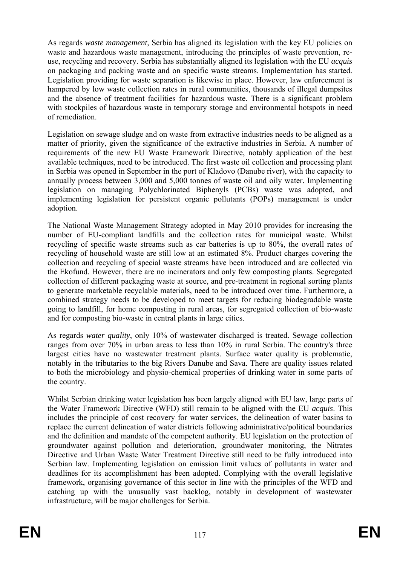As regards *waste management,* Serbia has aligned its legislation with the key EU policies on waste and hazardous waste management, introducing the principles of waste prevention, reuse, recycling and recovery. Serbia has substantially aligned its legislation with the EU *acquis* on packaging and packing waste and on specific waste streams. Implementation has started. Legislation providing for waste separation is likewise in place. However, law enforcement is hampered by low waste collection rates in rural communities, thousands of illegal dumpsites and the absence of treatment facilities for hazardous waste. There is a significant problem with stockpiles of hazardous waste in temporary storage and environmental hotspots in need of remediation.

Legislation on sewage sludge and on waste from extractive industries needs to be aligned as a matter of priority, given the significance of the extractive industries in Serbia. A number of requirements of the new EU Waste Framework Directive, notably application of the best available techniques, need to be introduced. The first waste oil collection and processing plant in Serbia was opened in September in the port of Kladovo (Danube river), with the capacity to annually process between 3,000 and 5,000 tonnes of waste oil and oily water. Implementing legislation on managing Polychlorinated Biphenyls (PCBs) waste was adopted, and implementing legislation for persistent organic pollutants (POPs) management is under adoption.

The National Waste Management Strategy adopted in May 2010 provides for increasing the number of EU-compliant landfills and the collection rates for municipal waste. Whilst recycling of specific waste streams such as car batteries is up to 80%, the overall rates of recycling of household waste are still low at an estimated 8%. Product charges covering the collection and recycling of special waste streams have been introduced and are collected via the Ekofund. However, there are no incinerators and only few composting plants. Segregated collection of different packaging waste at source, and pre-treatment in regional sorting plants to generate marketable recyclable materials, need to be introduced over time. Furthermore, a combined strategy needs to be developed to meet targets for reducing biodegradable waste going to landfill, for home composting in rural areas, for segregated collection of bio-waste and for composting bio-waste in central plants in large cities.

As regards *water quality*, only 10% of wastewater discharged is treated. Sewage collection ranges from over 70% in urban areas to less than 10% in rural Serbia. The country's three largest cities have no wastewater treatment plants. Surface water quality is problematic, notably in the tributaries to the big Rivers Danube and Sava. There are quality issues related to both the microbiology and physio-chemical properties of drinking water in some parts of the country.

Whilst Serbian drinking water legislation has been largely aligned with EU law, large parts of the Water Framework Directive (WFD) still remain to be aligned with the EU *acquis*. This includes the principle of cost recovery for water services, the delineation of water basins to replace the current delineation of water districts following administrative/political boundaries and the definition and mandate of the competent authority. EU legislation on the protection of groundwater against pollution and deterioration, groundwater monitoring, the Nitrates Directive and Urban Waste Water Treatment Directive still need to be fully introduced into Serbian law. Implementing legislation on emission limit values of pollutants in water and deadlines for its accomplishment has been adopted. Complying with the overall legislative framework, organising governance of this sector in line with the principles of the WFD and catching up with the unusually vast backlog, notably in development of wastewater infrastructure, will be major challenges for Serbia.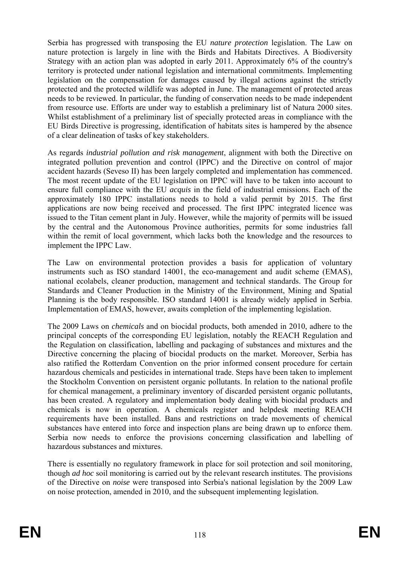Serbia has progressed with transposing the EU *nature protection* legislation. The Law on nature protection is largely in line with the Birds and Habitats Directives. A Biodiversity Strategy with an action plan was adopted in early 2011. Approximately 6% of the country's territory is protected under national legislation and international commitments. Implementing legislation on the compensation for damages caused by illegal actions against the strictly protected and the protected wildlife was adopted in June. The management of protected areas needs to be reviewed. In particular, the funding of conservation needs to be made independent from resource use. Efforts are under way to establish a preliminary list of Natura 2000 sites. Whilst establishment of a preliminary list of specially protected areas in compliance with the EU Birds Directive is progressing, identification of habitats sites is hampered by the absence of a clear delineation of tasks of key stakeholders.

As regards *industrial pollution and risk management*, alignment with both the Directive on integrated pollution prevention and control (IPPC) and the Directive on control of major accident hazards (Seveso II) has been largely completed and implementation has commenced. The most recent update of the EU legislation on IPPC will have to be taken into account to ensure full compliance with the EU *acquis* in the field of industrial emissions. Each of the approximately 180 IPPC installations needs to hold a valid permit by 2015. The first applications are now being received and processed. The first IPPC integrated licence was issued to the Titan cement plant in July. However, while the majority of permits will be issued by the central and the Autonomous Province authorities, permits for some industries fall within the remit of local government, which lacks both the knowledge and the resources to implement the IPPC Law.

The Law on environmental protection provides a basis for application of voluntary instruments such as ISO standard 14001, the eco-management and audit scheme (EMAS), national ecolabels, cleaner production, management and technical standards. The Group for Standards and Cleaner Production in the Ministry of the Environment, Mining and Spatial Planning is the body responsible. ISO standard 14001 is already widely applied in Serbia. Implementation of EMAS, however, awaits completion of the implementing legislation.

The 2009 Laws on *chemicals* and on biocidal products, both amended in 2010, adhere to the principal concepts of the corresponding EU legislation, notably the REACH Regulation and the Regulation on classification, labelling and packaging of substances and mixtures and the Directive concerning the placing of biocidal products on the market. Moreover, Serbia has also ratified the Rotterdam Convention on the prior informed consent procedure for certain hazardous chemicals and pesticides in international trade. Steps have been taken to implement the Stockholm Convention on persistent organic pollutants. In relation to the national profile for chemical management, a preliminary inventory of discarded persistent organic pollutants, has been created. A regulatory and implementation body dealing with biocidal products and chemicals is now in operation. A chemicals register and helpdesk meeting REACH requirements have been installed. Bans and restrictions on trade movements of chemical substances have entered into force and inspection plans are being drawn up to enforce them. Serbia now needs to enforce the provisions concerning classification and labelling of hazardous substances and mixtures.

There is essentially no regulatory framework in place for soil protection and soil monitoring, though *ad hoc* soil monitoring is carried out by the relevant research institutes. The provisions of the Directive on *noise* were transposed into Serbia's national legislation by the 2009 Law on noise protection, amended in 2010, and the subsequent implementing legislation.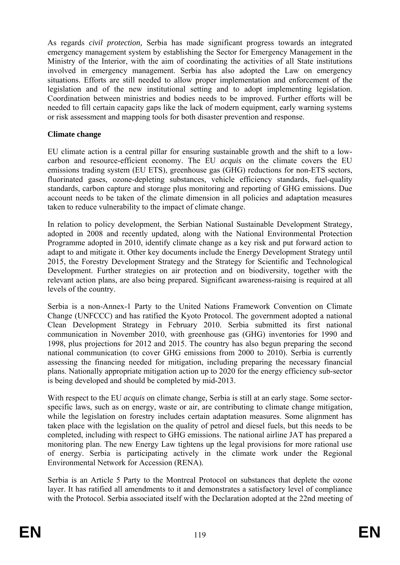As regards *civil protection,* Serbia has made significant progress towards an integrated emergency management system by establishing the Sector for Emergency Management in the Ministry of the Interior, with the aim of coordinating the activities of all State institutions involved in emergency management. Serbia has also adopted the Law on emergency situations. Efforts are still needed to allow proper implementation and enforcement of the legislation and of the new institutional setting and to adopt implementing legislation. Coordination between ministries and bodies needs to be improved. Further efforts will be needed to fill certain capacity gaps like the lack of modern equipment, early warning systems or risk assessment and mapping tools for both disaster prevention and response.

#### **Climate change**

EU climate action is a central pillar for ensuring sustainable growth and the shift to a lowcarbon and resource-efficient economy. The EU *acquis* on the climate covers the EU emissions trading system (EU ETS), greenhouse gas (GHG) reductions for non-ETS sectors, fluorinated gases, ozone-depleting substances, vehicle efficiency standards, fuel-quality standards, carbon capture and storage plus monitoring and reporting of GHG emissions. Due account needs to be taken of the climate dimension in all policies and adaptation measures taken to reduce vulnerability to the impact of climate change.

In relation to policy development, the Serbian National Sustainable Development Strategy, adopted in 2008 and recently updated, along with the National Environmental Protection Programme adopted in 2010, identify climate change as a key risk and put forward action to adapt to and mitigate it. Other key documents include the Energy Development Strategy until 2015, the Forestry Development Strategy and the Strategy for Scientific and Technological Development. Further strategies on air protection and on biodiversity, together with the relevant action plans, are also being prepared. Significant awareness-raising is required at all levels of the country.

Serbia is a non-Annex-1 Party to the United Nations Framework Convention on Climate Change (UNFCCC) and has ratified the Kyoto Protocol. The government adopted a national Clean Development Strategy in February 2010. Serbia submitted its first national communication in November 2010, with greenhouse gas (GHG) inventories for 1990 and 1998, plus projections for 2012 and 2015. The country has also begun preparing the second national communication (to cover GHG emissions from 2000 to 2010). Serbia is currently assessing the financing needed for mitigation, including preparing the necessary financial plans. Nationally appropriate mitigation action up to 2020 for the energy efficiency sub-sector is being developed and should be completed by mid-2013.

With respect to the EU *acquis* on climate change, Serbia is still at an early stage. Some sectorspecific laws, such as on energy, waste or air, are contributing to climate change mitigation, while the legislation on forestry includes certain adaptation measures. Some alignment has taken place with the legislation on the quality of petrol and diesel fuels, but this needs to be completed, including with respect to GHG emissions. The national airline JAT has prepared a monitoring plan. The new Energy Law tightens up the legal provisions for more rational use of energy. Serbia is participating actively in the climate work under the Regional Environmental Network for Accession (RENA).

Serbia is an Article 5 Party to the Montreal Protocol on substances that deplete the ozone layer. It has ratified all amendments to it and demonstrates a satisfactory level of compliance with the Protocol. Serbia associated itself with the Declaration adopted at the 22nd meeting of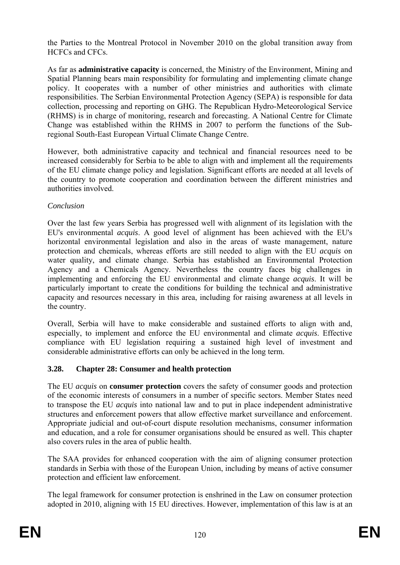the Parties to the Montreal Protocol in November 2010 on the global transition away from HCFCs and CFCs.

As far as **administrative capacity** is concerned, the Ministry of the Environment, Mining and Spatial Planning bears main responsibility for formulating and implementing climate change policy. It cooperates with a number of other ministries and authorities with climate responsibilities. The Serbian Environmental Protection Agency (SEPA) is responsible for data collection, processing and reporting on GHG. The Republican Hydro-Meteorological Service (RHMS) is in charge of monitoring, research and forecasting. A National Centre for Climate Change was established within the RHMS in 2007 to perform the functions of the Subregional South-East European Virtual Climate Change Centre.

However, both administrative capacity and technical and financial resources need to be increased considerably for Serbia to be able to align with and implement all the requirements of the EU climate change policy and legislation. Significant efforts are needed at all levels of the country to promote cooperation and coordination between the different ministries and authorities involved.

### *Conclusion*

Over the last few years Serbia has progressed well with alignment of its legislation with the EU's environmental *acquis*. A good level of alignment has been achieved with the EU's horizontal environmental legislation and also in the areas of waste management, nature protection and chemicals, whereas efforts are still needed to align with the EU *acquis* on water quality, and climate change. Serbia has established an Environmental Protection Agency and a Chemicals Agency. Nevertheless the country faces big challenges in implementing and enforcing the EU environmental and climate change *acquis*. It will be particularly important to create the conditions for building the technical and administrative capacity and resources necessary in this area, including for raising awareness at all levels in the country.

Overall, Serbia will have to make considerable and sustained efforts to align with and, especially, to implement and enforce the EU environmental and climate *acquis*. Effective compliance with EU legislation requiring a sustained high level of investment and considerable administrative efforts can only be achieved in the long term.

## **3.28. Chapter 28: Consumer and health protection**

The EU *acquis* on **consumer protection** covers the safety of consumer goods and protection of the economic interests of consumers in a number of specific sectors. Member States need to transpose the EU *acquis* into national law and to put in place independent administrative structures and enforcement powers that allow effective market surveillance and enforcement. Appropriate judicial and out-of-court dispute resolution mechanisms, consumer information and education, and a role for consumer organisations should be ensured as well. This chapter also covers rules in the area of public health.

The SAA provides for enhanced cooperation with the aim of aligning consumer protection standards in Serbia with those of the European Union, including by means of active consumer protection and efficient law enforcement.

The legal framework for consumer protection is enshrined in the Law on consumer protection adopted in 2010, aligning with 15 EU directives. However, implementation of this law is at an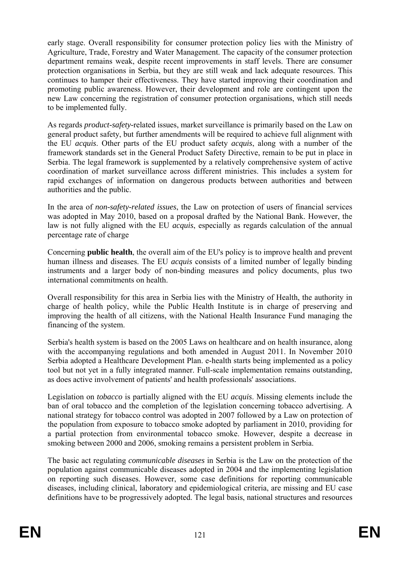early stage. Overall responsibility for consumer protection policy lies with the Ministry of Agriculture, Trade, Forestry and Water Management. The capacity of the consumer protection department remains weak, despite recent improvements in staff levels. There are consumer protection organisations in Serbia, but they are still weak and lack adequate resources. This continues to hamper their effectiveness. They have started improving their coordination and promoting public awareness. However, their development and role are contingent upon the new Law concerning the registration of consumer protection organisations, which still needs to be implemented fully.

As regards *product-safety-*related issues, market surveillance is primarily based on the Law on general product safety, but further amendments will be required to achieve full alignment with the EU *acquis*. Other parts of the EU product safety *acquis*, along with a number of the framework standards set in the General Product Safety Directive, remain to be put in place in Serbia. The legal framework is supplemented by a relatively comprehensive system of active coordination of market surveillance across different ministries. This includes a system for rapid exchanges of information on dangerous products between authorities and between authorities and the public.

In the area of *non-safety-related issues*, the Law on protection of users of financial services was adopted in May 2010, based on a proposal drafted by the National Bank. However, the law is not fully aligned with the EU *acquis*, especially as regards calculation of the annual percentage rate of charge

Concerning **public health**, the overall aim of the EU's policy is to improve health and prevent human illness and diseases. The EU *acquis* consists of a limited number of legally binding instruments and a larger body of non-binding measures and policy documents, plus two international commitments on health.

Overall responsibility for this area in Serbia lies with the Ministry of Health, the authority in charge of health policy, while the Public Health Institute is in charge of preserving and improving the health of all citizens, with the National Health Insurance Fund managing the financing of the system.

Serbia's health system is based on the 2005 Laws on healthcare and on health insurance, along with the accompanying regulations and both amended in August 2011. In November 2010 Serbia adopted a Healthcare Development Plan. e-health starts being implemented as a policy tool but not yet in a fully integrated manner. Full-scale implementation remains outstanding, as does active involvement of patients' and health professionals' associations.

Legislation on *tobacco* is partially aligned with the EU *acquis*. Missing elements include the ban of oral tobacco and the completion of the legislation concerning tobacco advertising. A national strategy for tobacco control was adopted in 2007 followed by a Law on protection of the population from exposure to tobacco smoke adopted by parliament in 2010, providing for a partial protection from environmental tobacco smoke. However, despite a decrease in smoking between 2000 and 2006, smoking remains a persistent problem in Serbia.

The basic act regulating *communicable diseases* in Serbia is the Law on the protection of the population against communicable diseases adopted in 2004 and the implementing legislation on reporting such diseases. However, some case definitions for reporting communicable diseases, including clinical, laboratory and epidemiological criteria, are missing and EU case definitions have to be progressively adopted. The legal basis, national structures and resources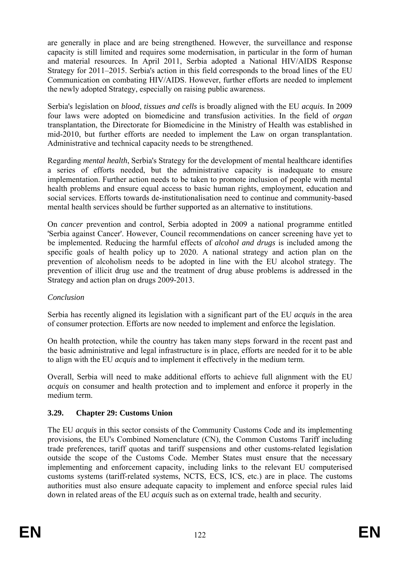are generally in place and are being strengthened. However, the surveillance and response capacity is still limited and requires some modernisation, in particular in the form of human and material resources. In April 2011, Serbia adopted a National HIV/AIDS Response Strategy for 2011–2015. Serbia's action in this field corresponds to the broad lines of the EU Communication on combating HIV/AIDS. However, further efforts are needed to implement the newly adopted Strategy, especially on raising public awareness.

Serbia's legislation on *blood*, *tissues and cells* is broadly aligned with the EU *acquis*. In 2009 four laws were adopted on biomedicine and transfusion activities. In the field of *organ* transplantation, the Directorate for Biomedicine in the Ministry of Health was established in mid-2010, but further efforts are needed to implement the Law on organ transplantation. Administrative and technical capacity needs to be strengthened.

Regarding *mental health*, Serbia's Strategy for the development of mental healthcare identifies a series of efforts needed, but the administrative capacity is inadequate to ensure implementation. Further action needs to be taken to promote inclusion of people with mental health problems and ensure equal access to basic human rights, employment, education and social services. Efforts towards de-institutionalisation need to continue and community-based mental health services should be further supported as an alternative to institutions.

On *cancer* prevention and control, Serbia adopted in 2009 a national programme entitled 'Serbia against Cancer'. However, Council recommendations on cancer screening have yet to be implemented. Reducing the harmful effects of *alcohol and drugs* is included among the specific goals of health policy up to 2020. A national strategy and action plan on the prevention of alcoholism needs to be adopted in line with the EU alcohol strategy. The prevention of illicit drug use and the treatment of drug abuse problems is addressed in the Strategy and action plan on drugs 2009-2013.

#### *Conclusion*

Serbia has recently aligned its legislation with a significant part of the EU *acquis* in the area of consumer protection. Efforts are now needed to implement and enforce the legislation.

On health protection, while the country has taken many steps forward in the recent past and the basic administrative and legal infrastructure is in place, efforts are needed for it to be able to align with the EU *acquis* and to implement it effectively in the medium term.

Overall, Serbia will need to make additional efforts to achieve full alignment with the EU *acquis* on consumer and health protection and to implement and enforce it properly in the medium term.

## **3.29. Chapter 29: Customs Union**

The EU *acquis* in this sector consists of the Community Customs Code and its implementing provisions, the EU's Combined Nomenclature (CN), the Common Customs Tariff including trade preferences, tariff quotas and tariff suspensions and other customs-related legislation outside the scope of the Customs Code. Member States must ensure that the necessary implementing and enforcement capacity, including links to the relevant EU computerised customs systems (tariff-related systems, NCTS, ECS, ICS, etc.) are in place. The customs authorities must also ensure adequate capacity to implement and enforce special rules laid down in related areas of the EU *acquis* such as on external trade, health and security.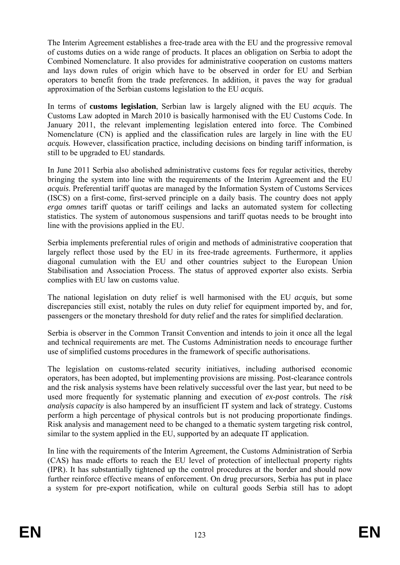The Interim Agreement establishes a free-trade area with the EU and the progressive removal of customs duties on a wide range of products. It places an obligation on Serbia to adopt the Combined Nomenclature. It also provides for administrative cooperation on customs matters and lays down rules of origin which have to be observed in order for EU and Serbian operators to benefit from the trade preferences. In addition, it paves the way for gradual approximation of the Serbian customs legislation to the EU *acquis.*

In terms of **customs legislation**, Serbian law is largely aligned with the EU *acquis*. The Customs Law adopted in March 2010 is basically harmonised with the EU Customs Code. In January 2011, the relevant implementing legislation entered into force. The Combined Nomenclature (CN) is applied and the classification rules are largely in line with the EU *acquis.* However, classification practice, including decisions on binding tariff information, is still to be upgraded to EU standards*.* 

In June 2011 Serbia also abolished administrative customs fees for regular activities, thereby bringing the system into line with the requirements of the Interim Agreement and the EU *acquis*. Preferential tariff quotas are managed by the Information System of Customs Services (ISCS) on a first-come, first-served principle on a daily basis. The country does not apply *erga omnes* tariff quotas or tariff ceilings and lacks an automated system for collecting statistics. The system of autonomous suspensions and tariff quotas needs to be brought into line with the provisions applied in the EU.

Serbia implements preferential rules of origin and methods of administrative cooperation that largely reflect those used by the EU in its free-trade agreements. Furthermore, it applies diagonal cumulation with the EU and other countries subject to the European Union Stabilisation and Association Process. The status of approved exporter also exists. Serbia complies with EU law on customs value.

The national legislation on duty relief is well harmonised with the EU *acquis*, but some discrepancies still exist, notably the rules on duty relief for equipment imported by, and for, passengers or the monetary threshold for duty relief and the rates for simplified declaration.

Serbia is observer in the Common Transit Convention and intends to join it once all the legal and technical requirements are met. The Customs Administration needs to encourage further use of simplified customs procedures in the framework of specific authorisations.

The legislation on customs-related security initiatives, including authorised economic operators, has been adopted, but implementing provisions are missing. Post-clearance controls and the risk analysis systems have been relatively successful over the last year, but need to be used more frequently for systematic planning and execution of *ex-post* controls. The *risk analysis capacity* is also hampered by an insufficient IT system and lack of strategy. Customs perform a high percentage of physical controls but is not producing proportionate findings. Risk analysis and management need to be changed to a thematic system targeting risk control, similar to the system applied in the EU, supported by an adequate IT application.

In line with the requirements of the Interim Agreement, the Customs Administration of Serbia (CAS) has made efforts to reach the EU level of protection of intellectual property rights (IPR). It has substantially tightened up the control procedures at the border and should now further reinforce effective means of enforcement. On drug precursors, Serbia has put in place a system for pre-export notification, while on cultural goods Serbia still has to adopt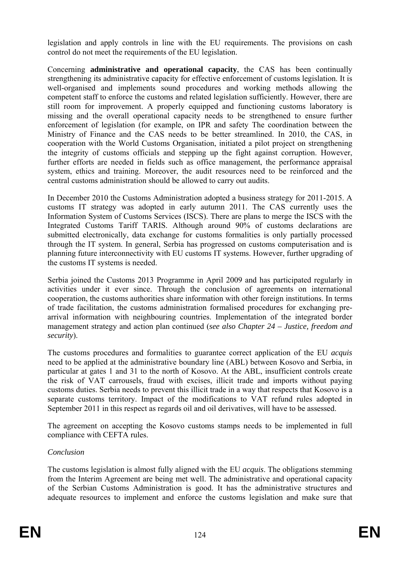legislation and apply controls in line with the EU requirements. The provisions on cash control do not meet the requirements of the EU legislation.

Concerning **administrative and operational capacity**, the CAS has been continually strengthening its administrative capacity for effective enforcement of customs legislation. It is well-organised and implements sound procedures and working methods allowing the competent staff to enforce the customs and related legislation sufficiently. However, there are still room for improvement. A properly equipped and functioning customs laboratory is missing and the overall operational capacity needs to be strengthened to ensure further enforcement of legislation (for example, on IPR and safety The coordination between the Ministry of Finance and the CAS needs to be better streamlined. In 2010, the CAS, in cooperation with the World Customs Organisation, initiated a pilot project on strengthening the integrity of customs officials and stepping up the fight against corruption. However, further efforts are needed in fields such as office management, the performance appraisal system, ethics and training. Moreover, the audit resources need to be reinforced and the central customs administration should be allowed to carry out audits.

In December 2010 the Customs Administration adopted a business strategy for 2011-2015. A customs IT strategy was adopted in early autumn 2011. The CAS currently uses the Information System of Customs Services (ISCS). There are plans to merge the ISCS with the Integrated Customs Tariff TARIS. Although around 90% of customs declarations are submitted electronically, data exchange for customs formalities is only partially processed through the IT system. In general, Serbia has progressed on customs computerisation and is planning future interconnectivity with EU customs IT systems. However, further upgrading of the customs IT systems is needed.

Serbia joined the Customs 2013 Programme in April 2009 and has participated regularly in activities under it ever since. Through the conclusion of agreements on international cooperation, the customs authorities share information with other foreign institutions. In terms of trade facilitation, the customs administration formalised procedures for exchanging prearrival information with neighbouring countries. Implementation of the integrated border management strategy and action plan continued (*see also Chapter 24 – Justice, freedom and security*).

The customs procedures and formalities to guarantee correct application of the EU *acquis*  need to be applied at the administrative boundary line (ABL) between Kosovo and Serbia, in particular at gates 1 and 31 to the north of Kosovo. At the ABL, insufficient controls create the risk of VAT carrousels, fraud with excises, illicit trade and imports without paying customs duties. Serbia needs to prevent this illicit trade in a way that respects that Kosovo is a separate customs territory. Impact of the modifications to VAT refund rules adopted in September 2011 in this respect as regards oil and oil derivatives, will have to be assessed.

The agreement on accepting the Kosovo customs stamps needs to be implemented in full compliance with CEFTA rules.

#### *Conclusion*

The customs legislation is almost fully aligned with the EU *acquis*. The obligations stemming from the Interim Agreement are being met well. The administrative and operational capacity of the Serbian Customs Administration is good. It has the administrative structures and adequate resources to implement and enforce the customs legislation and make sure that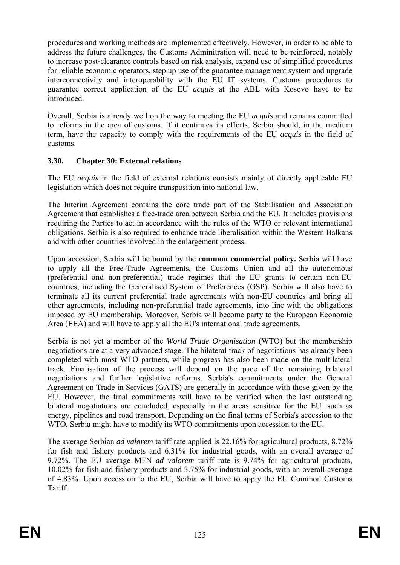procedures and working methods are implemented effectively. However, in order to be able to address the future challenges, the Customs Adminitration will need to be reinforced, notably to increase post-clearance controls based on risk analysis, expand use of simplified procedures for reliable economic operators, step up use of the guarantee management system and upgrade interconnectivity and interoperability with the EU IT systems. Customs procedures to guarantee correct application of the EU *acquis* at the ABL with Kosovo have to be introduced.

Overall, Serbia is already well on the way to meeting the EU *acquis* and remains committed to reforms in the area of customs. If it continues its efforts, Serbia should, in the medium term, have the capacity to comply with the requirements of the EU *acquis* in the field of customs.

### **3.30. Chapter 30: External relations**

The EU *acquis* in the field of external relations consists mainly of directly applicable EU legislation which does not require transposition into national law.

The Interim Agreement contains the core trade part of the Stabilisation and Association Agreement that establishes a free-trade area between Serbia and the EU. It includes provisions requiring the Parties to act in accordance with the rules of the WTO or relevant international obligations. Serbia is also required to enhance trade liberalisation within the Western Balkans and with other countries involved in the enlargement process.

Upon accession, Serbia will be bound by the **common commercial policy.** Serbia will have to apply all the Free-Trade Agreements, the Customs Union and all the autonomous (preferential and non-preferential) trade regimes that the EU grants to certain non-EU countries, including the Generalised System of Preferences (GSP). Serbia will also have to terminate all its current preferential trade agreements with non-EU countries and bring all other agreements, including non-preferential trade agreements, into line with the obligations imposed by EU membership. Moreover, Serbia will become party to the European Economic Area (EEA) and will have to apply all the EU's international trade agreements.

Serbia is not yet a member of the *World Trade Organisation* (WTO) but the membership negotiations are at a very advanced stage. The bilateral track of negotiations has already been completed with most WTO partners, while progress has also been made on the multilateral track. Finalisation of the process will depend on the pace of the remaining bilateral negotiations and further legislative reforms. Serbia's commitments under the General Agreement on Trade in Services (GATS) are generally in accordance with those given by the EU. However, the final commitments will have to be verified when the last outstanding bilateral negotiations are concluded, especially in the areas sensitive for the EU, such as energy, pipelines and road transport. Depending on the final terms of Serbia's accession to the WTO, Serbia might have to modify its WTO commitments upon accession to the EU.

The average Serbian *ad valorem* tariff rate applied is 22.16% for agricultural products, 8.72% for fish and fishery products and 6.31% for industrial goods, with an overall average of 9.72%. The EU average MFN *ad valorem* tariff rate is 9.74% for agricultural products, 10.02% for fish and fishery products and 3.75% for industrial goods, with an overall average of 4.83%. Upon accession to the EU, Serbia will have to apply the EU Common Customs **Tariff.**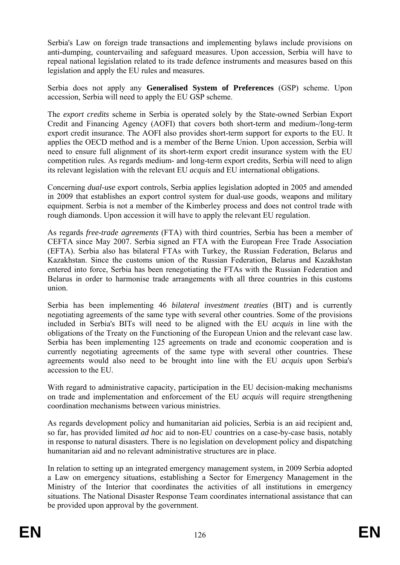Serbia's Law on foreign trade transactions and implementing bylaws include provisions on anti-dumping, countervailing and safeguard measures. Upon accession, Serbia will have to repeal national legislation related to its trade defence instruments and measures based on this legislation and apply the EU rules and measures.

Serbia does not apply any **Generalised System of Preferences** (GSP) scheme. Upon accession, Serbia will need to apply the EU GSP scheme.

The *export credits* scheme in Serbia is operated solely by the State-owned Serbian Export Credit and Financing Agency (AOFI) that covers both short-term and medium-/long-term export credit insurance. The AOFI also provides short-term support for exports to the EU. It applies the OECD method and is a member of the Berne Union. Upon accession, Serbia will need to ensure full alignment of its short-term export credit insurance system with the EU competition rules. As regards medium- and long-term export credits, Serbia will need to align its relevant legislation with the relevant EU *acquis* and EU international obligations.

Concerning *dual-use* export controls, Serbia applies legislation adopted in 2005 and amended in 2009 that establishes an export control system for dual-use goods, weapons and military equipment. Serbia is not a member of the Kimberley process and does not control trade with rough diamonds. Upon accession it will have to apply the relevant EU regulation.

As regards *free-trade agreements* (FTA) with third countries, Serbia has been a member of CEFTA since May 2007. Serbia signed an FTA with the European Free Trade Association (EFTA). Serbia also has bilateral FTAs with Turkey, the Russian Federation, Belarus and Kazakhstan. Since the customs union of the Russian Federation, Belarus and Kazakhstan entered into force, Serbia has been renegotiating the FTAs with the Russian Federation and Belarus in order to harmonise trade arrangements with all three countries in this customs union.

Serbia has been implementing 46 *bilateral investment treaties* (BIT) and is currently negotiating agreements of the same type with several other countries. Some of the provisions included in Serbia's BITs will need to be aligned with the EU *acquis* in line with the obligations of the Treaty on the Functioning of the European Union and the relevant case law. Serbia has been implementing 125 agreements on trade and economic cooperation and is currently negotiating agreements of the same type with several other countries. These agreements would also need to be brought into line with the EU *acquis* upon Serbia's accession to the EU.

With regard to administrative capacity, participation in the EU decision-making mechanisms on trade and implementation and enforcement of the EU *acquis* will require strengthening coordination mechanisms between various ministries.

As regards development policy and humanitarian aid policies, Serbia is an aid recipient and, so far, has provided limited *ad hoc* aid to non-EU countries on a case-by-case basis, notably in response to natural disasters. There is no legislation on development policy and dispatching humanitarian aid and no relevant administrative structures are in place.

In relation to setting up an integrated emergency management system, in 2009 Serbia adopted a Law on emergency situations, establishing a Sector for Emergency Management in the Ministry of the Interior that coordinates the activities of all institutions in emergency situations. The National Disaster Response Team coordinates international assistance that can be provided upon approval by the government.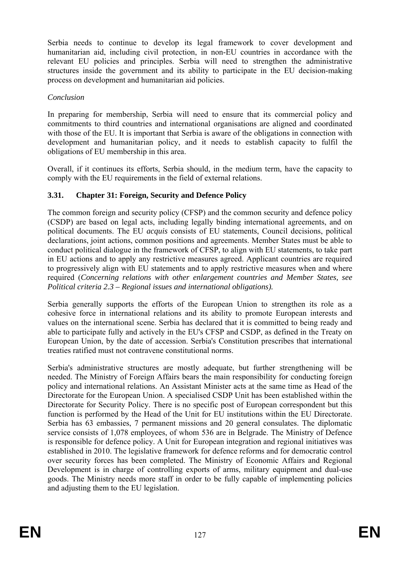Serbia needs to continue to develop its legal framework to cover development and humanitarian aid, including civil protection, in non-EU countries in accordance with the relevant EU policies and principles. Serbia will need to strengthen the administrative structures inside the government and its ability to participate in the EU decision-making process on development and humanitarian aid policies.

#### *Conclusion*

In preparing for membership, Serbia will need to ensure that its commercial policy and commitments to third countries and international organisations are aligned and coordinated with those of the EU. It is important that Serbia is aware of the obligations in connection with development and humanitarian policy, and it needs to establish capacity to fulfil the obligations of EU membership in this area.

Overall, if it continues its efforts, Serbia should, in the medium term, have the capacity to comply with the EU requirements in the field of external relations.

### **3.31. Chapter 31: Foreign, Security and Defence Policy**

The common foreign and security policy (CFSP) and the common security and defence policy (CSDP) are based on legal acts, including legally binding international agreements, and on political documents. The EU *acquis* consists of EU statements, Council decisions, political declarations, joint actions, common positions and agreements. Member States must be able to conduct political dialogue in the framework of CFSP, to align with EU statements, to take part in EU actions and to apply any restrictive measures agreed. Applicant countries are required to progressively align with EU statements and to apply restrictive measures when and where required (*Concerning relations with other enlargement countries and Member States, see Political criteria 2.3 – Regional issues and international obligations).* 

Serbia generally supports the efforts of the European Union to strengthen its role as a cohesive force in international relations and its ability to promote European interests and values on the international scene. Serbia has declared that it is committed to being ready and able to participate fully and actively in the EU's CFSP and CSDP, as defined in the Treaty on European Union, by the date of accession. Serbia's Constitution prescribes that international treaties ratified must not contravene constitutional norms.

Serbia's administrative structures are mostly adequate, but further strengthening will be needed. The Ministry of Foreign Affairs bears the main responsibility for conducting foreign policy and international relations. An Assistant Minister acts at the same time as Head of the Directorate for the European Union. A specialised CSDP Unit has been established within the Directorate for Security Policy. There is no specific post of European correspondent but this function is performed by the Head of the Unit for EU institutions within the EU Directorate. Serbia has 63 embassies, 7 permanent missions and 20 general consulates. The diplomatic service consists of 1,078 employees, of whom 536 are in Belgrade. The Ministry of Defence is responsible for defence policy. A Unit for European integration and regional initiatives was established in 2010. The legislative framework for defence reforms and for democratic control over security forces has been completed. The Ministry of Economic Affairs and Regional Development is in charge of controlling exports of arms, military equipment and dual-use goods. The Ministry needs more staff in order to be fully capable of implementing policies and adjusting them to the EU legislation.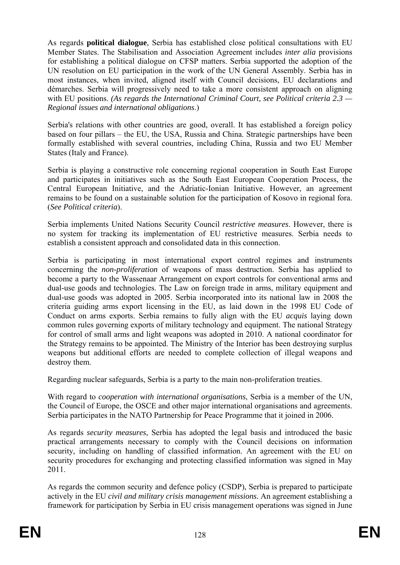As regards **political dialogue**, Serbia has established close political consultations with EU Member States. The Stabilisation and Association Agreement includes *inter alia* provisions for establishing a political dialogue on CFSP matters. Serbia supported the adoption of the UN resolution on EU participation in the work of the UN General Assembly. Serbia has in most instances, when invited, aligned itself with Council decisions, EU declarations and démarches. Serbia will progressively need to take a more consistent approach on aligning with EU positions. *(As regards the International Criminal Court, see Political criteria* 2.3 — *Regional issues and international obligations*.)

Serbia's relations with other countries are good, overall. It has established a foreign policy based on four pillars – the EU, the USA, Russia and China. Strategic partnerships have been formally established with several countries, including China, Russia and two EU Member States (Italy and France).

Serbia is playing a constructive role concerning regional cooperation in South East Europe and participates in initiatives such as the South East European Cooperation Process, the Central European Initiative, and the Adriatic-Ionian Initiative. However, an agreement remains to be found on a sustainable solution for the participation of Kosovo in regional fora. (*See Political criteria*).

Serbia implements United Nations Security Council *restrictive measures*. However, there is no system for tracking its implementation of EU restrictive measures. Serbia needs to establish a consistent approach and consolidated data in this connection.

Serbia is participating in most international export control regimes and instruments concerning the *non-proliferation* of weapons of mass destruction. Serbia has applied to become a party to the Wassenaar Arrangement on export controls for conventional arms and dual-use goods and technologies. The Law on foreign trade in arms, military equipment and dual-use goods was adopted in 2005. Serbia incorporated into its national law in 2008 the criteria guiding arms export licensing in the EU, as laid down in the 1998 EU Code of Conduct on arms exports. Serbia remains to fully align with the EU *acquis* laying down common rules governing exports of military technology and equipment. The national Strategy for control of small arms and light weapons was adopted in 2010. A national coordinator for the Strategy remains to be appointed. The Ministry of the Interior has been destroying surplus weapons but additional efforts are needed to complete collection of illegal weapons and destroy them.

Regarding nuclear safeguards, Serbia is a party to the main non-proliferation treaties.

With regard to *cooperation with international organisations*, Serbia is a member of the UN, the Council of Europe, the OSCE and other major international organisations and agreements. Serbia participates in the NATO Partnership for Peace Programme that it joined in 2006.

As regards *security measures*, Serbia has adopted the legal basis and introduced the basic practical arrangements necessary to comply with the Council decisions on information security, including on handling of classified information. An agreement with the EU on security procedures for exchanging and protecting classified information was signed in May 2011.

As regards the common security and defence policy (CSDP), Serbia is prepared to participate actively in the EU *civil and military crisis management missions.* An agreement establishing a framework for participation by Serbia in EU crisis management operations was signed in June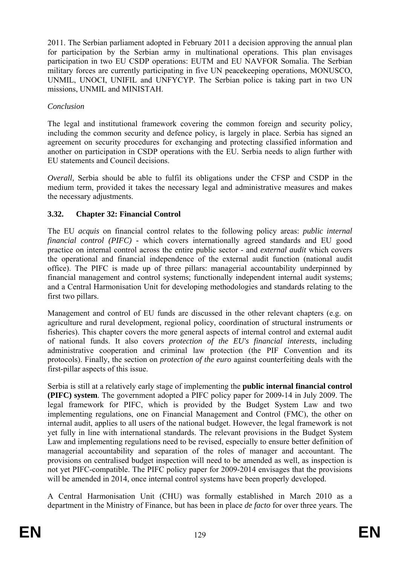2011. The Serbian parliament adopted in February 2011 a decision approving the annual plan for participation by the Serbian army in multinational operations. This plan envisages participation in two EU CSDP operations: EUTM and EU NAVFOR Somalia. The Serbian military forces are currently participating in five UN peacekeeping operations, MONUSCO, UNMIL, UNOCI, UNIFIL and UNFYCYP. The Serbian police is taking part in two UN missions, UNMIL and MINISTAH.

## *Conclusion*

The legal and institutional framework covering the common foreign and security policy, including the common security and defence policy, is largely in place. Serbia has signed an agreement on security procedures for exchanging and protecting classified information and another on participation in CSDP operations with the EU. Serbia needs to align further with EU statements and Council decisions.

*Overall*, Serbia should be able to fulfil its obligations under the CFSP and CSDP in the medium term, provided it takes the necessary legal and administrative measures and makes the necessary adjustments.

## **3.32. Chapter 32: Financial Control**

The EU *acquis* on financial control relates to the following policy areas: *public internal financial control (PIFC) -* which covers internationally agreed standards and EU good practice on internal control across the entire public sector - and *external audit* which covers the operational and financial independence of the external audit function (national audit office). The PIFC is made up of three pillars: managerial accountability underpinned by financial management and control systems; functionally independent internal audit systems; and a Central Harmonisation Unit for developing methodologies and standards relating to the first two pillars.

Management and control of EU funds are discussed in the other relevant chapters (e.g. on agriculture and rural development, regional policy, coordination of structural instruments or fisheries). This chapter covers the more general aspects of internal control and external audit of national funds. It also covers *protection of the EU's financial interests*, including administrative cooperation and criminal law protection (the PIF Convention and its protocols). Finally, the section on *protection of the euro* against counterfeiting deals with the first-pillar aspects of this issue.

Serbia is still at a relatively early stage of implementing the **public internal financial control (PIFC) system**. The government adopted a PIFC policy paper for 2009-14 in July 2009. The legal framework for PIFC, which is provided by the Budget System Law and two implementing regulations, one on Financial Management and Control (FMC), the other on internal audit, applies to all users of the national budget. However, the legal framework is not yet fully in line with international standards. The relevant provisions in the Budget System Law and implementing regulations need to be revised, especially to ensure better definition of managerial accountability and separation of the roles of manager and accountant. The provisions on centralised budget inspection will need to be amended as well, as inspection is not yet PIFC-compatible. The PIFC policy paper for 2009-2014 envisages that the provisions will be amended in 2014, once internal control systems have been properly developed.

A Central Harmonisation Unit (CHU) was formally established in March 2010 as a department in the Ministry of Finance, but has been in place *de facto* for over three years. The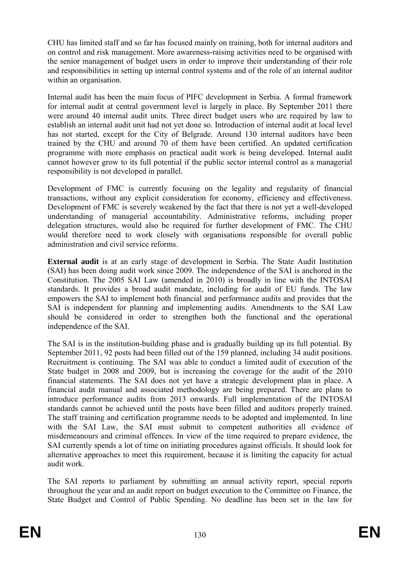CHU has limited staff and so far has focused mainly on training, both for internal auditors and on control and risk management. More awareness-raising activities need to be organised with the senior management of budget users in order to improve their understanding of their role and responsibilities in setting up internal control systems and of the role of an internal auditor within an organisation.

Internal audit has been the main focus of PIFC development in Serbia. A formal framework for internal audit at central government level is largely in place. By September 2011 there were around 40 internal audit units. Three direct budget users who are required by law to establish an internal audit unit had not yet done so. Introduction of internal audit at local level has not started, except for the City of Belgrade. Around 130 internal auditors have been trained by the CHU and around 70 of them have been certified. An updated certification programme with more emphasis on practical audit work is being developed. Internal audit cannot however grow to its full potential if the public sector internal control as a managerial responsibility is not developed in parallel.

Development of FMC is currently focusing on the legality and regularity of financial transactions, without any explicit consideration for economy, efficiency and effectiveness. Development of FMC is severely weakened by the fact that there is not yet a well-developed understanding of managerial accountability. Administrative reforms, including proper delegation structures, would also be required for further development of FMC. The CHU would therefore need to work closely with organisations responsible for overall public administration and civil service reforms.

**External audit** is at an early stage of development in Serbia. The State Audit Institution (SAI) has been doing audit work since 2009. The independence of the SAI is anchored in the Constitution. The 2005 SAI Law (amended in 2010) is broadly in line with the INTOSAI standards. It provides a broad audit mandate, including for audit of EU funds. The law empowers the SAI to implement both financial and performance audits and provides that the SAI is independent for planning and implementing audits. Amendments to the SAI Law should be considered in order to strengthen both the functional and the operational independence of the SAI.

The SAI is in the institution-building phase and is gradually building up its full potential. By September 2011, 92 posts had been filled out of the 159 planned, including 34 audit positions. Recruitment is continuing. The SAI was able to conduct a limited audit of execution of the State budget in 2008 and 2009, but is increasing the coverage for the audit of the 2010 financial statements. The SAI does not yet have a strategic development plan in place. A financial audit manual and associated methodology are being prepared. There are plans to introduce performance audits from 2013 onwards. Full implementation of the INTOSAI standards cannot be achieved until the posts have been filled and auditors properly trained. The staff training and certification programme needs to be adopted and implemented. In line with the SAI Law, the SAI must submit to competent authorities all evidence of misdemeanours and criminal offences. In view of the time required to prepare evidence, the SAI currently spends a lot of time on initiating procedures against officials. It should look for alternative approaches to meet this requirement, because it is limiting the capacity for actual audit work.

The SAI reports to parliament by submitting an annual activity report, special reports throughout the year and an audit report on budget execution to the Committee on Finance, the State Budget and Control of Public Spending. No deadline has been set in the law for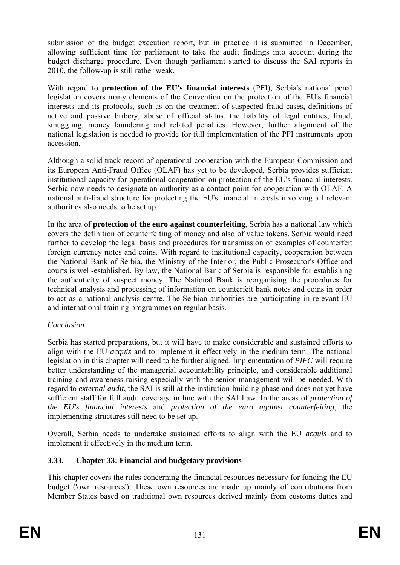submission of the budget execution report, but in practice it is submitted in December, allowing sufficient time for parliament to take the audit findings into account during the budget discharge procedure. Even though parliament started to discuss the SAI reports in 2010, the follow-up is still rather weak.

With regard to **protection of the EU's financial interests** (PFI), Serbia's national penal legislation covers many elements of the Convention on the protection of the EU's financial interests and its protocols, such as on the treatment of suspected fraud cases, definitions of active and passive bribery, abuse of official status, the liability of legal entities, fraud, smuggling, money laundering and related penalties. However, further alignment of the national legislation is needed to provide for full implementation of the PFI instruments upon accession.

Although a solid track record of operational cooperation with the European Commission and its European Anti-Fraud Office (OLAF) has yet to be developed, Serbia provides sufficient institutional capacity for operational cooperation on protection of the EU's financial interests. Serbia now needs to designate an authority as a contact point for cooperation with OLAF. A national anti-fraud structure for protecting the EU's financial interests involving all relevant authorities also needs to be set up.

In the area of **protection of the euro against counterfeiting**, Serbia has a national law which covers the definition of counterfeiting of money and also of value tokens. Serbia would need further to develop the legal basis and procedures for transmission of examples of counterfeit foreign currency notes and coins. With regard to institutional capacity, cooperation between the National Bank of Serbia, the Ministry of the Interior, the Public Prosecutor's Office and courts is well-established. By law, the National Bank of Serbia is responsible for establishing the authenticity of suspect money. The National Bank is reorganising the procedures for technical analysis and processing of information on counterfeit bank notes and coins in order to act as a national analysis centre. The Serbian authorities are participating in relevant EU and international training programmes on regular basis.

#### *Conclusion*

Serbia has started preparations, but it will have to make considerable and sustained efforts to align with the EU *acquis* and to implement it effectively in the medium term. The national legislation in this chapter will need to be further aligned. Implementation of *PIFC* will require better understanding of the managerial accountability principle, and considerable additional training and awareness-raising especially with the senior management will be needed. With regard to *external audit*, the SAI is still at the institution-building phase and does not yet have sufficient staff for full audit coverage in line with the SAI Law. In the areas of *protection of the EU's financial interests* and *protection of the euro against counterfeiting*, the implementing structures still need to be set up.

Overall, Serbia needs to undertake sustained efforts to align with the EU *acquis* and to implement it effectively in the medium term.

## **3.33. Chapter 33: Financial and budgetary provisions**

This chapter covers the rules concerning the financial resources necessary for funding the EU budget ('own resources'). These own resources are made up mainly of contributions from Member States based on traditional own resources derived mainly from customs duties and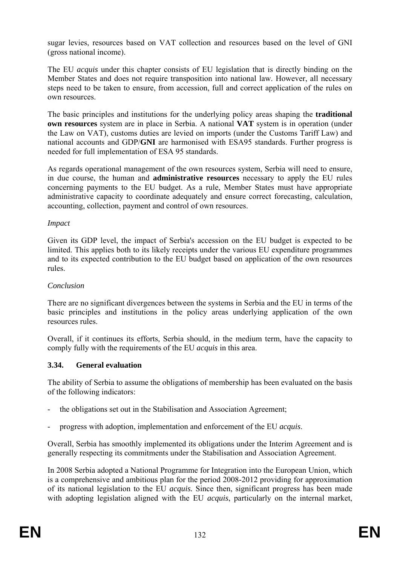sugar levies, resources based on VAT collection and resources based on the level of GNI (gross national income).

The EU *acquis* under this chapter consists of EU legislation that is directly binding on the Member States and does not require transposition into national law. However, all necessary steps need to be taken to ensure, from accession, full and correct application of the rules on own resources.

The basic principles and institutions for the underlying policy areas shaping the **traditional own resources** system are in place in Serbia. A national **VAT** system is in operation (under the Law on VAT), customs duties are levied on imports (under the Customs Tariff Law) and national accounts and GDP/**GNI** are harmonised with ESA95 standards. Further progress is needed for full implementation of ESA 95 standards.

As regards operational management of the own resources system, Serbia will need to ensure, in due course, the human and **administrative resources** necessary to apply the EU rules concerning payments to the EU budget. As a rule, Member States must have appropriate administrative capacity to coordinate adequately and ensure correct forecasting, calculation, accounting, collection, payment and control of own resources.

#### *Impact*

Given its GDP level, the impact of Serbia's accession on the EU budget is expected to be limited. This applies both to its likely receipts under the various EU expenditure programmes and to its expected contribution to the EU budget based on application of the own resources rules.

#### *Conclusion*

There are no significant divergences between the systems in Serbia and the EU in terms of the basic principles and institutions in the policy areas underlying application of the own resources rules.

Overall, if it continues its efforts, Serbia should, in the medium term, have the capacity to comply fully with the requirements of the EU *acquis* in this area.

#### **3.34. General evaluation**

The ability of Serbia to assume the obligations of membership has been evaluated on the basis of the following indicators:

- the obligations set out in the Stabilisation and Association Agreement;
- progress with adoption, implementation and enforcement of the EU *acquis*.

Overall, Serbia has smoothly implemented its obligations under the Interim Agreement and is generally respecting its commitments under the Stabilisation and Association Agreement.

In 2008 Serbia adopted a National Programme for Integration into the European Union, which is a comprehensive and ambitious plan for the period 2008-2012 providing for approximation of its national legislation to the EU *acquis.* Since then, significant progress has been made with adopting legislation aligned with the EU *acquis*, particularly on the internal market,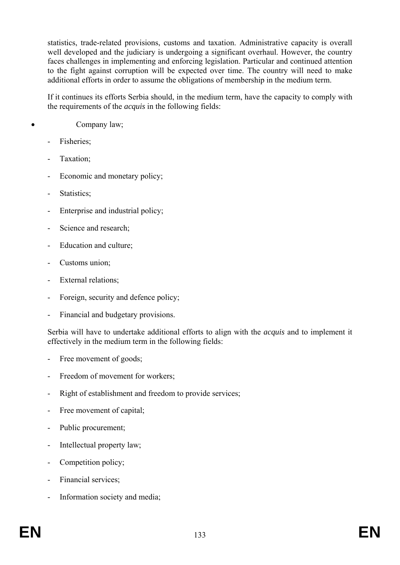statistics, trade-related provisions, customs and taxation. Administrative capacity is overall well developed and the judiciary is undergoing a significant overhaul. However, the country faces challenges in implementing and enforcing legislation. Particular and continued attention to the fight against corruption will be expected over time. The country will need to make additional efforts in order to assume the obligations of membership in the medium term.

If it continues its efforts Serbia should, in the medium term, have the capacity to comply with the requirements of the *acquis* in the following fields:

### Company law;

- Fisheries;
- Taxation;
- Economic and monetary policy;
- Statistics;
- Enterprise and industrial policy:
- Science and research:
- Education and culture;
- Customs union;
- External relations;
- Foreign, security and defence policy;
- Financial and budgetary provisions.

Serbia will have to undertake additional efforts to align with the *acquis* and to implement it effectively in the medium term in the following fields:

- Free movement of goods;
- Freedom of movement for workers:
- Right of establishment and freedom to provide services;
- Free movement of capital;
- Public procurement;
- Intellectual property law;
- Competition policy;
- Financial services;
- Information society and media;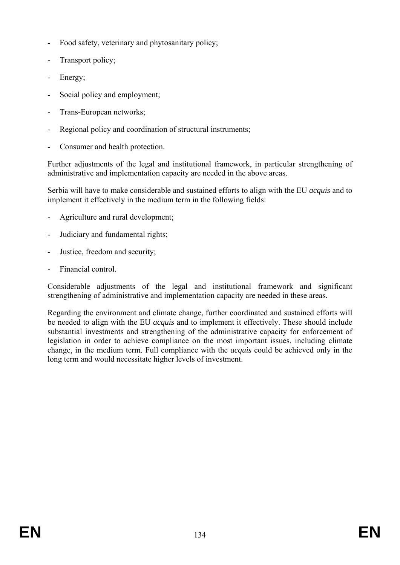- Food safety, veterinary and phytosanitary policy;
- Transport policy;
- Energy;
- Social policy and employment;
- Trans-European networks;
- Regional policy and coordination of structural instruments;
- Consumer and health protection.

Further adjustments of the legal and institutional framework, in particular strengthening of administrative and implementation capacity are needed in the above areas.

Serbia will have to make considerable and sustained efforts to align with the EU *acquis* and to implement it effectively in the medium term in the following fields:

- Agriculture and rural development;
- Judiciary and fundamental rights;
- Justice, freedom and security;
- Financial control.

Considerable adjustments of the legal and institutional framework and significant strengthening of administrative and implementation capacity are needed in these areas.

Regarding the environment and climate change, further coordinated and sustained efforts will be needed to align with the EU *acquis* and to implement it effectively. These should include substantial investments and strengthening of the administrative capacity for enforcement of legislation in order to achieve compliance on the most important issues, including climate change, in the medium term. Full compliance with the *acquis* could be achieved only in the long term and would necessitate higher levels of investment.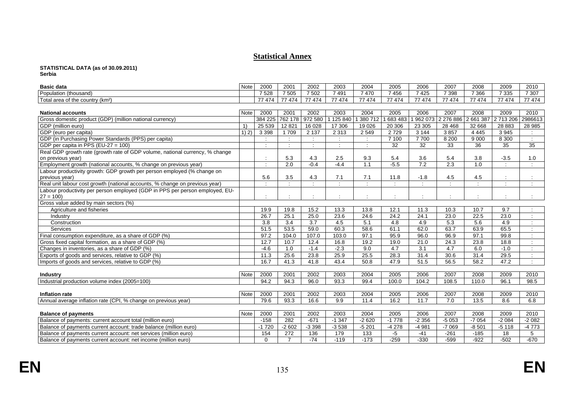#### **Statistical Annex**

# **STATISTICAL DATA (as of 30.09.2011) Serbia**

| <b>Basic data</b>                                                            | Note                                           | 2000     | 2001           | 2002    | 2003      | 2004          | 2005    | 2006     | 2007             | 2008      | 2009      | 2010    |
|------------------------------------------------------------------------------|------------------------------------------------|----------|----------------|---------|-----------|---------------|---------|----------|------------------|-----------|-----------|---------|
| Population (thousand)                                                        |                                                | 7528     | 7505           | 7 502   | 7491      | 7470          | 7456    | 7425     | 7 3 9 8          | 7 3 6 6   | 7 3 3 5   | 7 3 0 7 |
| Total area of the country (km <sup>2</sup> )                                 |                                                | 77 474   | 77 474         | 77 474  | 77 474    | 77 474        | 77 474  | 77 474   | 77 474           | 77 474    | 77 474    | 77 474  |
|                                                                              |                                                |          |                |         |           |               |         |          |                  |           |           |         |
| <b>National accounts</b>                                                     | Note                                           | 2000     | 2001           | 2002    | 2003      | 2004          | 2005    | 2006     | 2007             | 2008      | 2009      | 2010    |
| Gross domestic product (GDP) (million national currency)                     |                                                | 384 225  | 762 178        | 972 580 | 1 125 840 | 380 712       | 683 483 | 962 073  | 2 276 886        | 2 661 387 | 2 713 206 | 2986613 |
| GDP (million euro)                                                           | $\left( \begin{matrix} 1 \end{matrix} \right)$ | 25 5 39  | 12821          | 16 0 28 | 17 306    | 19 0 26       | 20 30 6 | 23 30 5  | 28 4 68          | 32 668    | 28 8 83   | 28 985  |
| GDP (euro per capita)                                                        | $\overline{1)}$ 2)                             | 3 3 9 8  | 1709           | 2 1 3 7 | 2 3 1 3   | 2 5 4 9       | 2729    | 3 1 4 4  | 3857             | 4 4 4 5   | 3945      |         |
| GDP (in Purchasing Power Standards (PPS) per capita)                         |                                                |          |                |         |           | $\mathcal{L}$ | 7 100   | 7700     | 8 2 0 0          | 9 0 0 0   | 8 3 0 0   |         |
| GDP per capita in PPS (EU-27 = 100)                                          |                                                | $\cdot$  |                |         |           |               | 32      | 32       | 33               | 36        | 35        | 35      |
| Real GDP growth rate (growth rate of GDP volume, national currency, % change |                                                |          |                |         |           |               |         |          |                  |           |           |         |
| on previous year)                                                            |                                                |          | 5.3            | 4.3     | 2.5       | 9.3           | 5.4     | 3.6      | 5.4              | 3.8       | $-3.5$    | 1.0     |
| Employment growth (national accounts, % change on previous year)             |                                                | $\cdot$  | 2.0            | $-0.4$  | $-4.4$    | 1.1           | $-5.5$  | 7.2      | $\overline{2.3}$ | 1.0       | $\bullet$ |         |
| Labour productivity growth: GDP growth per person employed (% change on      |                                                |          |                |         |           |               |         |          |                  |           |           |         |
| previous year)                                                               |                                                | 5.6      | 3.5            | 4.3     | 7.1       | 7.1           | 11.8    | $-1.8$   | 4.5              | 4.5       |           |         |
| Real unit labour cost growth (national accounts, % change on previous year)  |                                                |          |                |         | $\cdot$   |               |         |          | $\cdot$          | $\sim$    |           |         |
| Labour productivity per person employed (GDP in PPS per person employed, EU- |                                                |          |                |         |           |               |         |          |                  |           |           |         |
| $27 = 100$                                                                   |                                                |          |                |         |           |               |         |          |                  |           |           |         |
| Gross value added by main sectors (%)                                        |                                                |          |                |         |           |               |         |          |                  |           |           |         |
| Agriculture and fisheries                                                    |                                                | 19.9     | 19.8           | 15.2    | 13.3      | 13.8          | 12.1    | 11.3     | 10.3             | 10.7      | 9.7       |         |
| Industry                                                                     |                                                | 26.7     | 25.1           | 25.0    | 23.6      | 24.6          | 24.2    | 24.1     | 23.0             | 22.5      | 23.0      |         |
| Construction                                                                 |                                                | 3.8      | 3.4            | 3.7     | 4.5       | 5.1           | 4.8     | 4.9      | 5.3              | 5.6       | 4.9       |         |
| Services                                                                     |                                                | 51.5     | 53.5           | 59.0    | 60.3      | 58.6          | 61.1    | 62.0     | 63.7             | 63.9      | 65.5      |         |
| Final consumption expenditure, as a share of GDP (%)                         |                                                | 97.2     | 104.0          | 107.0   | 103.0     | 97.1          | 95.9    | 96.0     | 96.9             | 97.1      | 99.8      |         |
| Gross fixed capital formation, as a share of GDP (%)                         |                                                | 12.7     | 10.7           | 12.4    | 16.8      | 19.2          | 19.0    | 21.0     | 24.3             | 23.8      | 18.8      |         |
| Changes in inventories, as a share of GDP (%)                                |                                                | $-4.6$   | 1.0            | $-1.4$  | $-2.3$    | 9.0           | 4.7     | 3.1      | 4.7              | 6.0       | $-1.0$    |         |
| Exports of goods and services, relative to GDP (%)                           |                                                | 11.3     | 25.6           | 23.8    | 25.9      | 25.5          | 28.3    | 31.4     | 30.6             | 31.4      | 29.5      |         |
| Imports of goods and services, relative to GDP (%)                           |                                                | 16.7     | 41.3           | 41.8    | 43.4      | 50.8          | 47.9    | 51.5     | 56.5             | 58.2      | 47.2      |         |
|                                                                              |                                                |          |                |         |           |               |         |          |                  |           |           |         |
| <b>Industry</b>                                                              | Note                                           | 2000     | 2001           | 2002    | 2003      | 2004          | 2005    | 2006     | 2007             | 2008      | 2009      | 2010    |
| Industrial production volume index (2005=100)                                |                                                | 94.2     | 94.3           | 96.0    | 93.3      | 99.4          | 100.0   | 104.2    | 108.5            | 110.0     | 96.1      | 98.5    |
|                                                                              |                                                |          |                |         |           |               |         |          |                  |           |           |         |
| <b>Inflation rate</b>                                                        | <b>Note</b>                                    | 2000     | 2001           | 2002    | 2003      | 2004          | 2005    | 2006     | 2007             | 2008      | 2009      | 2010    |
| Annual average inflation rate (CPI, % change on previous year)               |                                                | 79.6     | 93.3           | 16.6    | 9.9       | 11.4          | 16.2    | 11.7     | $\overline{7.0}$ | 13.5      | 8.6       | 6.8     |
|                                                                              |                                                |          |                |         |           |               |         |          |                  |           |           |         |
| <b>Balance of payments</b>                                                   | Note                                           | 2000     | 2001           | 2002    | 2003      | 2004          | 2005    | 2006     | 2007             | 2008      | 2009      | 2010    |
| Balance of payments: current account total (million euro)                    |                                                | $-158$   | 282            | $-671$  | $-1.347$  | $-2620$       | $-1778$ | $-2.356$ | $-5053$          | $-7054$   | $-2084$   | $-2082$ |
| Balance of payments current account: trade balance (million euro)            |                                                | $-1720$  | $-2602$        | $-3398$ | $-3538$   | $-5201$       | $-4278$ | $-4981$  | $-7069$          | $-8,501$  | $-5118$   | $-4773$ |
| Balance of payments current account: net services (million euro)             |                                                | 154      | 272            | 136     | 179       | 133           | $-5$    | $-41$    | $-261$           | $-185$    | 18        | 5       |
| Balance of payments current account: net income (million euro)               |                                                | $\Omega$ | $\overline{7}$ | $-74$   | $-119$    | $-173$        | $-259$  | $-330$   | $-599$           | $-922$    | $-502$    | $-670$  |

**EN**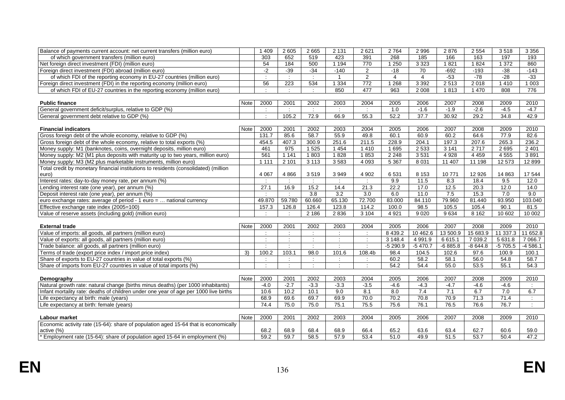| Balance of payments current account: net current transfers (million euro)            |             | 1 4 0 9                     | 2 6 0 5                     | 2 6 6 5              | 2 1 3 1        | 2621             | 2 7 6 4        | 2 9 9 6        | 2876      | 2 5 5 4   | 3518        | 3 3 5 6                     |
|--------------------------------------------------------------------------------------|-------------|-----------------------------|-----------------------------|----------------------|----------------|------------------|----------------|----------------|-----------|-----------|-------------|-----------------------------|
| of which government transfers (million euro)                                         |             | 303                         | 652                         | 519                  | 423            | 391              | 268            | 185            | 166       | 163       | 197         | 193                         |
| Net foreign direct investment (FDI) (million euro)                                   |             | 54                          | 184                         | 500                  | 1194           | 770              | 1 2 5 0        | 3 3 2 3        | 1821      | 1824      | 1372        | 860                         |
| Foreign direct investment (FDI) abroad (million euro)                                |             | $-2$                        | $-39$                       | $-34$                | $-140$         | 2                | $-18$          | 70             | $-692$    | $-193$    | $-38$       | $-143$                      |
| of which FDI of the reporting economy in EU-27 countries (million euro)              |             |                             | $\mathcal{L}$               | $\mathcal{L}$        | $\overline{1}$ | 2                | $\overline{4}$ | $\overline{4}$ | $-53$     | $-78$     | $-28$       | $-33$                       |
| Foreign direct investment (FDI) in the reporting economy (million euro)              |             | 56                          | $\overline{223}$            | 534                  | 1 3 3 4        | 772              | 1268           | 3 3 9 2        | 2513      | 2 0 18    | 1 4 1 0     | 1003                        |
| of which FDI of EU-27 countries in the reporting economy (million euro)              |             | $\sim$                      | $\mathcal{L}$               | $\mathcal{L}$        | 850            | 477              | 963            | 2 0 0 8        | 1813      | 1 4 7 0   | 808         | 776                         |
|                                                                                      |             |                             |                             |                      |                |                  |                |                |           |           |             |                             |
| <b>Public finance</b>                                                                | <b>Note</b> | 2000                        | 2001                        | 2002                 | 2003           | 2004             | 2005           | 2006           | 2007      | 2008      | 2009        | 2010                        |
| General government deficit/surplus, relative to GDP (%)                              |             | $\cdot$                     | $\mathcal{L}$               | $\mathcal{L}$        | $\mathcal{L}$  | $\mathcal{L}$    | 1.0            | $-1.6$         | $-1.9$    | $-2.6$    | $-4.5$      | $-4.7$                      |
| General government debt relative to GDP (%)                                          |             | $\sim$                      | 105.2                       | 72.9                 | 66.9           | 55.3             | 52.2           | 37.7           | 30.92     | 29.2      | 34.8        | 42.9                        |
|                                                                                      |             |                             |                             |                      |                |                  |                |                |           |           |             |                             |
| <b>Financial indicators</b>                                                          | Note        | 2000                        | 2001                        | 2002                 | 2003           | 2004             | 2005           | 2006           | 2007      | 2008      | 2009        | 2010                        |
| Gross foreign debt of the whole economy, relative to GDP (%)                         |             | 131.7                       | 85.6                        | 58.7                 | 55.9           | 49.8             | 60.1           | 60.9           | 60.2      | 64.6      | 77.9        | 82.6                        |
| Gross foreign debt of the whole economy, relative to total exports (%)               |             | 454.5                       | 407.3                       | 300.9                | 251.6          | 211.5            | 228.9          | 204.1          | 197.3     | 207.6     | 265.3       | 236.2                       |
| Money supply: M1 (banknotes, coins, overnight deposits, million euro)                |             | 461                         | 975                         | 1 5 2 5              | 1454           | 1410             | 1 6 9 5        | 2 5 3 3        | 3141      | 2 7 1 7   | 2 6 9 5     | 2 4 0 1                     |
| Money supply: M2 (M1 plus deposits with maturity up to two years, million euro)      |             | 561                         | 1 1 4 1                     | 1803                 | 1828           | 1853             | 2 2 4 8        | 3531           | 4928      | 4 4 5 9   | 4 5 5 5     | 3891                        |
| Money supply: M3 (M2 plus marketable instruments, million euro)                      |             | 1 1 1 1                     | 2 1 0 1                     | 3 1 1 3              | 3583           | 4 0 9 3          | 5 3 6 7        | 8 0 3 1        | 11 407    | 11 198    | 12 573      | 12 8 99                     |
| Total credit by monetary financial institutions to residents (consolidated) (million |             |                             |                             |                      |                |                  |                |                |           |           |             |                             |
| euro)                                                                                |             | 4 0 6 7                     | 4866                        | 3519                 | 3949           | 4 9 0 2          | 6531           | 8 1 5 3        | 10771     | 12 9 26   | 14 8 63     | 17 544                      |
| Interest rates: day-to-day money rate, per annum (%)                                 |             | $\mathcal{L}_{\mathcal{L}}$ | $\mathcal{L}$               | $\mathcal{L}$        | $\mathcal{L}$  | $\mathcal{L}$    | 9.9            | 11.5           | 8.3       | 18.4      | 9.5         | 12.0                        |
| Lending interest rate (one year), per annum (%)                                      |             | 27.1                        | 16.9                        | 15.2                 | 14.4           | 21.3             | 22.2           | 17.0           | 12.5      | 20.3      | 12.0        | 14.0                        |
| Deposit interest rate (one year), per annum (%)                                      |             | $\cdot$                     | $\mathcal{L}_{\mathcal{A}}$ | $\overline{3.8}$     | 3.2            | $\overline{3.0}$ | 6.0            | 11.0           | 7.5       | 15.3      | 7.0         | 9.0                         |
| euro exchange rates: average of period - 1 euro =  national currency                 |             | 49.870                      | 59.780                      | 60.660               | 65.130         | 72.700           | 83.000         | 84.110         | 79.960    | 81.440    | 93.950      | 103.040                     |
| Effective exchange rate index (2005=100)                                             |             | 157.3                       | 126.8                       | 126.4                | 123.8          | 114.2            | 100.0          | 98.5           | 105.5     | 105.4     | 90.1        | 81.5                        |
| Value of reserve assets (including gold) (million euro)                              |             |                             |                             | 2 1 8 6              | 2836           | 3 1 0 4          | 4 9 21         | 9 0 2 0        | 9634      | 8 1 6 2   | 10 602      | 10 002                      |
|                                                                                      |             |                             |                             |                      |                |                  |                |                |           |           |             |                             |
| <b>External trade</b>                                                                | <b>Note</b> | 2000                        | 2001                        | 2002                 | 2003           | 2004             | 2005           | 2006           | 2007      | 2008      | 2009        | 2010                        |
| Value of imports: all goods, all partners (million euro)                             |             | $\mathcal{L}$               |                             | $\mathbb{R}^2$       | $\mathcal{L}$  | $\mathcal{L}$    | 8 4 3 9.2      | 10 462.6       | 13 500.9  | 15 683.9  | 11 337.3    | 11 652.8                    |
| Value of exports: all goods, all partners (million euro)                             |             |                             | $\mathcal{L}_{\mathcal{L}}$ | ÷                    | ÷              | ÷                | 3 148.4        | 4 9 9 1.9      | 6615.1    | 7 0 39.2  | 5 6 3 1 . 8 | 7 0 66.7                    |
| Trade balance: all goods, all partners (million euro)                                |             | $\cdot$ :                   | $\mathcal{L}$               | $\mathcal{L}$        | $\mathcal{L}$  | $\mathcal{L}$    | $-5290.9$      | $-5470.7$      | $-6885.8$ | $-8644.8$ | $-5705.5$   | $-4586.1$                   |
| Terms of trade (export price index / import price index)                             | 3)          | 100.2                       | 103.1                       | 98.0                 | 101.6          | 108.4b           | 98.4           | 104.5          | 102.6     | 97.6      | 100.9       | 100.1                       |
| Share of exports to EU-27 countries in value of total exports (%)                    |             | $\sim$                      | $\mathbb{R}^2$              | $\mathcal{L}$        | ÷              |                  | 60.2           | 58.2           | 58.1      | 56.0      | 54.8        | 58.7                        |
| Share of imports from EU-27 countries in value of total imports (%)                  |             | $\sim$                      | $\sim$                      | $\ddot{\phantom{a}}$ | $\bullet$      | $\cdot$          | 54.2           | 54.4           | 55.0      | 53.5      | 55.1        | 54.3                        |
|                                                                                      |             |                             |                             |                      |                |                  |                |                |           |           |             |                             |
| Demography                                                                           | <b>Note</b> | 2000                        | 2001                        | 2002                 | 2003           | 2004             | 2005           | 2006           | 2007      | 2008      | 2009        | 2010                        |
| Natural growth rate: natural change (births minus deaths) (per 1000 inhabitants)     |             | $-4.0$                      | $-2.7$                      | $-3.3$               | $-3.3$         | $-3.5$           | $-4.6$         | $-4.3$         | $-4.7$    | $-4.6$    | $-4.6$      | $\mathcal{L}$               |
| Infant mortality rate: deaths of children under one year of age per 1000 live births |             | 10.6                        | 10.2                        | 10.1                 | 9.0            | 8.1              | 8.0            | 7.4            | 7.1       | 6.7       | 7.0         | 6.7                         |
| Life expectancy at birth: male (years)                                               |             | 68.9                        | 69.6                        | 69.7                 | 69.9           | 70.0             | 70.2           | 70.8           | 70.9      | 71.3      | 71.4        | $\mathcal{L}^{\mathcal{L}}$ |
| Life expectancy at birth: female (years)                                             |             | 74.4                        | 75.0                        | 75.0                 | 75.1           | 75.5             | 75.6           | 76.1           | 76.5      | 76.6      | 76.7        | $\mathbb{R}^n$              |
|                                                                                      |             |                             |                             |                      |                |                  |                |                |           |           |             |                             |
| Labour market                                                                        | Note        | 2000                        | 2001                        | 2002                 | 2003           | 2004             | 2005           | 2006           | 2007      | 2008      | 2009        | 2010                        |
| Economic activity rate (15-64): share of population aged 15-64 that is economically  |             |                             |                             |                      |                |                  |                |                |           |           |             |                             |
| active (%)                                                                           |             | 68.2                        | 68.9                        | 68.4                 | 68.9           | 66.4             | 65.2           | 63.6           | 63.4      | 62.7      | 60.6        | 59.0                        |
| * Employment rate (15-64): share of population aged 15-64 in employment (%)          |             | 59.2                        | 59.7                        | 58.5                 | 57.9           | 53.4             | 51.0           | 49.9           | 51.5      | 53.7      | 50.4        | 47.2                        |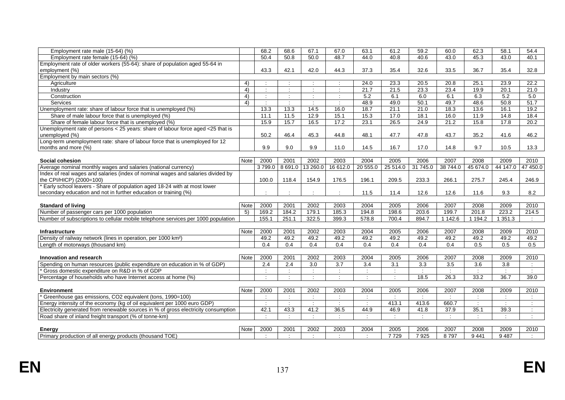| Employment rate male (15-64) (%)                                                   |             | 68.2          | 68.6           | 67.1                 | 67.0                     | 63.1                     | 61.2          | 59.2                 | 60.0                 | 62.3           | 58.1          | 54.4                 |
|------------------------------------------------------------------------------------|-------------|---------------|----------------|----------------------|--------------------------|--------------------------|---------------|----------------------|----------------------|----------------|---------------|----------------------|
| Employment rate female (15-64) (%)                                                 |             | 50.4          | 50.8           | 50.0                 | 48.7                     | 44.0                     | 40.8          | 40.6                 | 43.0                 | 45.3           | 43.0          | 40.1                 |
| Employment rate of older workers (55-64): share of population aged 55-64 in        |             |               |                |                      |                          |                          |               |                      |                      |                |               |                      |
| employment (%)                                                                     |             | 43.3          | 42.1           | 42.0                 | 44.3                     | 37.3                     | 35.4          | 32.6                 | 33.5                 | 36.7           | 35.4          | 32.8                 |
| Employment by main sectors (%)                                                     |             |               |                |                      |                          |                          |               |                      |                      |                |               |                      |
| Agriculture                                                                        | 4)          |               |                |                      |                          | 24.0                     | 23.3          | 20.5                 | 20.8                 | 25.1           | 23.9          | 22.2                 |
| Industry                                                                           | 4)          | $\cdot$       |                |                      | $\cdot$                  | 21.7                     | 21.5          | 23.3                 | 23.4                 | 19.9           | 20.1          | 21.0                 |
| Construction                                                                       | 4)          | $\mathcal{L}$ | $\ddot{\cdot}$ | $\ddot{\phantom{a}}$ | ÷                        | 5.2                      | 6.1           | 6.0                  | 6.1                  | 6.3            | 5.2           | 5.0                  |
| Services                                                                           | 4)          |               |                |                      |                          | 48.9                     | 49.0          | 50.1                 | 49.7                 | 48.6           | 50.8          | 51.7                 |
| Unemployment rate: share of labour force that is unemployed (%)                    |             | 13.3          | 13.3           | 14.5                 | 16.0                     | 18.7                     | 21.1          | 21.0                 | 18.3                 | 13.6           | 16.1          | 19.2                 |
| Share of male labour force that is unemployed (%)                                  |             | 11.1          | 11.5           | 12.9                 | 15.1                     | 15.3                     | 17.0          | 18.1                 | 16.0                 | 11.9           | 14.8          | 18.4                 |
| Share of female labour force that is unemployed (%)                                |             | 15.9          | 15.7           | 16.5                 | 17.2                     | 23.1                     | 26.5          | 24.9                 | 21.2                 | 15.8           | 17.8          | 20.2                 |
| Unemployment rate of persons < 25 years: share of labour force aged <25 that is    |             |               |                |                      |                          |                          |               |                      |                      |                |               |                      |
| unemployed (%)                                                                     |             | 50.2          | 46.4           | 45.3                 | 44.8                     | 48.1                     | 47.7          | 47.8                 | 43.7                 | 35.2           | 41.6          | 46.2                 |
| Long-term unemployment rate: share of labour force that is unemployed for 12       |             |               |                |                      |                          |                          |               |                      |                      |                |               |                      |
| months and more (%)                                                                |             | 9.9           | 9.0            | 9.9                  | 11.0                     | 14.5                     | 16.7          | 17.0                 | 14.8                 | 9.7            | 10.5          | 13.3                 |
|                                                                                    |             |               |                |                      |                          |                          |               |                      |                      |                |               |                      |
| Social cohesion                                                                    | <b>Note</b> | 2000          | 2001           | 2002                 | 2003                     | 2004                     | 2005          | 2006                 | 2007                 | 2008           | 2009          | 2010                 |
| Average nominal monthly wages and salaries (national currency)                     |             | 3799.0        |                | 8 691.0 13 260.0     | 16 612.0                 | 20 555.0                 | 25 514.0      | 31 745.0             | 38 744.0             | 45 674.0       | 44 147.0      | 47 450.0             |
| Index of real wages and salaries (index of nominal wages and salaries divided by   |             |               |                |                      |                          |                          |               |                      |                      |                |               |                      |
| the CPI/HICP) (2000=100)                                                           |             | 100.0         | 118.4          | 154.9                | 176.5                    | 196.1                    | 209.5         | 233.3                | 266.1                | 275.7          | 245.4         | 246.9                |
| * Early school leavers - Share of population aged 18-24 with at most lower         |             |               |                |                      |                          |                          |               |                      |                      |                |               |                      |
| secondary education and not in further education or training (%)                   |             |               |                |                      |                          | 11.5                     | 11.4          | 12.6                 | 12.6                 | 11.6           | 9.3           | 8.2                  |
|                                                                                    |             |               |                |                      |                          |                          |               |                      |                      |                |               |                      |
| <b>Standard of living</b>                                                          | Note        | 2000          | 2001           | 2002                 | 2003                     | 2004                     | 2005          | 2006                 | 2007                 | 2008           | 2009          | 2010                 |
| Number of passenger cars per 1000 population                                       | 5)          | 169.2         | 184.2          | 179.1                | 185.3                    | 194.8                    | 198.6         | 203.6                | 199.7                | 201.8          | 223.2         | 214.5                |
| Number of subscriptions to cellular mobile telephone services per 1000 population  |             | 155.1         | 251.1          | 322.5                | 399.3                    | 578.8                    | 700.4         | 894.7                | 1 1 4 2.6            | 1 1 9 4.2      | 1351.3        |                      |
|                                                                                    |             |               |                |                      |                          |                          |               |                      |                      |                |               |                      |
| <b>Infrastructure</b>                                                              | Note        | 2000          | 2001           | 2002                 | 2003                     | 2004                     | 2005          | 2006                 | 2007                 | 2008           | 2009          | 2010                 |
| Density of railway network (lines in operation, per 1000 km <sup>2</sup> )         |             | 49.2          | 49.2           | 49.2                 | 49.2                     | 49.2                     | 49.2          | 49.2                 | 49.2                 | 49.2           | 49.2          | 49.2                 |
| Length of motorways (thousand km)                                                  |             | 0.4           | 0.4            | 0.4                  | 0.4                      | 0.4                      | 0.4           | 0.4                  | 0.4                  | 0.5            | 0.5           | 0.5                  |
|                                                                                    |             |               |                |                      |                          |                          |               |                      |                      |                |               |                      |
| Innovation and research                                                            | Note        | 2000          | 2001           | 2002                 | 2003                     | 2004                     | 2005          | 2006                 | 2007                 | 2008           | 2009          | 2010                 |
| Spending on human resources (public expenditure on education in % of GDP)          |             | 2.4           | 2.4            | 3.0                  | 3.7                      | 3.4                      | 3.1           | 3.3                  | 3.5                  | 3.6            | 3.8           | $\ddot{\phantom{a}}$ |
| Gross domestic expenditure on R&D in % of GDP                                      |             |               |                |                      |                          |                          |               |                      | $\ddot{\phantom{a}}$ |                |               | $\mathbb{Z}^n$       |
| Percentage of households who have Internet access at home (%)                      |             | $\mathcal{L}$ | $\bullet$      | $\cdot$              | $\overline{\phantom{a}}$ | $\overline{\phantom{a}}$ | $\cdot$       | 18.5                 | 26.3                 | 33.2           | 36.7          | 39.0                 |
|                                                                                    |             |               |                |                      |                          |                          |               |                      |                      |                |               |                      |
| <b>Environment</b>                                                                 | Note        | 2000          | 2001           | 2002                 | 2003                     | 2004                     | 2005          | 2006                 | 2007                 | 2008           | 2009          | 2010                 |
| <sup>*</sup> Greenhouse gas emissions, CO2 equivalent (tons, 1990=100)             |             | $\cdot$       | ÷              | $\ddot{\phantom{a}}$ | $\mathcal{L}$            | $\mathcal{L}$            | $\mathcal{L}$ | $\mathcal{L}$        | $\mathcal{L}$        |                | $\mathcal{L}$ | $\cdot$              |
| Energy intensity of the economy (kg of oil equivalent per 1000 euro GDP)           |             | $\sim$        | $\blacksquare$ | $\sim$               | $\cdot$                  | $\cdot$                  | 413.1         | 413.6                | 660.7                |                |               | $\cdot$              |
| Electricity generated from renewable sources in % of gross electricity consumption |             | 42.1          | 43.3           | 41.2                 | 36.5                     | 44.9                     | 46.9          | 41.8                 | 37.9                 | 35.1           | 39.3          | ÷                    |
| Road share of inland freight transport (% of tonne-km)                             |             |               |                |                      |                          |                          |               | $\ddot{\phantom{a}}$ | $\ddot{\phantom{a}}$ | $\dot{\gamma}$ |               | $\mathcal{L}$        |
|                                                                                    |             |               |                |                      |                          |                          |               |                      |                      |                |               |                      |
| Energy                                                                             | <b>Note</b> | 2000          | 2001           | 2002                 | 2003                     | 2004                     | 2005          | 2006                 | 2007                 | 2008           | 2009          | 2010                 |
| Primary production of all energy products (thousand TOE)                           |             | $\mathcal{L}$ |                |                      | $\mathcal{L}$            |                          | 7729          | 7925                 | 8797                 | 9441           | 9487          |                      |